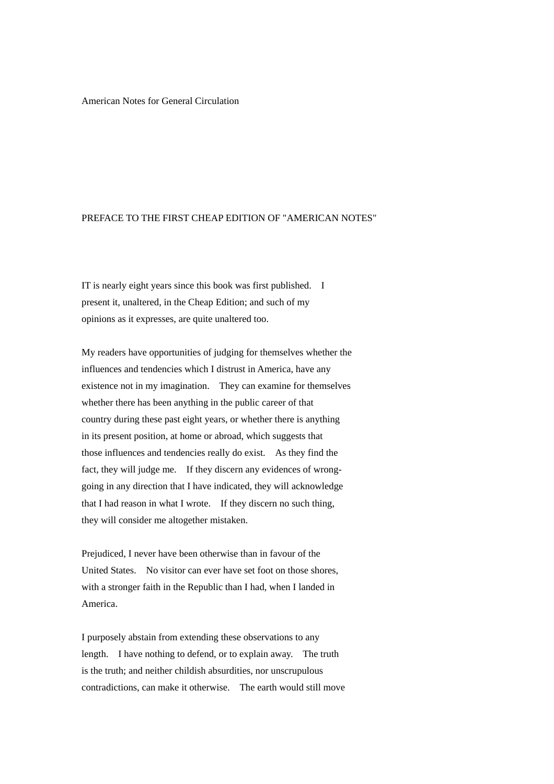# American Notes for General Circulation

# PREFACE TO THE FIRST CHEAP EDITION OF "AMERICAN NOTES"

IT is nearly eight years since this book was first published. I present it, unaltered, in the Cheap Edition; and such of my opinions as it expresses, are quite unaltered too.

My readers have opportunities of judging for themselves whether the influences and tendencies which I distrust in America, have any existence not in my imagination. They can examine for themselves whether there has been anything in the public career of that country during these past eight years, or whether there is anything in its present position, at home or abroad, which suggests that those influences and tendencies really do exist. As they find the fact, they will judge me. If they discern any evidences of wronggoing in any direction that I have indicated, they will acknowledge that I had reason in what I wrote. If they discern no such thing, they will consider me altogether mistaken.

Prejudiced, I never have been otherwise than in favour of the United States. No visitor can ever have set foot on those shores, with a stronger faith in the Republic than I had, when I landed in America.

I purposely abstain from extending these observations to any length. I have nothing to defend, or to explain away. The truth is the truth; and neither childish absurdities, nor unscrupulous contradictions, can make it otherwise. The earth would still move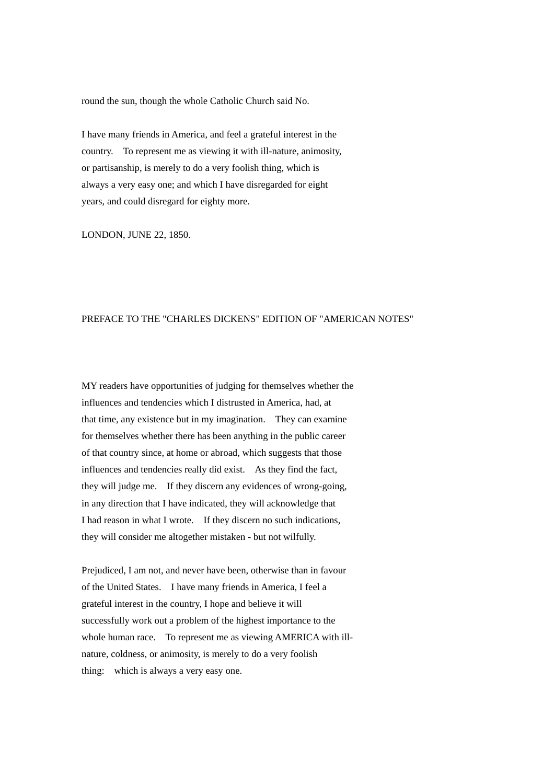round the sun, though the whole Catholic Church said No.

I have many friends in America, and feel a grateful interest in the country. To represent me as viewing it with ill-nature, animosity, or partisanship, is merely to do a very foolish thing, which is always a very easy one; and which I have disregarded for eight years, and could disregard for eighty more.

LONDON, JUNE 22, 1850.

### PREFACE TO THE "CHARLES DICKENS" EDITION OF "AMERICAN NOTES"

MY readers have opportunities of judging for themselves whether the influences and tendencies which I distrusted in America, had, at that time, any existence but in my imagination. They can examine for themselves whether there has been anything in the public career of that country since, at home or abroad, which suggests that those influences and tendencies really did exist. As they find the fact, they will judge me. If they discern any evidences of wrong-going, in any direction that I have indicated, they will acknowledge that I had reason in what I wrote. If they discern no such indications, they will consider me altogether mistaken - but not wilfully.

Prejudiced, I am not, and never have been, otherwise than in favour of the United States. I have many friends in America, I feel a grateful interest in the country, I hope and believe it will successfully work out a problem of the highest importance to the whole human race. To represent me as viewing AMERICA with illnature, coldness, or animosity, is merely to do a very foolish thing: which is always a very easy one.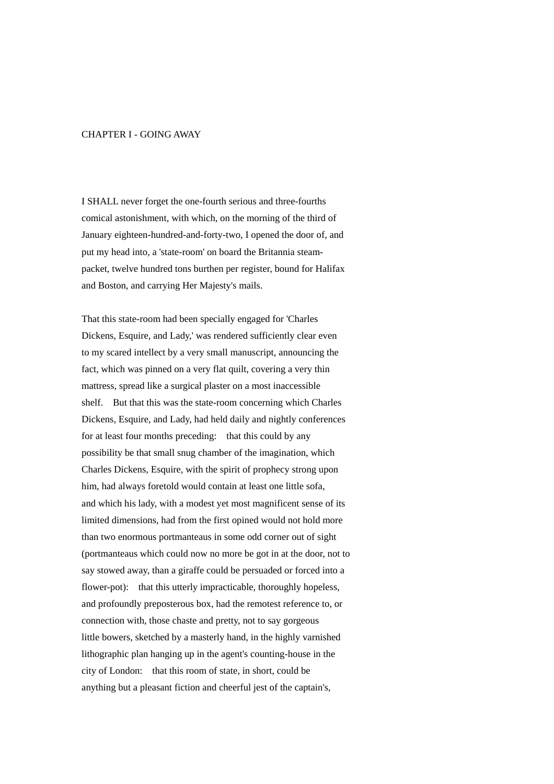### CHAPTER I - GOING AWAY

I SHALL never forget the one-fourth serious and three-fourths comical astonishment, with which, on the morning of the third of January eighteen-hundred-and-forty-two, I opened the door of, and put my head into, a 'state-room' on board the Britannia steampacket, twelve hundred tons burthen per register, bound for Halifax and Boston, and carrying Her Majesty's mails.

That this state-room had been specially engaged for 'Charles Dickens, Esquire, and Lady,' was rendered sufficiently clear even to my scared intellect by a very small manuscript, announcing the fact, which was pinned on a very flat quilt, covering a very thin mattress, spread like a surgical plaster on a most inaccessible shelf. But that this was the state-room concerning which Charles Dickens, Esquire, and Lady, had held daily and nightly conferences for at least four months preceding: that this could by any possibility be that small snug chamber of the imagination, which Charles Dickens, Esquire, with the spirit of prophecy strong upon him, had always foretold would contain at least one little sofa, and which his lady, with a modest yet most magnificent sense of its limited dimensions, had from the first opined would not hold more than two enormous portmanteaus in some odd corner out of sight (portmanteaus which could now no more be got in at the door, not to say stowed away, than a giraffe could be persuaded or forced into a flower-pot): that this utterly impracticable, thoroughly hopeless, and profoundly preposterous box, had the remotest reference to, or connection with, those chaste and pretty, not to say gorgeous little bowers, sketched by a masterly hand, in the highly varnished lithographic plan hanging up in the agent's counting-house in the city of London: that this room of state, in short, could be anything but a pleasant fiction and cheerful jest of the captain's,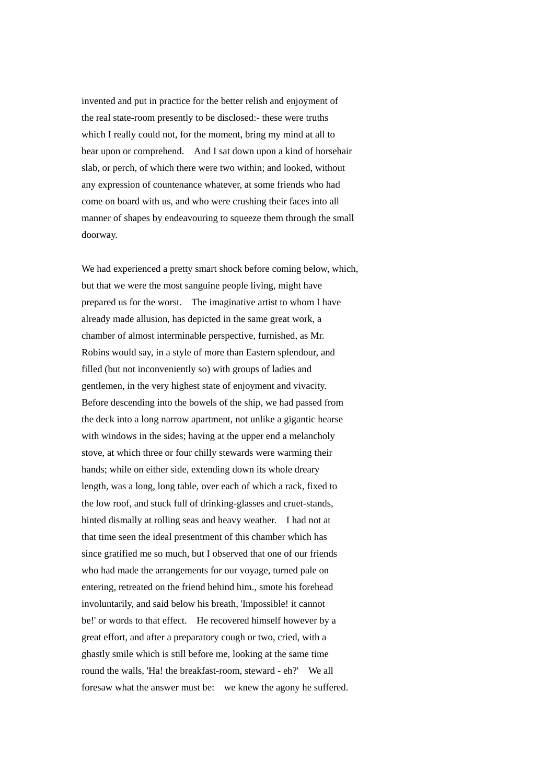invented and put in practice for the better relish and enjoyment of the real state-room presently to be disclosed:- these were truths which I really could not, for the moment, bring my mind at all to bear upon or comprehend. And I sat down upon a kind of horsehair slab, or perch, of which there were two within; and looked, without any expression of countenance whatever, at some friends who had come on board with us, and who were crushing their faces into all manner of shapes by endeavouring to squeeze them through the small doorway.

We had experienced a pretty smart shock before coming below, which, but that we were the most sanguine people living, might have prepared us for the worst. The imaginative artist to whom I have already made allusion, has depicted in the same great work, a chamber of almost interminable perspective, furnished, as Mr. Robins would say, in a style of more than Eastern splendour, and filled (but not inconveniently so) with groups of ladies and gentlemen, in the very highest state of enjoyment and vivacity. Before descending into the bowels of the ship, we had passed from the deck into a long narrow apartment, not unlike a gigantic hearse with windows in the sides; having at the upper end a melancholy stove, at which three or four chilly stewards were warming their hands; while on either side, extending down its whole dreary length, was a long, long table, over each of which a rack, fixed to the low roof, and stuck full of drinking-glasses and cruet-stands, hinted dismally at rolling seas and heavy weather. I had not at that time seen the ideal presentment of this chamber which has since gratified me so much, but I observed that one of our friends who had made the arrangements for our voyage, turned pale on entering, retreated on the friend behind him., smote his forehead involuntarily, and said below his breath, 'Impossible! it cannot be!' or words to that effect. He recovered himself however by a great effort, and after a preparatory cough or two, cried, with a ghastly smile which is still before me, looking at the same time round the walls, 'Ha! the breakfast-room, steward - eh?' We all foresaw what the answer must be: we knew the agony he suffered.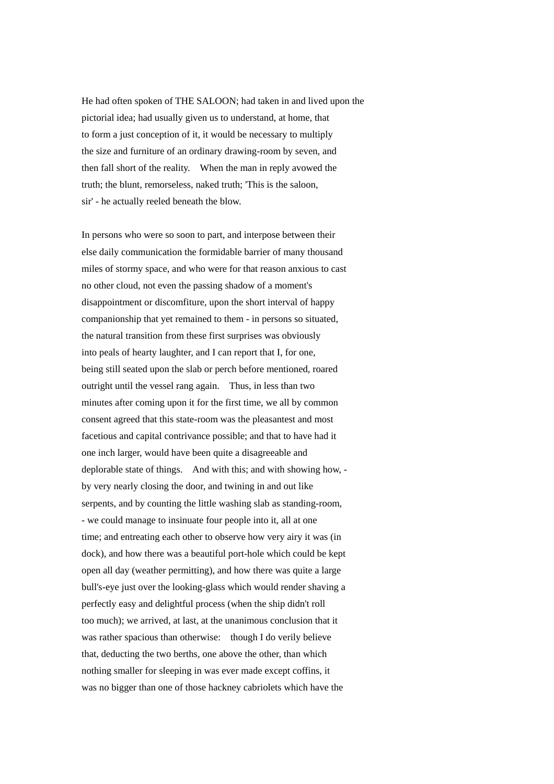He had often spoken of THE SALOON; had taken in and lived upon the pictorial idea; had usually given us to understand, at home, that to form a just conception of it, it would be necessary to multiply the size and furniture of an ordinary drawing-room by seven, and then fall short of the reality. When the man in reply avowed the truth; the blunt, remorseless, naked truth; 'This is the saloon, sir' - he actually reeled beneath the blow.

In persons who were so soon to part, and interpose between their else daily communication the formidable barrier of many thousand miles of stormy space, and who were for that reason anxious to cast no other cloud, not even the passing shadow of a moment's disappointment or discomfiture, upon the short interval of happy companionship that yet remained to them - in persons so situated, the natural transition from these first surprises was obviously into peals of hearty laughter, and I can report that I, for one, being still seated upon the slab or perch before mentioned, roared outright until the vessel rang again. Thus, in less than two minutes after coming upon it for the first time, we all by common consent agreed that this state-room was the pleasantest and most facetious and capital contrivance possible; and that to have had it one inch larger, would have been quite a disagreeable and deplorable state of things. And with this; and with showing how, by very nearly closing the door, and twining in and out like serpents, and by counting the little washing slab as standing-room, - we could manage to insinuate four people into it, all at one time; and entreating each other to observe how very airy it was (in dock), and how there was a beautiful port-hole which could be kept open all day (weather permitting), and how there was quite a large bull's-eye just over the looking-glass which would render shaving a perfectly easy and delightful process (when the ship didn't roll too much); we arrived, at last, at the unanimous conclusion that it was rather spacious than otherwise: though I do verily believe that, deducting the two berths, one above the other, than which nothing smaller for sleeping in was ever made except coffins, it was no bigger than one of those hackney cabriolets which have the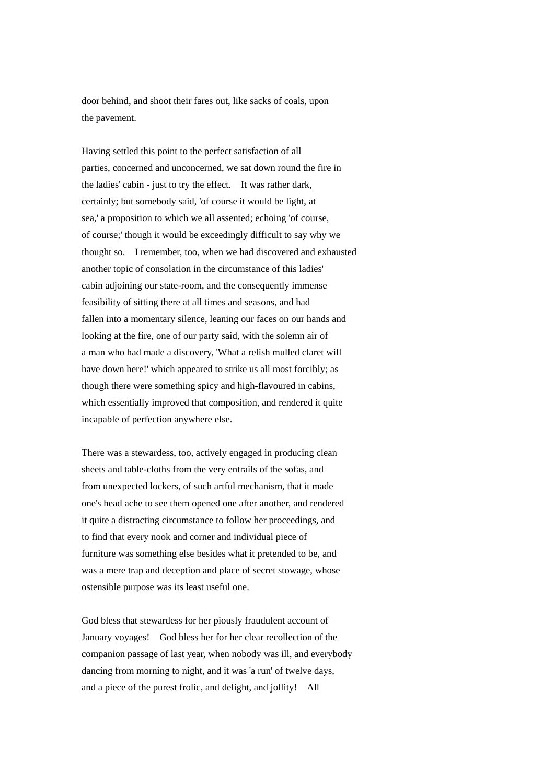door behind, and shoot their fares out, like sacks of coals, upon the pavement.

Having settled this point to the perfect satisfaction of all parties, concerned and unconcerned, we sat down round the fire in the ladies' cabin - just to try the effect. It was rather dark, certainly; but somebody said, 'of course it would be light, at sea,' a proposition to which we all assented; echoing 'of course, of course;' though it would be exceedingly difficult to say why we thought so. I remember, too, when we had discovered and exhausted another topic of consolation in the circumstance of this ladies' cabin adjoining our state-room, and the consequently immense feasibility of sitting there at all times and seasons, and had fallen into a momentary silence, leaning our faces on our hands and looking at the fire, one of our party said, with the solemn air of a man who had made a discovery, 'What a relish mulled claret will have down here!' which appeared to strike us all most forcibly; as though there were something spicy and high-flavoured in cabins, which essentially improved that composition, and rendered it quite incapable of perfection anywhere else.

There was a stewardess, too, actively engaged in producing clean sheets and table-cloths from the very entrails of the sofas, and from unexpected lockers, of such artful mechanism, that it made one's head ache to see them opened one after another, and rendered it quite a distracting circumstance to follow her proceedings, and to find that every nook and corner and individual piece of furniture was something else besides what it pretended to be, and was a mere trap and deception and place of secret stowage, whose ostensible purpose was its least useful one.

God bless that stewardess for her piously fraudulent account of January voyages! God bless her for her clear recollection of the companion passage of last year, when nobody was ill, and everybody dancing from morning to night, and it was 'a run' of twelve days, and a piece of the purest frolic, and delight, and jollity! All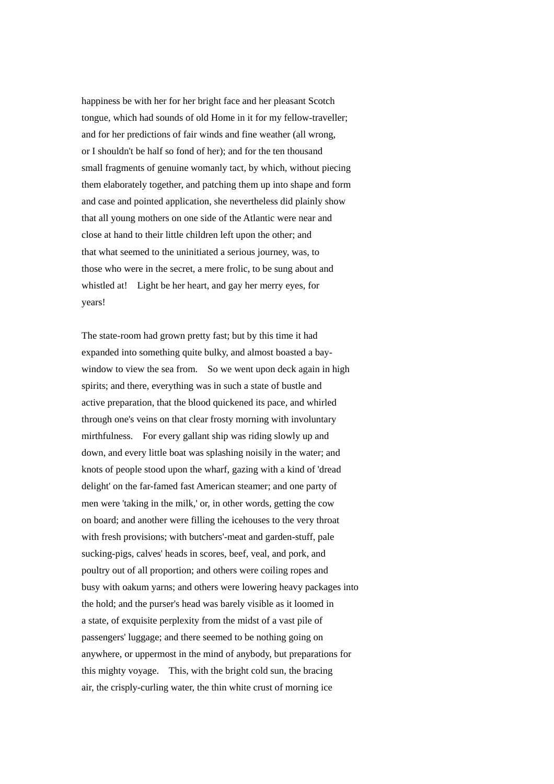happiness be with her for her bright face and her pleasant Scotch tongue, which had sounds of old Home in it for my fellow-traveller; and for her predictions of fair winds and fine weather (all wrong, or I shouldn't be half so fond of her); and for the ten thousand small fragments of genuine womanly tact, by which, without piecing them elaborately together, and patching them up into shape and form and case and pointed application, she nevertheless did plainly show that all young mothers on one side of the Atlantic were near and close at hand to their little children left upon the other; and that what seemed to the uninitiated a serious journey, was, to those who were in the secret, a mere frolic, to be sung about and whistled at! Light be her heart, and gay her merry eyes, for years!

The state-room had grown pretty fast; but by this time it had expanded into something quite bulky, and almost boasted a baywindow to view the sea from. So we went upon deck again in high spirits; and there, everything was in such a state of bustle and active preparation, that the blood quickened its pace, and whirled through one's veins on that clear frosty morning with involuntary mirthfulness. For every gallant ship was riding slowly up and down, and every little boat was splashing noisily in the water; and knots of people stood upon the wharf, gazing with a kind of 'dread delight' on the far-famed fast American steamer; and one party of men were 'taking in the milk,' or, in other words, getting the cow on board; and another were filling the icehouses to the very throat with fresh provisions; with butchers'-meat and garden-stuff, pale sucking-pigs, calves' heads in scores, beef, veal, and pork, and poultry out of all proportion; and others were coiling ropes and busy with oakum yarns; and others were lowering heavy packages into the hold; and the purser's head was barely visible as it loomed in a state, of exquisite perplexity from the midst of a vast pile of passengers' luggage; and there seemed to be nothing going on anywhere, or uppermost in the mind of anybody, but preparations for this mighty voyage. This, with the bright cold sun, the bracing air, the crisply-curling water, the thin white crust of morning ice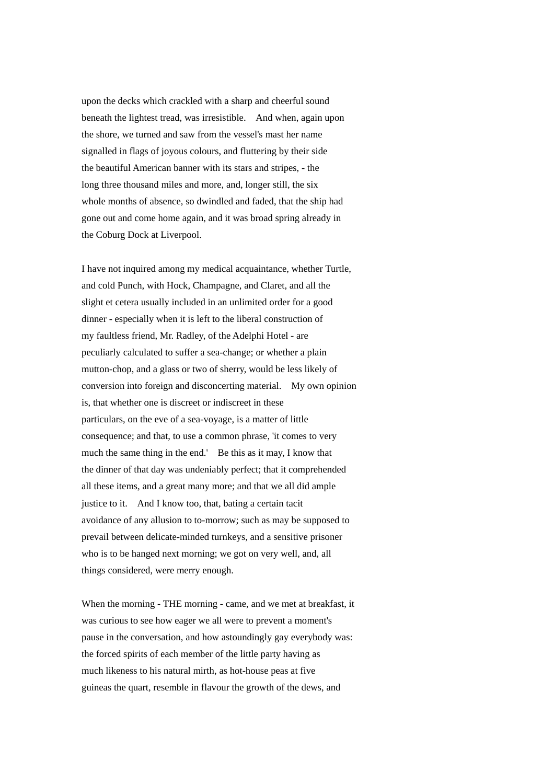upon the decks which crackled with a sharp and cheerful sound beneath the lightest tread, was irresistible. And when, again upon the shore, we turned and saw from the vessel's mast her name signalled in flags of joyous colours, and fluttering by their side the beautiful American banner with its stars and stripes, - the long three thousand miles and more, and, longer still, the six whole months of absence, so dwindled and faded, that the ship had gone out and come home again, and it was broad spring already in the Coburg Dock at Liverpool.

I have not inquired among my medical acquaintance, whether Turtle, and cold Punch, with Hock, Champagne, and Claret, and all the slight et cetera usually included in an unlimited order for a good dinner - especially when it is left to the liberal construction of my faultless friend, Mr. Radley, of the Adelphi Hotel - are peculiarly calculated to suffer a sea-change; or whether a plain mutton-chop, and a glass or two of sherry, would be less likely of conversion into foreign and disconcerting material. My own opinion is, that whether one is discreet or indiscreet in these particulars, on the eve of a sea-voyage, is a matter of little consequence; and that, to use a common phrase, 'it comes to very much the same thing in the end.' Be this as it may, I know that the dinner of that day was undeniably perfect; that it comprehended all these items, and a great many more; and that we all did ample justice to it. And I know too, that, bating a certain tacit avoidance of any allusion to to-morrow; such as may be supposed to prevail between delicate-minded turnkeys, and a sensitive prisoner who is to be hanged next morning; we got on very well, and, all things considered, were merry enough.

When the morning - THE morning - came, and we met at breakfast, it was curious to see how eager we all were to prevent a moment's pause in the conversation, and how astoundingly gay everybody was: the forced spirits of each member of the little party having as much likeness to his natural mirth, as hot-house peas at five guineas the quart, resemble in flavour the growth of the dews, and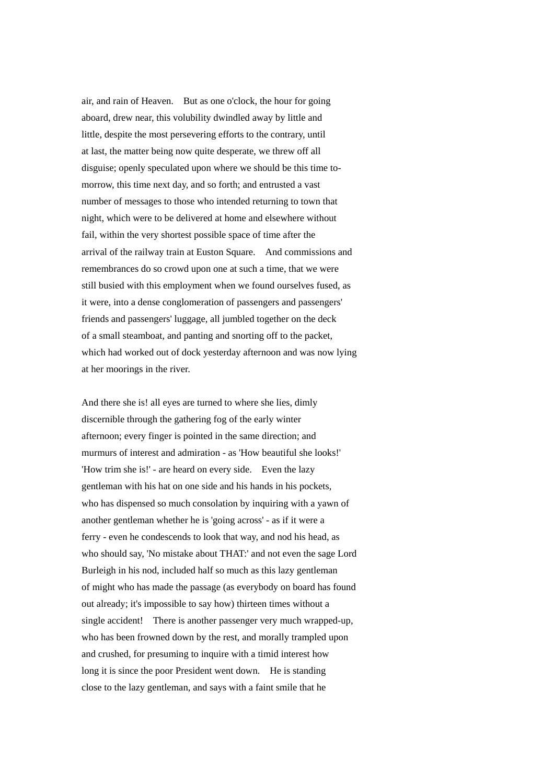air, and rain of Heaven. But as one o'clock, the hour for going aboard, drew near, this volubility dwindled away by little and little, despite the most persevering efforts to the contrary, until at last, the matter being now quite desperate, we threw off all disguise; openly speculated upon where we should be this time tomorrow, this time next day, and so forth; and entrusted a vast number of messages to those who intended returning to town that night, which were to be delivered at home and elsewhere without fail, within the very shortest possible space of time after the arrival of the railway train at Euston Square. And commissions and remembrances do so crowd upon one at such a time, that we were still busied with this employment when we found ourselves fused, as it were, into a dense conglomeration of passengers and passengers' friends and passengers' luggage, all jumbled together on the deck of a small steamboat, and panting and snorting off to the packet, which had worked out of dock yesterday afternoon and was now lying at her moorings in the river.

And there she is! all eyes are turned to where she lies, dimly discernible through the gathering fog of the early winter afternoon; every finger is pointed in the same direction; and murmurs of interest and admiration - as 'How beautiful she looks!' 'How trim she is!' - are heard on every side. Even the lazy gentleman with his hat on one side and his hands in his pockets, who has dispensed so much consolation by inquiring with a yawn of another gentleman whether he is 'going across' - as if it were a ferry - even he condescends to look that way, and nod his head, as who should say, 'No mistake about THAT:' and not even the sage Lord Burleigh in his nod, included half so much as this lazy gentleman of might who has made the passage (as everybody on board has found out already; it's impossible to say how) thirteen times without a single accident! There is another passenger very much wrapped-up, who has been frowned down by the rest, and morally trampled upon and crushed, for presuming to inquire with a timid interest how long it is since the poor President went down. He is standing close to the lazy gentleman, and says with a faint smile that he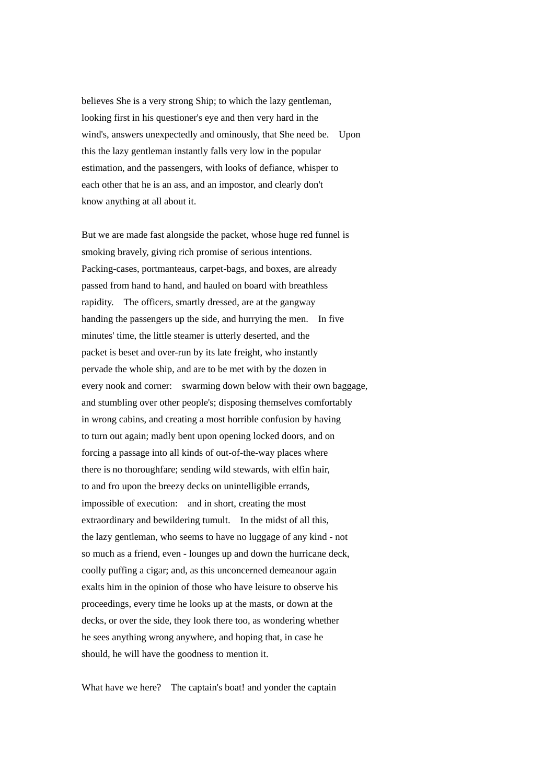believes She is a very strong Ship; to which the lazy gentleman, looking first in his questioner's eye and then very hard in the wind's, answers unexpectedly and ominously, that She need be. Upon this the lazy gentleman instantly falls very low in the popular estimation, and the passengers, with looks of defiance, whisper to each other that he is an ass, and an impostor, and clearly don't know anything at all about it.

But we are made fast alongside the packet, whose huge red funnel is smoking bravely, giving rich promise of serious intentions. Packing-cases, portmanteaus, carpet-bags, and boxes, are already passed from hand to hand, and hauled on board with breathless rapidity. The officers, smartly dressed, are at the gangway handing the passengers up the side, and hurrying the men. In five minutes' time, the little steamer is utterly deserted, and the packet is beset and over-run by its late freight, who instantly pervade the whole ship, and are to be met with by the dozen in every nook and corner: swarming down below with their own baggage, and stumbling over other people's; disposing themselves comfortably in wrong cabins, and creating a most horrible confusion by having to turn out again; madly bent upon opening locked doors, and on forcing a passage into all kinds of out-of-the-way places where there is no thoroughfare; sending wild stewards, with elfin hair, to and fro upon the breezy decks on unintelligible errands, impossible of execution: and in short, creating the most extraordinary and bewildering tumult. In the midst of all this, the lazy gentleman, who seems to have no luggage of any kind - not so much as a friend, even - lounges up and down the hurricane deck, coolly puffing a cigar; and, as this unconcerned demeanour again exalts him in the opinion of those who have leisure to observe his proceedings, every time he looks up at the masts, or down at the decks, or over the side, they look there too, as wondering whether he sees anything wrong anywhere, and hoping that, in case he should, he will have the goodness to mention it.

What have we here? The captain's boat! and yonder the captain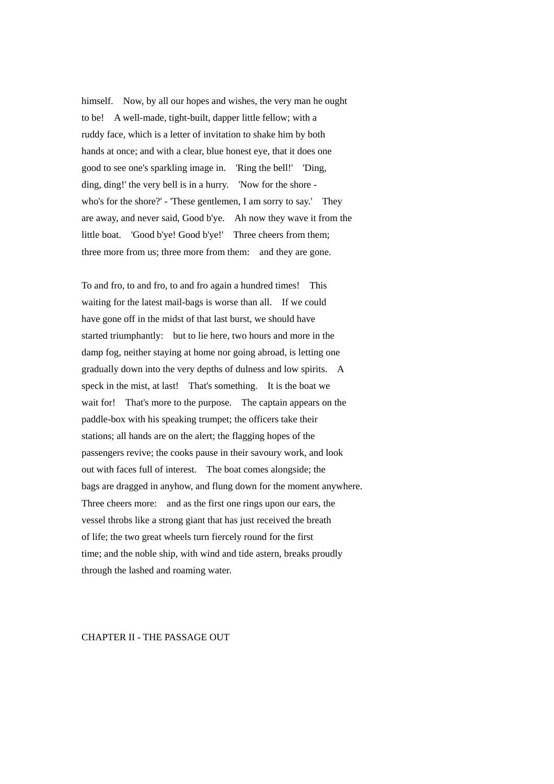himself. Now, by all our hopes and wishes, the very man he ought to be! A well-made, tight-built, dapper little fellow; with a ruddy face, which is a letter of invitation to shake him by both hands at once; and with a clear, blue honest eye, that it does one good to see one's sparkling image in. 'Ring the bell!' 'Ding, ding, ding!' the very bell is in a hurry. 'Now for the shore who's for the shore?' - 'These gentlemen, I am sorry to say.' They are away, and never said, Good b'ye. Ah now they wave it from the little boat. 'Good b'ye! Good b'ye!' Three cheers from them; three more from us; three more from them: and they are gone.

To and fro, to and fro, to and fro again a hundred times! This waiting for the latest mail-bags is worse than all. If we could have gone off in the midst of that last burst, we should have started triumphantly: but to lie here, two hours and more in the damp fog, neither staying at home nor going abroad, is letting one gradually down into the very depths of dulness and low spirits. A speck in the mist, at last! That's something. It is the boat we wait for! That's more to the purpose. The captain appears on the paddle-box with his speaking trumpet; the officers take their stations; all hands are on the alert; the flagging hopes of the passengers revive; the cooks pause in their savoury work, and look out with faces full of interest. The boat comes alongside; the bags are dragged in anyhow, and flung down for the moment anywhere. Three cheers more: and as the first one rings upon our ears, the vessel throbs like a strong giant that has just received the breath of life; the two great wheels turn fiercely round for the first time; and the noble ship, with wind and tide astern, breaks proudly through the lashed and roaming water.

## CHAPTER II - THE PASSAGE OUT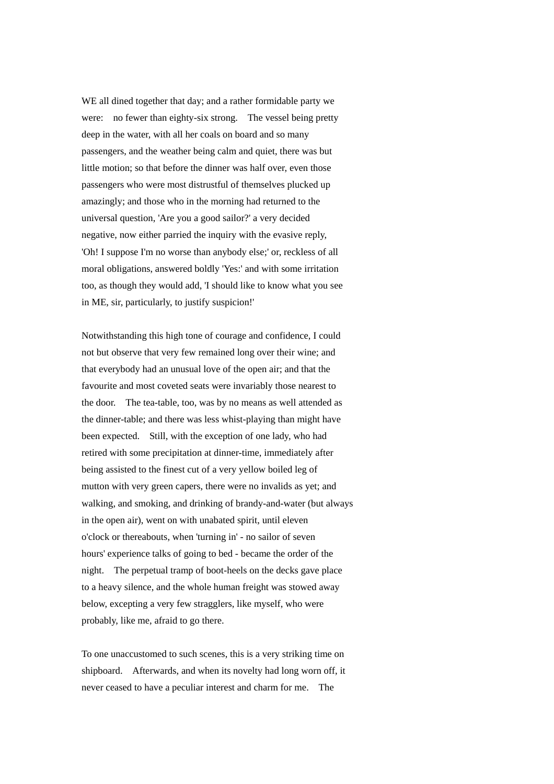WE all dined together that day; and a rather formidable party we were: no fewer than eighty-six strong. The vessel being pretty deep in the water, with all her coals on board and so many passengers, and the weather being calm and quiet, there was but little motion; so that before the dinner was half over, even those passengers who were most distrustful of themselves plucked up amazingly; and those who in the morning had returned to the universal question, 'Are you a good sailor?' a very decided negative, now either parried the inquiry with the evasive reply, 'Oh! I suppose I'm no worse than anybody else;' or, reckless of all moral obligations, answered boldly 'Yes:' and with some irritation too, as though they would add, 'I should like to know what you see in ME, sir, particularly, to justify suspicion!'

Notwithstanding this high tone of courage and confidence, I could not but observe that very few remained long over their wine; and that everybody had an unusual love of the open air; and that the favourite and most coveted seats were invariably those nearest to the door. The tea-table, too, was by no means as well attended as the dinner-table; and there was less whist-playing than might have been expected. Still, with the exception of one lady, who had retired with some precipitation at dinner-time, immediately after being assisted to the finest cut of a very yellow boiled leg of mutton with very green capers, there were no invalids as yet; and walking, and smoking, and drinking of brandy-and-water (but always in the open air), went on with unabated spirit, until eleven o'clock or thereabouts, when 'turning in' - no sailor of seven hours' experience talks of going to bed - became the order of the night. The perpetual tramp of boot-heels on the decks gave place to a heavy silence, and the whole human freight was stowed away below, excepting a very few stragglers, like myself, who were probably, like me, afraid to go there.

To one unaccustomed to such scenes, this is a very striking time on shipboard. Afterwards, and when its novelty had long worn off, it never ceased to have a peculiar interest and charm for me. The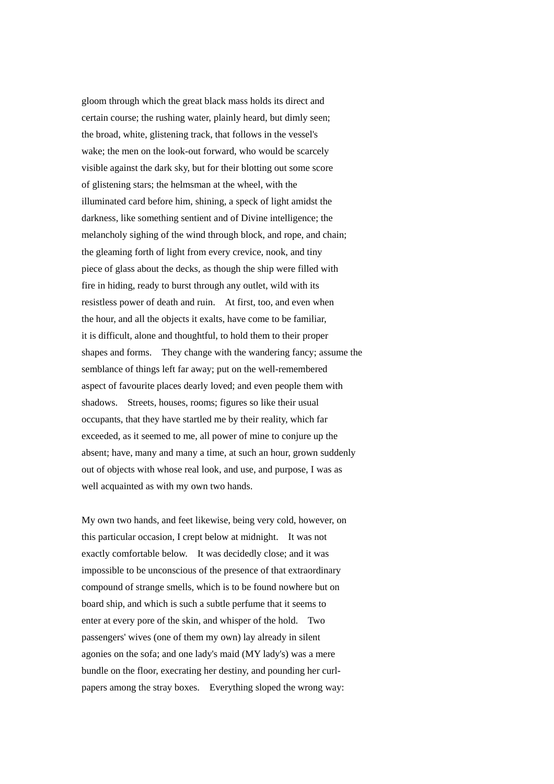gloom through which the great black mass holds its direct and certain course; the rushing water, plainly heard, but dimly seen; the broad, white, glistening track, that follows in the vessel's wake; the men on the look-out forward, who would be scarcely visible against the dark sky, but for their blotting out some score of glistening stars; the helmsman at the wheel, with the illuminated card before him, shining, a speck of light amidst the darkness, like something sentient and of Divine intelligence; the melancholy sighing of the wind through block, and rope, and chain; the gleaming forth of light from every crevice, nook, and tiny piece of glass about the decks, as though the ship were filled with fire in hiding, ready to burst through any outlet, wild with its resistless power of death and ruin. At first, too, and even when the hour, and all the objects it exalts, have come to be familiar, it is difficult, alone and thoughtful, to hold them to their proper shapes and forms. They change with the wandering fancy; assume the semblance of things left far away; put on the well-remembered aspect of favourite places dearly loved; and even people them with shadows. Streets, houses, rooms; figures so like their usual occupants, that they have startled me by their reality, which far exceeded, as it seemed to me, all power of mine to conjure up the absent; have, many and many a time, at such an hour, grown suddenly out of objects with whose real look, and use, and purpose, I was as well acquainted as with my own two hands.

My own two hands, and feet likewise, being very cold, however, on this particular occasion, I crept below at midnight. It was not exactly comfortable below. It was decidedly close; and it was impossible to be unconscious of the presence of that extraordinary compound of strange smells, which is to be found nowhere but on board ship, and which is such a subtle perfume that it seems to enter at every pore of the skin, and whisper of the hold. Two passengers' wives (one of them my own) lay already in silent agonies on the sofa; and one lady's maid (MY lady's) was a mere bundle on the floor, execrating her destiny, and pounding her curlpapers among the stray boxes. Everything sloped the wrong way: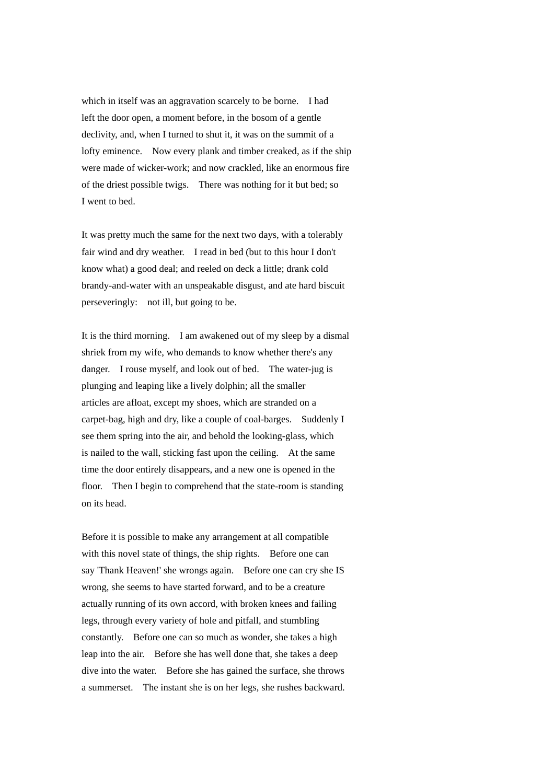which in itself was an aggravation scarcely to be borne. I had left the door open, a moment before, in the bosom of a gentle declivity, and, when I turned to shut it, it was on the summit of a lofty eminence. Now every plank and timber creaked, as if the ship were made of wicker-work; and now crackled, like an enormous fire of the driest possible twigs. There was nothing for it but bed; so I went to bed.

It was pretty much the same for the next two days, with a tolerably fair wind and dry weather. I read in bed (but to this hour I don't know what) a good deal; and reeled on deck a little; drank cold brandy-and-water with an unspeakable disgust, and ate hard biscuit perseveringly: not ill, but going to be.

It is the third morning. I am awakened out of my sleep by a dismal shriek from my wife, who demands to know whether there's any danger. I rouse myself, and look out of bed. The water-jug is plunging and leaping like a lively dolphin; all the smaller articles are afloat, except my shoes, which are stranded on a carpet-bag, high and dry, like a couple of coal-barges. Suddenly I see them spring into the air, and behold the looking-glass, which is nailed to the wall, sticking fast upon the ceiling. At the same time the door entirely disappears, and a new one is opened in the floor. Then I begin to comprehend that the state-room is standing on its head.

Before it is possible to make any arrangement at all compatible with this novel state of things, the ship rights. Before one can say 'Thank Heaven!' she wrongs again. Before one can cry she IS wrong, she seems to have started forward, and to be a creature actually running of its own accord, with broken knees and failing legs, through every variety of hole and pitfall, and stumbling constantly. Before one can so much as wonder, she takes a high leap into the air. Before she has well done that, she takes a deep dive into the water. Before she has gained the surface, she throws a summerset. The instant she is on her legs, she rushes backward.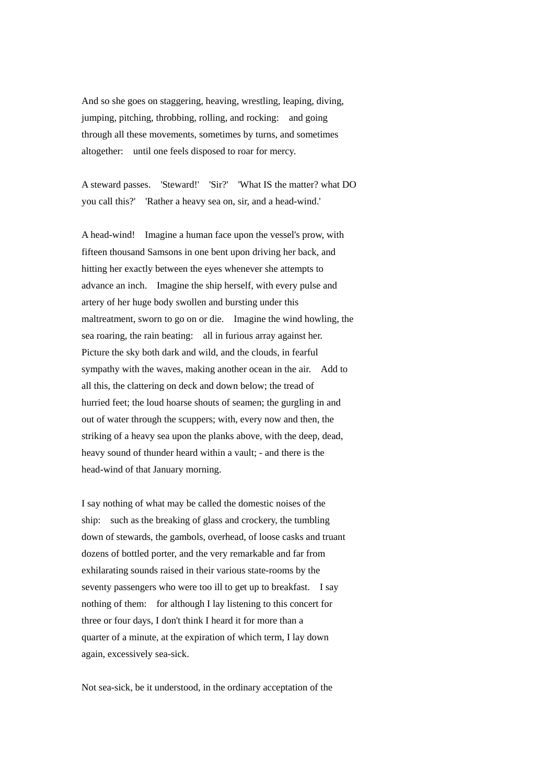And so she goes on staggering, heaving, wrestling, leaping, diving, jumping, pitching, throbbing, rolling, and rocking: and going through all these movements, sometimes by turns, and sometimes altogether: until one feels disposed to roar for mercy.

A steward passes. 'Steward!' 'Sir?' 'What IS the matter? what DO you call this?' 'Rather a heavy sea on, sir, and a head-wind.'

A head-wind! Imagine a human face upon the vessel's prow, with fifteen thousand Samsons in one bent upon driving her back, and hitting her exactly between the eyes whenever she attempts to advance an inch. Imagine the ship herself, with every pulse and artery of her huge body swollen and bursting under this maltreatment, sworn to go on or die. Imagine the wind howling, the sea roaring, the rain beating: all in furious array against her. Picture the sky both dark and wild, and the clouds, in fearful sympathy with the waves, making another ocean in the air. Add to all this, the clattering on deck and down below; the tread of hurried feet; the loud hoarse shouts of seamen; the gurgling in and out of water through the scuppers; with, every now and then, the striking of a heavy sea upon the planks above, with the deep, dead, heavy sound of thunder heard within a vault; - and there is the head-wind of that January morning.

I say nothing of what may be called the domestic noises of the ship: such as the breaking of glass and crockery, the tumbling down of stewards, the gambols, overhead, of loose casks and truant dozens of bottled porter, and the very remarkable and far from exhilarating sounds raised in their various state-rooms by the seventy passengers who were too ill to get up to breakfast. I say nothing of them: for although I lay listening to this concert for three or four days, I don't think I heard it for more than a quarter of a minute, at the expiration of which term, I lay down again, excessively sea-sick.

Not sea-sick, be it understood, in the ordinary acceptation of the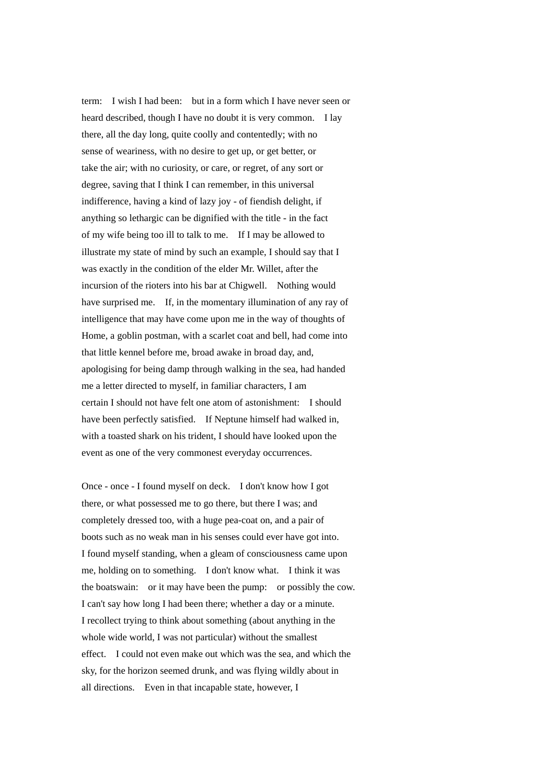term: I wish I had been: but in a form which I have never seen or heard described, though I have no doubt it is very common. I lay there, all the day long, quite coolly and contentedly; with no sense of weariness, with no desire to get up, or get better, or take the air; with no curiosity, or care, or regret, of any sort or degree, saving that I think I can remember, in this universal indifference, having a kind of lazy joy - of fiendish delight, if anything so lethargic can be dignified with the title - in the fact of my wife being too ill to talk to me. If I may be allowed to illustrate my state of mind by such an example, I should say that I was exactly in the condition of the elder Mr. Willet, after the incursion of the rioters into his bar at Chigwell. Nothing would have surprised me. If, in the momentary illumination of any ray of intelligence that may have come upon me in the way of thoughts of Home, a goblin postman, with a scarlet coat and bell, had come into that little kennel before me, broad awake in broad day, and, apologising for being damp through walking in the sea, had handed me a letter directed to myself, in familiar characters, I am certain I should not have felt one atom of astonishment: I should have been perfectly satisfied. If Neptune himself had walked in, with a toasted shark on his trident, I should have looked upon the event as one of the very commonest everyday occurrences.

Once - once - I found myself on deck. I don't know how I got there, or what possessed me to go there, but there I was; and completely dressed too, with a huge pea-coat on, and a pair of boots such as no weak man in his senses could ever have got into. I found myself standing, when a gleam of consciousness came upon me, holding on to something. I don't know what. I think it was the boatswain: or it may have been the pump: or possibly the cow. I can't say how long I had been there; whether a day or a minute. I recollect trying to think about something (about anything in the whole wide world, I was not particular) without the smallest effect. I could not even make out which was the sea, and which the sky, for the horizon seemed drunk, and was flying wildly about in all directions. Even in that incapable state, however, I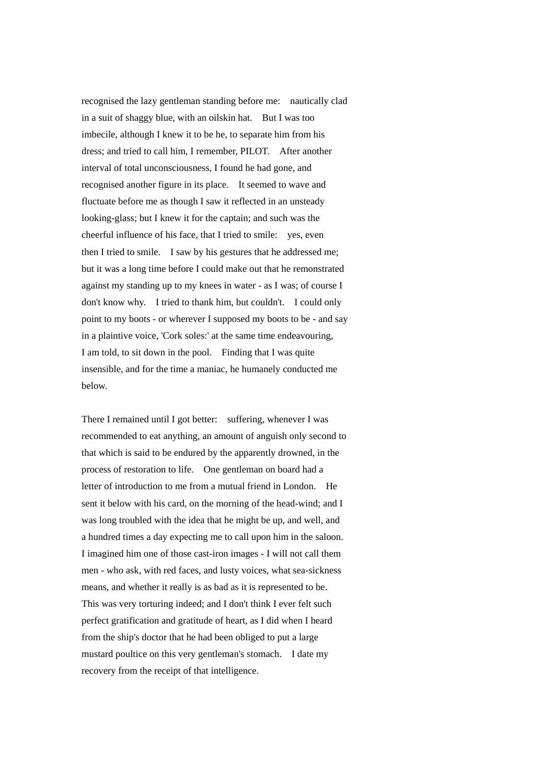recognised the lazy gentleman standing before me: nautically clad in a suit of shaggy blue, with an oilskin hat. But I was too imbecile, although I knew it to be he, to separate him from his dress; and tried to call him, I remember, PILOT. After another interval of total unconsciousness, I found he had gone, and recognised another figure in its place. It seemed to wave and fluctuate before me as though I saw it reflected in an unsteady looking-glass; but I knew it for the captain; and such was the cheerful influence of his face, that I tried to smile: yes, even then I tried to smile. I saw by his gestures that he addressed me; but it was a long time before I could make out that he remonstrated against my standing up to my knees in water - as I was; of course I don't know why. I tried to thank him, but couldn't. I could only point to my boots - or wherever I supposed my boots to be - and say in a plaintive voice, 'Cork soles:' at the same time endeavouring, I am told, to sit down in the pool. Finding that I was quite insensible, and for the time a maniac, he humanely conducted me below.

There I remained until I got better: suffering, whenever I was recommended to eat anything, an amount of anguish only second to that which is said to be endured by the apparently drowned, in the process of restoration to life. One gentleman on board had a letter of introduction to me from a mutual friend in London. He sent it below with his card, on the morning of the head-wind; and I was long troubled with the idea that he might be up, and well, and a hundred times a day expecting me to call upon him in the saloon. I imagined him one of those cast-iron images - I will not call them men - who ask, with red faces, and lusty voices, what sea-sickness means, and whether it really is as bad as it is represented to be. This was very torturing indeed; and I don't think I ever felt such perfect gratification and gratitude of heart, as I did when I heard from the ship's doctor that he had been obliged to put a large mustard poultice on this very gentleman's stomach. I date my recovery from the receipt of that intelligence.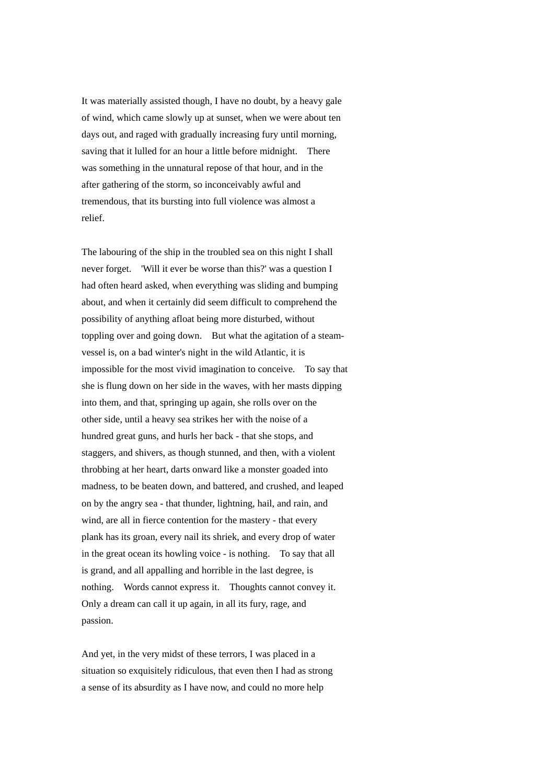It was materially assisted though, I have no doubt, by a heavy gale of wind, which came slowly up at sunset, when we were about ten days out, and raged with gradually increasing fury until morning, saving that it lulled for an hour a little before midnight. There was something in the unnatural repose of that hour, and in the after gathering of the storm, so inconceivably awful and tremendous, that its bursting into full violence was almost a relief.

The labouring of the ship in the troubled sea on this night I shall never forget. 'Will it ever be worse than this?' was a question I had often heard asked, when everything was sliding and bumping about, and when it certainly did seem difficult to comprehend the possibility of anything afloat being more disturbed, without toppling over and going down. But what the agitation of a steamvessel is, on a bad winter's night in the wild Atlantic, it is impossible for the most vivid imagination to conceive. To say that she is flung down on her side in the waves, with her masts dipping into them, and that, springing up again, she rolls over on the other side, until a heavy sea strikes her with the noise of a hundred great guns, and hurls her back - that she stops, and staggers, and shivers, as though stunned, and then, with a violent throbbing at her heart, darts onward like a monster goaded into madness, to be beaten down, and battered, and crushed, and leaped on by the angry sea - that thunder, lightning, hail, and rain, and wind, are all in fierce contention for the mastery - that every plank has its groan, every nail its shriek, and every drop of water in the great ocean its howling voice - is nothing. To say that all is grand, and all appalling and horrible in the last degree, is nothing. Words cannot express it. Thoughts cannot convey it. Only a dream can call it up again, in all its fury, rage, and passion.

And yet, in the very midst of these terrors, I was placed in a situation so exquisitely ridiculous, that even then I had as strong a sense of its absurdity as I have now, and could no more help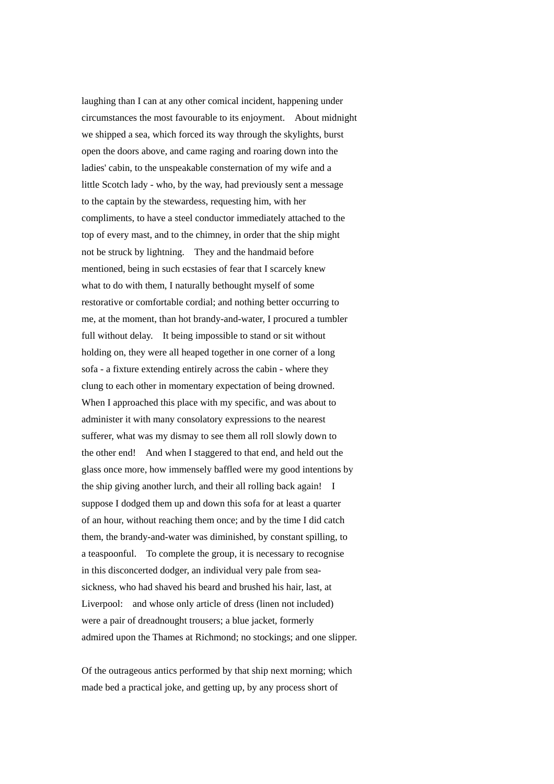laughing than I can at any other comical incident, happening under circumstances the most favourable to its enjoyment. About midnight we shipped a sea, which forced its way through the skylights, burst open the doors above, and came raging and roaring down into the ladies' cabin, to the unspeakable consternation of my wife and a little Scotch lady - who, by the way, had previously sent a message to the captain by the stewardess, requesting him, with her compliments, to have a steel conductor immediately attached to the top of every mast, and to the chimney, in order that the ship might not be struck by lightning. They and the handmaid before mentioned, being in such ecstasies of fear that I scarcely knew what to do with them, I naturally bethought myself of some restorative or comfortable cordial; and nothing better occurring to me, at the moment, than hot brandy-and-water, I procured a tumbler full without delay. It being impossible to stand or sit without holding on, they were all heaped together in one corner of a long sofa - a fixture extending entirely across the cabin - where they clung to each other in momentary expectation of being drowned. When I approached this place with my specific, and was about to administer it with many consolatory expressions to the nearest sufferer, what was my dismay to see them all roll slowly down to the other end! And when I staggered to that end, and held out the glass once more, how immensely baffled were my good intentions by the ship giving another lurch, and their all rolling back again! I suppose I dodged them up and down this sofa for at least a quarter of an hour, without reaching them once; and by the time I did catch them, the brandy-and-water was diminished, by constant spilling, to a teaspoonful. To complete the group, it is necessary to recognise in this disconcerted dodger, an individual very pale from seasickness, who had shaved his beard and brushed his hair, last, at Liverpool: and whose only article of dress (linen not included) were a pair of dreadnought trousers; a blue jacket, formerly admired upon the Thames at Richmond; no stockings; and one slipper.

Of the outrageous antics performed by that ship next morning; which made bed a practical joke, and getting up, by any process short of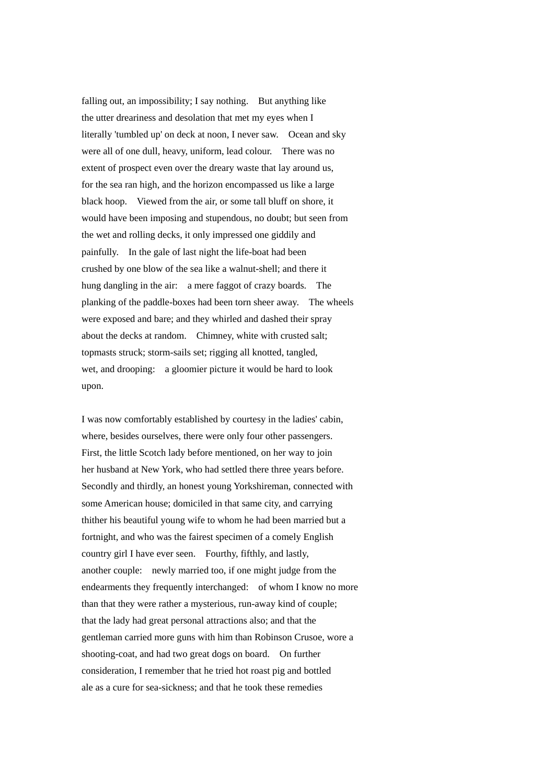falling out, an impossibility; I say nothing. But anything like the utter dreariness and desolation that met my eyes when I literally 'tumbled up' on deck at noon, I never saw. Ocean and sky were all of one dull, heavy, uniform, lead colour. There was no extent of prospect even over the dreary waste that lay around us, for the sea ran high, and the horizon encompassed us like a large black hoop. Viewed from the air, or some tall bluff on shore, it would have been imposing and stupendous, no doubt; but seen from the wet and rolling decks, it only impressed one giddily and painfully. In the gale of last night the life-boat had been crushed by one blow of the sea like a walnut-shell; and there it hung dangling in the air: a mere faggot of crazy boards. The planking of the paddle-boxes had been torn sheer away. The wheels were exposed and bare; and they whirled and dashed their spray about the decks at random. Chimney, white with crusted salt; topmasts struck; storm-sails set; rigging all knotted, tangled, wet, and drooping: a gloomier picture it would be hard to look upon.

I was now comfortably established by courtesy in the ladies' cabin, where, besides ourselves, there were only four other passengers. First, the little Scotch lady before mentioned, on her way to join her husband at New York, who had settled there three years before. Secondly and thirdly, an honest young Yorkshireman, connected with some American house; domiciled in that same city, and carrying thither his beautiful young wife to whom he had been married but a fortnight, and who was the fairest specimen of a comely English country girl I have ever seen. Fourthy, fifthly, and lastly, another couple: newly married too, if one might judge from the endearments they frequently interchanged: of whom I know no more than that they were rather a mysterious, run-away kind of couple; that the lady had great personal attractions also; and that the gentleman carried more guns with him than Robinson Crusoe, wore a shooting-coat, and had two great dogs on board. On further consideration, I remember that he tried hot roast pig and bottled ale as a cure for sea-sickness; and that he took these remedies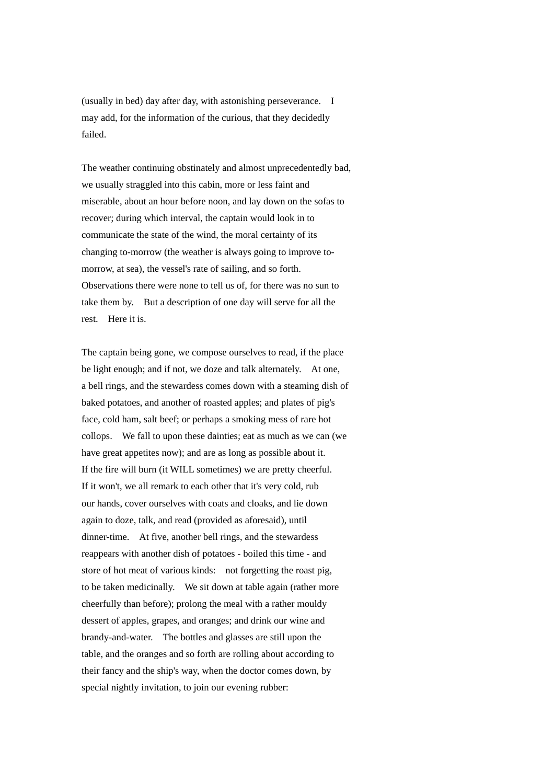(usually in bed) day after day, with astonishing perseverance. I may add, for the information of the curious, that they decidedly failed.

The weather continuing obstinately and almost unprecedentedly bad, we usually straggled into this cabin, more or less faint and miserable, about an hour before noon, and lay down on the sofas to recover; during which interval, the captain would look in to communicate the state of the wind, the moral certainty of its changing to-morrow (the weather is always going to improve tomorrow, at sea), the vessel's rate of sailing, and so forth. Observations there were none to tell us of, for there was no sun to take them by. But a description of one day will serve for all the rest. Here it is.

The captain being gone, we compose ourselves to read, if the place be light enough; and if not, we doze and talk alternately. At one, a bell rings, and the stewardess comes down with a steaming dish of baked potatoes, and another of roasted apples; and plates of pig's face, cold ham, salt beef; or perhaps a smoking mess of rare hot collops. We fall to upon these dainties; eat as much as we can (we have great appetites now); and are as long as possible about it. If the fire will burn (it WILL sometimes) we are pretty cheerful. If it won't, we all remark to each other that it's very cold, rub our hands, cover ourselves with coats and cloaks, and lie down again to doze, talk, and read (provided as aforesaid), until dinner-time. At five, another bell rings, and the stewardess reappears with another dish of potatoes - boiled this time - and store of hot meat of various kinds: not forgetting the roast pig, to be taken medicinally. We sit down at table again (rather more cheerfully than before); prolong the meal with a rather mouldy dessert of apples, grapes, and oranges; and drink our wine and brandy-and-water. The bottles and glasses are still upon the table, and the oranges and so forth are rolling about according to their fancy and the ship's way, when the doctor comes down, by special nightly invitation, to join our evening rubber: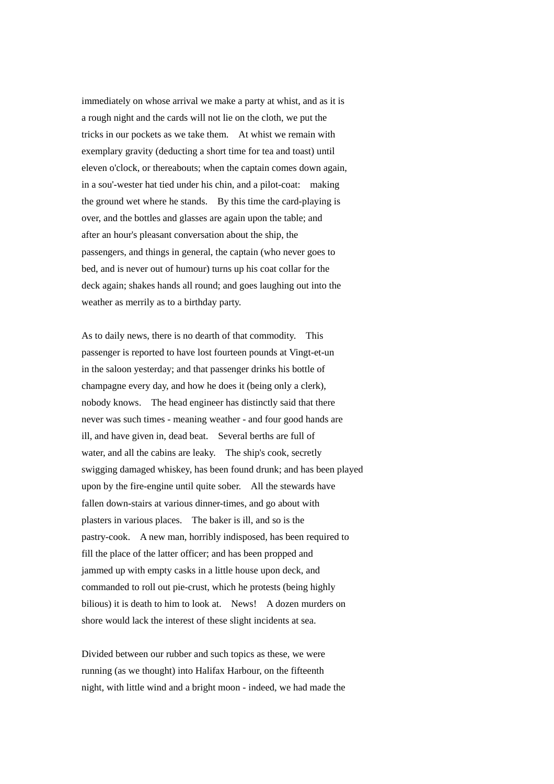immediately on whose arrival we make a party at whist, and as it is a rough night and the cards will not lie on the cloth, we put the tricks in our pockets as we take them. At whist we remain with exemplary gravity (deducting a short time for tea and toast) until eleven o'clock, or thereabouts; when the captain comes down again, in a sou'-wester hat tied under his chin, and a pilot-coat: making the ground wet where he stands. By this time the card-playing is over, and the bottles and glasses are again upon the table; and after an hour's pleasant conversation about the ship, the passengers, and things in general, the captain (who never goes to bed, and is never out of humour) turns up his coat collar for the deck again; shakes hands all round; and goes laughing out into the weather as merrily as to a birthday party.

As to daily news, there is no dearth of that commodity. This passenger is reported to have lost fourteen pounds at Vingt-et-un in the saloon yesterday; and that passenger drinks his bottle of champagne every day, and how he does it (being only a clerk), nobody knows. The head engineer has distinctly said that there never was such times - meaning weather - and four good hands are ill, and have given in, dead beat. Several berths are full of water, and all the cabins are leaky. The ship's cook, secretly swigging damaged whiskey, has been found drunk; and has been played upon by the fire-engine until quite sober. All the stewards have fallen down-stairs at various dinner-times, and go about with plasters in various places. The baker is ill, and so is the pastry-cook. A new man, horribly indisposed, has been required to fill the place of the latter officer; and has been propped and jammed up with empty casks in a little house upon deck, and commanded to roll out pie-crust, which he protests (being highly bilious) it is death to him to look at. News! A dozen murders on shore would lack the interest of these slight incidents at sea.

Divided between our rubber and such topics as these, we were running (as we thought) into Halifax Harbour, on the fifteenth night, with little wind and a bright moon - indeed, we had made the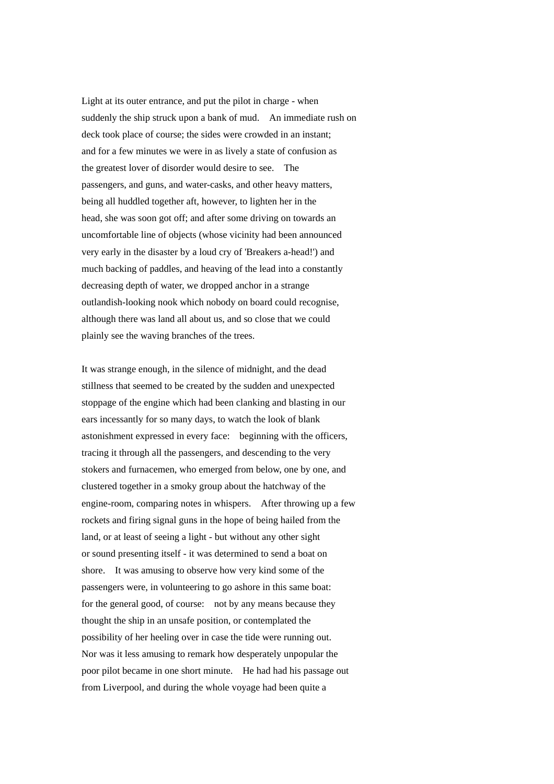Light at its outer entrance, and put the pilot in charge - when suddenly the ship struck upon a bank of mud. An immediate rush on deck took place of course; the sides were crowded in an instant; and for a few minutes we were in as lively a state of confusion as the greatest lover of disorder would desire to see. The passengers, and guns, and water-casks, and other heavy matters, being all huddled together aft, however, to lighten her in the head, she was soon got off; and after some driving on towards an uncomfortable line of objects (whose vicinity had been announced very early in the disaster by a loud cry of 'Breakers a-head!') and much backing of paddles, and heaving of the lead into a constantly decreasing depth of water, we dropped anchor in a strange outlandish-looking nook which nobody on board could recognise, although there was land all about us, and so close that we could plainly see the waving branches of the trees.

It was strange enough, in the silence of midnight, and the dead stillness that seemed to be created by the sudden and unexpected stoppage of the engine which had been clanking and blasting in our ears incessantly for so many days, to watch the look of blank astonishment expressed in every face: beginning with the officers, tracing it through all the passengers, and descending to the very stokers and furnacemen, who emerged from below, one by one, and clustered together in a smoky group about the hatchway of the engine-room, comparing notes in whispers. After throwing up a few rockets and firing signal guns in the hope of being hailed from the land, or at least of seeing a light - but without any other sight or sound presenting itself - it was determined to send a boat on shore. It was amusing to observe how very kind some of the passengers were, in volunteering to go ashore in this same boat: for the general good, of course: not by any means because they thought the ship in an unsafe position, or contemplated the possibility of her heeling over in case the tide were running out. Nor was it less amusing to remark how desperately unpopular the poor pilot became in one short minute. He had had his passage out from Liverpool, and during the whole voyage had been quite a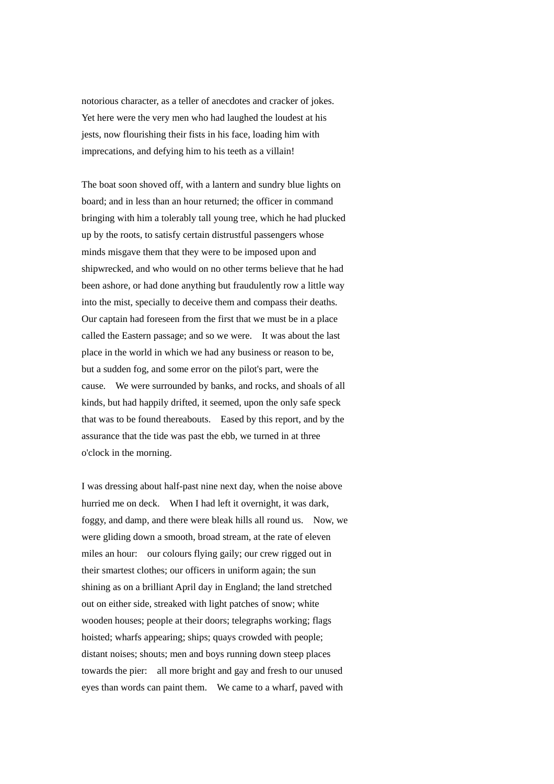notorious character, as a teller of anecdotes and cracker of jokes. Yet here were the very men who had laughed the loudest at his jests, now flourishing their fists in his face, loading him with imprecations, and defying him to his teeth as a villain!

The boat soon shoved off, with a lantern and sundry blue lights on board; and in less than an hour returned; the officer in command bringing with him a tolerably tall young tree, which he had plucked up by the roots, to satisfy certain distrustful passengers whose minds misgave them that they were to be imposed upon and shipwrecked, and who would on no other terms believe that he had been ashore, or had done anything but fraudulently row a little way into the mist, specially to deceive them and compass their deaths. Our captain had foreseen from the first that we must be in a place called the Eastern passage; and so we were. It was about the last place in the world in which we had any business or reason to be, but a sudden fog, and some error on the pilot's part, were the cause. We were surrounded by banks, and rocks, and shoals of all kinds, but had happily drifted, it seemed, upon the only safe speck that was to be found thereabouts. Eased by this report, and by the assurance that the tide was past the ebb, we turned in at three o'clock in the morning.

I was dressing about half-past nine next day, when the noise above hurried me on deck. When I had left it overnight, it was dark, foggy, and damp, and there were bleak hills all round us. Now, we were gliding down a smooth, broad stream, at the rate of eleven miles an hour: our colours flying gaily; our crew rigged out in their smartest clothes; our officers in uniform again; the sun shining as on a brilliant April day in England; the land stretched out on either side, streaked with light patches of snow; white wooden houses; people at their doors; telegraphs working; flags hoisted; wharfs appearing; ships; quays crowded with people; distant noises; shouts; men and boys running down steep places towards the pier: all more bright and gay and fresh to our unused eyes than words can paint them. We came to a wharf, paved with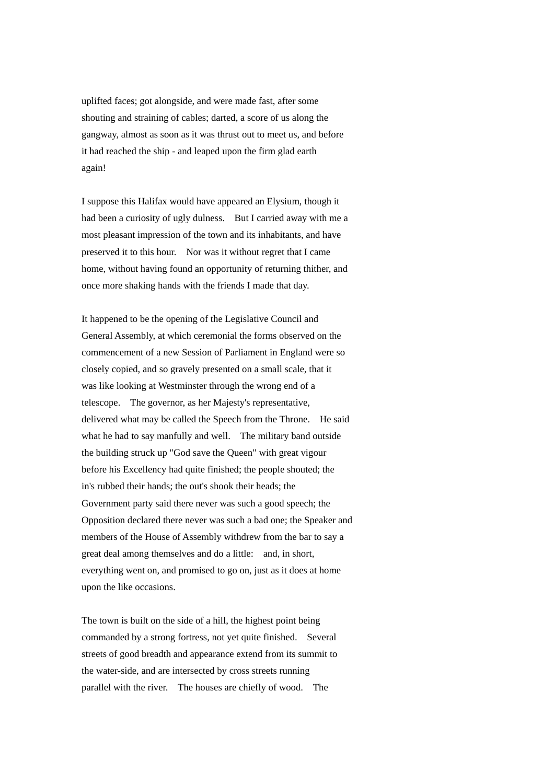uplifted faces; got alongside, and were made fast, after some shouting and straining of cables; darted, a score of us along the gangway, almost as soon as it was thrust out to meet us, and before it had reached the ship - and leaped upon the firm glad earth again!

I suppose this Halifax would have appeared an Elysium, though it had been a curiosity of ugly dulness. But I carried away with me a most pleasant impression of the town and its inhabitants, and have preserved it to this hour. Nor was it without regret that I came home, without having found an opportunity of returning thither, and once more shaking hands with the friends I made that day.

It happened to be the opening of the Legislative Council and General Assembly, at which ceremonial the forms observed on the commencement of a new Session of Parliament in England were so closely copied, and so gravely presented on a small scale, that it was like looking at Westminster through the wrong end of a telescope. The governor, as her Majesty's representative, delivered what may be called the Speech from the Throne. He said what he had to say manfully and well. The military band outside the building struck up "God save the Queen" with great vigour before his Excellency had quite finished; the people shouted; the in's rubbed their hands; the out's shook their heads; the Government party said there never was such a good speech; the Opposition declared there never was such a bad one; the Speaker and members of the House of Assembly withdrew from the bar to say a great deal among themselves and do a little: and, in short, everything went on, and promised to go on, just as it does at home upon the like occasions.

The town is built on the side of a hill, the highest point being commanded by a strong fortress, not yet quite finished. Several streets of good breadth and appearance extend from its summit to the water-side, and are intersected by cross streets running parallel with the river. The houses are chiefly of wood. The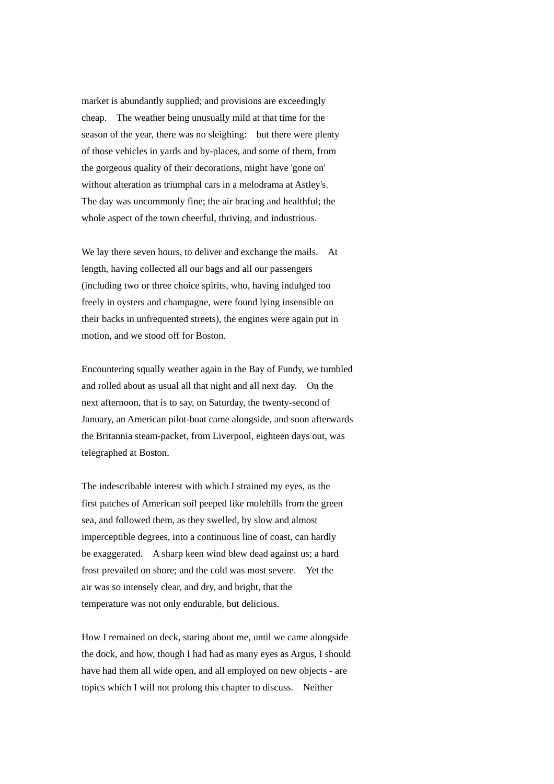market is abundantly supplied; and provisions are exceedingly cheap. The weather being unusually mild at that time for the season of the year, there was no sleighing: but there were plenty of those vehicles in yards and by-places, and some of them, from the gorgeous quality of their decorations, might have 'gone on' without alteration as triumphal cars in a melodrama at Astley's. The day was uncommonly fine; the air bracing and healthful; the whole aspect of the town cheerful, thriving, and industrious.

We lay there seven hours, to deliver and exchange the mails. At length, having collected all our bags and all our passengers (including two or three choice spirits, who, having indulged too freely in oysters and champagne, were found lying insensible on their backs in unfrequented streets), the engines were again put in motion, and we stood off for Boston.

Encountering squally weather again in the Bay of Fundy, we tumbled and rolled about as usual all that night and all next day. On the next afternoon, that is to say, on Saturday, the twenty-second of January, an American pilot-boat came alongside, and soon afterwards the Britannia steam-packet, from Liverpool, eighteen days out, was telegraphed at Boston.

The indescribable interest with which I strained my eyes, as the first patches of American soil peeped like molehills from the green sea, and followed them, as they swelled, by slow and almost imperceptible degrees, into a continuous line of coast, can hardly be exaggerated. A sharp keen wind blew dead against us; a hard frost prevailed on shore; and the cold was most severe. Yet the air was so intensely clear, and dry, and bright, that the temperature was not only endurable, but delicious.

How I remained on deck, staring about me, until we came alongside the dock, and how, though I had had as many eyes as Argus, I should have had them all wide open, and all employed on new objects - are topics which I will not prolong this chapter to discuss. Neither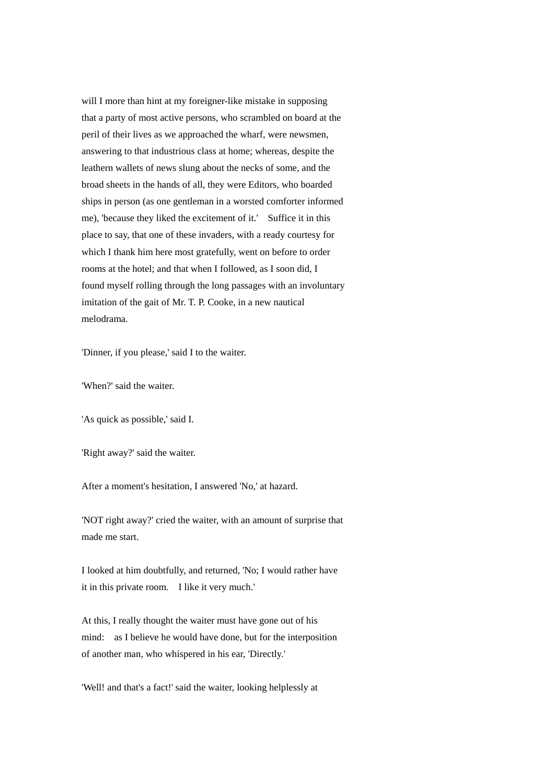will I more than hint at my foreigner-like mistake in supposing that a party of most active persons, who scrambled on board at the peril of their lives as we approached the wharf, were newsmen, answering to that industrious class at home; whereas, despite the leathern wallets of news slung about the necks of some, and the broad sheets in the hands of all, they were Editors, who boarded ships in person (as one gentleman in a worsted comforter informed me), 'because they liked the excitement of it.' Suffice it in this place to say, that one of these invaders, with a ready courtesy for which I thank him here most gratefully, went on before to order rooms at the hotel; and that when I followed, as I soon did, I found myself rolling through the long passages with an involuntary imitation of the gait of Mr. T. P. Cooke, in a new nautical melodrama.

'Dinner, if you please,' said I to the waiter.

'When?' said the waiter.

'As quick as possible,' said I.

'Right away?' said the waiter.

After a moment's hesitation, I answered 'No,' at hazard.

'NOT right away?' cried the waiter, with an amount of surprise that made me start.

I looked at him doubtfully, and returned, 'No; I would rather have it in this private room. I like it very much.'

At this, I really thought the waiter must have gone out of his mind: as I believe he would have done, but for the interposition of another man, who whispered in his ear, 'Directly.'

'Well! and that's a fact!' said the waiter, looking helplessly at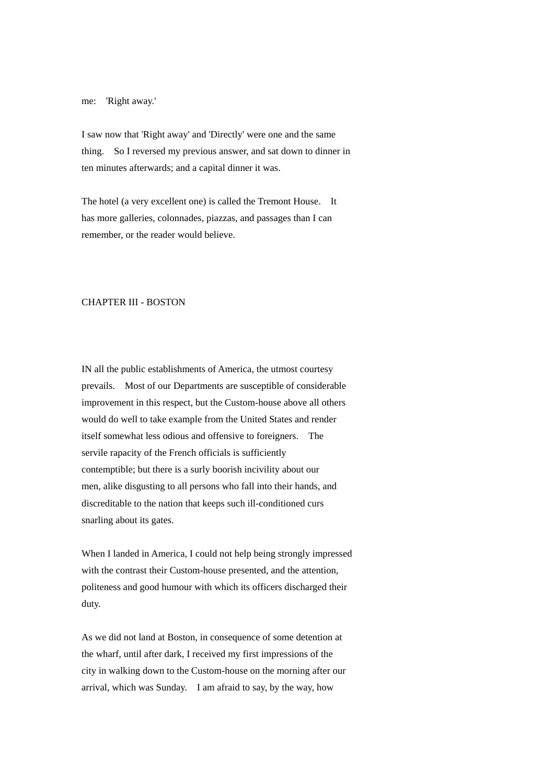## me: 'Right away.'

I saw now that 'Right away' and 'Directly' were one and the same thing. So I reversed my previous answer, and sat down to dinner in ten minutes afterwards; and a capital dinner it was.

The hotel (a very excellent one) is called the Tremont House. It has more galleries, colonnades, piazzas, and passages than I can remember, or the reader would believe.

# CHAPTER III - BOSTON

IN all the public establishments of America, the utmost courtesy prevails. Most of our Departments are susceptible of considerable improvement in this respect, but the Custom-house above all others would do well to take example from the United States and render itself somewhat less odious and offensive to foreigners. The servile rapacity of the French officials is sufficiently contemptible; but there is a surly boorish incivility about our men, alike disgusting to all persons who fall into their hands, and discreditable to the nation that keeps such ill-conditioned curs snarling about its gates.

When I landed in America, I could not help being strongly impressed with the contrast their Custom-house presented, and the attention, politeness and good humour with which its officers discharged their duty.

As we did not land at Boston, in consequence of some detention at the wharf, until after dark, I received my first impressions of the city in walking down to the Custom-house on the morning after our arrival, which was Sunday. I am afraid to say, by the way, how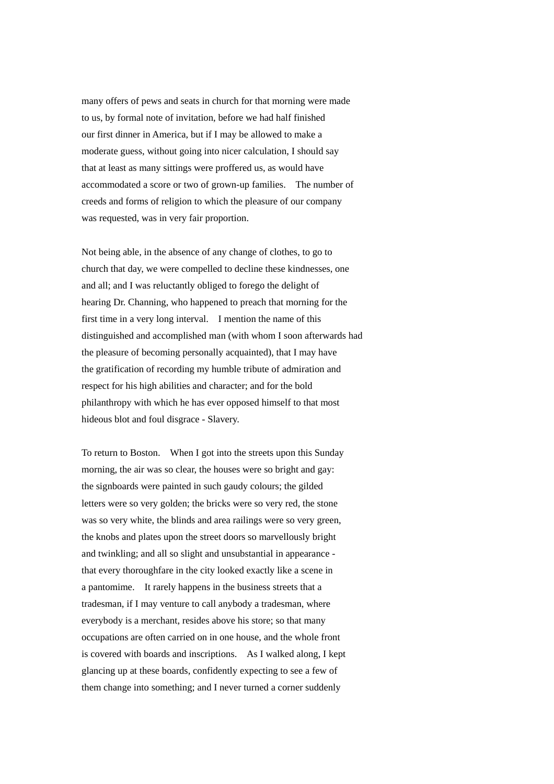many offers of pews and seats in church for that morning were made to us, by formal note of invitation, before we had half finished our first dinner in America, but if I may be allowed to make a moderate guess, without going into nicer calculation, I should say that at least as many sittings were proffered us, as would have accommodated a score or two of grown-up families. The number of creeds and forms of religion to which the pleasure of our company was requested, was in very fair proportion.

Not being able, in the absence of any change of clothes, to go to church that day, we were compelled to decline these kindnesses, one and all; and I was reluctantly obliged to forego the delight of hearing Dr. Channing, who happened to preach that morning for the first time in a very long interval. I mention the name of this distinguished and accomplished man (with whom I soon afterwards had the pleasure of becoming personally acquainted), that I may have the gratification of recording my humble tribute of admiration and respect for his high abilities and character; and for the bold philanthropy with which he has ever opposed himself to that most hideous blot and foul disgrace - Slavery.

To return to Boston. When I got into the streets upon this Sunday morning, the air was so clear, the houses were so bright and gay: the signboards were painted in such gaudy colours; the gilded letters were so very golden; the bricks were so very red, the stone was so very white, the blinds and area railings were so very green, the knobs and plates upon the street doors so marvellously bright and twinkling; and all so slight and unsubstantial in appearance that every thoroughfare in the city looked exactly like a scene in a pantomime. It rarely happens in the business streets that a tradesman, if I may venture to call anybody a tradesman, where everybody is a merchant, resides above his store; so that many occupations are often carried on in one house, and the whole front is covered with boards and inscriptions. As I walked along, I kept glancing up at these boards, confidently expecting to see a few of them change into something; and I never turned a corner suddenly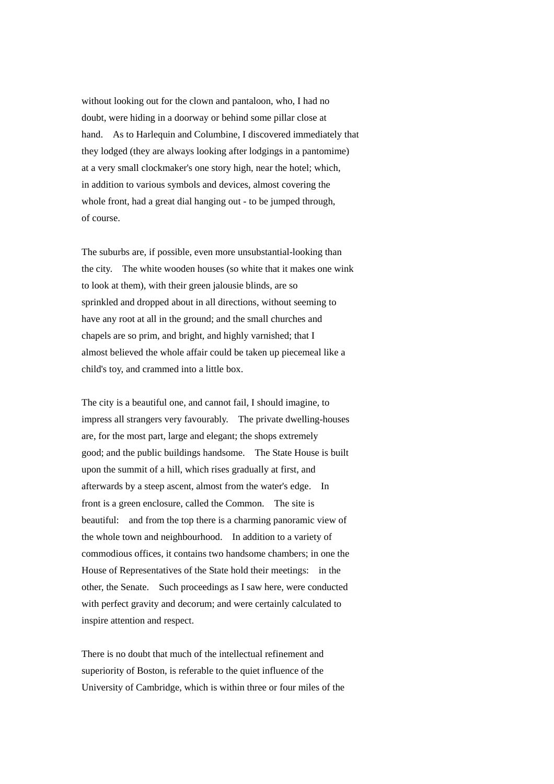without looking out for the clown and pantaloon, who, I had no doubt, were hiding in a doorway or behind some pillar close at hand. As to Harlequin and Columbine, I discovered immediately that they lodged (they are always looking after lodgings in a pantomime) at a very small clockmaker's one story high, near the hotel; which, in addition to various symbols and devices, almost covering the whole front, had a great dial hanging out - to be jumped through, of course.

The suburbs are, if possible, even more unsubstantial-looking than the city. The white wooden houses (so white that it makes one wink to look at them), with their green jalousie blinds, are so sprinkled and dropped about in all directions, without seeming to have any root at all in the ground; and the small churches and chapels are so prim, and bright, and highly varnished; that I almost believed the whole affair could be taken up piecemeal like a child's toy, and crammed into a little box.

The city is a beautiful one, and cannot fail, I should imagine, to impress all strangers very favourably. The private dwelling-houses are, for the most part, large and elegant; the shops extremely good; and the public buildings handsome. The State House is built upon the summit of a hill, which rises gradually at first, and afterwards by a steep ascent, almost from the water's edge. In front is a green enclosure, called the Common. The site is beautiful: and from the top there is a charming panoramic view of the whole town and neighbourhood. In addition to a variety of commodious offices, it contains two handsome chambers; in one the House of Representatives of the State hold their meetings: in the other, the Senate. Such proceedings as I saw here, were conducted with perfect gravity and decorum; and were certainly calculated to inspire attention and respect.

There is no doubt that much of the intellectual refinement and superiority of Boston, is referable to the quiet influence of the University of Cambridge, which is within three or four miles of the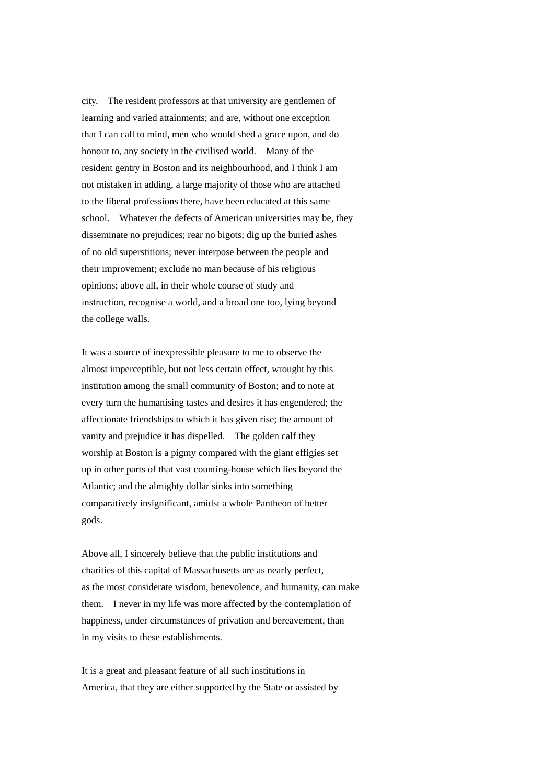city. The resident professors at that university are gentlemen of learning and varied attainments; and are, without one exception that I can call to mind, men who would shed a grace upon, and do honour to, any society in the civilised world. Many of the resident gentry in Boston and its neighbourhood, and I think I am not mistaken in adding, a large majority of those who are attached to the liberal professions there, have been educated at this same school. Whatever the defects of American universities may be, they disseminate no prejudices; rear no bigots; dig up the buried ashes of no old superstitions; never interpose between the people and their improvement; exclude no man because of his religious opinions; above all, in their whole course of study and instruction, recognise a world, and a broad one too, lying beyond the college walls.

It was a source of inexpressible pleasure to me to observe the almost imperceptible, but not less certain effect, wrought by this institution among the small community of Boston; and to note at every turn the humanising tastes and desires it has engendered; the affectionate friendships to which it has given rise; the amount of vanity and prejudice it has dispelled. The golden calf they worship at Boston is a pigmy compared with the giant effigies set up in other parts of that vast counting-house which lies beyond the Atlantic; and the almighty dollar sinks into something comparatively insignificant, amidst a whole Pantheon of better gods.

Above all, I sincerely believe that the public institutions and charities of this capital of Massachusetts are as nearly perfect, as the most considerate wisdom, benevolence, and humanity, can make them. I never in my life was more affected by the contemplation of happiness, under circumstances of privation and bereavement, than in my visits to these establishments.

It is a great and pleasant feature of all such institutions in America, that they are either supported by the State or assisted by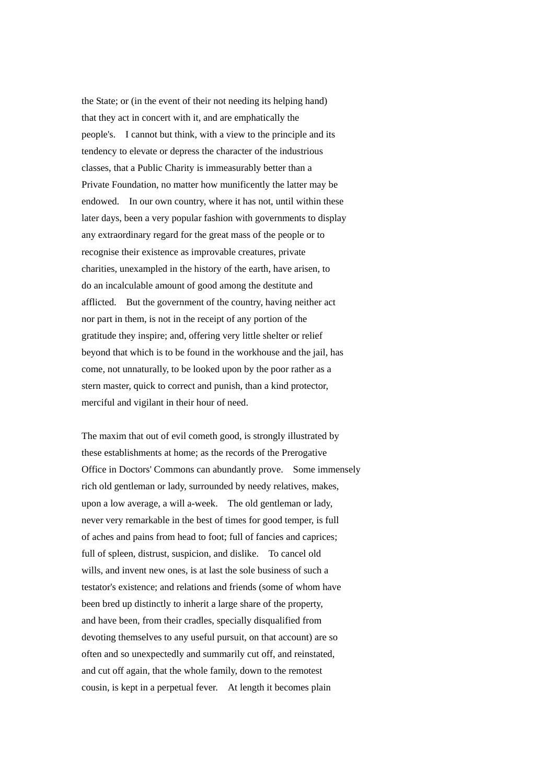the State; or (in the event of their not needing its helping hand) that they act in concert with it, and are emphatically the people's. I cannot but think, with a view to the principle and its tendency to elevate or depress the character of the industrious classes, that a Public Charity is immeasurably better than a Private Foundation, no matter how munificently the latter may be endowed. In our own country, where it has not, until within these later days, been a very popular fashion with governments to display any extraordinary regard for the great mass of the people or to recognise their existence as improvable creatures, private charities, unexampled in the history of the earth, have arisen, to do an incalculable amount of good among the destitute and afflicted. But the government of the country, having neither act nor part in them, is not in the receipt of any portion of the gratitude they inspire; and, offering very little shelter or relief beyond that which is to be found in the workhouse and the jail, has come, not unnaturally, to be looked upon by the poor rather as a stern master, quick to correct and punish, than a kind protector, merciful and vigilant in their hour of need.

The maxim that out of evil cometh good, is strongly illustrated by these establishments at home; as the records of the Prerogative Office in Doctors' Commons can abundantly prove. Some immensely rich old gentleman or lady, surrounded by needy relatives, makes, upon a low average, a will a-week. The old gentleman or lady, never very remarkable in the best of times for good temper, is full of aches and pains from head to foot; full of fancies and caprices; full of spleen, distrust, suspicion, and dislike. To cancel old wills, and invent new ones, is at last the sole business of such a testator's existence; and relations and friends (some of whom have been bred up distinctly to inherit a large share of the property, and have been, from their cradles, specially disqualified from devoting themselves to any useful pursuit, on that account) are so often and so unexpectedly and summarily cut off, and reinstated, and cut off again, that the whole family, down to the remotest cousin, is kept in a perpetual fever. At length it becomes plain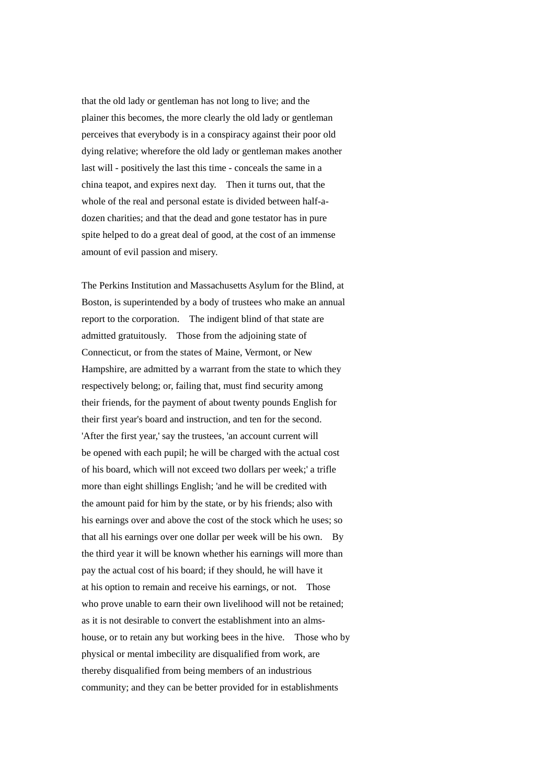that the old lady or gentleman has not long to live; and the plainer this becomes, the more clearly the old lady or gentleman perceives that everybody is in a conspiracy against their poor old dying relative; wherefore the old lady or gentleman makes another last will - positively the last this time - conceals the same in a china teapot, and expires next day. Then it turns out, that the whole of the real and personal estate is divided between half-adozen charities; and that the dead and gone testator has in pure spite helped to do a great deal of good, at the cost of an immense amount of evil passion and misery.

The Perkins Institution and Massachusetts Asylum for the Blind, at Boston, is superintended by a body of trustees who make an annual report to the corporation. The indigent blind of that state are admitted gratuitously. Those from the adjoining state of Connecticut, or from the states of Maine, Vermont, or New Hampshire, are admitted by a warrant from the state to which they respectively belong; or, failing that, must find security among their friends, for the payment of about twenty pounds English for their first year's board and instruction, and ten for the second. 'After the first year,' say the trustees, 'an account current will be opened with each pupil; he will be charged with the actual cost of his board, which will not exceed two dollars per week;' a trifle more than eight shillings English; 'and he will be credited with the amount paid for him by the state, or by his friends; also with his earnings over and above the cost of the stock which he uses; so that all his earnings over one dollar per week will be his own. By the third year it will be known whether his earnings will more than pay the actual cost of his board; if they should, he will have it at his option to remain and receive his earnings, or not. Those who prove unable to earn their own livelihood will not be retained; as it is not desirable to convert the establishment into an almshouse, or to retain any but working bees in the hive. Those who by physical or mental imbecility are disqualified from work, are thereby disqualified from being members of an industrious community; and they can be better provided for in establishments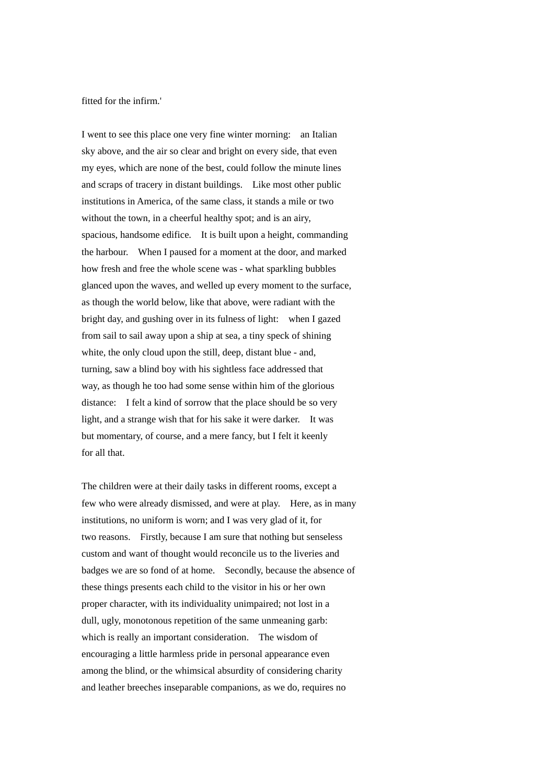fitted for the infirm.'

I went to see this place one very fine winter morning: an Italian sky above, and the air so clear and bright on every side, that even my eyes, which are none of the best, could follow the minute lines and scraps of tracery in distant buildings. Like most other public institutions in America, of the same class, it stands a mile or two without the town, in a cheerful healthy spot; and is an airy, spacious, handsome edifice. It is built upon a height, commanding the harbour. When I paused for a moment at the door, and marked how fresh and free the whole scene was - what sparkling bubbles glanced upon the waves, and welled up every moment to the surface, as though the world below, like that above, were radiant with the bright day, and gushing over in its fulness of light: when I gazed from sail to sail away upon a ship at sea, a tiny speck of shining white, the only cloud upon the still, deep, distant blue - and, turning, saw a blind boy with his sightless face addressed that way, as though he too had some sense within him of the glorious distance: I felt a kind of sorrow that the place should be so very light, and a strange wish that for his sake it were darker. It was but momentary, of course, and a mere fancy, but I felt it keenly for all that.

The children were at their daily tasks in different rooms, except a few who were already dismissed, and were at play. Here, as in many institutions, no uniform is worn; and I was very glad of it, for two reasons. Firstly, because I am sure that nothing but senseless custom and want of thought would reconcile us to the liveries and badges we are so fond of at home. Secondly, because the absence of these things presents each child to the visitor in his or her own proper character, with its individuality unimpaired; not lost in a dull, ugly, monotonous repetition of the same unmeaning garb: which is really an important consideration. The wisdom of encouraging a little harmless pride in personal appearance even among the blind, or the whimsical absurdity of considering charity and leather breeches inseparable companions, as we do, requires no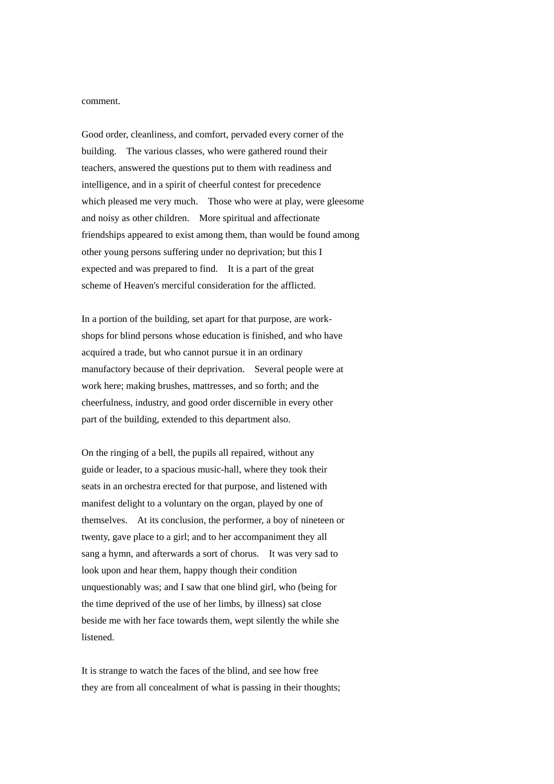#### comment.

Good order, cleanliness, and comfort, pervaded every corner of the building. The various classes, who were gathered round their teachers, answered the questions put to them with readiness and intelligence, and in a spirit of cheerful contest for precedence which pleased me very much. Those who were at play, were gleesome and noisy as other children. More spiritual and affectionate friendships appeared to exist among them, than would be found among other young persons suffering under no deprivation; but this I expected and was prepared to find. It is a part of the great scheme of Heaven's merciful consideration for the afflicted.

In a portion of the building, set apart for that purpose, are workshops for blind persons whose education is finished, and who have acquired a trade, but who cannot pursue it in an ordinary manufactory because of their deprivation. Several people were at work here; making brushes, mattresses, and so forth; and the cheerfulness, industry, and good order discernible in every other part of the building, extended to this department also.

On the ringing of a bell, the pupils all repaired, without any guide or leader, to a spacious music-hall, where they took their seats in an orchestra erected for that purpose, and listened with manifest delight to a voluntary on the organ, played by one of themselves. At its conclusion, the performer, a boy of nineteen or twenty, gave place to a girl; and to her accompaniment they all sang a hymn, and afterwards a sort of chorus. It was very sad to look upon and hear them, happy though their condition unquestionably was; and I saw that one blind girl, who (being for the time deprived of the use of her limbs, by illness) sat close beside me with her face towards them, wept silently the while she listened.

It is strange to watch the faces of the blind, and see how free they are from all concealment of what is passing in their thoughts;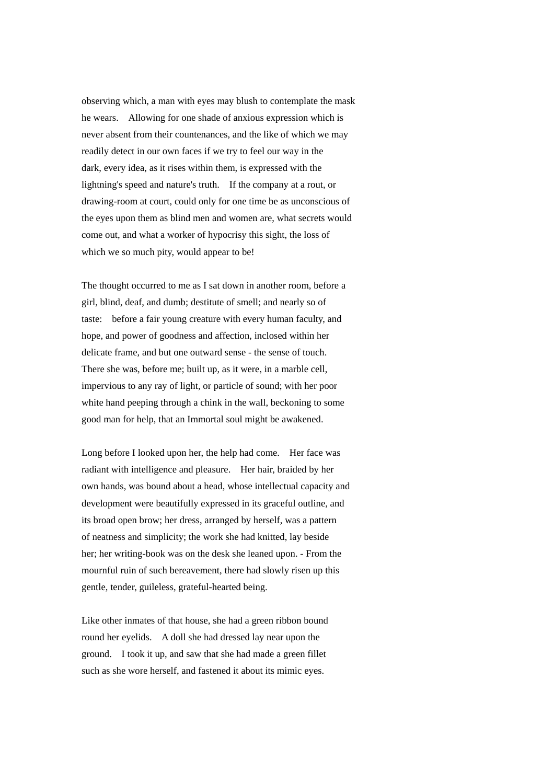observing which, a man with eyes may blush to contemplate the mask he wears. Allowing for one shade of anxious expression which is never absent from their countenances, and the like of which we may readily detect in our own faces if we try to feel our way in the dark, every idea, as it rises within them, is expressed with the lightning's speed and nature's truth. If the company at a rout, or drawing-room at court, could only for one time be as unconscious of the eyes upon them as blind men and women are, what secrets would come out, and what a worker of hypocrisy this sight, the loss of which we so much pity, would appear to be!

The thought occurred to me as I sat down in another room, before a girl, blind, deaf, and dumb; destitute of smell; and nearly so of taste: before a fair young creature with every human faculty, and hope, and power of goodness and affection, inclosed within her delicate frame, and but one outward sense - the sense of touch. There she was, before me; built up, as it were, in a marble cell, impervious to any ray of light, or particle of sound; with her poor white hand peeping through a chink in the wall, beckoning to some good man for help, that an Immortal soul might be awakened.

Long before I looked upon her, the help had come. Her face was radiant with intelligence and pleasure. Her hair, braided by her own hands, was bound about a head, whose intellectual capacity and development were beautifully expressed in its graceful outline, and its broad open brow; her dress, arranged by herself, was a pattern of neatness and simplicity; the work she had knitted, lay beside her; her writing-book was on the desk she leaned upon. - From the mournful ruin of such bereavement, there had slowly risen up this gentle, tender, guileless, grateful-hearted being.

Like other inmates of that house, she had a green ribbon bound round her eyelids. A doll she had dressed lay near upon the ground. I took it up, and saw that she had made a green fillet such as she wore herself, and fastened it about its mimic eyes.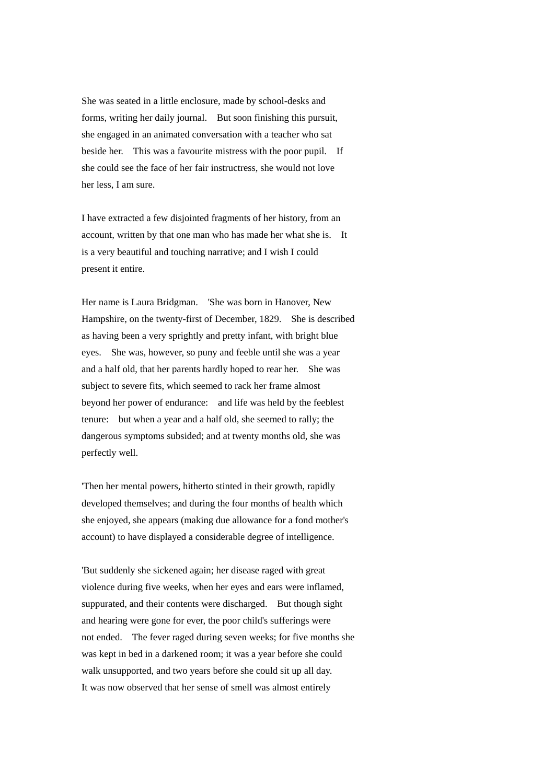She was seated in a little enclosure, made by school-desks and forms, writing her daily journal. But soon finishing this pursuit, she engaged in an animated conversation with a teacher who sat beside her. This was a favourite mistress with the poor pupil. If she could see the face of her fair instructress, she would not love her less, I am sure.

I have extracted a few disjointed fragments of her history, from an account, written by that one man who has made her what she is. It is a very beautiful and touching narrative; and I wish I could present it entire.

Her name is Laura Bridgman. 'She was born in Hanover, New Hampshire, on the twenty-first of December, 1829. She is described as having been a very sprightly and pretty infant, with bright blue eyes. She was, however, so puny and feeble until she was a year and a half old, that her parents hardly hoped to rear her. She was subject to severe fits, which seemed to rack her frame almost beyond her power of endurance: and life was held by the feeblest tenure: but when a year and a half old, she seemed to rally; the dangerous symptoms subsided; and at twenty months old, she was perfectly well.

'Then her mental powers, hitherto stinted in their growth, rapidly developed themselves; and during the four months of health which she enjoyed, she appears (making due allowance for a fond mother's account) to have displayed a considerable degree of intelligence.

'But suddenly she sickened again; her disease raged with great violence during five weeks, when her eyes and ears were inflamed, suppurated, and their contents were discharged. But though sight and hearing were gone for ever, the poor child's sufferings were not ended. The fever raged during seven weeks; for five months she was kept in bed in a darkened room; it was a year before she could walk unsupported, and two years before she could sit up all day. It was now observed that her sense of smell was almost entirely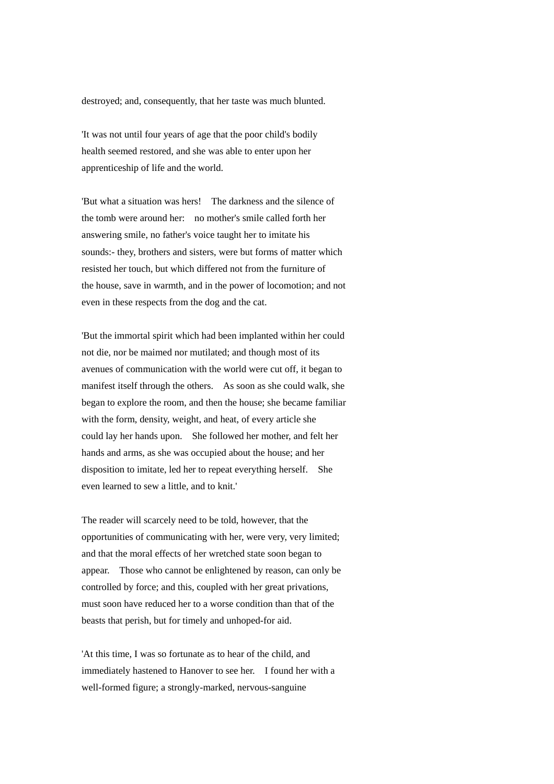destroyed; and, consequently, that her taste was much blunted.

'It was not until four years of age that the poor child's bodily health seemed restored, and she was able to enter upon her apprenticeship of life and the world.

'But what a situation was hers! The darkness and the silence of the tomb were around her: no mother's smile called forth her answering smile, no father's voice taught her to imitate his sounds:- they, brothers and sisters, were but forms of matter which resisted her touch, but which differed not from the furniture of the house, save in warmth, and in the power of locomotion; and not even in these respects from the dog and the cat.

'But the immortal spirit which had been implanted within her could not die, nor be maimed nor mutilated; and though most of its avenues of communication with the world were cut off, it began to manifest itself through the others. As soon as she could walk, she began to explore the room, and then the house; she became familiar with the form, density, weight, and heat, of every article she could lay her hands upon. She followed her mother, and felt her hands and arms, as she was occupied about the house; and her disposition to imitate, led her to repeat everything herself. She even learned to sew a little, and to knit.'

The reader will scarcely need to be told, however, that the opportunities of communicating with her, were very, very limited; and that the moral effects of her wretched state soon began to appear. Those who cannot be enlightened by reason, can only be controlled by force; and this, coupled with her great privations, must soon have reduced her to a worse condition than that of the beasts that perish, but for timely and unhoped-for aid.

'At this time, I was so fortunate as to hear of the child, and immediately hastened to Hanover to see her. I found her with a well-formed figure; a strongly-marked, nervous-sanguine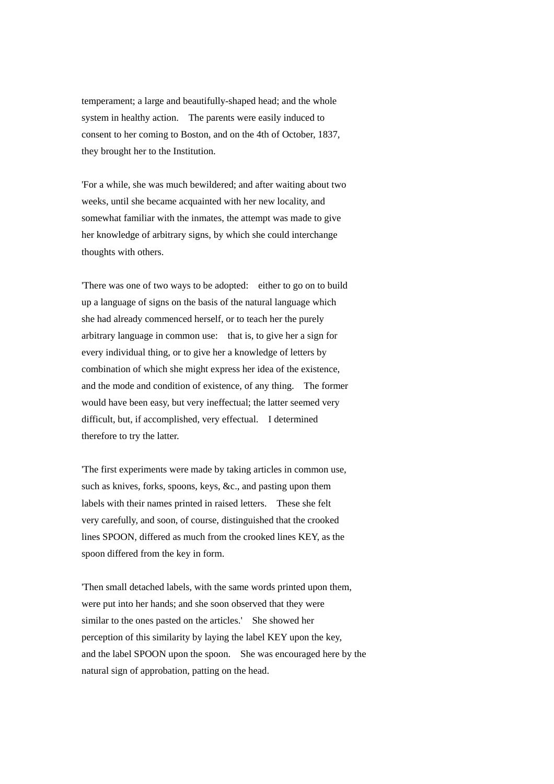temperament; a large and beautifully-shaped head; and the whole system in healthy action. The parents were easily induced to consent to her coming to Boston, and on the 4th of October, 1837, they brought her to the Institution.

'For a while, she was much bewildered; and after waiting about two weeks, until she became acquainted with her new locality, and somewhat familiar with the inmates, the attempt was made to give her knowledge of arbitrary signs, by which she could interchange thoughts with others.

'There was one of two ways to be adopted: either to go on to build up a language of signs on the basis of the natural language which she had already commenced herself, or to teach her the purely arbitrary language in common use: that is, to give her a sign for every individual thing, or to give her a knowledge of letters by combination of which she might express her idea of the existence, and the mode and condition of existence, of any thing. The former would have been easy, but very ineffectual; the latter seemed very difficult, but, if accomplished, very effectual. I determined therefore to try the latter.

'The first experiments were made by taking articles in common use, such as knives, forks, spoons, keys, &c., and pasting upon them labels with their names printed in raised letters. These she felt very carefully, and soon, of course, distinguished that the crooked lines SPOON, differed as much from the crooked lines KEY, as the spoon differed from the key in form.

'Then small detached labels, with the same words printed upon them, were put into her hands; and she soon observed that they were similar to the ones pasted on the articles.' She showed her perception of this similarity by laying the label KEY upon the key, and the label SPOON upon the spoon. She was encouraged here by the natural sign of approbation, patting on the head.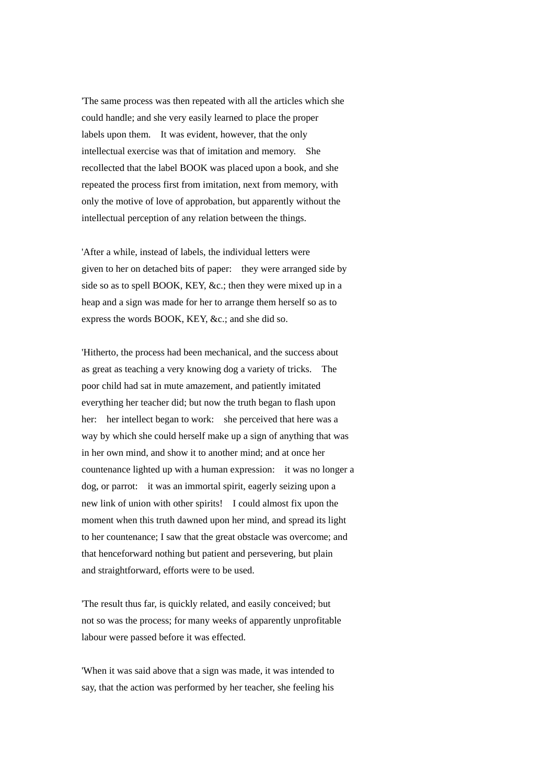'The same process was then repeated with all the articles which she could handle; and she very easily learned to place the proper labels upon them. It was evident, however, that the only intellectual exercise was that of imitation and memory. She recollected that the label BOOK was placed upon a book, and she repeated the process first from imitation, next from memory, with only the motive of love of approbation, but apparently without the intellectual perception of any relation between the things.

'After a while, instead of labels, the individual letters were given to her on detached bits of paper: they were arranged side by side so as to spell BOOK, KEY, &c.; then they were mixed up in a heap and a sign was made for her to arrange them herself so as to express the words BOOK, KEY, &c.; and she did so.

'Hitherto, the process had been mechanical, and the success about as great as teaching a very knowing dog a variety of tricks. The poor child had sat in mute amazement, and patiently imitated everything her teacher did; but now the truth began to flash upon her: her intellect began to work: she perceived that here was a way by which she could herself make up a sign of anything that was in her own mind, and show it to another mind; and at once her countenance lighted up with a human expression: it was no longer a dog, or parrot: it was an immortal spirit, eagerly seizing upon a new link of union with other spirits! I could almost fix upon the moment when this truth dawned upon her mind, and spread its light to her countenance; I saw that the great obstacle was overcome; and that henceforward nothing but patient and persevering, but plain and straightforward, efforts were to be used.

'The result thus far, is quickly related, and easily conceived; but not so was the process; for many weeks of apparently unprofitable labour were passed before it was effected.

'When it was said above that a sign was made, it was intended to say, that the action was performed by her teacher, she feeling his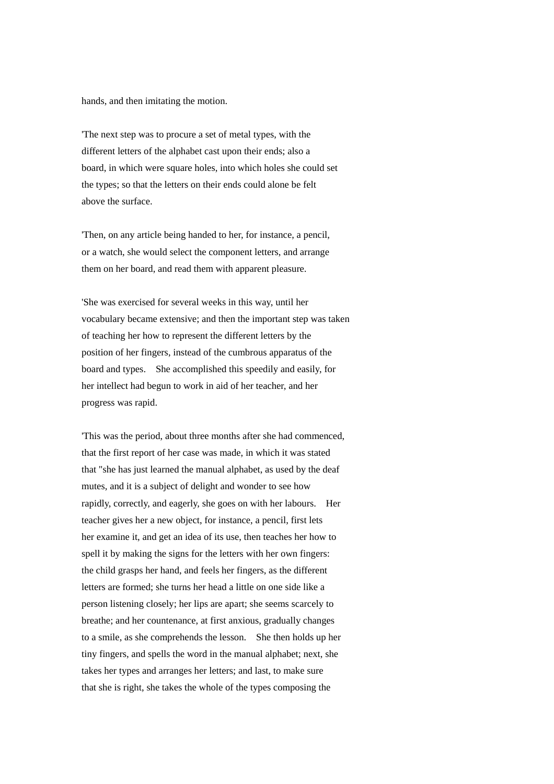hands, and then imitating the motion.

'The next step was to procure a set of metal types, with the different letters of the alphabet cast upon their ends; also a board, in which were square holes, into which holes she could set the types; so that the letters on their ends could alone be felt above the surface.

'Then, on any article being handed to her, for instance, a pencil, or a watch, she would select the component letters, and arrange them on her board, and read them with apparent pleasure.

'She was exercised for several weeks in this way, until her vocabulary became extensive; and then the important step was taken of teaching her how to represent the different letters by the position of her fingers, instead of the cumbrous apparatus of the board and types. She accomplished this speedily and easily, for her intellect had begun to work in aid of her teacher, and her progress was rapid.

'This was the period, about three months after she had commenced, that the first report of her case was made, in which it was stated that "she has just learned the manual alphabet, as used by the deaf mutes, and it is a subject of delight and wonder to see how rapidly, correctly, and eagerly, she goes on with her labours. Her teacher gives her a new object, for instance, a pencil, first lets her examine it, and get an idea of its use, then teaches her how to spell it by making the signs for the letters with her own fingers: the child grasps her hand, and feels her fingers, as the different letters are formed; she turns her head a little on one side like a person listening closely; her lips are apart; she seems scarcely to breathe; and her countenance, at first anxious, gradually changes to a smile, as she comprehends the lesson. She then holds up her tiny fingers, and spells the word in the manual alphabet; next, she takes her types and arranges her letters; and last, to make sure that she is right, she takes the whole of the types composing the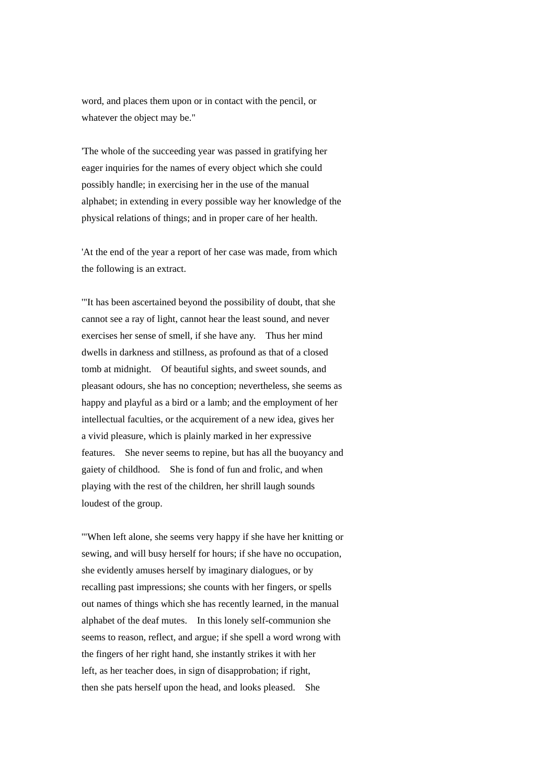word, and places them upon or in contact with the pencil, or whatever the object may be."

'The whole of the succeeding year was passed in gratifying her eager inquiries for the names of every object which she could possibly handle; in exercising her in the use of the manual alphabet; in extending in every possible way her knowledge of the physical relations of things; and in proper care of her health.

'At the end of the year a report of her case was made, from which the following is an extract.

'"It has been ascertained beyond the possibility of doubt, that she cannot see a ray of light, cannot hear the least sound, and never exercises her sense of smell, if she have any. Thus her mind dwells in darkness and stillness, as profound as that of a closed tomb at midnight. Of beautiful sights, and sweet sounds, and pleasant odours, she has no conception; nevertheless, she seems as happy and playful as a bird or a lamb; and the employment of her intellectual faculties, or the acquirement of a new idea, gives her a vivid pleasure, which is plainly marked in her expressive features. She never seems to repine, but has all the buoyancy and gaiety of childhood. She is fond of fun and frolic, and when playing with the rest of the children, her shrill laugh sounds loudest of the group.

'"When left alone, she seems very happy if she have her knitting or sewing, and will busy herself for hours; if she have no occupation, she evidently amuses herself by imaginary dialogues, or by recalling past impressions; she counts with her fingers, or spells out names of things which she has recently learned, in the manual alphabet of the deaf mutes. In this lonely self-communion she seems to reason, reflect, and argue; if she spell a word wrong with the fingers of her right hand, she instantly strikes it with her left, as her teacher does, in sign of disapprobation; if right, then she pats herself upon the head, and looks pleased. She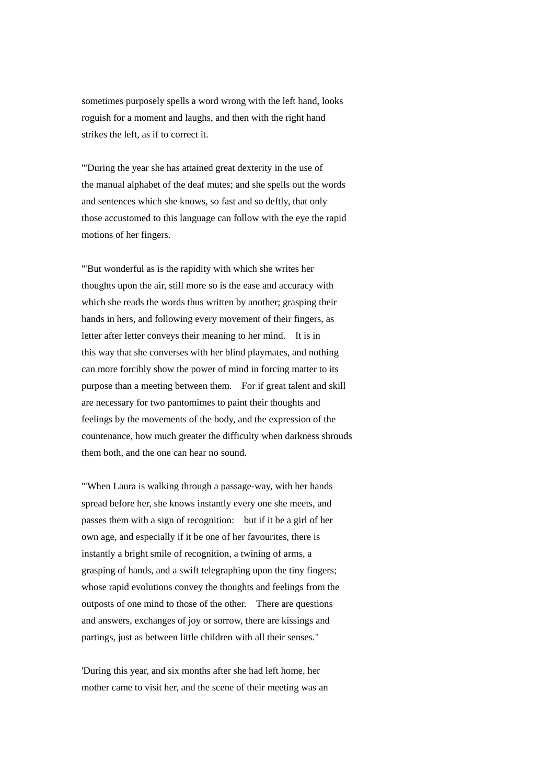sometimes purposely spells a word wrong with the left hand, looks roguish for a moment and laughs, and then with the right hand strikes the left, as if to correct it.

'"During the year she has attained great dexterity in the use of the manual alphabet of the deaf mutes; and she spells out the words and sentences which she knows, so fast and so deftly, that only those accustomed to this language can follow with the eye the rapid motions of her fingers.

'"But wonderful as is the rapidity with which she writes her thoughts upon the air, still more so is the ease and accuracy with which she reads the words thus written by another; grasping their hands in hers, and following every movement of their fingers, as letter after letter conveys their meaning to her mind. It is in this way that she converses with her blind playmates, and nothing can more forcibly show the power of mind in forcing matter to its purpose than a meeting between them. For if great talent and skill are necessary for two pantomimes to paint their thoughts and feelings by the movements of the body, and the expression of the countenance, how much greater the difficulty when darkness shrouds them both, and the one can hear no sound.

'"When Laura is walking through a passage-way, with her hands spread before her, she knows instantly every one she meets, and passes them with a sign of recognition: but if it be a girl of her own age, and especially if it be one of her favourites, there is instantly a bright smile of recognition, a twining of arms, a grasping of hands, and a swift telegraphing upon the tiny fingers; whose rapid evolutions convey the thoughts and feelings from the outposts of one mind to those of the other. There are questions and answers, exchanges of joy or sorrow, there are kissings and partings, just as between little children with all their senses."

'During this year, and six months after she had left home, her mother came to visit her, and the scene of their meeting was an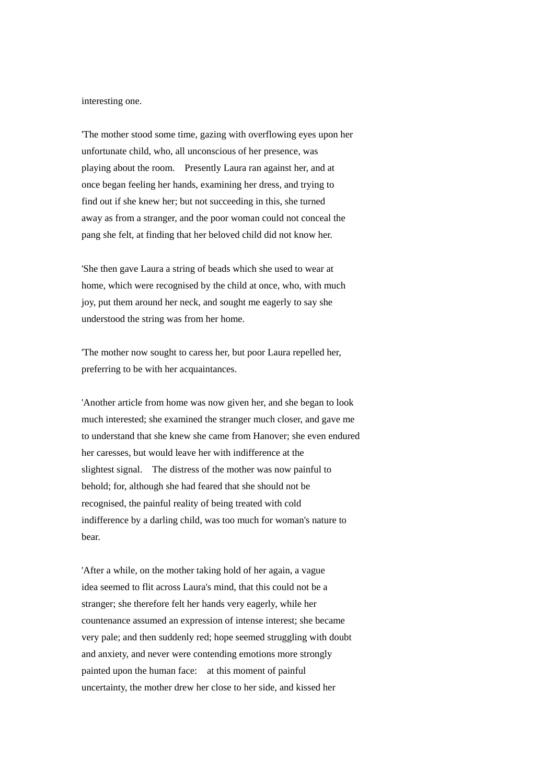interesting one.

'The mother stood some time, gazing with overflowing eyes upon her unfortunate child, who, all unconscious of her presence, was playing about the room. Presently Laura ran against her, and at once began feeling her hands, examining her dress, and trying to find out if she knew her; but not succeeding in this, she turned away as from a stranger, and the poor woman could not conceal the pang she felt, at finding that her beloved child did not know her.

'She then gave Laura a string of beads which she used to wear at home, which were recognised by the child at once, who, with much joy, put them around her neck, and sought me eagerly to say she understood the string was from her home.

'The mother now sought to caress her, but poor Laura repelled her, preferring to be with her acquaintances.

'Another article from home was now given her, and she began to look much interested; she examined the stranger much closer, and gave me to understand that she knew she came from Hanover; she even endured her caresses, but would leave her with indifference at the slightest signal. The distress of the mother was now painful to behold; for, although she had feared that she should not be recognised, the painful reality of being treated with cold indifference by a darling child, was too much for woman's nature to bear.

'After a while, on the mother taking hold of her again, a vague idea seemed to flit across Laura's mind, that this could not be a stranger; she therefore felt her hands very eagerly, while her countenance assumed an expression of intense interest; she became very pale; and then suddenly red; hope seemed struggling with doubt and anxiety, and never were contending emotions more strongly painted upon the human face: at this moment of painful uncertainty, the mother drew her close to her side, and kissed her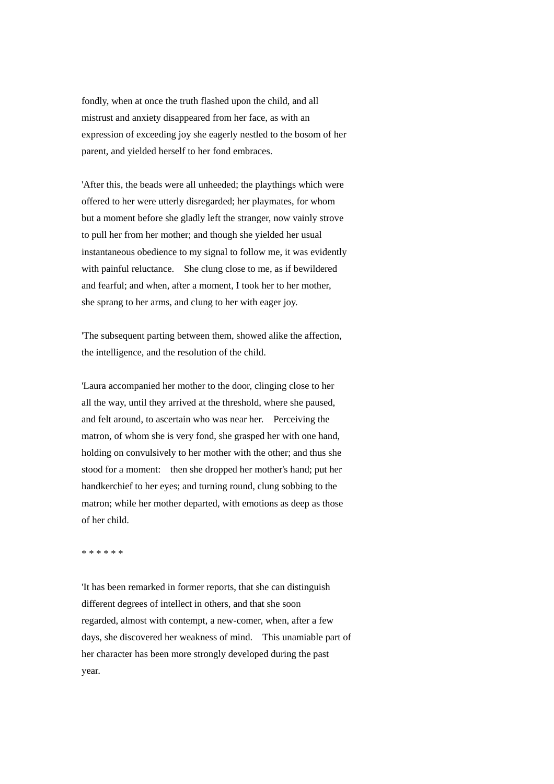fondly, when at once the truth flashed upon the child, and all mistrust and anxiety disappeared from her face, as with an expression of exceeding joy she eagerly nestled to the bosom of her parent, and yielded herself to her fond embraces.

'After this, the beads were all unheeded; the playthings which were offered to her were utterly disregarded; her playmates, for whom but a moment before she gladly left the stranger, now vainly strove to pull her from her mother; and though she yielded her usual instantaneous obedience to my signal to follow me, it was evidently with painful reluctance. She clung close to me, as if bewildered and fearful; and when, after a moment, I took her to her mother, she sprang to her arms, and clung to her with eager joy.

'The subsequent parting between them, showed alike the affection, the intelligence, and the resolution of the child.

'Laura accompanied her mother to the door, clinging close to her all the way, until they arrived at the threshold, where she paused, and felt around, to ascertain who was near her. Perceiving the matron, of whom she is very fond, she grasped her with one hand, holding on convulsively to her mother with the other; and thus she stood for a moment: then she dropped her mother's hand; put her handkerchief to her eyes; and turning round, clung sobbing to the matron; while her mother departed, with emotions as deep as those of her child.

\* \* \* \* \* \*

'It has been remarked in former reports, that she can distinguish different degrees of intellect in others, and that she soon regarded, almost with contempt, a new-comer, when, after a few days, she discovered her weakness of mind. This unamiable part of her character has been more strongly developed during the past year.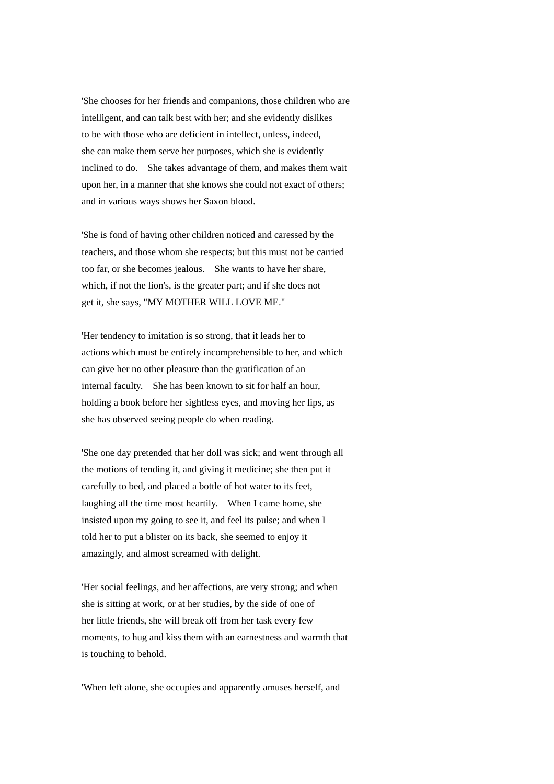'She chooses for her friends and companions, those children who are intelligent, and can talk best with her; and she evidently dislikes to be with those who are deficient in intellect, unless, indeed, she can make them serve her purposes, which she is evidently inclined to do. She takes advantage of them, and makes them wait upon her, in a manner that she knows she could not exact of others; and in various ways shows her Saxon blood.

'She is fond of having other children noticed and caressed by the teachers, and those whom she respects; but this must not be carried too far, or she becomes jealous. She wants to have her share, which, if not the lion's, is the greater part; and if she does not get it, she says, "MY MOTHER WILL LOVE ME."

'Her tendency to imitation is so strong, that it leads her to actions which must be entirely incomprehensible to her, and which can give her no other pleasure than the gratification of an internal faculty. She has been known to sit for half an hour, holding a book before her sightless eyes, and moving her lips, as she has observed seeing people do when reading.

'She one day pretended that her doll was sick; and went through all the motions of tending it, and giving it medicine; she then put it carefully to bed, and placed a bottle of hot water to its feet, laughing all the time most heartily. When I came home, she insisted upon my going to see it, and feel its pulse; and when I told her to put a blister on its back, she seemed to enjoy it amazingly, and almost screamed with delight.

'Her social feelings, and her affections, are very strong; and when she is sitting at work, or at her studies, by the side of one of her little friends, she will break off from her task every few moments, to hug and kiss them with an earnestness and warmth that is touching to behold.

'When left alone, she occupies and apparently amuses herself, and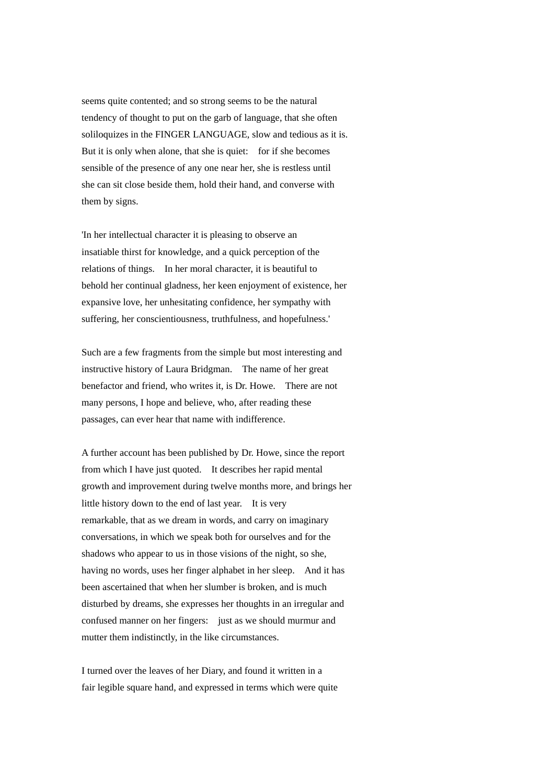seems quite contented; and so strong seems to be the natural tendency of thought to put on the garb of language, that she often soliloquizes in the FINGER LANGUAGE, slow and tedious as it is. But it is only when alone, that she is quiet: for if she becomes sensible of the presence of any one near her, she is restless until she can sit close beside them, hold their hand, and converse with them by signs.

'In her intellectual character it is pleasing to observe an insatiable thirst for knowledge, and a quick perception of the relations of things. In her moral character, it is beautiful to behold her continual gladness, her keen enjoyment of existence, her expansive love, her unhesitating confidence, her sympathy with suffering, her conscientiousness, truthfulness, and hopefulness.'

Such are a few fragments from the simple but most interesting and instructive history of Laura Bridgman. The name of her great benefactor and friend, who writes it, is Dr. Howe. There are not many persons, I hope and believe, who, after reading these passages, can ever hear that name with indifference.

A further account has been published by Dr. Howe, since the report from which I have just quoted. It describes her rapid mental growth and improvement during twelve months more, and brings her little history down to the end of last year. It is very remarkable, that as we dream in words, and carry on imaginary conversations, in which we speak both for ourselves and for the shadows who appear to us in those visions of the night, so she, having no words, uses her finger alphabet in her sleep. And it has been ascertained that when her slumber is broken, and is much disturbed by dreams, she expresses her thoughts in an irregular and confused manner on her fingers: just as we should murmur and mutter them indistinctly, in the like circumstances.

I turned over the leaves of her Diary, and found it written in a fair legible square hand, and expressed in terms which were quite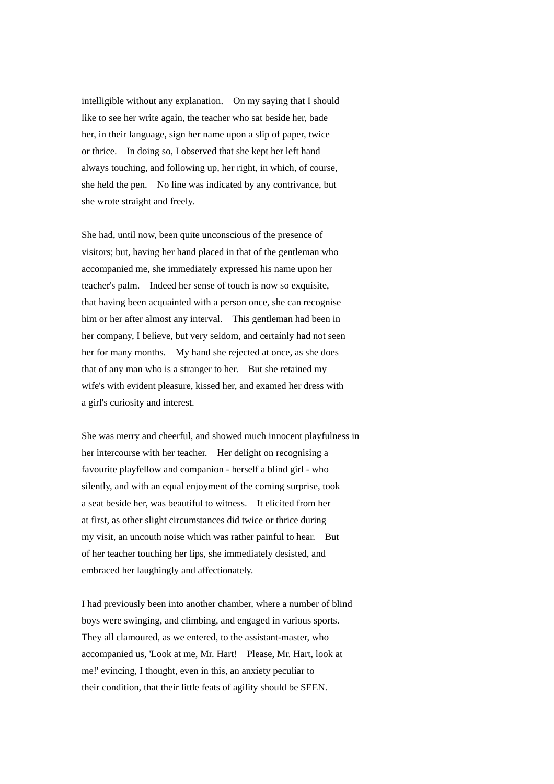intelligible without any explanation. On my saying that I should like to see her write again, the teacher who sat beside her, bade her, in their language, sign her name upon a slip of paper, twice or thrice. In doing so, I observed that she kept her left hand always touching, and following up, her right, in which, of course, she held the pen. No line was indicated by any contrivance, but she wrote straight and freely.

She had, until now, been quite unconscious of the presence of visitors; but, having her hand placed in that of the gentleman who accompanied me, she immediately expressed his name upon her teacher's palm. Indeed her sense of touch is now so exquisite, that having been acquainted with a person once, she can recognise him or her after almost any interval. This gentleman had been in her company, I believe, but very seldom, and certainly had not seen her for many months. My hand she rejected at once, as she does that of any man who is a stranger to her. But she retained my wife's with evident pleasure, kissed her, and examed her dress with a girl's curiosity and interest.

She was merry and cheerful, and showed much innocent playfulness in her intercourse with her teacher. Her delight on recognising a favourite playfellow and companion - herself a blind girl - who silently, and with an equal enjoyment of the coming surprise, took a seat beside her, was beautiful to witness. It elicited from her at first, as other slight circumstances did twice or thrice during my visit, an uncouth noise which was rather painful to hear. But of her teacher touching her lips, she immediately desisted, and embraced her laughingly and affectionately.

I had previously been into another chamber, where a number of blind boys were swinging, and climbing, and engaged in various sports. They all clamoured, as we entered, to the assistant-master, who accompanied us, 'Look at me, Mr. Hart! Please, Mr. Hart, look at me!' evincing, I thought, even in this, an anxiety peculiar to their condition, that their little feats of agility should be SEEN.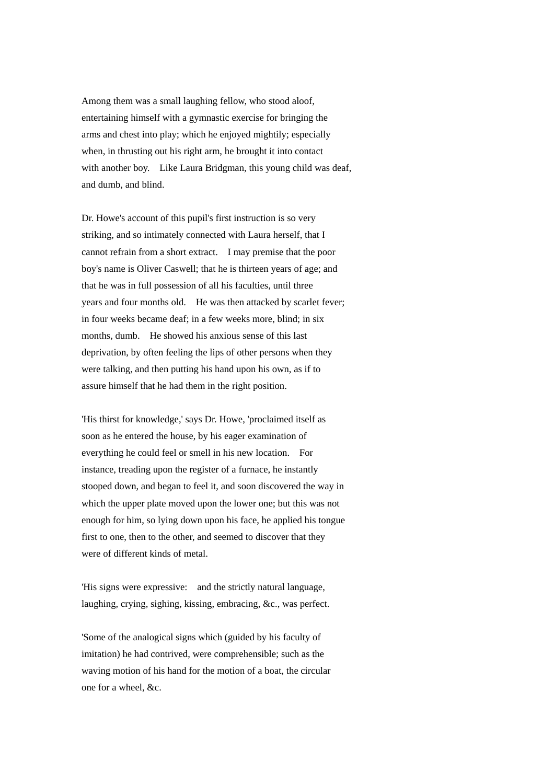Among them was a small laughing fellow, who stood aloof, entertaining himself with a gymnastic exercise for bringing the arms and chest into play; which he enjoyed mightily; especially when, in thrusting out his right arm, he brought it into contact with another boy. Like Laura Bridgman, this young child was deaf, and dumb, and blind.

Dr. Howe's account of this pupil's first instruction is so very striking, and so intimately connected with Laura herself, that I cannot refrain from a short extract. I may premise that the poor boy's name is Oliver Caswell; that he is thirteen years of age; and that he was in full possession of all his faculties, until three years and four months old. He was then attacked by scarlet fever; in four weeks became deaf; in a few weeks more, blind; in six months, dumb. He showed his anxious sense of this last deprivation, by often feeling the lips of other persons when they were talking, and then putting his hand upon his own, as if to assure himself that he had them in the right position.

'His thirst for knowledge,' says Dr. Howe, 'proclaimed itself as soon as he entered the house, by his eager examination of everything he could feel or smell in his new location. For instance, treading upon the register of a furnace, he instantly stooped down, and began to feel it, and soon discovered the way in which the upper plate moved upon the lower one; but this was not enough for him, so lying down upon his face, he applied his tongue first to one, then to the other, and seemed to discover that they were of different kinds of metal.

'His signs were expressive: and the strictly natural language, laughing, crying, sighing, kissing, embracing, &c., was perfect.

'Some of the analogical signs which (guided by his faculty of imitation) he had contrived, were comprehensible; such as the waving motion of his hand for the motion of a boat, the circular one for a wheel, &c.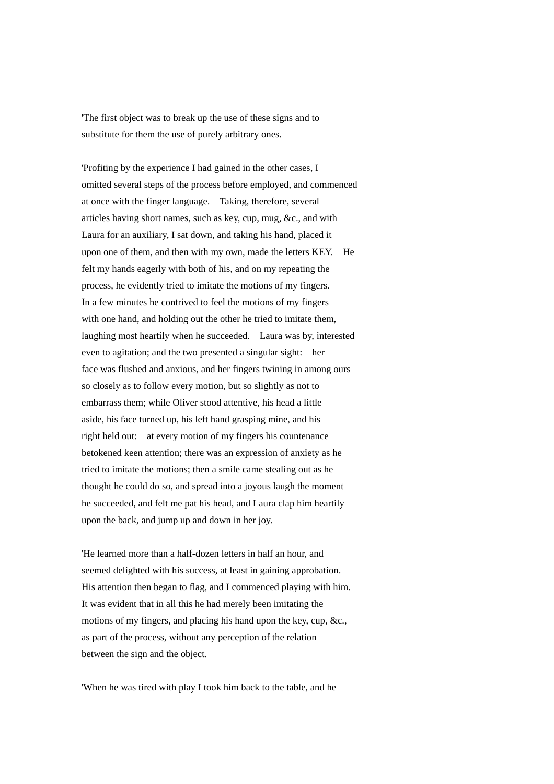'The first object was to break up the use of these signs and to substitute for them the use of purely arbitrary ones.

'Profiting by the experience I had gained in the other cases, I omitted several steps of the process before employed, and commenced at once with the finger language. Taking, therefore, several articles having short names, such as key, cup, mug, &c., and with Laura for an auxiliary, I sat down, and taking his hand, placed it upon one of them, and then with my own, made the letters KEY. He felt my hands eagerly with both of his, and on my repeating the process, he evidently tried to imitate the motions of my fingers. In a few minutes he contrived to feel the motions of my fingers with one hand, and holding out the other he tried to imitate them. laughing most heartily when he succeeded. Laura was by, interested even to agitation; and the two presented a singular sight: her face was flushed and anxious, and her fingers twining in among ours so closely as to follow every motion, but so slightly as not to embarrass them; while Oliver stood attentive, his head a little aside, his face turned up, his left hand grasping mine, and his right held out: at every motion of my fingers his countenance betokened keen attention; there was an expression of anxiety as he tried to imitate the motions; then a smile came stealing out as he thought he could do so, and spread into a joyous laugh the moment he succeeded, and felt me pat his head, and Laura clap him heartily upon the back, and jump up and down in her joy.

'He learned more than a half-dozen letters in half an hour, and seemed delighted with his success, at least in gaining approbation. His attention then began to flag, and I commenced playing with him. It was evident that in all this he had merely been imitating the motions of my fingers, and placing his hand upon the key, cup, &c., as part of the process, without any perception of the relation between the sign and the object.

'When he was tired with play I took him back to the table, and he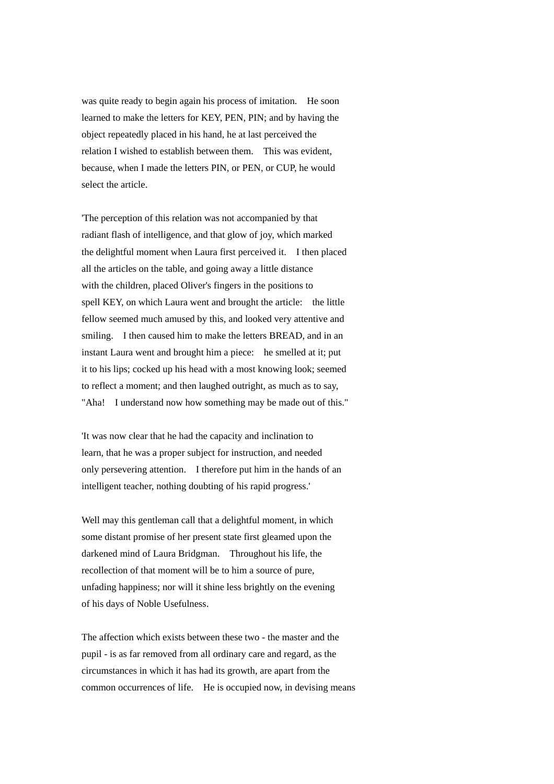was quite ready to begin again his process of imitation. He soon learned to make the letters for KEY, PEN, PIN; and by having the object repeatedly placed in his hand, he at last perceived the relation I wished to establish between them. This was evident, because, when I made the letters PIN, or PEN, or CUP, he would select the article.

'The perception of this relation was not accompanied by that radiant flash of intelligence, and that glow of joy, which marked the delightful moment when Laura first perceived it. I then placed all the articles on the table, and going away a little distance with the children, placed Oliver's fingers in the positions to spell KEY, on which Laura went and brought the article: the little fellow seemed much amused by this, and looked very attentive and smiling. I then caused him to make the letters BREAD, and in an instant Laura went and brought him a piece: he smelled at it; put it to his lips; cocked up his head with a most knowing look; seemed to reflect a moment; and then laughed outright, as much as to say, "Aha! I understand now how something may be made out of this."

'It was now clear that he had the capacity and inclination to learn, that he was a proper subject for instruction, and needed only persevering attention. I therefore put him in the hands of an intelligent teacher, nothing doubting of his rapid progress.'

Well may this gentleman call that a delightful moment, in which some distant promise of her present state first gleamed upon the darkened mind of Laura Bridgman. Throughout his life, the recollection of that moment will be to him a source of pure, unfading happiness; nor will it shine less brightly on the evening of his days of Noble Usefulness.

The affection which exists between these two - the master and the pupil - is as far removed from all ordinary care and regard, as the circumstances in which it has had its growth, are apart from the common occurrences of life. He is occupied now, in devising means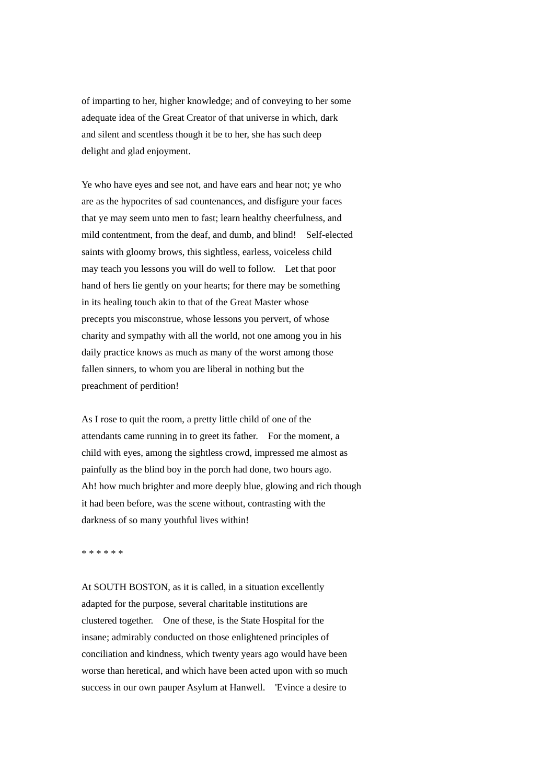of imparting to her, higher knowledge; and of conveying to her some adequate idea of the Great Creator of that universe in which, dark and silent and scentless though it be to her, she has such deep delight and glad enjoyment.

Ye who have eyes and see not, and have ears and hear not; ye who are as the hypocrites of sad countenances, and disfigure your faces that ye may seem unto men to fast; learn healthy cheerfulness, and mild contentment, from the deaf, and dumb, and blind! Self-elected saints with gloomy brows, this sightless, earless, voiceless child may teach you lessons you will do well to follow. Let that poor hand of hers lie gently on your hearts; for there may be something in its healing touch akin to that of the Great Master whose precepts you misconstrue, whose lessons you pervert, of whose charity and sympathy with all the world, not one among you in his daily practice knows as much as many of the worst among those fallen sinners, to whom you are liberal in nothing but the preachment of perdition!

As I rose to quit the room, a pretty little child of one of the attendants came running in to greet its father. For the moment, a child with eyes, among the sightless crowd, impressed me almost as painfully as the blind boy in the porch had done, two hours ago. Ah! how much brighter and more deeply blue, glowing and rich though it had been before, was the scene without, contrasting with the darkness of so many youthful lives within!

\* \* \* \* \* \*

At SOUTH BOSTON, as it is called, in a situation excellently adapted for the purpose, several charitable institutions are clustered together. One of these, is the State Hospital for the insane; admirably conducted on those enlightened principles of conciliation and kindness, which twenty years ago would have been worse than heretical, and which have been acted upon with so much success in our own pauper Asylum at Hanwell. 'Evince a desire to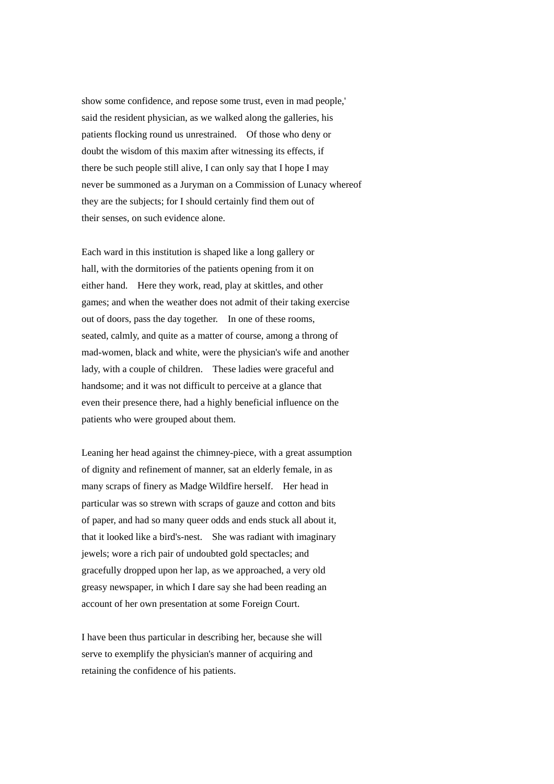show some confidence, and repose some trust, even in mad people,' said the resident physician, as we walked along the galleries, his patients flocking round us unrestrained. Of those who deny or doubt the wisdom of this maxim after witnessing its effects, if there be such people still alive, I can only say that I hope I may never be summoned as a Juryman on a Commission of Lunacy whereof they are the subjects; for I should certainly find them out of their senses, on such evidence alone.

Each ward in this institution is shaped like a long gallery or hall, with the dormitories of the patients opening from it on either hand. Here they work, read, play at skittles, and other games; and when the weather does not admit of their taking exercise out of doors, pass the day together. In one of these rooms, seated, calmly, and quite as a matter of course, among a throng of mad-women, black and white, were the physician's wife and another lady, with a couple of children. These ladies were graceful and handsome; and it was not difficult to perceive at a glance that even their presence there, had a highly beneficial influence on the patients who were grouped about them.

Leaning her head against the chimney-piece, with a great assumption of dignity and refinement of manner, sat an elderly female, in as many scraps of finery as Madge Wildfire herself. Her head in particular was so strewn with scraps of gauze and cotton and bits of paper, and had so many queer odds and ends stuck all about it, that it looked like a bird's-nest. She was radiant with imaginary jewels; wore a rich pair of undoubted gold spectacles; and gracefully dropped upon her lap, as we approached, a very old greasy newspaper, in which I dare say she had been reading an account of her own presentation at some Foreign Court.

I have been thus particular in describing her, because she will serve to exemplify the physician's manner of acquiring and retaining the confidence of his patients.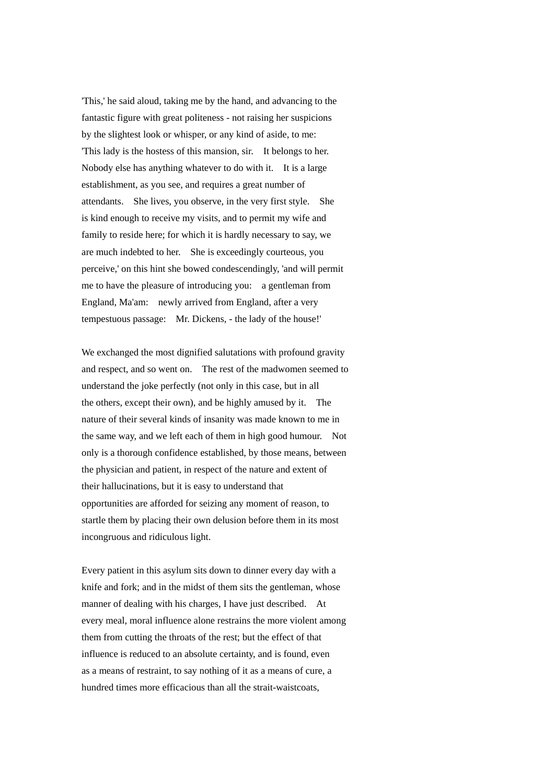'This,' he said aloud, taking me by the hand, and advancing to the fantastic figure with great politeness - not raising her suspicions by the slightest look or whisper, or any kind of aside, to me: 'This lady is the hostess of this mansion, sir. It belongs to her. Nobody else has anything whatever to do with it. It is a large establishment, as you see, and requires a great number of attendants. She lives, you observe, in the very first style. She is kind enough to receive my visits, and to permit my wife and family to reside here; for which it is hardly necessary to say, we are much indebted to her. She is exceedingly courteous, you perceive,' on this hint she bowed condescendingly, 'and will permit me to have the pleasure of introducing you: a gentleman from England, Ma'am: newly arrived from England, after a very tempestuous passage: Mr. Dickens, - the lady of the house!'

We exchanged the most dignified salutations with profound gravity and respect, and so went on. The rest of the madwomen seemed to understand the joke perfectly (not only in this case, but in all the others, except their own), and be highly amused by it. The nature of their several kinds of insanity was made known to me in the same way, and we left each of them in high good humour. Not only is a thorough confidence established, by those means, between the physician and patient, in respect of the nature and extent of their hallucinations, but it is easy to understand that opportunities are afforded for seizing any moment of reason, to startle them by placing their own delusion before them in its most incongruous and ridiculous light.

Every patient in this asylum sits down to dinner every day with a knife and fork; and in the midst of them sits the gentleman, whose manner of dealing with his charges, I have just described. At every meal, moral influence alone restrains the more violent among them from cutting the throats of the rest; but the effect of that influence is reduced to an absolute certainty, and is found, even as a means of restraint, to say nothing of it as a means of cure, a hundred times more efficacious than all the strait-waistcoats,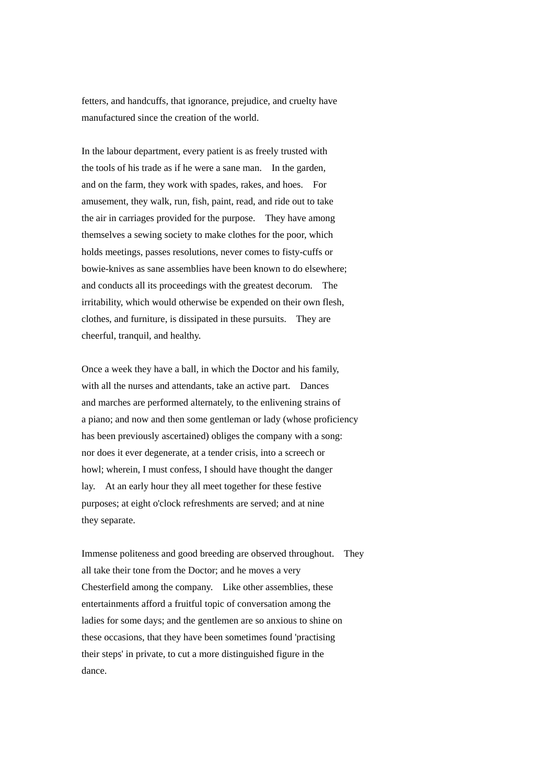fetters, and handcuffs, that ignorance, prejudice, and cruelty have manufactured since the creation of the world.

In the labour department, every patient is as freely trusted with the tools of his trade as if he were a sane man. In the garden, and on the farm, they work with spades, rakes, and hoes. For amusement, they walk, run, fish, paint, read, and ride out to take the air in carriages provided for the purpose. They have among themselves a sewing society to make clothes for the poor, which holds meetings, passes resolutions, never comes to fisty-cuffs or bowie-knives as sane assemblies have been known to do elsewhere; and conducts all its proceedings with the greatest decorum. The irritability, which would otherwise be expended on their own flesh, clothes, and furniture, is dissipated in these pursuits. They are cheerful, tranquil, and healthy.

Once a week they have a ball, in which the Doctor and his family, with all the nurses and attendants, take an active part. Dances and marches are performed alternately, to the enlivening strains of a piano; and now and then some gentleman or lady (whose proficiency has been previously ascertained) obliges the company with a song: nor does it ever degenerate, at a tender crisis, into a screech or howl; wherein, I must confess, I should have thought the danger lay. At an early hour they all meet together for these festive purposes; at eight o'clock refreshments are served; and at nine they separate.

Immense politeness and good breeding are observed throughout. They all take their tone from the Doctor; and he moves a very Chesterfield among the company. Like other assemblies, these entertainments afford a fruitful topic of conversation among the ladies for some days; and the gentlemen are so anxious to shine on these occasions, that they have been sometimes found 'practising their steps' in private, to cut a more distinguished figure in the dance.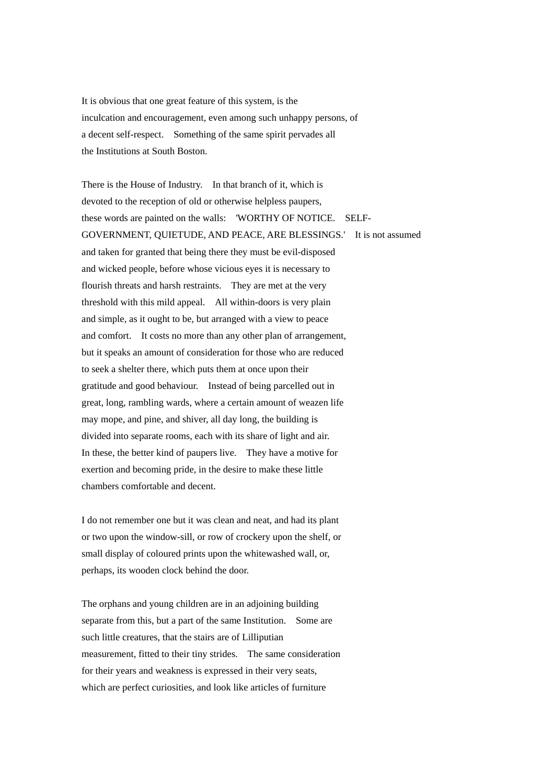It is obvious that one great feature of this system, is the inculcation and encouragement, even among such unhappy persons, of a decent self-respect. Something of the same spirit pervades all the Institutions at South Boston.

There is the House of Industry. In that branch of it, which is devoted to the reception of old or otherwise helpless paupers, these words are painted on the walls: 'WORTHY OF NOTICE. SELF-GOVERNMENT, QUIETUDE, AND PEACE, ARE BLESSINGS.' It is not assumed and taken for granted that being there they must be evil-disposed and wicked people, before whose vicious eyes it is necessary to flourish threats and harsh restraints. They are met at the very threshold with this mild appeal. All within-doors is very plain and simple, as it ought to be, but arranged with a view to peace and comfort. It costs no more than any other plan of arrangement, but it speaks an amount of consideration for those who are reduced to seek a shelter there, which puts them at once upon their gratitude and good behaviour. Instead of being parcelled out in great, long, rambling wards, where a certain amount of weazen life may mope, and pine, and shiver, all day long, the building is divided into separate rooms, each with its share of light and air. In these, the better kind of paupers live. They have a motive for exertion and becoming pride, in the desire to make these little chambers comfortable and decent.

I do not remember one but it was clean and neat, and had its plant or two upon the window-sill, or row of crockery upon the shelf, or small display of coloured prints upon the whitewashed wall, or, perhaps, its wooden clock behind the door.

The orphans and young children are in an adjoining building separate from this, but a part of the same Institution. Some are such little creatures, that the stairs are of Lilliputian measurement, fitted to their tiny strides. The same consideration for their years and weakness is expressed in their very seats, which are perfect curiosities, and look like articles of furniture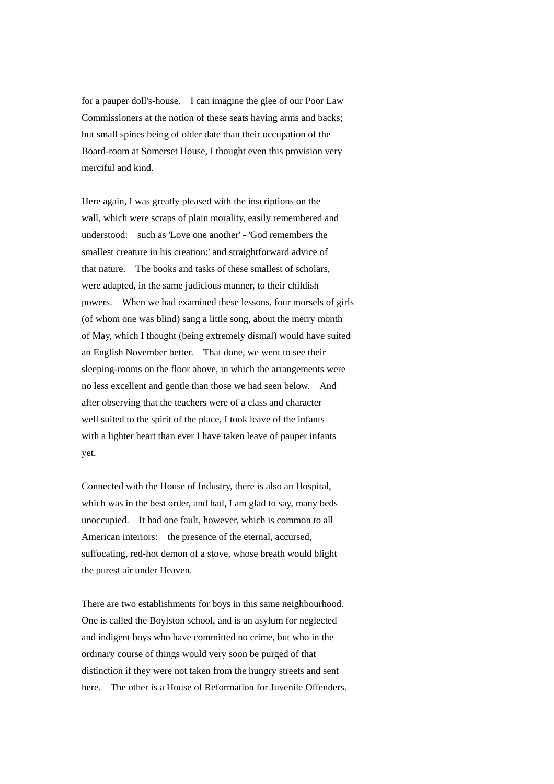for a pauper doll's-house. I can imagine the glee of our Poor Law Commissioners at the notion of these seats having arms and backs; but small spines being of older date than their occupation of the Board-room at Somerset House, I thought even this provision very merciful and kind.

Here again, I was greatly pleased with the inscriptions on the wall, which were scraps of plain morality, easily remembered and understood: such as 'Love one another' - 'God remembers the smallest creature in his creation:' and straightforward advice of that nature. The books and tasks of these smallest of scholars, were adapted, in the same judicious manner, to their childish powers. When we had examined these lessons, four morsels of girls (of whom one was blind) sang a little song, about the merry month of May, which I thought (being extremely dismal) would have suited an English November better. That done, we went to see their sleeping-rooms on the floor above, in which the arrangements were no less excellent and gentle than those we had seen below. And after observing that the teachers were of a class and character well suited to the spirit of the place, I took leave of the infants with a lighter heart than ever I have taken leave of pauper infants yet.

Connected with the House of Industry, there is also an Hospital, which was in the best order, and had, I am glad to say, many beds unoccupied. It had one fault, however, which is common to all American interiors: the presence of the eternal, accursed, suffocating, red-hot demon of a stove, whose breath would blight the purest air under Heaven.

There are two establishments for boys in this same neighbourhood. One is called the Boylston school, and is an asylum for neglected and indigent boys who have committed no crime, but who in the ordinary course of things would very soon be purged of that distinction if they were not taken from the hungry streets and sent here. The other is a House of Reformation for Juvenile Offenders.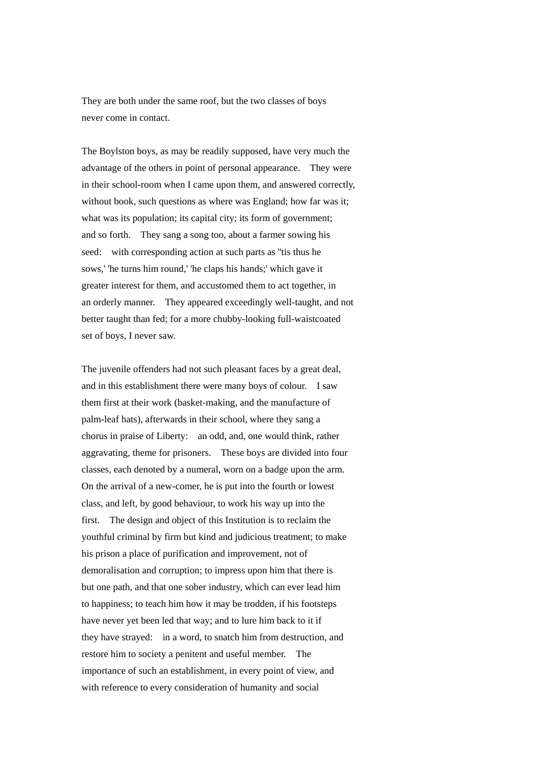They are both under the same roof, but the two classes of boys never come in contact.

The Boylston boys, as may be readily supposed, have very much the advantage of the others in point of personal appearance. They were in their school-room when I came upon them, and answered correctly, without book, such questions as where was England; how far was it; what was its population; its capital city; its form of government; and so forth. They sang a song too, about a farmer sowing his seed: with corresponding action at such parts as "tis thus he sows,' 'he turns him round,' 'he claps his hands;' which gave it greater interest for them, and accustomed them to act together, in an orderly manner. They appeared exceedingly well-taught, and not better taught than fed; for a more chubby-looking full-waistcoated set of boys, I never saw.

The juvenile offenders had not such pleasant faces by a great deal, and in this establishment there were many boys of colour. I saw them first at their work (basket-making, and the manufacture of palm-leaf hats), afterwards in their school, where they sang a chorus in praise of Liberty: an odd, and, one would think, rather aggravating, theme for prisoners. These boys are divided into four classes, each denoted by a numeral, worn on a badge upon the arm. On the arrival of a new-comer, he is put into the fourth or lowest class, and left, by good behaviour, to work his way up into the first. The design and object of this Institution is to reclaim the youthful criminal by firm but kind and judicious treatment; to make his prison a place of purification and improvement, not of demoralisation and corruption; to impress upon him that there is but one path, and that one sober industry, which can ever lead him to happiness; to teach him how it may be trodden, if his footsteps have never yet been led that way; and to lure him back to it if they have strayed: in a word, to snatch him from destruction, and restore him to society a penitent and useful member. The importance of such an establishment, in every point of view, and with reference to every consideration of humanity and social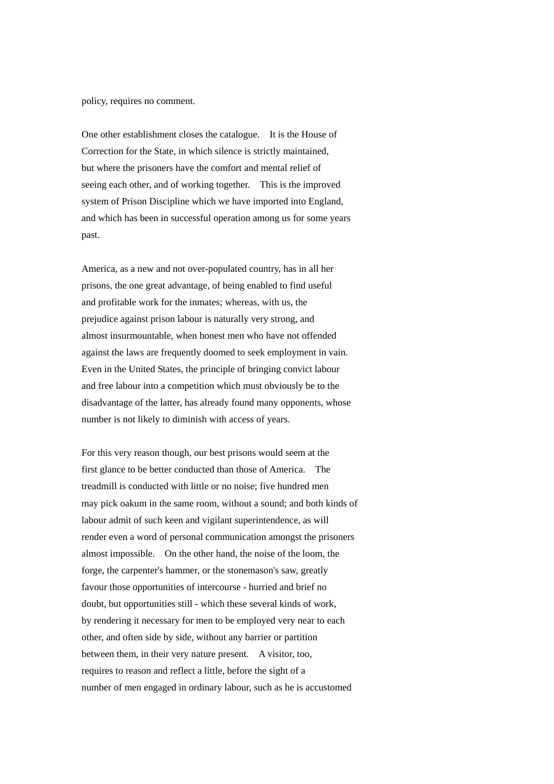policy, requires no comment.

One other establishment closes the catalogue. It is the House of Correction for the State, in which silence is strictly maintained, but where the prisoners have the comfort and mental relief of seeing each other, and of working together. This is the improved system of Prison Discipline which we have imported into England, and which has been in successful operation among us for some years past.

America, as a new and not over-populated country, has in all her prisons, the one great advantage, of being enabled to find useful and profitable work for the inmates; whereas, with us, the prejudice against prison labour is naturally very strong, and almost insurmountable, when honest men who have not offended against the laws are frequently doomed to seek employment in vain. Even in the United States, the principle of bringing convict labour and free labour into a competition which must obviously be to the disadvantage of the latter, has already found many opponents, whose number is not likely to diminish with access of years.

For this very reason though, our best prisons would seem at the first glance to be better conducted than those of America. The treadmill is conducted with little or no noise; five hundred men may pick oakum in the same room, without a sound; and both kinds of labour admit of such keen and vigilant superintendence, as will render even a word of personal communication amongst the prisoners almost impossible. On the other hand, the noise of the loom, the forge, the carpenter's hammer, or the stonemason's saw, greatly favour those opportunities of intercourse - hurried and brief no doubt, but opportunities still - which these several kinds of work, by rendering it necessary for men to be employed very near to each other, and often side by side, without any barrier or partition between them, in their very nature present. A visitor, too, requires to reason and reflect a little, before the sight of a number of men engaged in ordinary labour, such as he is accustomed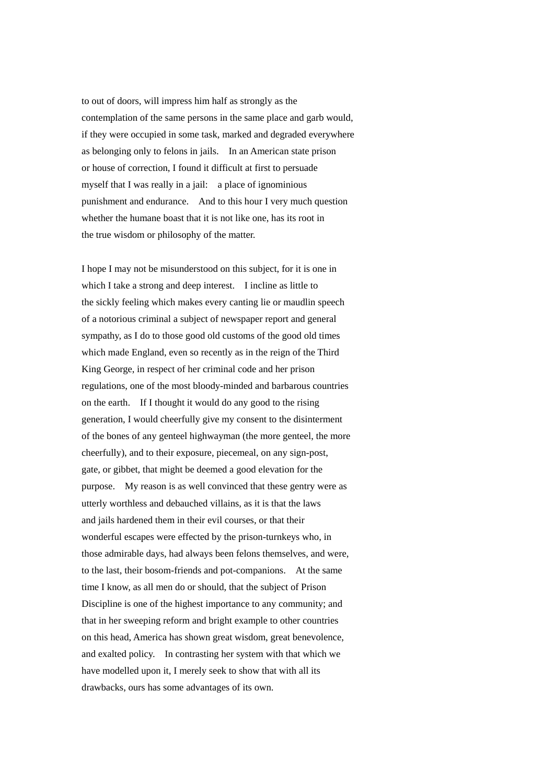to out of doors, will impress him half as strongly as the contemplation of the same persons in the same place and garb would, if they were occupied in some task, marked and degraded everywhere as belonging only to felons in jails. In an American state prison or house of correction, I found it difficult at first to persuade myself that I was really in a jail: a place of ignominious punishment and endurance. And to this hour I very much question whether the humane boast that it is not like one, has its root in the true wisdom or philosophy of the matter.

I hope I may not be misunderstood on this subject, for it is one in which I take a strong and deep interest. I incline as little to the sickly feeling which makes every canting lie or maudlin speech of a notorious criminal a subject of newspaper report and general sympathy, as I do to those good old customs of the good old times which made England, even so recently as in the reign of the Third King George, in respect of her criminal code and her prison regulations, one of the most bloody-minded and barbarous countries on the earth. If I thought it would do any good to the rising generation, I would cheerfully give my consent to the disinterment of the bones of any genteel highwayman (the more genteel, the more cheerfully), and to their exposure, piecemeal, on any sign-post, gate, or gibbet, that might be deemed a good elevation for the purpose. My reason is as well convinced that these gentry were as utterly worthless and debauched villains, as it is that the laws and jails hardened them in their evil courses, or that their wonderful escapes were effected by the prison-turnkeys who, in those admirable days, had always been felons themselves, and were, to the last, their bosom-friends and pot-companions. At the same time I know, as all men do or should, that the subject of Prison Discipline is one of the highest importance to any community; and that in her sweeping reform and bright example to other countries on this head, America has shown great wisdom, great benevolence, and exalted policy. In contrasting her system with that which we have modelled upon it, I merely seek to show that with all its drawbacks, ours has some advantages of its own.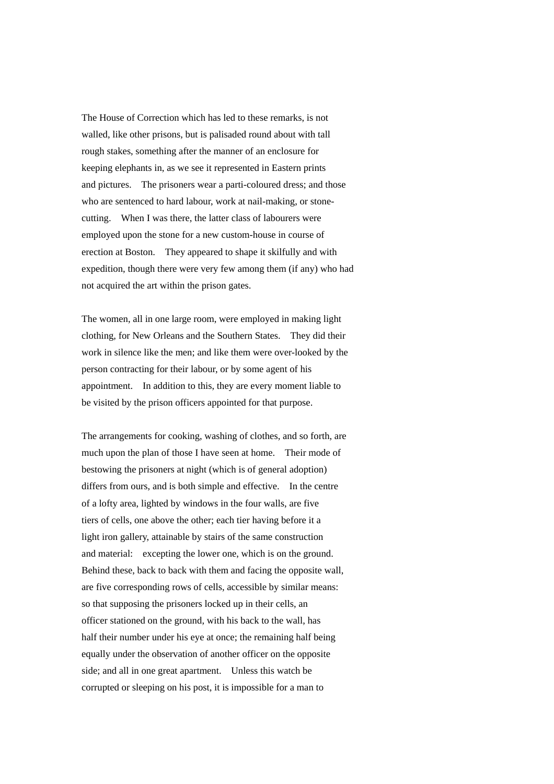The House of Correction which has led to these remarks, is not walled, like other prisons, but is palisaded round about with tall rough stakes, something after the manner of an enclosure for keeping elephants in, as we see it represented in Eastern prints and pictures. The prisoners wear a parti-coloured dress; and those who are sentenced to hard labour, work at nail-making, or stonecutting. When I was there, the latter class of labourers were employed upon the stone for a new custom-house in course of erection at Boston. They appeared to shape it skilfully and with expedition, though there were very few among them (if any) who had not acquired the art within the prison gates.

The women, all in one large room, were employed in making light clothing, for New Orleans and the Southern States. They did their work in silence like the men; and like them were over-looked by the person contracting for their labour, or by some agent of his appointment. In addition to this, they are every moment liable to be visited by the prison officers appointed for that purpose.

The arrangements for cooking, washing of clothes, and so forth, are much upon the plan of those I have seen at home. Their mode of bestowing the prisoners at night (which is of general adoption) differs from ours, and is both simple and effective. In the centre of a lofty area, lighted by windows in the four walls, are five tiers of cells, one above the other; each tier having before it a light iron gallery, attainable by stairs of the same construction and material: excepting the lower one, which is on the ground. Behind these, back to back with them and facing the opposite wall, are five corresponding rows of cells, accessible by similar means: so that supposing the prisoners locked up in their cells, an officer stationed on the ground, with his back to the wall, has half their number under his eye at once; the remaining half being equally under the observation of another officer on the opposite side; and all in one great apartment. Unless this watch be corrupted or sleeping on his post, it is impossible for a man to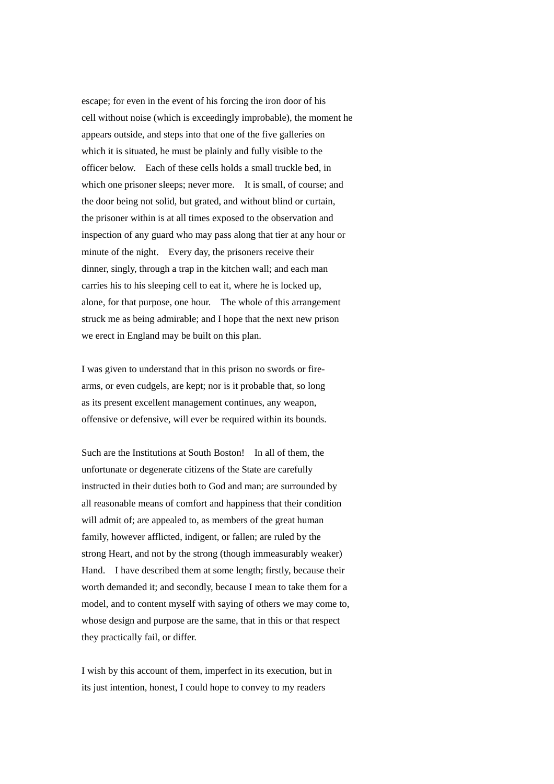escape; for even in the event of his forcing the iron door of his cell without noise (which is exceedingly improbable), the moment he appears outside, and steps into that one of the five galleries on which it is situated, he must be plainly and fully visible to the officer below. Each of these cells holds a small truckle bed, in which one prisoner sleeps; never more. It is small, of course; and the door being not solid, but grated, and without blind or curtain, the prisoner within is at all times exposed to the observation and inspection of any guard who may pass along that tier at any hour or minute of the night. Every day, the prisoners receive their dinner, singly, through a trap in the kitchen wall; and each man carries his to his sleeping cell to eat it, where he is locked up, alone, for that purpose, one hour. The whole of this arrangement struck me as being admirable; and I hope that the next new prison we erect in England may be built on this plan.

I was given to understand that in this prison no swords or firearms, or even cudgels, are kept; nor is it probable that, so long as its present excellent management continues, any weapon, offensive or defensive, will ever be required within its bounds.

Such are the Institutions at South Boston! In all of them, the unfortunate or degenerate citizens of the State are carefully instructed in their duties both to God and man; are surrounded by all reasonable means of comfort and happiness that their condition will admit of; are appealed to, as members of the great human family, however afflicted, indigent, or fallen; are ruled by the strong Heart, and not by the strong (though immeasurably weaker) Hand. I have described them at some length; firstly, because their worth demanded it; and secondly, because I mean to take them for a model, and to content myself with saying of others we may come to, whose design and purpose are the same, that in this or that respect they practically fail, or differ.

I wish by this account of them, imperfect in its execution, but in its just intention, honest, I could hope to convey to my readers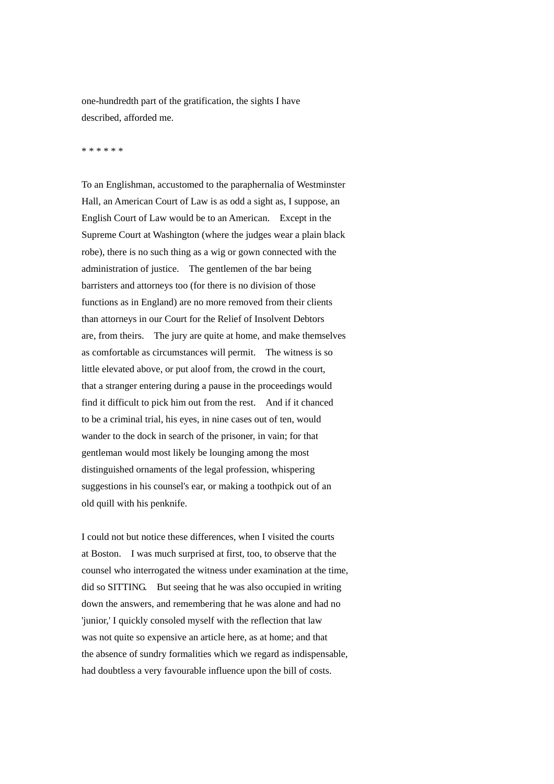one-hundredth part of the gratification, the sights I have described, afforded me.

\* \* \* \* \* \*

To an Englishman, accustomed to the paraphernalia of Westminster Hall, an American Court of Law is as odd a sight as, I suppose, an English Court of Law would be to an American. Except in the Supreme Court at Washington (where the judges wear a plain black robe), there is no such thing as a wig or gown connected with the administration of justice. The gentlemen of the bar being barristers and attorneys too (for there is no division of those functions as in England) are no more removed from their clients than attorneys in our Court for the Relief of Insolvent Debtors are, from theirs. The jury are quite at home, and make themselves as comfortable as circumstances will permit. The witness is so little elevated above, or put aloof from, the crowd in the court, that a stranger entering during a pause in the proceedings would find it difficult to pick him out from the rest. And if it chanced to be a criminal trial, his eyes, in nine cases out of ten, would wander to the dock in search of the prisoner, in vain; for that gentleman would most likely be lounging among the most distinguished ornaments of the legal profession, whispering suggestions in his counsel's ear, or making a toothpick out of an old quill with his penknife.

I could not but notice these differences, when I visited the courts at Boston. I was much surprised at first, too, to observe that the counsel who interrogated the witness under examination at the time, did so SITTING. But seeing that he was also occupied in writing down the answers, and remembering that he was alone and had no 'junior,' I quickly consoled myself with the reflection that law was not quite so expensive an article here, as at home; and that the absence of sundry formalities which we regard as indispensable, had doubtless a very favourable influence upon the bill of costs.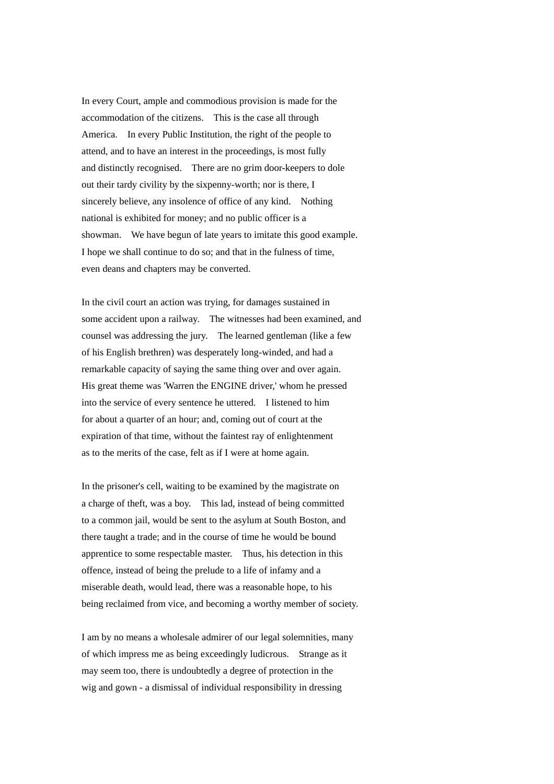In every Court, ample and commodious provision is made for the accommodation of the citizens. This is the case all through America. In every Public Institution, the right of the people to attend, and to have an interest in the proceedings, is most fully and distinctly recognised. There are no grim door-keepers to dole out their tardy civility by the sixpenny-worth; nor is there, I sincerely believe, any insolence of office of any kind. Nothing national is exhibited for money; and no public officer is a showman. We have begun of late years to imitate this good example. I hope we shall continue to do so; and that in the fulness of time, even deans and chapters may be converted.

In the civil court an action was trying, for damages sustained in some accident upon a railway. The witnesses had been examined, and counsel was addressing the jury. The learned gentleman (like a few of his English brethren) was desperately long-winded, and had a remarkable capacity of saying the same thing over and over again. His great theme was 'Warren the ENGINE driver,' whom he pressed into the service of every sentence he uttered. I listened to him for about a quarter of an hour; and, coming out of court at the expiration of that time, without the faintest ray of enlightenment as to the merits of the case, felt as if I were at home again.

In the prisoner's cell, waiting to be examined by the magistrate on a charge of theft, was a boy. This lad, instead of being committed to a common jail, would be sent to the asylum at South Boston, and there taught a trade; and in the course of time he would be bound apprentice to some respectable master. Thus, his detection in this offence, instead of being the prelude to a life of infamy and a miserable death, would lead, there was a reasonable hope, to his being reclaimed from vice, and becoming a worthy member of society.

I am by no means a wholesale admirer of our legal solemnities, many of which impress me as being exceedingly ludicrous. Strange as it may seem too, there is undoubtedly a degree of protection in the wig and gown - a dismissal of individual responsibility in dressing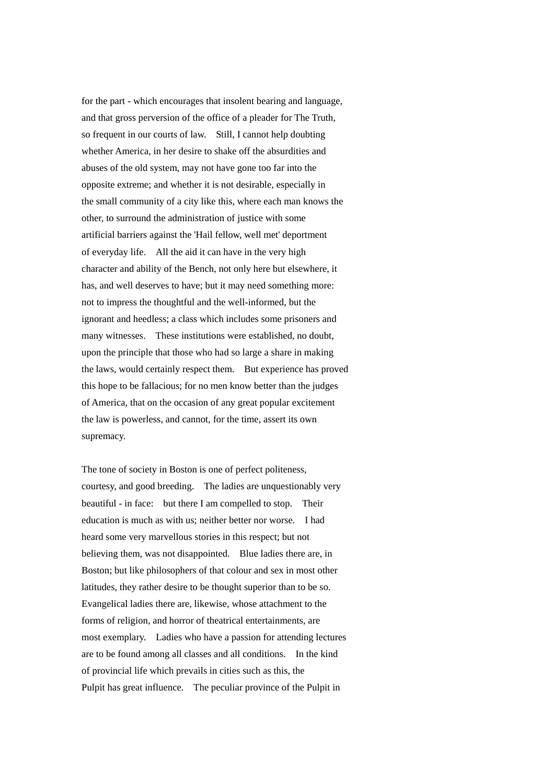for the part - which encourages that insolent bearing and language, and that gross perversion of the office of a pleader for The Truth, so frequent in our courts of law. Still, I cannot help doubting whether America, in her desire to shake off the absurdities and abuses of the old system, may not have gone too far into the opposite extreme; and whether it is not desirable, especially in the small community of a city like this, where each man knows the other, to surround the administration of justice with some artificial barriers against the 'Hail fellow, well met' deportment of everyday life. All the aid it can have in the very high character and ability of the Bench, not only here but elsewhere, it has, and well deserves to have; but it may need something more: not to impress the thoughtful and the well-informed, but the ignorant and heedless; a class which includes some prisoners and many witnesses. These institutions were established, no doubt, upon the principle that those who had so large a share in making the laws, would certainly respect them. But experience has proved this hope to be fallacious; for no men know better than the judges of America, that on the occasion of any great popular excitement the law is powerless, and cannot, for the time, assert its own supremacy.

The tone of society in Boston is one of perfect politeness, courtesy, and good breeding. The ladies are unquestionably very beautiful - in face: but there I am compelled to stop. Their education is much as with us; neither better nor worse. I had heard some very marvellous stories in this respect; but not believing them, was not disappointed. Blue ladies there are, in Boston; but like philosophers of that colour and sex in most other latitudes, they rather desire to be thought superior than to be so. Evangelical ladies there are, likewise, whose attachment to the forms of religion, and horror of theatrical entertainments, are most exemplary. Ladies who have a passion for attending lectures are to be found among all classes and all conditions. In the kind of provincial life which prevails in cities such as this, the Pulpit has great influence. The peculiar province of the Pulpit in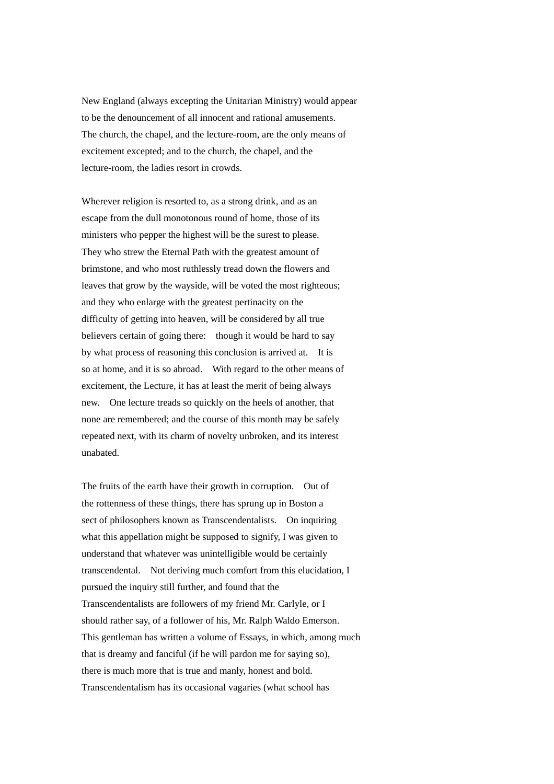New England (always excepting the Unitarian Ministry) would appear to be the denouncement of all innocent and rational amusements. The church, the chapel, and the lecture-room, are the only means of excitement excepted; and to the church, the chapel, and the lecture-room, the ladies resort in crowds.

Wherever religion is resorted to, as a strong drink, and as an escape from the dull monotonous round of home, those of its ministers who pepper the highest will be the surest to please. They who strew the Eternal Path with the greatest amount of brimstone, and who most ruthlessly tread down the flowers and leaves that grow by the wayside, will be voted the most righteous; and they who enlarge with the greatest pertinacity on the difficulty of getting into heaven, will be considered by all true believers certain of going there: though it would be hard to say by what process of reasoning this conclusion is arrived at. It is so at home, and it is so abroad. With regard to the other means of excitement, the Lecture, it has at least the merit of being always new. One lecture treads so quickly on the heels of another, that none are remembered; and the course of this month may be safely repeated next, with its charm of novelty unbroken, and its interest unabated.

The fruits of the earth have their growth in corruption. Out of the rottenness of these things, there has sprung up in Boston a sect of philosophers known as Transcendentalists. On inquiring what this appellation might be supposed to signify, I was given to understand that whatever was unintelligible would be certainly transcendental. Not deriving much comfort from this elucidation, I pursued the inquiry still further, and found that the Transcendentalists are followers of my friend Mr. Carlyle, or I should rather say, of a follower of his, Mr. Ralph Waldo Emerson. This gentleman has written a volume of Essays, in which, among much that is dreamy and fanciful (if he will pardon me for saying so), there is much more that is true and manly, honest and bold. Transcendentalism has its occasional vagaries (what school has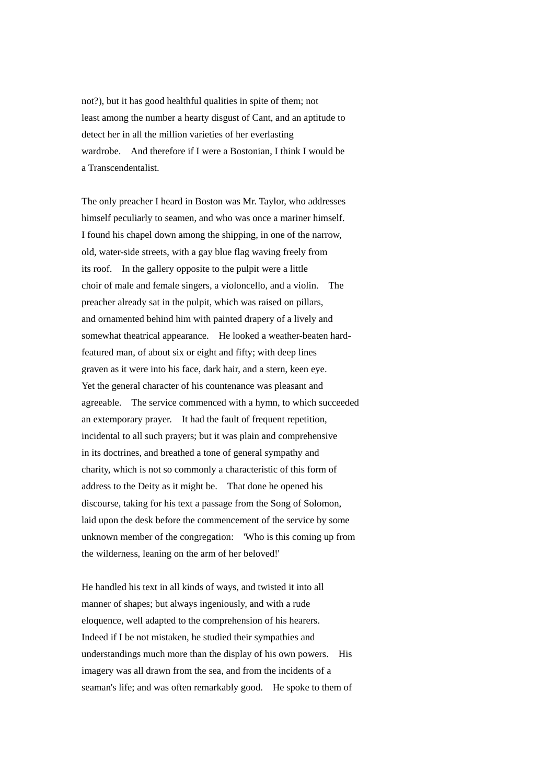not?), but it has good healthful qualities in spite of them; not least among the number a hearty disgust of Cant, and an aptitude to detect her in all the million varieties of her everlasting wardrobe. And therefore if I were a Bostonian, I think I would be a Transcendentalist.

The only preacher I heard in Boston was Mr. Taylor, who addresses himself peculiarly to seamen, and who was once a mariner himself. I found his chapel down among the shipping, in one of the narrow, old, water-side streets, with a gay blue flag waving freely from its roof. In the gallery opposite to the pulpit were a little choir of male and female singers, a violoncello, and a violin. The preacher already sat in the pulpit, which was raised on pillars, and ornamented behind him with painted drapery of a lively and somewhat theatrical appearance. He looked a weather-beaten hardfeatured man, of about six or eight and fifty; with deep lines graven as it were into his face, dark hair, and a stern, keen eye. Yet the general character of his countenance was pleasant and agreeable. The service commenced with a hymn, to which succeeded an extemporary prayer. It had the fault of frequent repetition, incidental to all such prayers; but it was plain and comprehensive in its doctrines, and breathed a tone of general sympathy and charity, which is not so commonly a characteristic of this form of address to the Deity as it might be. That done he opened his discourse, taking for his text a passage from the Song of Solomon, laid upon the desk before the commencement of the service by some unknown member of the congregation: 'Who is this coming up from the wilderness, leaning on the arm of her beloved!'

He handled his text in all kinds of ways, and twisted it into all manner of shapes; but always ingeniously, and with a rude eloquence, well adapted to the comprehension of his hearers. Indeed if I be not mistaken, he studied their sympathies and understandings much more than the display of his own powers. His imagery was all drawn from the sea, and from the incidents of a seaman's life; and was often remarkably good. He spoke to them of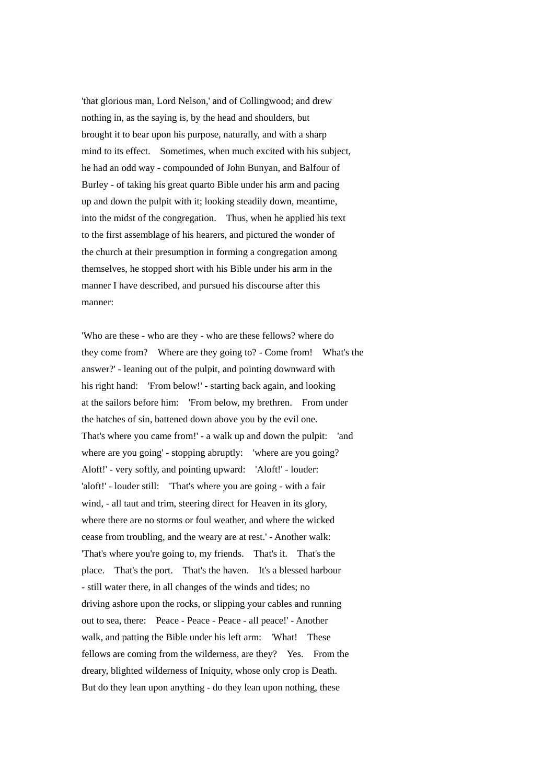'that glorious man, Lord Nelson,' and of Collingwood; and drew nothing in, as the saying is, by the head and shoulders, but brought it to bear upon his purpose, naturally, and with a sharp mind to its effect. Sometimes, when much excited with his subject, he had an odd way - compounded of John Bunyan, and Balfour of Burley - of taking his great quarto Bible under his arm and pacing up and down the pulpit with it; looking steadily down, meantime, into the midst of the congregation. Thus, when he applied his text to the first assemblage of his hearers, and pictured the wonder of the church at their presumption in forming a congregation among themselves, he stopped short with his Bible under his arm in the manner I have described, and pursued his discourse after this manner:

'Who are these - who are they - who are these fellows? where do they come from? Where are they going to? - Come from! What's the answer?' - leaning out of the pulpit, and pointing downward with his right hand: 'From below!' - starting back again, and looking at the sailors before him: 'From below, my brethren. From under the hatches of sin, battened down above you by the evil one. That's where you came from!' - a walk up and down the pulpit: 'and where are you going' - stopping abruptly: 'where are you going? Aloft!' - very softly, and pointing upward: 'Aloft!' - louder: 'aloft!' - louder still: 'That's where you are going - with a fair wind, - all taut and trim, steering direct for Heaven in its glory, where there are no storms or foul weather, and where the wicked cease from troubling, and the weary are at rest.' - Another walk: 'That's where you're going to, my friends. That's it. That's the place. That's the port. That's the haven. It's a blessed harbour - still water there, in all changes of the winds and tides; no driving ashore upon the rocks, or slipping your cables and running out to sea, there: Peace - Peace - Peace - all peace!' - Another walk, and patting the Bible under his left arm: 'What! These fellows are coming from the wilderness, are they? Yes. From the dreary, blighted wilderness of Iniquity, whose only crop is Death. But do they lean upon anything - do they lean upon nothing, these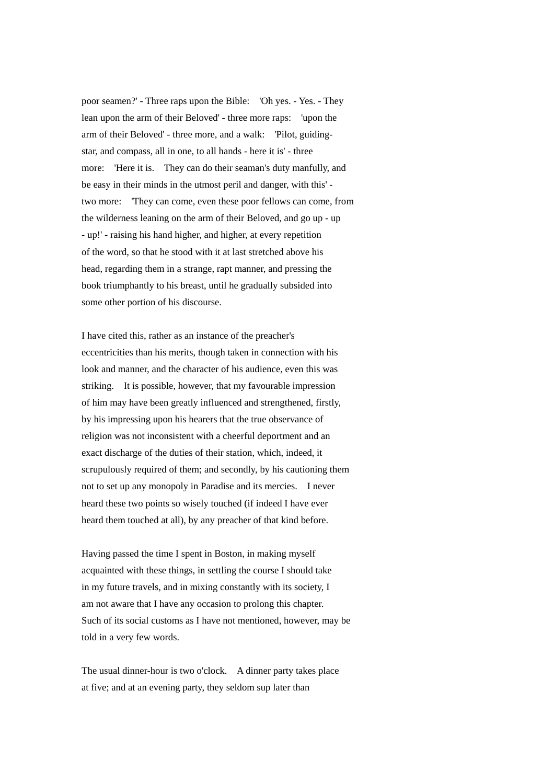poor seamen?' - Three raps upon the Bible: 'Oh yes. - Yes. - They lean upon the arm of their Beloved' - three more raps: 'upon the arm of their Beloved' - three more, and a walk: 'Pilot, guidingstar, and compass, all in one, to all hands - here it is' - three more: 'Here it is. They can do their seaman's duty manfully, and be easy in their minds in the utmost peril and danger, with this' two more: 'They can come, even these poor fellows can come, from the wilderness leaning on the arm of their Beloved, and go up - up - up!' - raising his hand higher, and higher, at every repetition of the word, so that he stood with it at last stretched above his head, regarding them in a strange, rapt manner, and pressing the book triumphantly to his breast, until he gradually subsided into some other portion of his discourse.

I have cited this, rather as an instance of the preacher's eccentricities than his merits, though taken in connection with his look and manner, and the character of his audience, even this was striking. It is possible, however, that my favourable impression of him may have been greatly influenced and strengthened, firstly, by his impressing upon his hearers that the true observance of religion was not inconsistent with a cheerful deportment and an exact discharge of the duties of their station, which, indeed, it scrupulously required of them; and secondly, by his cautioning them not to set up any monopoly in Paradise and its mercies. I never heard these two points so wisely touched (if indeed I have ever heard them touched at all), by any preacher of that kind before.

Having passed the time I spent in Boston, in making myself acquainted with these things, in settling the course I should take in my future travels, and in mixing constantly with its society, I am not aware that I have any occasion to prolong this chapter. Such of its social customs as I have not mentioned, however, may be told in a very few words.

The usual dinner-hour is two o'clock. A dinner party takes place at five; and at an evening party, they seldom sup later than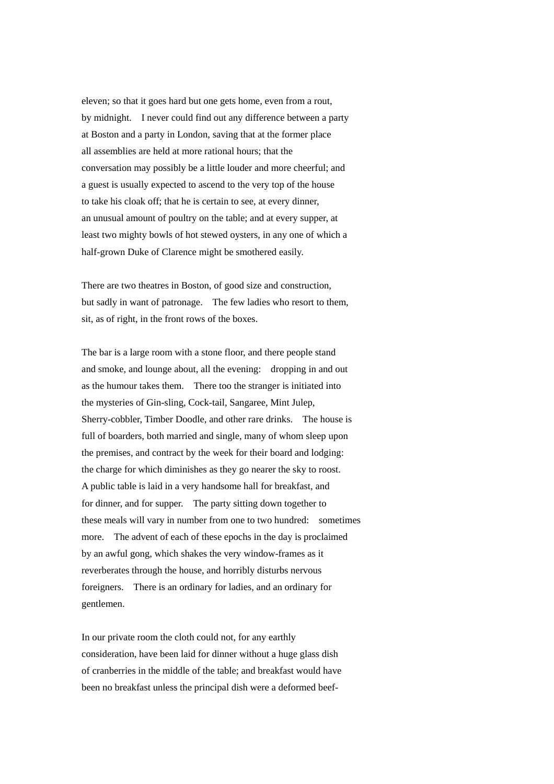eleven; so that it goes hard but one gets home, even from a rout, by midnight. I never could find out any difference between a party at Boston and a party in London, saving that at the former place all assemblies are held at more rational hours; that the conversation may possibly be a little louder and more cheerful; and a guest is usually expected to ascend to the very top of the house to take his cloak off; that he is certain to see, at every dinner, an unusual amount of poultry on the table; and at every supper, at least two mighty bowls of hot stewed oysters, in any one of which a half-grown Duke of Clarence might be smothered easily.

There are two theatres in Boston, of good size and construction, but sadly in want of patronage. The few ladies who resort to them, sit, as of right, in the front rows of the boxes.

The bar is a large room with a stone floor, and there people stand and smoke, and lounge about, all the evening: dropping in and out as the humour takes them. There too the stranger is initiated into the mysteries of Gin-sling, Cock-tail, Sangaree, Mint Julep, Sherry-cobbler, Timber Doodle, and other rare drinks. The house is full of boarders, both married and single, many of whom sleep upon the premises, and contract by the week for their board and lodging: the charge for which diminishes as they go nearer the sky to roost. A public table is laid in a very handsome hall for breakfast, and for dinner, and for supper. The party sitting down together to these meals will vary in number from one to two hundred: sometimes more. The advent of each of these epochs in the day is proclaimed by an awful gong, which shakes the very window-frames as it reverberates through the house, and horribly disturbs nervous foreigners. There is an ordinary for ladies, and an ordinary for gentlemen.

In our private room the cloth could not, for any earthly consideration, have been laid for dinner without a huge glass dish of cranberries in the middle of the table; and breakfast would have been no breakfast unless the principal dish were a deformed beef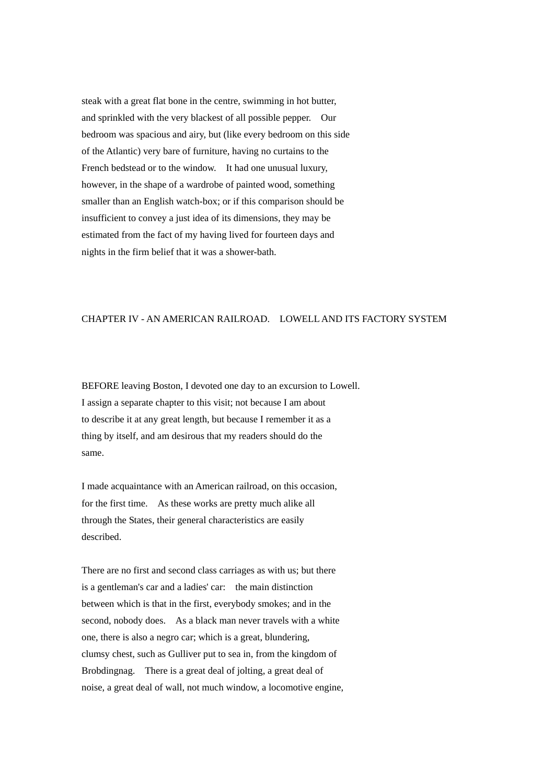steak with a great flat bone in the centre, swimming in hot butter, and sprinkled with the very blackest of all possible pepper. Our bedroom was spacious and airy, but (like every bedroom on this side of the Atlantic) very bare of furniture, having no curtains to the French bedstead or to the window. It had one unusual luxury, however, in the shape of a wardrobe of painted wood, something smaller than an English watch-box; or if this comparison should be insufficient to convey a just idea of its dimensions, they may be estimated from the fact of my having lived for fourteen days and nights in the firm belief that it was a shower-bath.

## CHAPTER IV - AN AMERICAN RAILROAD. LOWELL AND ITS FACTORY SYSTEM

BEFORE leaving Boston, I devoted one day to an excursion to Lowell. I assign a separate chapter to this visit; not because I am about to describe it at any great length, but because I remember it as a thing by itself, and am desirous that my readers should do the same.

I made acquaintance with an American railroad, on this occasion, for the first time. As these works are pretty much alike all through the States, their general characteristics are easily described.

There are no first and second class carriages as with us; but there is a gentleman's car and a ladies' car: the main distinction between which is that in the first, everybody smokes; and in the second, nobody does. As a black man never travels with a white one, there is also a negro car; which is a great, blundering, clumsy chest, such as Gulliver put to sea in, from the kingdom of Brobdingnag. There is a great deal of jolting, a great deal of noise, a great deal of wall, not much window, a locomotive engine,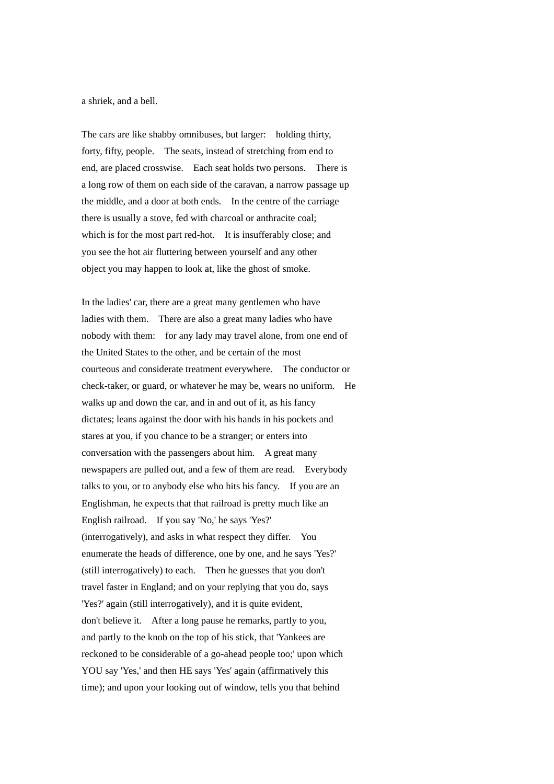a shriek, and a bell.

The cars are like shabby omnibuses, but larger: holding thirty, forty, fifty, people. The seats, instead of stretching from end to end, are placed crosswise. Each seat holds two persons. There is a long row of them on each side of the caravan, a narrow passage up the middle, and a door at both ends. In the centre of the carriage there is usually a stove, fed with charcoal or anthracite coal; which is for the most part red-hot. It is insufferably close; and you see the hot air fluttering between yourself and any other object you may happen to look at, like the ghost of smoke.

In the ladies' car, there are a great many gentlemen who have ladies with them. There are also a great many ladies who have nobody with them: for any lady may travel alone, from one end of the United States to the other, and be certain of the most courteous and considerate treatment everywhere. The conductor or check-taker, or guard, or whatever he may be, wears no uniform. He walks up and down the car, and in and out of it, as his fancy dictates; leans against the door with his hands in his pockets and stares at you, if you chance to be a stranger; or enters into conversation with the passengers about him. A great many newspapers are pulled out, and a few of them are read. Everybody talks to you, or to anybody else who hits his fancy. If you are an Englishman, he expects that that railroad is pretty much like an English railroad. If you say 'No,' he says 'Yes?' (interrogatively), and asks in what respect they differ. You enumerate the heads of difference, one by one, and he says 'Yes?' (still interrogatively) to each. Then he guesses that you don't travel faster in England; and on your replying that you do, says 'Yes?' again (still interrogatively), and it is quite evident, don't believe it. After a long pause he remarks, partly to you, and partly to the knob on the top of his stick, that 'Yankees are reckoned to be considerable of a go-ahead people too;' upon which YOU say 'Yes,' and then HE says 'Yes' again (affirmatively this time); and upon your looking out of window, tells you that behind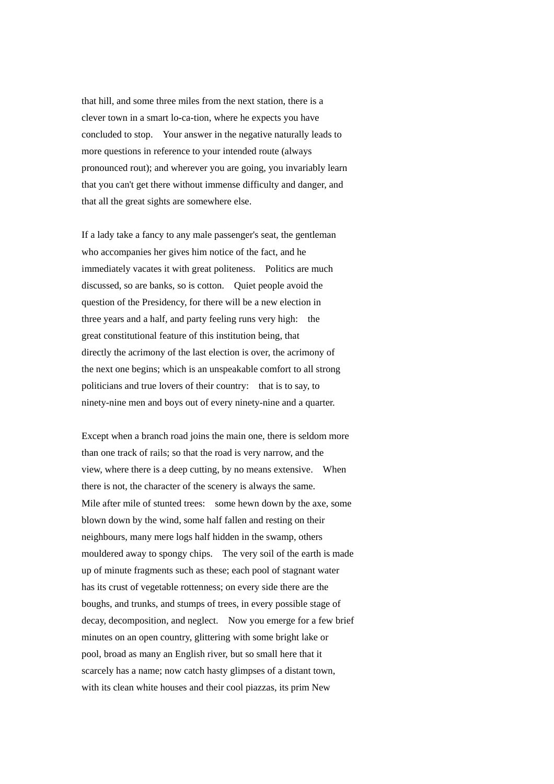that hill, and some three miles from the next station, there is a clever town in a smart lo-ca-tion, where he expects you have concluded to stop. Your answer in the negative naturally leads to more questions in reference to your intended route (always pronounced rout); and wherever you are going, you invariably learn that you can't get there without immense difficulty and danger, and that all the great sights are somewhere else.

If a lady take a fancy to any male passenger's seat, the gentleman who accompanies her gives him notice of the fact, and he immediately vacates it with great politeness. Politics are much discussed, so are banks, so is cotton. Quiet people avoid the question of the Presidency, for there will be a new election in three years and a half, and party feeling runs very high: the great constitutional feature of this institution being, that directly the acrimony of the last election is over, the acrimony of the next one begins; which is an unspeakable comfort to all strong politicians and true lovers of their country: that is to say, to ninety-nine men and boys out of every ninety-nine and a quarter.

Except when a branch road joins the main one, there is seldom more than one track of rails; so that the road is very narrow, and the view, where there is a deep cutting, by no means extensive. When there is not, the character of the scenery is always the same. Mile after mile of stunted trees: some hewn down by the axe, some blown down by the wind, some half fallen and resting on their neighbours, many mere logs half hidden in the swamp, others mouldered away to spongy chips. The very soil of the earth is made up of minute fragments such as these; each pool of stagnant water has its crust of vegetable rottenness; on every side there are the boughs, and trunks, and stumps of trees, in every possible stage of decay, decomposition, and neglect. Now you emerge for a few brief minutes on an open country, glittering with some bright lake or pool, broad as many an English river, but so small here that it scarcely has a name; now catch hasty glimpses of a distant town, with its clean white houses and their cool piazzas, its prim New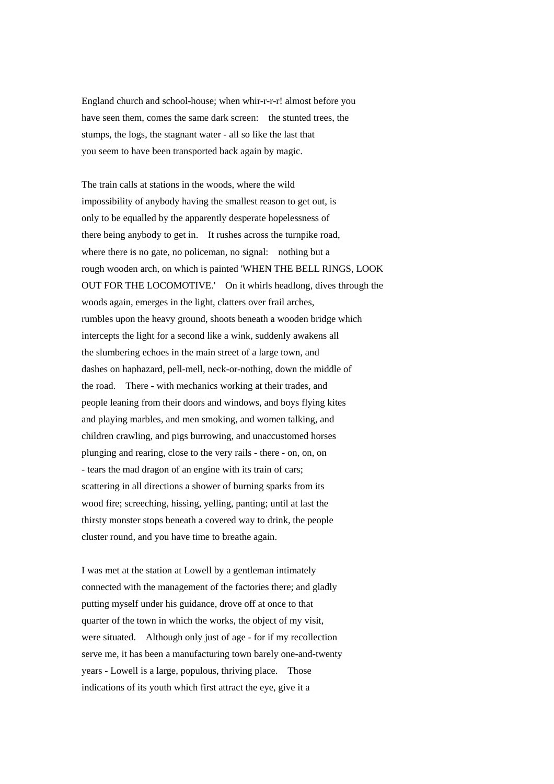England church and school-house; when whir-r-r-r! almost before you have seen them, comes the same dark screen: the stunted trees, the stumps, the logs, the stagnant water - all so like the last that you seem to have been transported back again by magic.

The train calls at stations in the woods, where the wild impossibility of anybody having the smallest reason to get out, is only to be equalled by the apparently desperate hopelessness of there being anybody to get in. It rushes across the turnpike road, where there is no gate, no policeman, no signal: nothing but a rough wooden arch, on which is painted 'WHEN THE BELL RINGS, LOOK OUT FOR THE LOCOMOTIVE.' On it whirls headlong, dives through the woods again, emerges in the light, clatters over frail arches, rumbles upon the heavy ground, shoots beneath a wooden bridge which intercepts the light for a second like a wink, suddenly awakens all the slumbering echoes in the main street of a large town, and dashes on haphazard, pell-mell, neck-or-nothing, down the middle of the road. There - with mechanics working at their trades, and people leaning from their doors and windows, and boys flying kites and playing marbles, and men smoking, and women talking, and children crawling, and pigs burrowing, and unaccustomed horses plunging and rearing, close to the very rails - there - on, on, on - tears the mad dragon of an engine with its train of cars; scattering in all directions a shower of burning sparks from its wood fire; screeching, hissing, yelling, panting; until at last the thirsty monster stops beneath a covered way to drink, the people cluster round, and you have time to breathe again.

I was met at the station at Lowell by a gentleman intimately connected with the management of the factories there; and gladly putting myself under his guidance, drove off at once to that quarter of the town in which the works, the object of my visit, were situated. Although only just of age - for if my recollection serve me, it has been a manufacturing town barely one-and-twenty years - Lowell is a large, populous, thriving place. Those indications of its youth which first attract the eye, give it a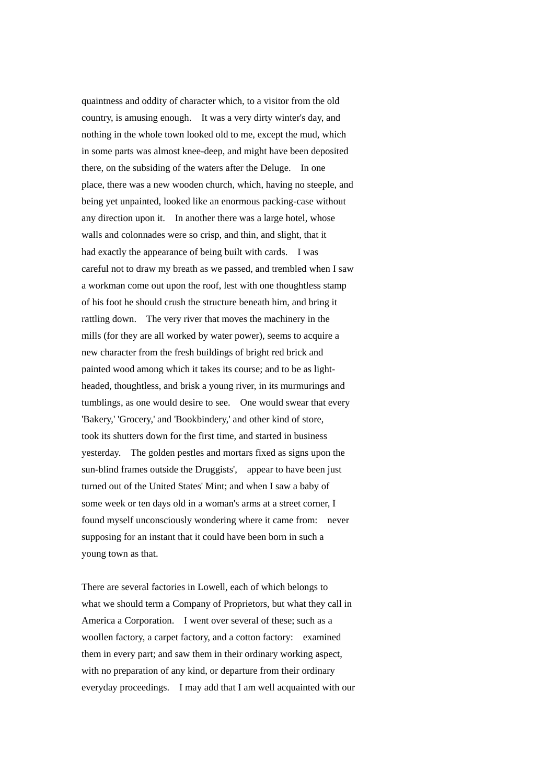quaintness and oddity of character which, to a visitor from the old country, is amusing enough. It was a very dirty winter's day, and nothing in the whole town looked old to me, except the mud, which in some parts was almost knee-deep, and might have been deposited there, on the subsiding of the waters after the Deluge. In one place, there was a new wooden church, which, having no steeple, and being yet unpainted, looked like an enormous packing-case without any direction upon it. In another there was a large hotel, whose walls and colonnades were so crisp, and thin, and slight, that it had exactly the appearance of being built with cards. I was careful not to draw my breath as we passed, and trembled when I saw a workman come out upon the roof, lest with one thoughtless stamp of his foot he should crush the structure beneath him, and bring it rattling down. The very river that moves the machinery in the mills (for they are all worked by water power), seems to acquire a new character from the fresh buildings of bright red brick and painted wood among which it takes its course; and to be as lightheaded, thoughtless, and brisk a young river, in its murmurings and tumblings, as one would desire to see. One would swear that every 'Bakery,' 'Grocery,' and 'Bookbindery,' and other kind of store, took its shutters down for the first time, and started in business yesterday. The golden pestles and mortars fixed as signs upon the sun-blind frames outside the Druggists', appear to have been just turned out of the United States' Mint; and when I saw a baby of some week or ten days old in a woman's arms at a street corner, I found myself unconsciously wondering where it came from: never supposing for an instant that it could have been born in such a young town as that.

There are several factories in Lowell, each of which belongs to what we should term a Company of Proprietors, but what they call in America a Corporation. I went over several of these; such as a woollen factory, a carpet factory, and a cotton factory: examined them in every part; and saw them in their ordinary working aspect, with no preparation of any kind, or departure from their ordinary everyday proceedings. I may add that I am well acquainted with our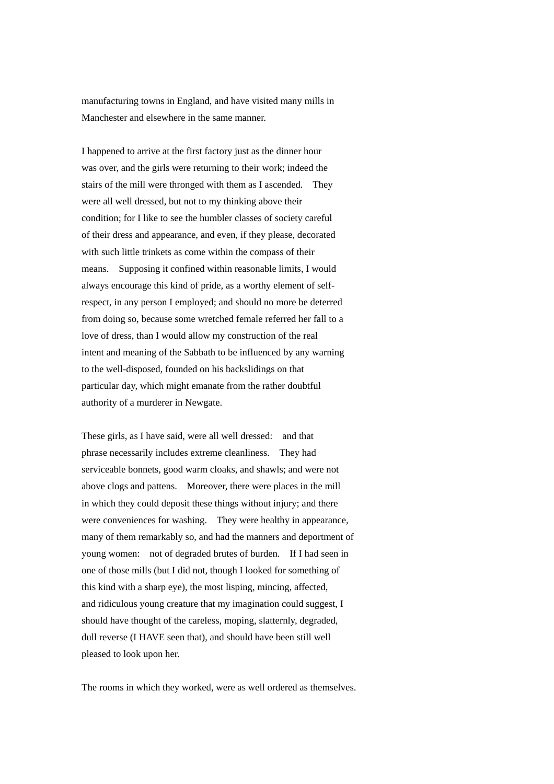manufacturing towns in England, and have visited many mills in Manchester and elsewhere in the same manner.

I happened to arrive at the first factory just as the dinner hour was over, and the girls were returning to their work; indeed the stairs of the mill were thronged with them as I ascended. They were all well dressed, but not to my thinking above their condition; for I like to see the humbler classes of society careful of their dress and appearance, and even, if they please, decorated with such little trinkets as come within the compass of their means. Supposing it confined within reasonable limits, I would always encourage this kind of pride, as a worthy element of selfrespect, in any person I employed; and should no more be deterred from doing so, because some wretched female referred her fall to a love of dress, than I would allow my construction of the real intent and meaning of the Sabbath to be influenced by any warning to the well-disposed, founded on his backslidings on that particular day, which might emanate from the rather doubtful authority of a murderer in Newgate.

These girls, as I have said, were all well dressed: and that phrase necessarily includes extreme cleanliness. They had serviceable bonnets, good warm cloaks, and shawls; and were not above clogs and pattens. Moreover, there were places in the mill in which they could deposit these things without injury; and there were conveniences for washing. They were healthy in appearance, many of them remarkably so, and had the manners and deportment of young women: not of degraded brutes of burden. If I had seen in one of those mills (but I did not, though I looked for something of this kind with a sharp eye), the most lisping, mincing, affected, and ridiculous young creature that my imagination could suggest, I should have thought of the careless, moping, slatternly, degraded, dull reverse (I HAVE seen that), and should have been still well pleased to look upon her.

The rooms in which they worked, were as well ordered as themselves.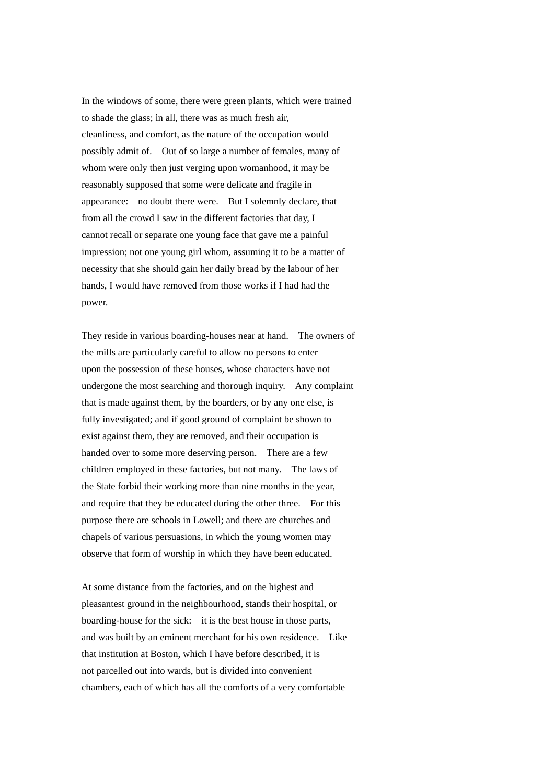In the windows of some, there were green plants, which were trained to shade the glass; in all, there was as much fresh air, cleanliness, and comfort, as the nature of the occupation would possibly admit of. Out of so large a number of females, many of whom were only then just verging upon womanhood, it may be reasonably supposed that some were delicate and fragile in appearance: no doubt there were. But I solemnly declare, that from all the crowd I saw in the different factories that day, I cannot recall or separate one young face that gave me a painful impression; not one young girl whom, assuming it to be a matter of necessity that she should gain her daily bread by the labour of her hands, I would have removed from those works if I had had the power.

They reside in various boarding-houses near at hand. The owners of the mills are particularly careful to allow no persons to enter upon the possession of these houses, whose characters have not undergone the most searching and thorough inquiry. Any complaint that is made against them, by the boarders, or by any one else, is fully investigated; and if good ground of complaint be shown to exist against them, they are removed, and their occupation is handed over to some more deserving person. There are a few children employed in these factories, but not many. The laws of the State forbid their working more than nine months in the year, and require that they be educated during the other three. For this purpose there are schools in Lowell; and there are churches and chapels of various persuasions, in which the young women may observe that form of worship in which they have been educated.

At some distance from the factories, and on the highest and pleasantest ground in the neighbourhood, stands their hospital, or boarding-house for the sick: it is the best house in those parts, and was built by an eminent merchant for his own residence. Like that institution at Boston, which I have before described, it is not parcelled out into wards, but is divided into convenient chambers, each of which has all the comforts of a very comfortable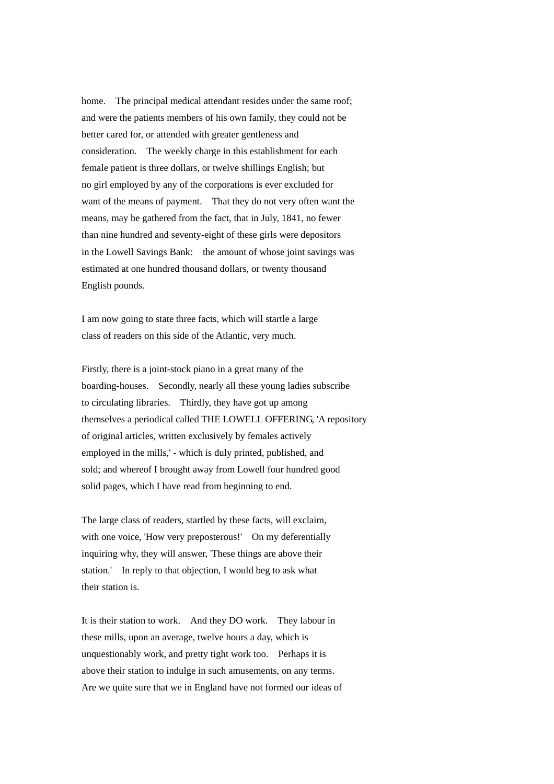home. The principal medical attendant resides under the same roof: and were the patients members of his own family, they could not be better cared for, or attended with greater gentleness and consideration. The weekly charge in this establishment for each female patient is three dollars, or twelve shillings English; but no girl employed by any of the corporations is ever excluded for want of the means of payment. That they do not very often want the means, may be gathered from the fact, that in July, 1841, no fewer than nine hundred and seventy-eight of these girls were depositors in the Lowell Savings Bank: the amount of whose joint savings was estimated at one hundred thousand dollars, or twenty thousand English pounds.

I am now going to state three facts, which will startle a large class of readers on this side of the Atlantic, very much.

Firstly, there is a joint-stock piano in a great many of the boarding-houses. Secondly, nearly all these young ladies subscribe to circulating libraries. Thirdly, they have got up among themselves a periodical called THE LOWELL OFFERING, 'A repository of original articles, written exclusively by females actively employed in the mills,' - which is duly printed, published, and sold; and whereof I brought away from Lowell four hundred good solid pages, which I have read from beginning to end.

The large class of readers, startled by these facts, will exclaim, with one voice, 'How very preposterous!' On my deferentially inquiring why, they will answer, 'These things are above their station.' In reply to that objection, I would beg to ask what their station is.

It is their station to work. And they DO work. They labour in these mills, upon an average, twelve hours a day, which is unquestionably work, and pretty tight work too. Perhaps it is above their station to indulge in such amusements, on any terms. Are we quite sure that we in England have not formed our ideas of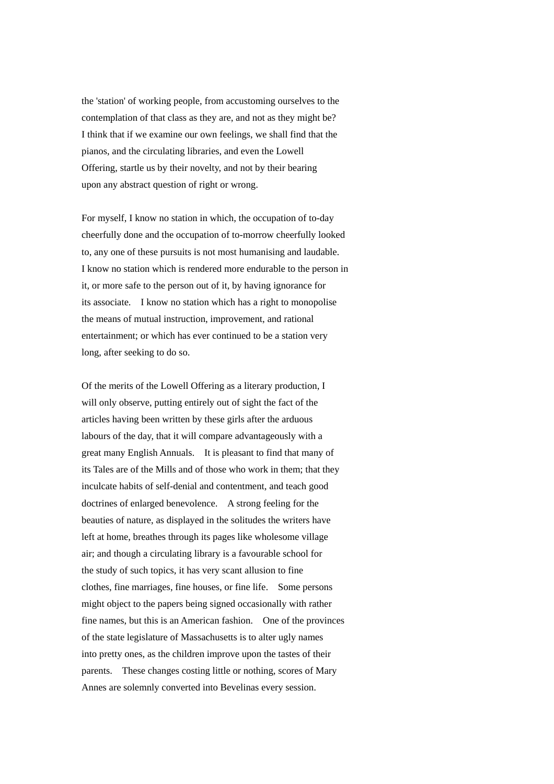the 'station' of working people, from accustoming ourselves to the contemplation of that class as they are, and not as they might be? I think that if we examine our own feelings, we shall find that the pianos, and the circulating libraries, and even the Lowell Offering, startle us by their novelty, and not by their bearing upon any abstract question of right or wrong.

For myself, I know no station in which, the occupation of to-day cheerfully done and the occupation of to-morrow cheerfully looked to, any one of these pursuits is not most humanising and laudable. I know no station which is rendered more endurable to the person in it, or more safe to the person out of it, by having ignorance for its associate. I know no station which has a right to monopolise the means of mutual instruction, improvement, and rational entertainment; or which has ever continued to be a station very long, after seeking to do so.

Of the merits of the Lowell Offering as a literary production, I will only observe, putting entirely out of sight the fact of the articles having been written by these girls after the arduous labours of the day, that it will compare advantageously with a great many English Annuals. It is pleasant to find that many of its Tales are of the Mills and of those who work in them; that they inculcate habits of self-denial and contentment, and teach good doctrines of enlarged benevolence. A strong feeling for the beauties of nature, as displayed in the solitudes the writers have left at home, breathes through its pages like wholesome village air; and though a circulating library is a favourable school for the study of such topics, it has very scant allusion to fine clothes, fine marriages, fine houses, or fine life. Some persons might object to the papers being signed occasionally with rather fine names, but this is an American fashion. One of the provinces of the state legislature of Massachusetts is to alter ugly names into pretty ones, as the children improve upon the tastes of their parents. These changes costing little or nothing, scores of Mary Annes are solemnly converted into Bevelinas every session.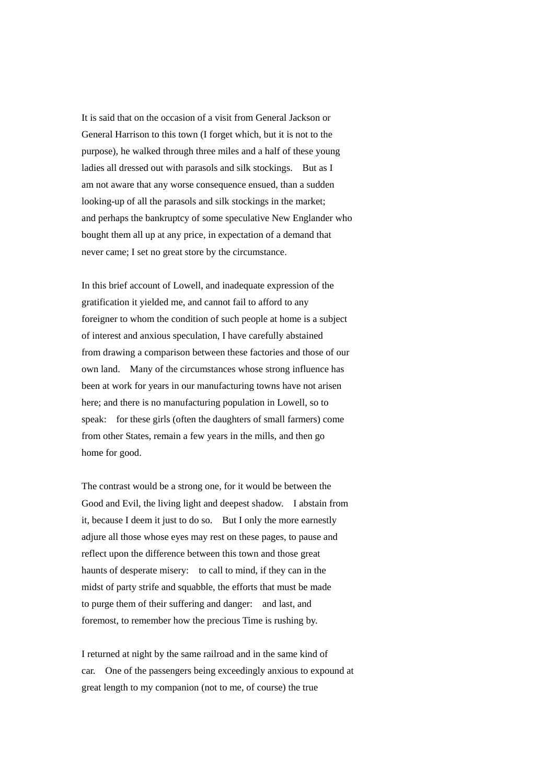It is said that on the occasion of a visit from General Jackson or General Harrison to this town (I forget which, but it is not to the purpose), he walked through three miles and a half of these young ladies all dressed out with parasols and silk stockings. But as I am not aware that any worse consequence ensued, than a sudden looking-up of all the parasols and silk stockings in the market; and perhaps the bankruptcy of some speculative New Englander who bought them all up at any price, in expectation of a demand that never came; I set no great store by the circumstance.

In this brief account of Lowell, and inadequate expression of the gratification it yielded me, and cannot fail to afford to any foreigner to whom the condition of such people at home is a subject of interest and anxious speculation, I have carefully abstained from drawing a comparison between these factories and those of our own land. Many of the circumstances whose strong influence has been at work for years in our manufacturing towns have not arisen here; and there is no manufacturing population in Lowell, so to speak: for these girls (often the daughters of small farmers) come from other States, remain a few years in the mills, and then go home for good.

The contrast would be a strong one, for it would be between the Good and Evil, the living light and deepest shadow. I abstain from it, because I deem it just to do so. But I only the more earnestly adjure all those whose eyes may rest on these pages, to pause and reflect upon the difference between this town and those great haunts of desperate misery: to call to mind, if they can in the midst of party strife and squabble, the efforts that must be made to purge them of their suffering and danger: and last, and foremost, to remember how the precious Time is rushing by.

I returned at night by the same railroad and in the same kind of car. One of the passengers being exceedingly anxious to expound at great length to my companion (not to me, of course) the true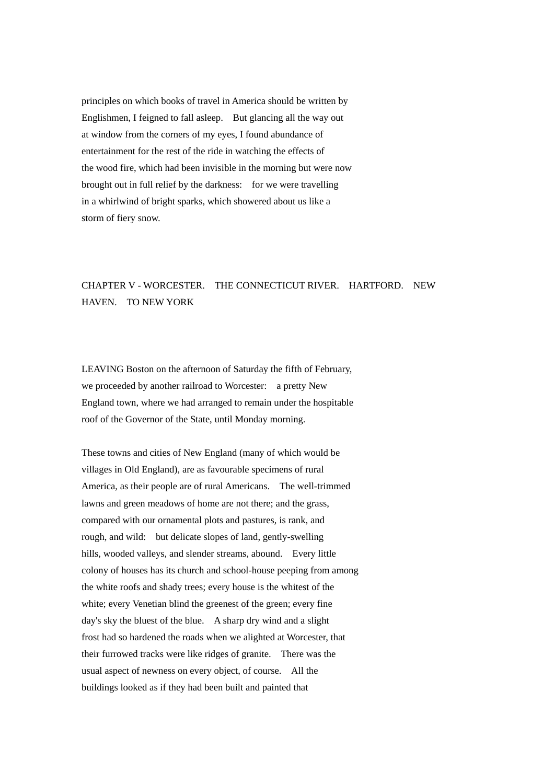principles on which books of travel in America should be written by Englishmen, I feigned to fall asleep. But glancing all the way out at window from the corners of my eyes, I found abundance of entertainment for the rest of the ride in watching the effects of the wood fire, which had been invisible in the morning but were now brought out in full relief by the darkness: for we were travelling in a whirlwind of bright sparks, which showered about us like a storm of fiery snow.

## CHAPTER V - WORCESTER. THE CONNECTICUT RIVER. HARTFORD. NEW HAVEN. TO NEW YORK

LEAVING Boston on the afternoon of Saturday the fifth of February, we proceeded by another railroad to Worcester: a pretty New England town, where we had arranged to remain under the hospitable roof of the Governor of the State, until Monday morning.

These towns and cities of New England (many of which would be villages in Old England), are as favourable specimens of rural America, as their people are of rural Americans. The well-trimmed lawns and green meadows of home are not there; and the grass, compared with our ornamental plots and pastures, is rank, and rough, and wild: but delicate slopes of land, gently-swelling hills, wooded valleys, and slender streams, abound. Every little colony of houses has its church and school-house peeping from among the white roofs and shady trees; every house is the whitest of the white; every Venetian blind the greenest of the green; every fine day's sky the bluest of the blue. A sharp dry wind and a slight frost had so hardened the roads when we alighted at Worcester, that their furrowed tracks were like ridges of granite. There was the usual aspect of newness on every object, of course. All the buildings looked as if they had been built and painted that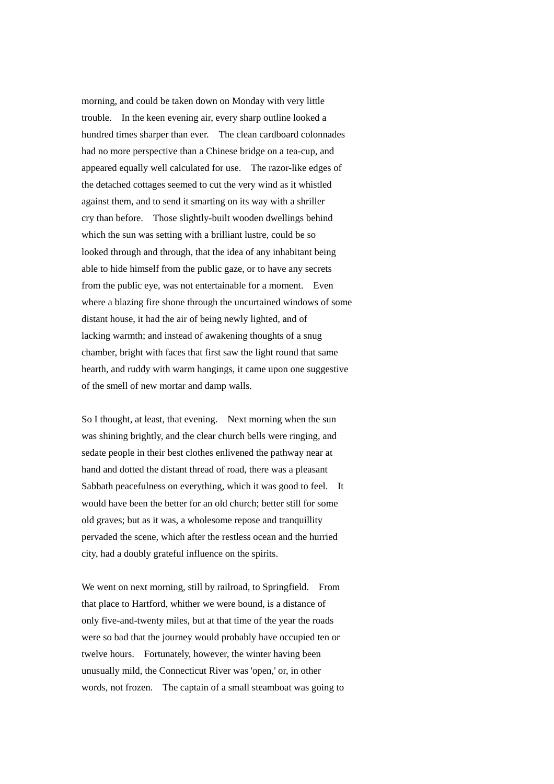morning, and could be taken down on Monday with very little trouble. In the keen evening air, every sharp outline looked a hundred times sharper than ever. The clean cardboard colonnades had no more perspective than a Chinese bridge on a tea-cup, and appeared equally well calculated for use. The razor-like edges of the detached cottages seemed to cut the very wind as it whistled against them, and to send it smarting on its way with a shriller cry than before. Those slightly-built wooden dwellings behind which the sun was setting with a brilliant lustre, could be so looked through and through, that the idea of any inhabitant being able to hide himself from the public gaze, or to have any secrets from the public eye, was not entertainable for a moment. Even where a blazing fire shone through the uncurtained windows of some distant house, it had the air of being newly lighted, and of lacking warmth; and instead of awakening thoughts of a snug chamber, bright with faces that first saw the light round that same hearth, and ruddy with warm hangings, it came upon one suggestive of the smell of new mortar and damp walls.

So I thought, at least, that evening. Next morning when the sun was shining brightly, and the clear church bells were ringing, and sedate people in their best clothes enlivened the pathway near at hand and dotted the distant thread of road, there was a pleasant Sabbath peacefulness on everything, which it was good to feel. It would have been the better for an old church; better still for some old graves; but as it was, a wholesome repose and tranquillity pervaded the scene, which after the restless ocean and the hurried city, had a doubly grateful influence on the spirits.

We went on next morning, still by railroad, to Springfield. From that place to Hartford, whither we were bound, is a distance of only five-and-twenty miles, but at that time of the year the roads were so bad that the journey would probably have occupied ten or twelve hours. Fortunately, however, the winter having been unusually mild, the Connecticut River was 'open,' or, in other words, not frozen. The captain of a small steamboat was going to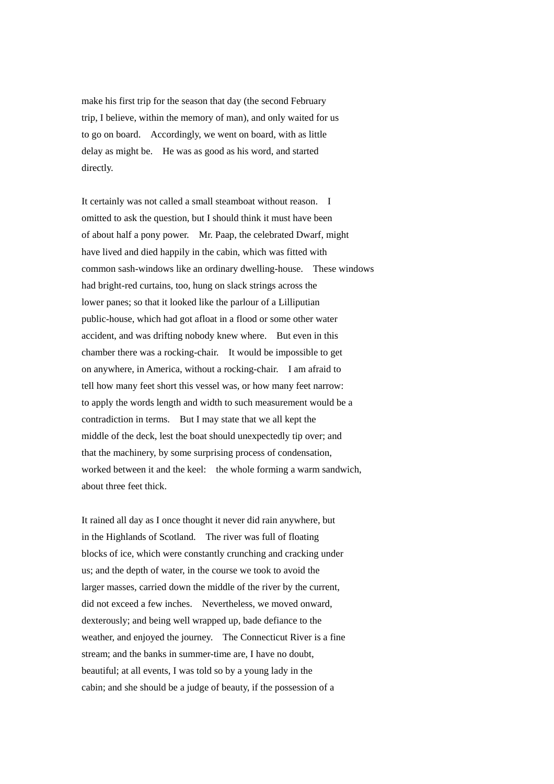make his first trip for the season that day (the second February trip, I believe, within the memory of man), and only waited for us to go on board. Accordingly, we went on board, with as little delay as might be. He was as good as his word, and started directly.

It certainly was not called a small steamboat without reason. I omitted to ask the question, but I should think it must have been of about half a pony power. Mr. Paap, the celebrated Dwarf, might have lived and died happily in the cabin, which was fitted with common sash-windows like an ordinary dwelling-house. These windows had bright-red curtains, too, hung on slack strings across the lower panes; so that it looked like the parlour of a Lilliputian public-house, which had got afloat in a flood or some other water accident, and was drifting nobody knew where. But even in this chamber there was a rocking-chair. It would be impossible to get on anywhere, in America, without a rocking-chair. I am afraid to tell how many feet short this vessel was, or how many feet narrow: to apply the words length and width to such measurement would be a contradiction in terms. But I may state that we all kept the middle of the deck, lest the boat should unexpectedly tip over; and that the machinery, by some surprising process of condensation, worked between it and the keel: the whole forming a warm sandwich, about three feet thick.

It rained all day as I once thought it never did rain anywhere, but in the Highlands of Scotland. The river was full of floating blocks of ice, which were constantly crunching and cracking under us; and the depth of water, in the course we took to avoid the larger masses, carried down the middle of the river by the current, did not exceed a few inches. Nevertheless, we moved onward, dexterously; and being well wrapped up, bade defiance to the weather, and enjoyed the journey. The Connecticut River is a fine stream; and the banks in summer-time are, I have no doubt, beautiful; at all events, I was told so by a young lady in the cabin; and she should be a judge of beauty, if the possession of a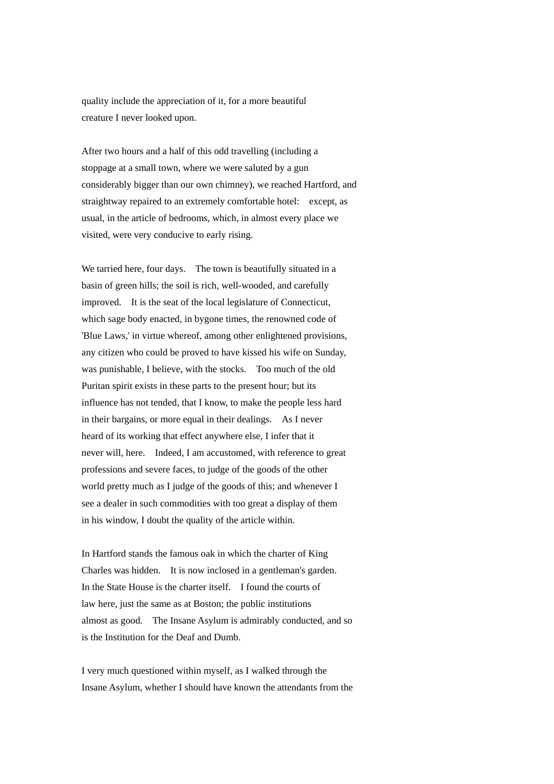quality include the appreciation of it, for a more beautiful creature I never looked upon.

After two hours and a half of this odd travelling (including a stoppage at a small town, where we were saluted by a gun considerably bigger than our own chimney), we reached Hartford, and straightway repaired to an extremely comfortable hotel: except, as usual, in the article of bedrooms, which, in almost every place we visited, were very conducive to early rising.

We tarried here, four days. The town is beautifully situated in a basin of green hills; the soil is rich, well-wooded, and carefully improved. It is the seat of the local legislature of Connecticut, which sage body enacted, in bygone times, the renowned code of 'Blue Laws,' in virtue whereof, among other enlightened provisions, any citizen who could be proved to have kissed his wife on Sunday, was punishable, I believe, with the stocks. Too much of the old Puritan spirit exists in these parts to the present hour; but its influence has not tended, that I know, to make the people less hard in their bargains, or more equal in their dealings. As I never heard of its working that effect anywhere else, I infer that it never will, here. Indeed, I am accustomed, with reference to great professions and severe faces, to judge of the goods of the other world pretty much as I judge of the goods of this; and whenever I see a dealer in such commodities with too great a display of them in his window, I doubt the quality of the article within.

In Hartford stands the famous oak in which the charter of King Charles was hidden. It is now inclosed in a gentleman's garden. In the State House is the charter itself. I found the courts of law here, just the same as at Boston; the public institutions almost as good. The Insane Asylum is admirably conducted, and so is the Institution for the Deaf and Dumb.

I very much questioned within myself, as I walked through the Insane Asylum, whether I should have known the attendants from the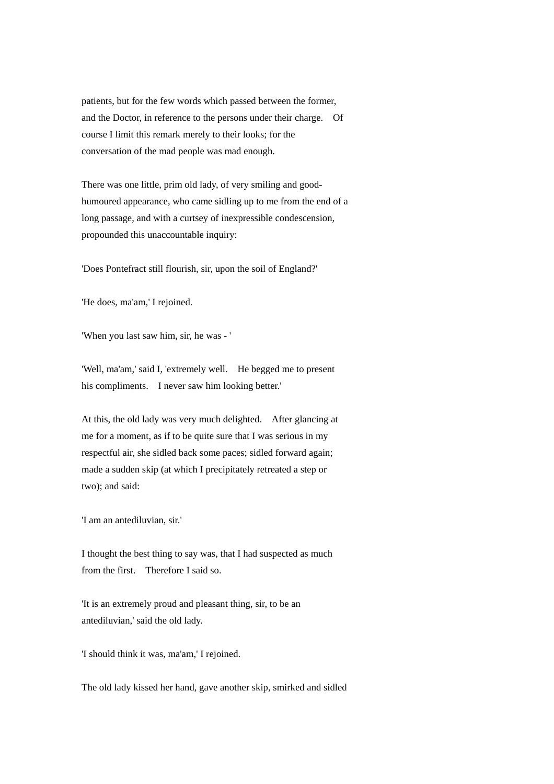patients, but for the few words which passed between the former, and the Doctor, in reference to the persons under their charge. Of course I limit this remark merely to their looks; for the conversation of the mad people was mad enough.

There was one little, prim old lady, of very smiling and goodhumoured appearance, who came sidling up to me from the end of a long passage, and with a curtsey of inexpressible condescension, propounded this unaccountable inquiry:

'Does Pontefract still flourish, sir, upon the soil of England?'

'He does, ma'am,' I rejoined.

'When you last saw him, sir, he was - '

'Well, ma'am,' said I, 'extremely well. He begged me to present his compliments. I never saw him looking better.'

At this, the old lady was very much delighted. After glancing at me for a moment, as if to be quite sure that I was serious in my respectful air, she sidled back some paces; sidled forward again; made a sudden skip (at which I precipitately retreated a step or two); and said:

'I am an antediluvian, sir.'

I thought the best thing to say was, that I had suspected as much from the first. Therefore I said so.

'It is an extremely proud and pleasant thing, sir, to be an antediluvian,' said the old lady.

'I should think it was, ma'am,' I rejoined.

The old lady kissed her hand, gave another skip, smirked and sidled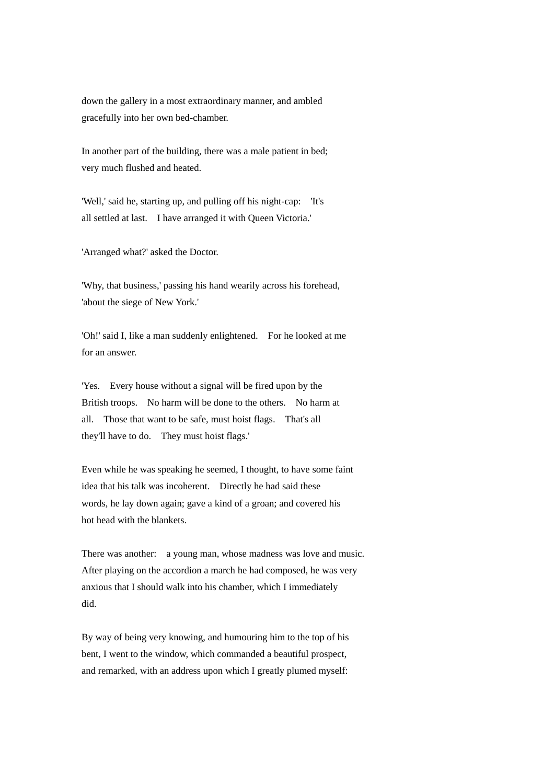down the gallery in a most extraordinary manner, and ambled gracefully into her own bed-chamber.

In another part of the building, there was a male patient in bed; very much flushed and heated.

'Well,' said he, starting up, and pulling off his night-cap: 'It's all settled at last. I have arranged it with Queen Victoria.'

'Arranged what?' asked the Doctor.

'Why, that business,' passing his hand wearily across his forehead, 'about the siege of New York.'

'Oh!' said I, like a man suddenly enlightened. For he looked at me for an answer.

'Yes. Every house without a signal will be fired upon by the British troops. No harm will be done to the others. No harm at all. Those that want to be safe, must hoist flags. That's all they'll have to do. They must hoist flags.'

Even while he was speaking he seemed, I thought, to have some faint idea that his talk was incoherent. Directly he had said these words, he lay down again; gave a kind of a groan; and covered his hot head with the blankets.

There was another: a young man, whose madness was love and music. After playing on the accordion a march he had composed, he was very anxious that I should walk into his chamber, which I immediately did.

By way of being very knowing, and humouring him to the top of his bent, I went to the window, which commanded a beautiful prospect, and remarked, with an address upon which I greatly plumed myself: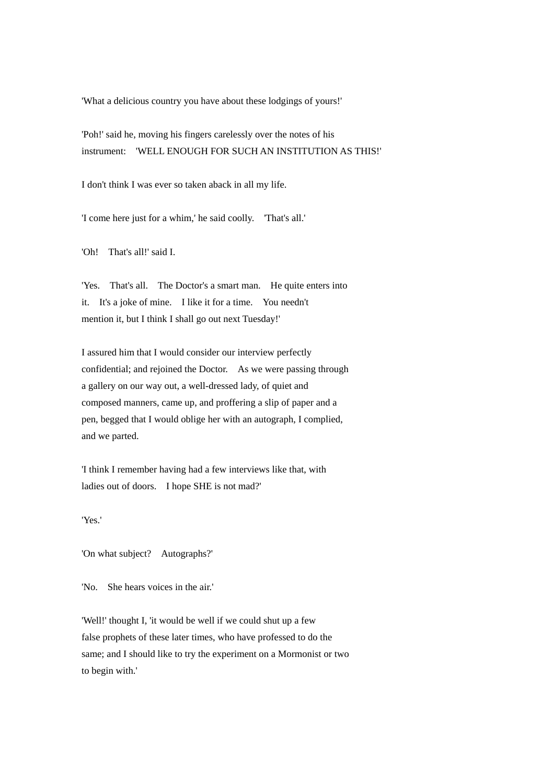'What a delicious country you have about these lodgings of yours!'

'Poh!' said he, moving his fingers carelessly over the notes of his instrument: 'WELL ENOUGH FOR SUCH AN INSTITUTION AS THIS!'

I don't think I was ever so taken aback in all my life.

'I come here just for a whim,' he said coolly. 'That's all.'

'Oh! That's all!' said I.

'Yes. That's all. The Doctor's a smart man. He quite enters into it. It's a joke of mine. I like it for a time. You needn't mention it, but I think I shall go out next Tuesday!'

I assured him that I would consider our interview perfectly confidential; and rejoined the Doctor. As we were passing through a gallery on our way out, a well-dressed lady, of quiet and composed manners, came up, and proffering a slip of paper and a pen, begged that I would oblige her with an autograph, I complied, and we parted.

'I think I remember having had a few interviews like that, with ladies out of doors. I hope SHE is not mad?'

'Yes.'

'On what subject? Autographs?'

'No. She hears voices in the air.'

'Well!' thought I, 'it would be well if we could shut up a few false prophets of these later times, who have professed to do the same; and I should like to try the experiment on a Mormonist or two to begin with.'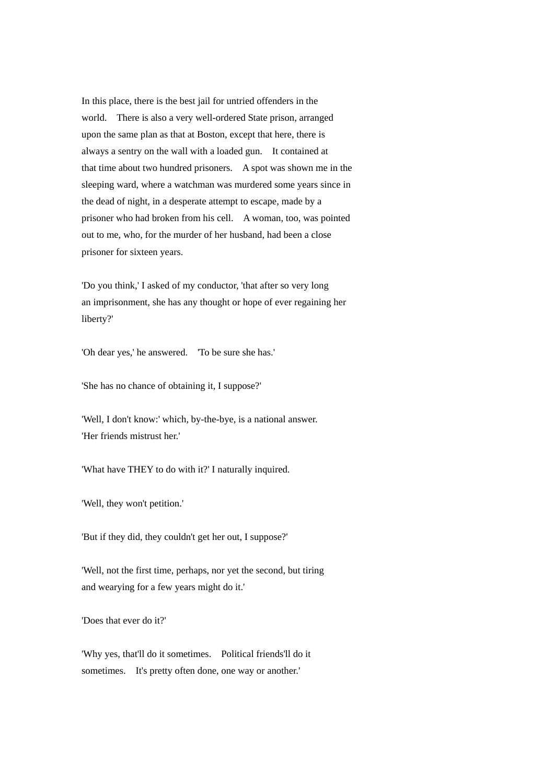In this place, there is the best jail for untried offenders in the world. There is also a very well-ordered State prison, arranged upon the same plan as that at Boston, except that here, there is always a sentry on the wall with a loaded gun. It contained at that time about two hundred prisoners. A spot was shown me in the sleeping ward, where a watchman was murdered some years since in the dead of night, in a desperate attempt to escape, made by a prisoner who had broken from his cell. A woman, too, was pointed out to me, who, for the murder of her husband, had been a close prisoner for sixteen years.

'Do you think,' I asked of my conductor, 'that after so very long an imprisonment, she has any thought or hope of ever regaining her liberty?'

'Oh dear yes,' he answered. 'To be sure she has.'

'She has no chance of obtaining it, I suppose?'

'Well, I don't know:' which, by-the-bye, is a national answer. 'Her friends mistrust her.'

'What have THEY to do with it?' I naturally inquired.

'Well, they won't petition.'

'But if they did, they couldn't get her out, I suppose?'

'Well, not the first time, perhaps, nor yet the second, but tiring and wearying for a few years might do it.'

'Does that ever do it?'

'Why yes, that'll do it sometimes. Political friends'll do it sometimes. It's pretty often done, one way or another.'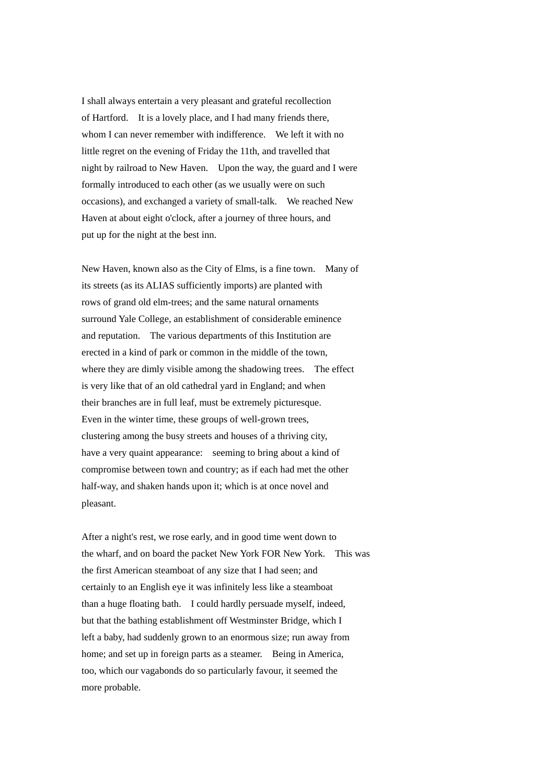I shall always entertain a very pleasant and grateful recollection of Hartford. It is a lovely place, and I had many friends there, whom I can never remember with indifference. We left it with no little regret on the evening of Friday the 11th, and travelled that night by railroad to New Haven. Upon the way, the guard and I were formally introduced to each other (as we usually were on such occasions), and exchanged a variety of small-talk. We reached New Haven at about eight o'clock, after a journey of three hours, and put up for the night at the best inn.

New Haven, known also as the City of Elms, is a fine town. Many of its streets (as its ALIAS sufficiently imports) are planted with rows of grand old elm-trees; and the same natural ornaments surround Yale College, an establishment of considerable eminence and reputation. The various departments of this Institution are erected in a kind of park or common in the middle of the town, where they are dimly visible among the shadowing trees. The effect is very like that of an old cathedral yard in England; and when their branches are in full leaf, must be extremely picturesque. Even in the winter time, these groups of well-grown trees, clustering among the busy streets and houses of a thriving city, have a very quaint appearance: seeming to bring about a kind of compromise between town and country; as if each had met the other half-way, and shaken hands upon it; which is at once novel and pleasant.

After a night's rest, we rose early, and in good time went down to the wharf, and on board the packet New York FOR New York. This was the first American steamboat of any size that I had seen; and certainly to an English eye it was infinitely less like a steamboat than a huge floating bath. I could hardly persuade myself, indeed, but that the bathing establishment off Westminster Bridge, which I left a baby, had suddenly grown to an enormous size; run away from home; and set up in foreign parts as a steamer. Being in America, too, which our vagabonds do so particularly favour, it seemed the more probable.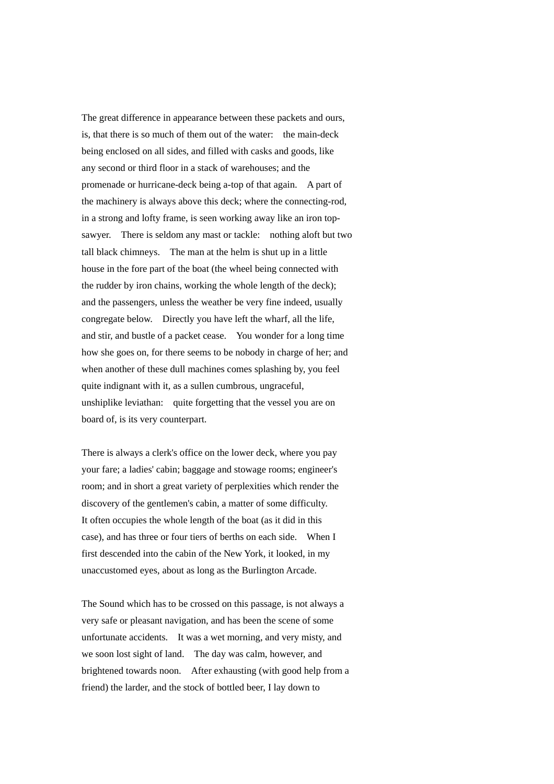The great difference in appearance between these packets and ours, is, that there is so much of them out of the water: the main-deck being enclosed on all sides, and filled with casks and goods, like any second or third floor in a stack of warehouses; and the promenade or hurricane-deck being a-top of that again. A part of the machinery is always above this deck; where the connecting-rod, in a strong and lofty frame, is seen working away like an iron topsawyer. There is seldom any mast or tackle: nothing aloft but two tall black chimneys. The man at the helm is shut up in a little house in the fore part of the boat (the wheel being connected with the rudder by iron chains, working the whole length of the deck); and the passengers, unless the weather be very fine indeed, usually congregate below. Directly you have left the wharf, all the life, and stir, and bustle of a packet cease. You wonder for a long time how she goes on, for there seems to be nobody in charge of her; and when another of these dull machines comes splashing by, you feel quite indignant with it, as a sullen cumbrous, ungraceful, unshiplike leviathan: quite forgetting that the vessel you are on board of, is its very counterpart.

There is always a clerk's office on the lower deck, where you pay your fare; a ladies' cabin; baggage and stowage rooms; engineer's room; and in short a great variety of perplexities which render the discovery of the gentlemen's cabin, a matter of some difficulty. It often occupies the whole length of the boat (as it did in this case), and has three or four tiers of berths on each side. When I first descended into the cabin of the New York, it looked, in my unaccustomed eyes, about as long as the Burlington Arcade.

The Sound which has to be crossed on this passage, is not always a very safe or pleasant navigation, and has been the scene of some unfortunate accidents. It was a wet morning, and very misty, and we soon lost sight of land. The day was calm, however, and brightened towards noon. After exhausting (with good help from a friend) the larder, and the stock of bottled beer, I lay down to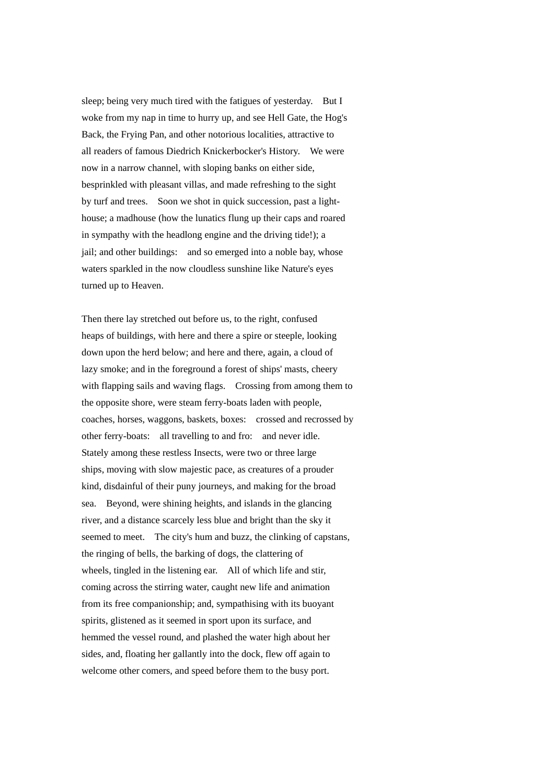sleep; being very much tired with the fatigues of yesterday. But I woke from my nap in time to hurry up, and see Hell Gate, the Hog's Back, the Frying Pan, and other notorious localities, attractive to all readers of famous Diedrich Knickerbocker's History. We were now in a narrow channel, with sloping banks on either side, besprinkled with pleasant villas, and made refreshing to the sight by turf and trees. Soon we shot in quick succession, past a lighthouse; a madhouse (how the lunatics flung up their caps and roared in sympathy with the headlong engine and the driving tide!); a jail; and other buildings: and so emerged into a noble bay, whose waters sparkled in the now cloudless sunshine like Nature's eyes turned up to Heaven.

Then there lay stretched out before us, to the right, confused heaps of buildings, with here and there a spire or steeple, looking down upon the herd below; and here and there, again, a cloud of lazy smoke; and in the foreground a forest of ships' masts, cheery with flapping sails and waving flags. Crossing from among them to the opposite shore, were steam ferry-boats laden with people, coaches, horses, waggons, baskets, boxes: crossed and recrossed by other ferry-boats: all travelling to and fro: and never idle. Stately among these restless Insects, were two or three large ships, moving with slow majestic pace, as creatures of a prouder kind, disdainful of their puny journeys, and making for the broad sea. Beyond, were shining heights, and islands in the glancing river, and a distance scarcely less blue and bright than the sky it seemed to meet. The city's hum and buzz, the clinking of capstans, the ringing of bells, the barking of dogs, the clattering of wheels, tingled in the listening ear. All of which life and stir, coming across the stirring water, caught new life and animation from its free companionship; and, sympathising with its buoyant spirits, glistened as it seemed in sport upon its surface, and hemmed the vessel round, and plashed the water high about her sides, and, floating her gallantly into the dock, flew off again to welcome other comers, and speed before them to the busy port.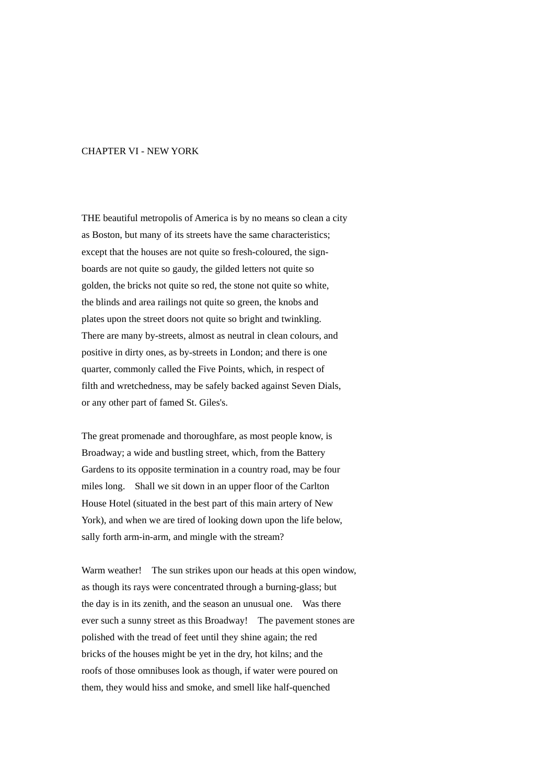## CHAPTER VI - NEW YORK

THE beautiful metropolis of America is by no means so clean a city as Boston, but many of its streets have the same characteristics; except that the houses are not quite so fresh-coloured, the signboards are not quite so gaudy, the gilded letters not quite so golden, the bricks not quite so red, the stone not quite so white, the blinds and area railings not quite so green, the knobs and plates upon the street doors not quite so bright and twinkling. There are many by-streets, almost as neutral in clean colours, and positive in dirty ones, as by-streets in London; and there is one quarter, commonly called the Five Points, which, in respect of filth and wretchedness, may be safely backed against Seven Dials, or any other part of famed St. Giles's.

The great promenade and thoroughfare, as most people know, is Broadway; a wide and bustling street, which, from the Battery Gardens to its opposite termination in a country road, may be four miles long. Shall we sit down in an upper floor of the Carlton House Hotel (situated in the best part of this main artery of New York), and when we are tired of looking down upon the life below, sally forth arm-in-arm, and mingle with the stream?

Warm weather! The sun strikes upon our heads at this open window, as though its rays were concentrated through a burning-glass; but the day is in its zenith, and the season an unusual one. Was there ever such a sunny street as this Broadway! The pavement stones are polished with the tread of feet until they shine again; the red bricks of the houses might be yet in the dry, hot kilns; and the roofs of those omnibuses look as though, if water were poured on them, they would hiss and smoke, and smell like half-quenched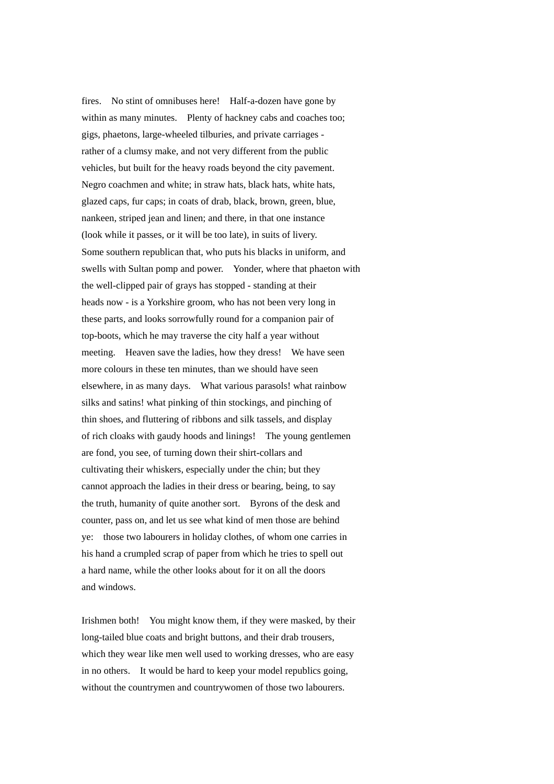fires. No stint of omnibuses here! Half-a-dozen have gone by within as many minutes. Plenty of hackney cabs and coaches too; gigs, phaetons, large-wheeled tilburies, and private carriages rather of a clumsy make, and not very different from the public vehicles, but built for the heavy roads beyond the city pavement. Negro coachmen and white; in straw hats, black hats, white hats, glazed caps, fur caps; in coats of drab, black, brown, green, blue, nankeen, striped jean and linen; and there, in that one instance (look while it passes, or it will be too late), in suits of livery. Some southern republican that, who puts his blacks in uniform, and swells with Sultan pomp and power. Yonder, where that phaeton with the well-clipped pair of grays has stopped - standing at their heads now - is a Yorkshire groom, who has not been very long in these parts, and looks sorrowfully round for a companion pair of top-boots, which he may traverse the city half a year without meeting. Heaven save the ladies, how they dress! We have seen more colours in these ten minutes, than we should have seen elsewhere, in as many days. What various parasols! what rainbow silks and satins! what pinking of thin stockings, and pinching of thin shoes, and fluttering of ribbons and silk tassels, and display of rich cloaks with gaudy hoods and linings! The young gentlemen are fond, you see, of turning down their shirt-collars and cultivating their whiskers, especially under the chin; but they cannot approach the ladies in their dress or bearing, being, to say the truth, humanity of quite another sort. Byrons of the desk and counter, pass on, and let us see what kind of men those are behind ye: those two labourers in holiday clothes, of whom one carries in his hand a crumpled scrap of paper from which he tries to spell out a hard name, while the other looks about for it on all the doors and windows.

Irishmen both! You might know them, if they were masked, by their long-tailed blue coats and bright buttons, and their drab trousers, which they wear like men well used to working dresses, who are easy in no others. It would be hard to keep your model republics going, without the countrymen and countrywomen of those two labourers.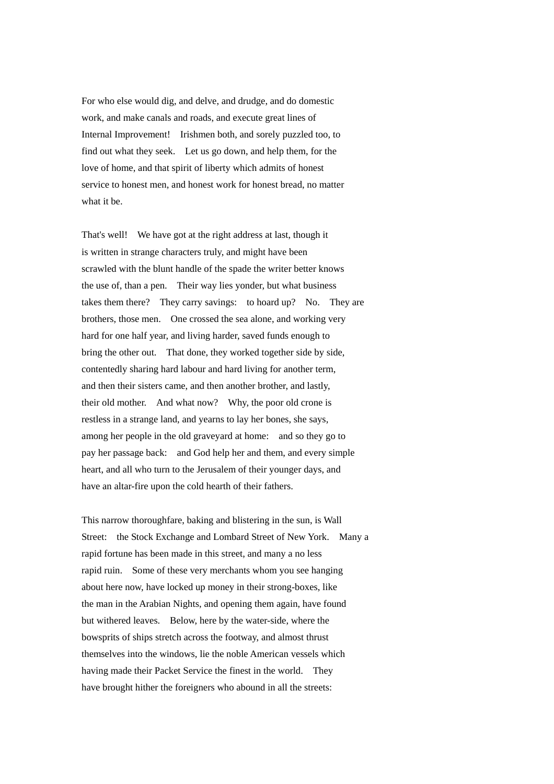For who else would dig, and delve, and drudge, and do domestic work, and make canals and roads, and execute great lines of Internal Improvement! Irishmen both, and sorely puzzled too, to find out what they seek. Let us go down, and help them, for the love of home, and that spirit of liberty which admits of honest service to honest men, and honest work for honest bread, no matter what it be.

That's well! We have got at the right address at last, though it is written in strange characters truly, and might have been scrawled with the blunt handle of the spade the writer better knows the use of, than a pen. Their way lies yonder, but what business takes them there? They carry savings: to hoard up? No. They are brothers, those men. One crossed the sea alone, and working very hard for one half year, and living harder, saved funds enough to bring the other out. That done, they worked together side by side, contentedly sharing hard labour and hard living for another term, and then their sisters came, and then another brother, and lastly, their old mother. And what now? Why, the poor old crone is restless in a strange land, and yearns to lay her bones, she says, among her people in the old graveyard at home: and so they go to pay her passage back: and God help her and them, and every simple heart, and all who turn to the Jerusalem of their younger days, and have an altar-fire upon the cold hearth of their fathers.

This narrow thoroughfare, baking and blistering in the sun, is Wall Street: the Stock Exchange and Lombard Street of New York. Many a rapid fortune has been made in this street, and many a no less rapid ruin. Some of these very merchants whom you see hanging about here now, have locked up money in their strong-boxes, like the man in the Arabian Nights, and opening them again, have found but withered leaves. Below, here by the water-side, where the bowsprits of ships stretch across the footway, and almost thrust themselves into the windows, lie the noble American vessels which having made their Packet Service the finest in the world. They have brought hither the foreigners who abound in all the streets: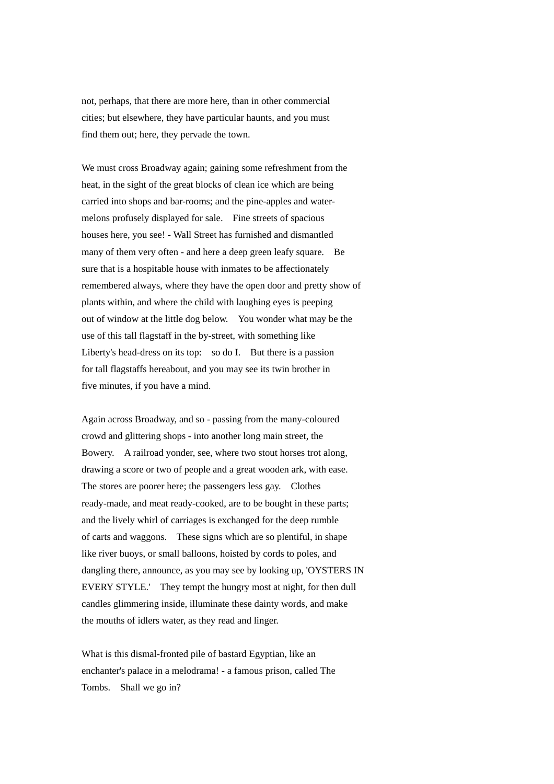not, perhaps, that there are more here, than in other commercial cities; but elsewhere, they have particular haunts, and you must find them out; here, they pervade the town.

We must cross Broadway again; gaining some refreshment from the heat, in the sight of the great blocks of clean ice which are being carried into shops and bar-rooms; and the pine-apples and watermelons profusely displayed for sale. Fine streets of spacious houses here, you see! - Wall Street has furnished and dismantled many of them very often - and here a deep green leafy square. Be sure that is a hospitable house with inmates to be affectionately remembered always, where they have the open door and pretty show of plants within, and where the child with laughing eyes is peeping out of window at the little dog below. You wonder what may be the use of this tall flagstaff in the by-street, with something like Liberty's head-dress on its top: so do I. But there is a passion for tall flagstaffs hereabout, and you may see its twin brother in five minutes, if you have a mind.

Again across Broadway, and so - passing from the many-coloured crowd and glittering shops - into another long main street, the Bowery. A railroad yonder, see, where two stout horses trot along, drawing a score or two of people and a great wooden ark, with ease. The stores are poorer here; the passengers less gay. Clothes ready-made, and meat ready-cooked, are to be bought in these parts; and the lively whirl of carriages is exchanged for the deep rumble of carts and waggons. These signs which are so plentiful, in shape like river buoys, or small balloons, hoisted by cords to poles, and dangling there, announce, as you may see by looking up, 'OYSTERS IN EVERY STYLE.' They tempt the hungry most at night, for then dull candles glimmering inside, illuminate these dainty words, and make the mouths of idlers water, as they read and linger.

What is this dismal-fronted pile of bastard Egyptian, like an enchanter's palace in a melodrama! - a famous prison, called The Tombs. Shall we go in?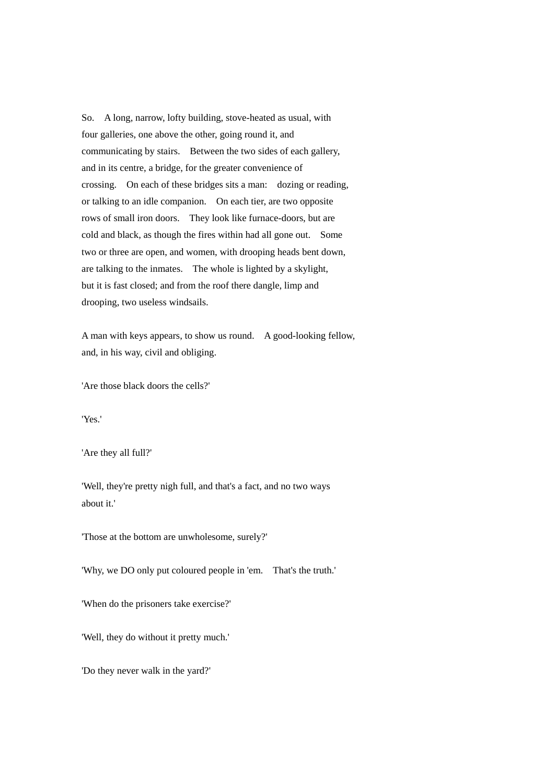So. A long, narrow, lofty building, stove-heated as usual, with four galleries, one above the other, going round it, and communicating by stairs. Between the two sides of each gallery, and in its centre, a bridge, for the greater convenience of crossing. On each of these bridges sits a man: dozing or reading, or talking to an idle companion. On each tier, are two opposite rows of small iron doors. They look like furnace-doors, but are cold and black, as though the fires within had all gone out. Some two or three are open, and women, with drooping heads bent down, are talking to the inmates. The whole is lighted by a skylight, but it is fast closed; and from the roof there dangle, limp and drooping, two useless windsails.

A man with keys appears, to show us round. A good-looking fellow, and, in his way, civil and obliging.

'Are those black doors the cells?'

'Yes.'

'Are they all full?'

'Well, they're pretty nigh full, and that's a fact, and no two ways about it.'

'Those at the bottom are unwholesome, surely?'

'Why, we DO only put coloured people in 'em. That's the truth.'

'When do the prisoners take exercise?'

'Well, they do without it pretty much.'

'Do they never walk in the yard?'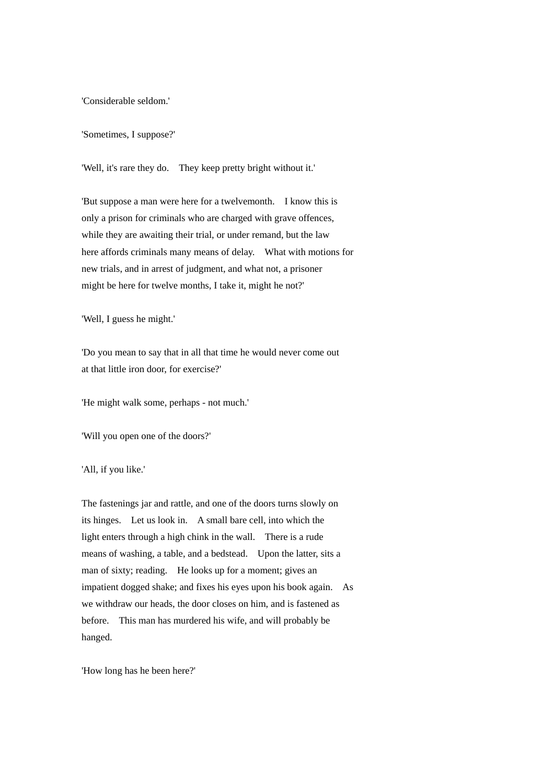'Considerable seldom.'

'Sometimes, I suppose?'

'Well, it's rare they do. They keep pretty bright without it.'

'But suppose a man were here for a twelvemonth. I know this is only a prison for criminals who are charged with grave offences, while they are awaiting their trial, or under remand, but the law here affords criminals many means of delay. What with motions for new trials, and in arrest of judgment, and what not, a prisoner might be here for twelve months, I take it, might he not?'

'Well, I guess he might.'

'Do you mean to say that in all that time he would never come out at that little iron door, for exercise?'

'He might walk some, perhaps - not much.'

'Will you open one of the doors?'

'All, if you like.'

The fastenings jar and rattle, and one of the doors turns slowly on its hinges. Let us look in. A small bare cell, into which the light enters through a high chink in the wall. There is a rude means of washing, a table, and a bedstead. Upon the latter, sits a man of sixty; reading. He looks up for a moment; gives an impatient dogged shake; and fixes his eyes upon his book again. As we withdraw our heads, the door closes on him, and is fastened as before. This man has murdered his wife, and will probably be hanged.

'How long has he been here?'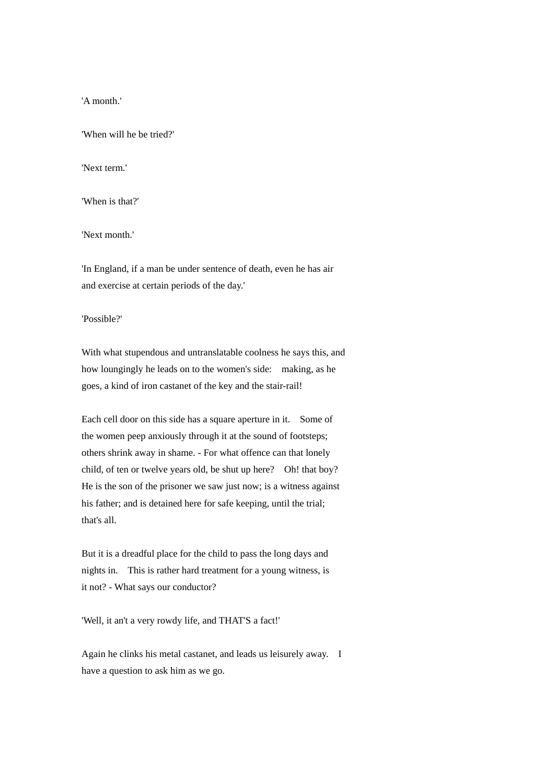'A month.'

'When will he be tried?'

'Next term.'

'When is that?'

'Next month.'

'In England, if a man be under sentence of death, even he has air and exercise at certain periods of the day.'

'Possible?'

With what stupendous and untranslatable coolness he says this, and how loungingly he leads on to the women's side: making, as he goes, a kind of iron castanet of the key and the stair-rail!

Each cell door on this side has a square aperture in it. Some of the women peep anxiously through it at the sound of footsteps; others shrink away in shame. - For what offence can that lonely child, of ten or twelve years old, be shut up here? Oh! that boy? He is the son of the prisoner we saw just now; is a witness against his father; and is detained here for safe keeping, until the trial; that's all.

But it is a dreadful place for the child to pass the long days and nights in. This is rather hard treatment for a young witness, is it not? - What says our conductor?

'Well, it an't a very rowdy life, and THAT'S a fact!'

Again he clinks his metal castanet, and leads us leisurely away. I have a question to ask him as we go.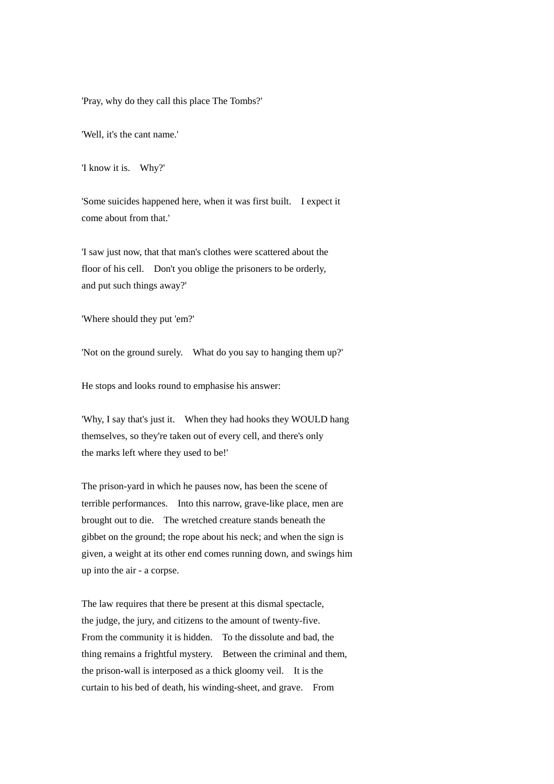'Pray, why do they call this place The Tombs?'

'Well, it's the cant name.'

'I know it is. Why?'

'Some suicides happened here, when it was first built. I expect it come about from that.'

'I saw just now, that that man's clothes were scattered about the floor of his cell. Don't you oblige the prisoners to be orderly, and put such things away?'

'Where should they put 'em?'

'Not on the ground surely. What do you say to hanging them up?'

He stops and looks round to emphasise his answer:

'Why, I say that's just it. When they had hooks they WOULD hang themselves, so they're taken out of every cell, and there's only the marks left where they used to be!'

The prison-yard in which he pauses now, has been the scene of terrible performances. Into this narrow, grave-like place, men are brought out to die. The wretched creature stands beneath the gibbet on the ground; the rope about his neck; and when the sign is given, a weight at its other end comes running down, and swings him up into the air - a corpse.

The law requires that there be present at this dismal spectacle, the judge, the jury, and citizens to the amount of twenty-five. From the community it is hidden. To the dissolute and bad, the thing remains a frightful mystery. Between the criminal and them, the prison-wall is interposed as a thick gloomy veil. It is the curtain to his bed of death, his winding-sheet, and grave. From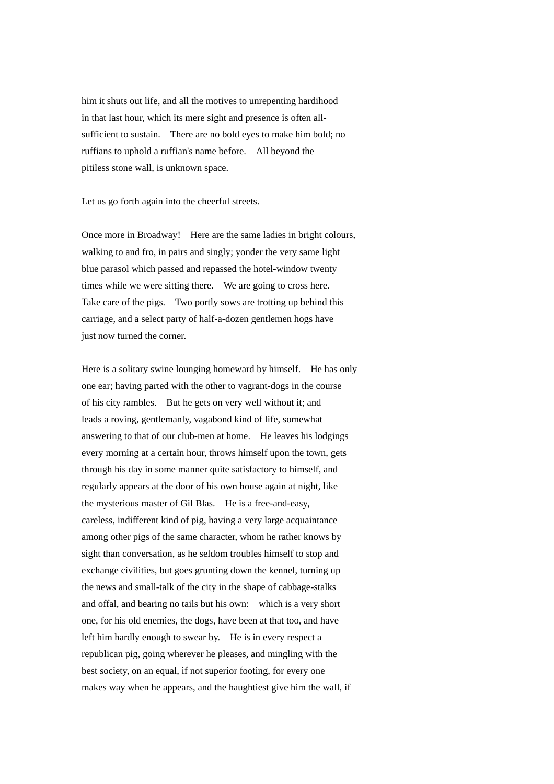him it shuts out life, and all the motives to unrepenting hardihood in that last hour, which its mere sight and presence is often allsufficient to sustain. There are no bold eyes to make him bold; no ruffians to uphold a ruffian's name before. All beyond the pitiless stone wall, is unknown space.

Let us go forth again into the cheerful streets.

Once more in Broadway! Here are the same ladies in bright colours, walking to and fro, in pairs and singly; yonder the very same light blue parasol which passed and repassed the hotel-window twenty times while we were sitting there. We are going to cross here. Take care of the pigs. Two portly sows are trotting up behind this carriage, and a select party of half-a-dozen gentlemen hogs have just now turned the corner.

Here is a solitary swine lounging homeward by himself. He has only one ear; having parted with the other to vagrant-dogs in the course of his city rambles. But he gets on very well without it; and leads a roving, gentlemanly, vagabond kind of life, somewhat answering to that of our club-men at home. He leaves his lodgings every morning at a certain hour, throws himself upon the town, gets through his day in some manner quite satisfactory to himself, and regularly appears at the door of his own house again at night, like the mysterious master of Gil Blas. He is a free-and-easy, careless, indifferent kind of pig, having a very large acquaintance among other pigs of the same character, whom he rather knows by sight than conversation, as he seldom troubles himself to stop and exchange civilities, but goes grunting down the kennel, turning up the news and small-talk of the city in the shape of cabbage-stalks and offal, and bearing no tails but his own: which is a very short one, for his old enemies, the dogs, have been at that too, and have left him hardly enough to swear by. He is in every respect a republican pig, going wherever he pleases, and mingling with the best society, on an equal, if not superior footing, for every one makes way when he appears, and the haughtiest give him the wall, if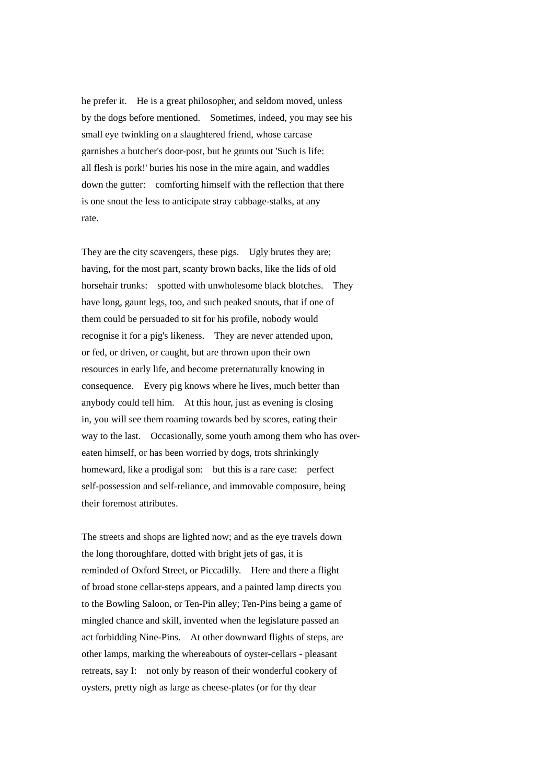he prefer it. He is a great philosopher, and seldom moved, unless by the dogs before mentioned. Sometimes, indeed, you may see his small eye twinkling on a slaughtered friend, whose carcase garnishes a butcher's door-post, but he grunts out 'Such is life: all flesh is pork!' buries his nose in the mire again, and waddles down the gutter: comforting himself with the reflection that there is one snout the less to anticipate stray cabbage-stalks, at any rate.

They are the city scavengers, these pigs. Ugly brutes they are; having, for the most part, scanty brown backs, like the lids of old horsehair trunks: spotted with unwholesome black blotches. They have long, gaunt legs, too, and such peaked snouts, that if one of them could be persuaded to sit for his profile, nobody would recognise it for a pig's likeness. They are never attended upon, or fed, or driven, or caught, but are thrown upon their own resources in early life, and become preternaturally knowing in consequence. Every pig knows where he lives, much better than anybody could tell him. At this hour, just as evening is closing in, you will see them roaming towards bed by scores, eating their way to the last. Occasionally, some youth among them who has overeaten himself, or has been worried by dogs, trots shrinkingly homeward, like a prodigal son: but this is a rare case: perfect self-possession and self-reliance, and immovable composure, being their foremost attributes.

The streets and shops are lighted now; and as the eye travels down the long thoroughfare, dotted with bright jets of gas, it is reminded of Oxford Street, or Piccadilly. Here and there a flight of broad stone cellar-steps appears, and a painted lamp directs you to the Bowling Saloon, or Ten-Pin alley; Ten-Pins being a game of mingled chance and skill, invented when the legislature passed an act forbidding Nine-Pins. At other downward flights of steps, are other lamps, marking the whereabouts of oyster-cellars - pleasant retreats, say I: not only by reason of their wonderful cookery of oysters, pretty nigh as large as cheese-plates (or for thy dear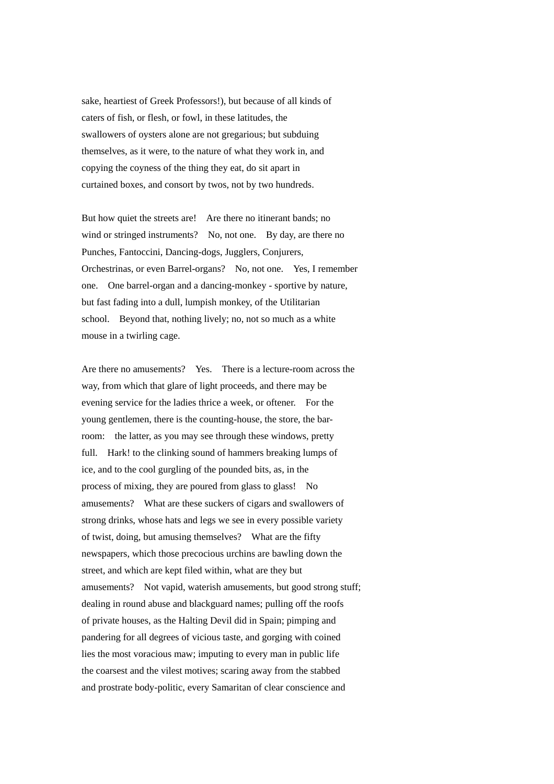sake, heartiest of Greek Professors!), but because of all kinds of caters of fish, or flesh, or fowl, in these latitudes, the swallowers of oysters alone are not gregarious; but subduing themselves, as it were, to the nature of what they work in, and copying the coyness of the thing they eat, do sit apart in curtained boxes, and consort by twos, not by two hundreds.

But how quiet the streets are! Are there no itinerant bands; no wind or stringed instruments? No, not one. By day, are there no Punches, Fantoccini, Dancing-dogs, Jugglers, Conjurers, Orchestrinas, or even Barrel-organs? No, not one. Yes, I remember one. One barrel-organ and a dancing-monkey - sportive by nature, but fast fading into a dull, lumpish monkey, of the Utilitarian school. Beyond that, nothing lively; no, not so much as a white mouse in a twirling cage.

Are there no amusements? Yes. There is a lecture-room across the way, from which that glare of light proceeds, and there may be evening service for the ladies thrice a week, or oftener. For the young gentlemen, there is the counting-house, the store, the barroom: the latter, as you may see through these windows, pretty full. Hark! to the clinking sound of hammers breaking lumps of ice, and to the cool gurgling of the pounded bits, as, in the process of mixing, they are poured from glass to glass! No amusements? What are these suckers of cigars and swallowers of strong drinks, whose hats and legs we see in every possible variety of twist, doing, but amusing themselves? What are the fifty newspapers, which those precocious urchins are bawling down the street, and which are kept filed within, what are they but amusements? Not vapid, waterish amusements, but good strong stuff; dealing in round abuse and blackguard names; pulling off the roofs of private houses, as the Halting Devil did in Spain; pimping and pandering for all degrees of vicious taste, and gorging with coined lies the most voracious maw; imputing to every man in public life the coarsest and the vilest motives; scaring away from the stabbed and prostrate body-politic, every Samaritan of clear conscience and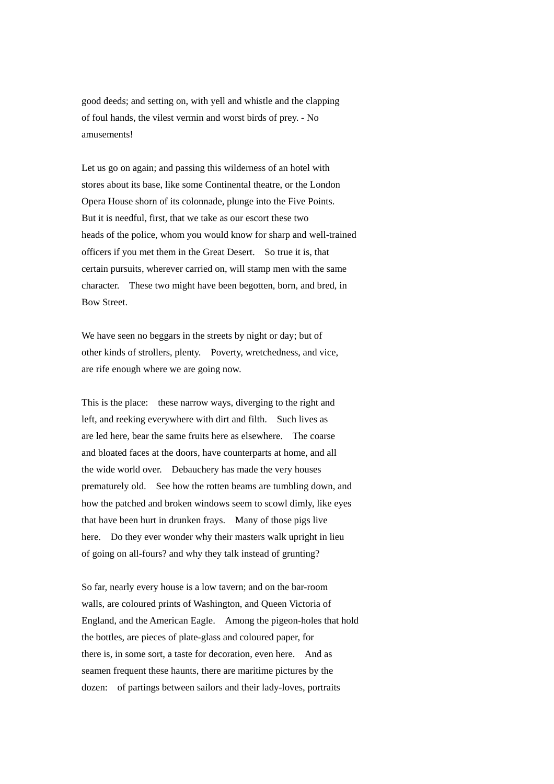good deeds; and setting on, with yell and whistle and the clapping of foul hands, the vilest vermin and worst birds of prey. - No amusements!

Let us go on again; and passing this wilderness of an hotel with stores about its base, like some Continental theatre, or the London Opera House shorn of its colonnade, plunge into the Five Points. But it is needful, first, that we take as our escort these two heads of the police, whom you would know for sharp and well-trained officers if you met them in the Great Desert. So true it is, that certain pursuits, wherever carried on, will stamp men with the same character. These two might have been begotten, born, and bred, in Bow Street.

We have seen no beggars in the streets by night or day; but of other kinds of strollers, plenty. Poverty, wretchedness, and vice, are rife enough where we are going now.

This is the place: these narrow ways, diverging to the right and left, and reeking everywhere with dirt and filth. Such lives as are led here, bear the same fruits here as elsewhere. The coarse and bloated faces at the doors, have counterparts at home, and all the wide world over. Debauchery has made the very houses prematurely old. See how the rotten beams are tumbling down, and how the patched and broken windows seem to scowl dimly, like eyes that have been hurt in drunken frays. Many of those pigs live here. Do they ever wonder why their masters walk upright in lieu of going on all-fours? and why they talk instead of grunting?

So far, nearly every house is a low tavern; and on the bar-room walls, are coloured prints of Washington, and Queen Victoria of England, and the American Eagle. Among the pigeon-holes that hold the bottles, are pieces of plate-glass and coloured paper, for there is, in some sort, a taste for decoration, even here. And as seamen frequent these haunts, there are maritime pictures by the dozen: of partings between sailors and their lady-loves, portraits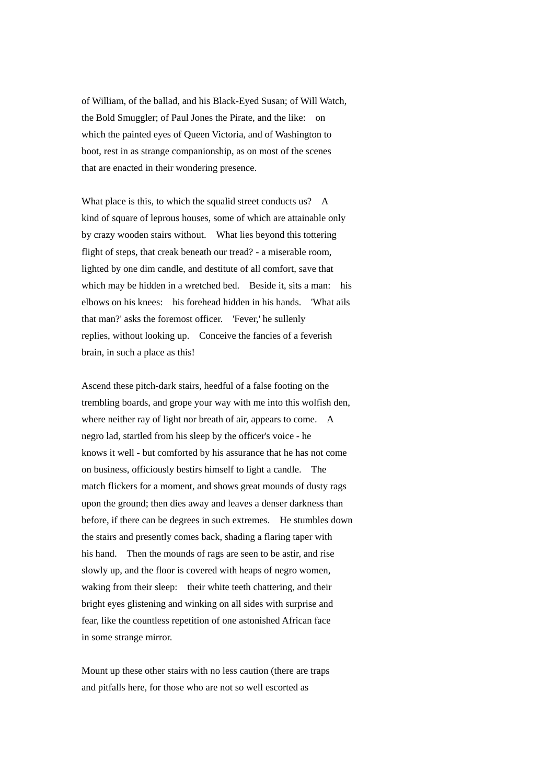of William, of the ballad, and his Black-Eyed Susan; of Will Watch, the Bold Smuggler; of Paul Jones the Pirate, and the like: on which the painted eyes of Queen Victoria, and of Washington to boot, rest in as strange companionship, as on most of the scenes that are enacted in their wondering presence.

What place is this, to which the squalid street conducts us? A kind of square of leprous houses, some of which are attainable only by crazy wooden stairs without. What lies beyond this tottering flight of steps, that creak beneath our tread? - a miserable room, lighted by one dim candle, and destitute of all comfort, save that which may be hidden in a wretched bed. Beside it, sits a man: his elbows on his knees: his forehead hidden in his hands. 'What ails that man?' asks the foremost officer. 'Fever,' he sullenly replies, without looking up. Conceive the fancies of a feverish brain, in such a place as this!

Ascend these pitch-dark stairs, heedful of a false footing on the trembling boards, and grope your way with me into this wolfish den, where neither ray of light nor breath of air, appears to come. A negro lad, startled from his sleep by the officer's voice - he knows it well - but comforted by his assurance that he has not come on business, officiously bestirs himself to light a candle. The match flickers for a moment, and shows great mounds of dusty rags upon the ground; then dies away and leaves a denser darkness than before, if there can be degrees in such extremes. He stumbles down the stairs and presently comes back, shading a flaring taper with his hand. Then the mounds of rags are seen to be astir, and rise slowly up, and the floor is covered with heaps of negro women, waking from their sleep: their white teeth chattering, and their bright eyes glistening and winking on all sides with surprise and fear, like the countless repetition of one astonished African face in some strange mirror.

Mount up these other stairs with no less caution (there are traps and pitfalls here, for those who are not so well escorted as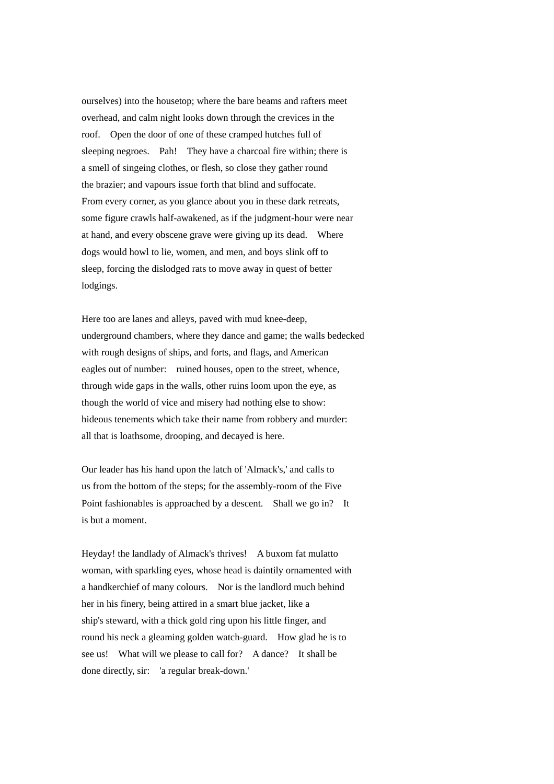ourselves) into the housetop; where the bare beams and rafters meet overhead, and calm night looks down through the crevices in the roof. Open the door of one of these cramped hutches full of sleeping negroes. Pah! They have a charcoal fire within; there is a smell of singeing clothes, or flesh, so close they gather round the brazier; and vapours issue forth that blind and suffocate. From every corner, as you glance about you in these dark retreats, some figure crawls half-awakened, as if the judgment-hour were near at hand, and every obscene grave were giving up its dead. Where dogs would howl to lie, women, and men, and boys slink off to sleep, forcing the dislodged rats to move away in quest of better lodgings.

Here too are lanes and alleys, paved with mud knee-deep, underground chambers, where they dance and game; the walls bedecked with rough designs of ships, and forts, and flags, and American eagles out of number: ruined houses, open to the street, whence, through wide gaps in the walls, other ruins loom upon the eye, as though the world of vice and misery had nothing else to show: hideous tenements which take their name from robbery and murder: all that is loathsome, drooping, and decayed is here.

Our leader has his hand upon the latch of 'Almack's,' and calls to us from the bottom of the steps; for the assembly-room of the Five Point fashionables is approached by a descent. Shall we go in? It is but a moment.

Heyday! the landlady of Almack's thrives! A buxom fat mulatto woman, with sparkling eyes, whose head is daintily ornamented with a handkerchief of many colours. Nor is the landlord much behind her in his finery, being attired in a smart blue jacket, like a ship's steward, with a thick gold ring upon his little finger, and round his neck a gleaming golden watch-guard. How glad he is to see us! What will we please to call for? A dance? It shall be done directly, sir: 'a regular break-down.'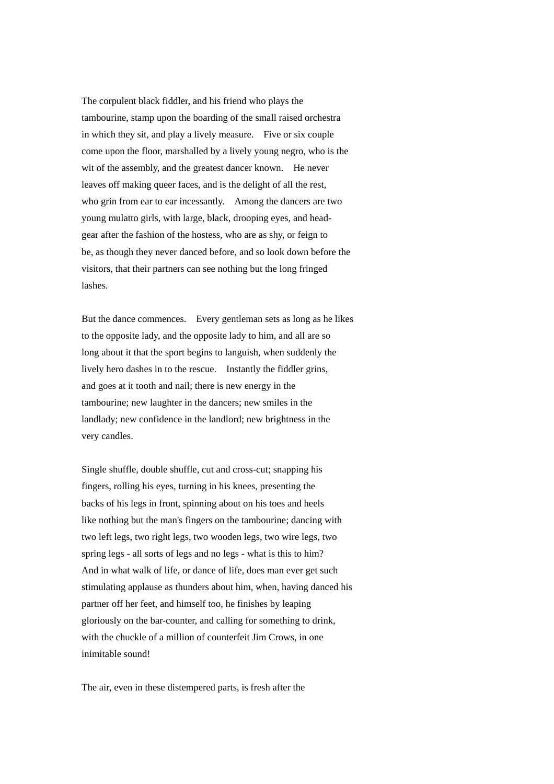The corpulent black fiddler, and his friend who plays the tambourine, stamp upon the boarding of the small raised orchestra in which they sit, and play a lively measure. Five or six couple come upon the floor, marshalled by a lively young negro, who is the wit of the assembly, and the greatest dancer known. He never leaves off making queer faces, and is the delight of all the rest, who grin from ear to ear incessantly. Among the dancers are two young mulatto girls, with large, black, drooping eyes, and headgear after the fashion of the hostess, who are as shy, or feign to be, as though they never danced before, and so look down before the visitors, that their partners can see nothing but the long fringed lashes.

But the dance commences. Every gentleman sets as long as he likes to the opposite lady, and the opposite lady to him, and all are so long about it that the sport begins to languish, when suddenly the lively hero dashes in to the rescue. Instantly the fiddler grins, and goes at it tooth and nail; there is new energy in the tambourine; new laughter in the dancers; new smiles in the landlady; new confidence in the landlord; new brightness in the very candles.

Single shuffle, double shuffle, cut and cross-cut; snapping his fingers, rolling his eyes, turning in his knees, presenting the backs of his legs in front, spinning about on his toes and heels like nothing but the man's fingers on the tambourine; dancing with two left legs, two right legs, two wooden legs, two wire legs, two spring legs - all sorts of legs and no legs - what is this to him? And in what walk of life, or dance of life, does man ever get such stimulating applause as thunders about him, when, having danced his partner off her feet, and himself too, he finishes by leaping gloriously on the bar-counter, and calling for something to drink, with the chuckle of a million of counterfeit Jim Crows, in one inimitable sound!

The air, even in these distempered parts, is fresh after the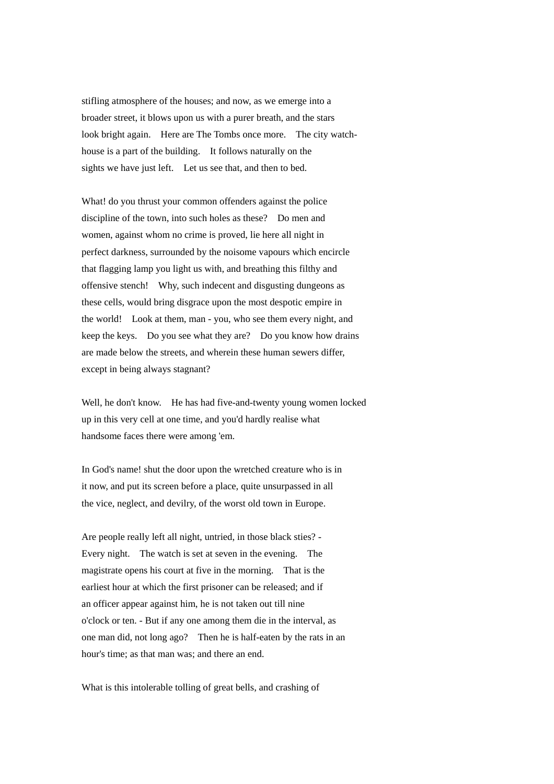stifling atmosphere of the houses; and now, as we emerge into a broader street, it blows upon us with a purer breath, and the stars look bright again. Here are The Tombs once more. The city watchhouse is a part of the building. It follows naturally on the sights we have just left. Let us see that, and then to bed.

What! do you thrust your common offenders against the police discipline of the town, into such holes as these? Do men and women, against whom no crime is proved, lie here all night in perfect darkness, surrounded by the noisome vapours which encircle that flagging lamp you light us with, and breathing this filthy and offensive stench! Why, such indecent and disgusting dungeons as these cells, would bring disgrace upon the most despotic empire in the world! Look at them, man - you, who see them every night, and keep the keys. Do you see what they are? Do you know how drains are made below the streets, and wherein these human sewers differ, except in being always stagnant?

Well, he don't know. He has had five-and-twenty young women locked up in this very cell at one time, and you'd hardly realise what handsome faces there were among 'em.

In God's name! shut the door upon the wretched creature who is in it now, and put its screen before a place, quite unsurpassed in all the vice, neglect, and devilry, of the worst old town in Europe.

Are people really left all night, untried, in those black sties? - Every night. The watch is set at seven in the evening. The magistrate opens his court at five in the morning. That is the earliest hour at which the first prisoner can be released; and if an officer appear against him, he is not taken out till nine o'clock or ten. - But if any one among them die in the interval, as one man did, not long ago? Then he is half-eaten by the rats in an hour's time; as that man was; and there an end.

What is this intolerable tolling of great bells, and crashing of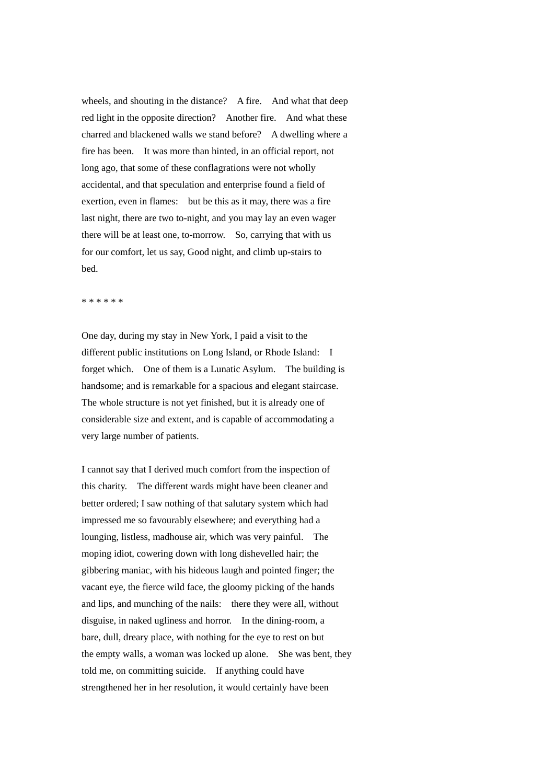wheels, and shouting in the distance? A fire. And what that deep red light in the opposite direction? Another fire. And what these charred and blackened walls we stand before? A dwelling where a fire has been. It was more than hinted, in an official report, not long ago, that some of these conflagrations were not wholly accidental, and that speculation and enterprise found a field of exertion, even in flames: but be this as it may, there was a fire last night, there are two to-night, and you may lay an even wager there will be at least one, to-morrow. So, carrying that with us for our comfort, let us say, Good night, and climb up-stairs to bed.

\* \* \* \* \* \*

One day, during my stay in New York, I paid a visit to the different public institutions on Long Island, or Rhode Island: I forget which. One of them is a Lunatic Asylum. The building is handsome; and is remarkable for a spacious and elegant staircase. The whole structure is not yet finished, but it is already one of considerable size and extent, and is capable of accommodating a very large number of patients.

I cannot say that I derived much comfort from the inspection of this charity. The different wards might have been cleaner and better ordered; I saw nothing of that salutary system which had impressed me so favourably elsewhere; and everything had a lounging, listless, madhouse air, which was very painful. The moping idiot, cowering down with long dishevelled hair; the gibbering maniac, with his hideous laugh and pointed finger; the vacant eye, the fierce wild face, the gloomy picking of the hands and lips, and munching of the nails: there they were all, without disguise, in naked ugliness and horror. In the dining-room, a bare, dull, dreary place, with nothing for the eye to rest on but the empty walls, a woman was locked up alone. She was bent, they told me, on committing suicide. If anything could have strengthened her in her resolution, it would certainly have been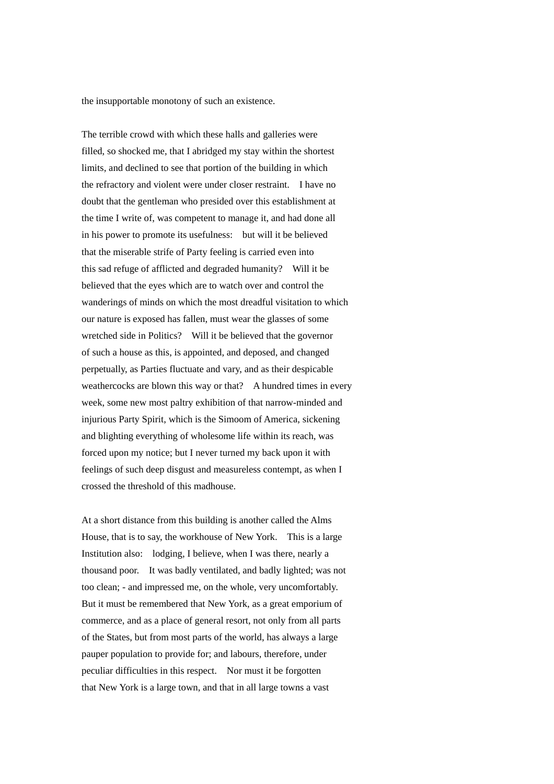the insupportable monotony of such an existence.

The terrible crowd with which these halls and galleries were filled, so shocked me, that I abridged my stay within the shortest limits, and declined to see that portion of the building in which the refractory and violent were under closer restraint. I have no doubt that the gentleman who presided over this establishment at the time I write of, was competent to manage it, and had done all in his power to promote its usefulness: but will it be believed that the miserable strife of Party feeling is carried even into this sad refuge of afflicted and degraded humanity? Will it be believed that the eyes which are to watch over and control the wanderings of minds on which the most dreadful visitation to which our nature is exposed has fallen, must wear the glasses of some wretched side in Politics? Will it be believed that the governor of such a house as this, is appointed, and deposed, and changed perpetually, as Parties fluctuate and vary, and as their despicable weathercocks are blown this way or that? A hundred times in every week, some new most paltry exhibition of that narrow-minded and injurious Party Spirit, which is the Simoom of America, sickening and blighting everything of wholesome life within its reach, was forced upon my notice; but I never turned my back upon it with feelings of such deep disgust and measureless contempt, as when I crossed the threshold of this madhouse.

At a short distance from this building is another called the Alms House, that is to say, the workhouse of New York. This is a large Institution also: lodging, I believe, when I was there, nearly a thousand poor. It was badly ventilated, and badly lighted; was not too clean; - and impressed me, on the whole, very uncomfortably. But it must be remembered that New York, as a great emporium of commerce, and as a place of general resort, not only from all parts of the States, but from most parts of the world, has always a large pauper population to provide for; and labours, therefore, under peculiar difficulties in this respect. Nor must it be forgotten that New York is a large town, and that in all large towns a vast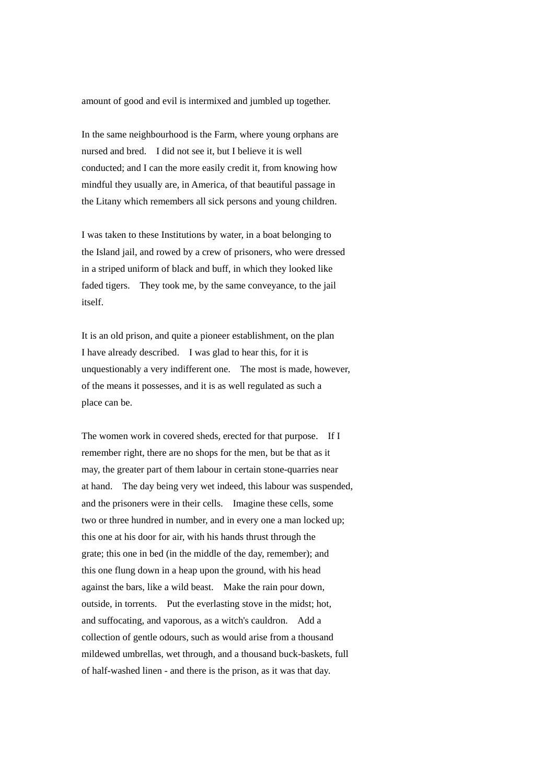amount of good and evil is intermixed and jumbled up together.

In the same neighbourhood is the Farm, where young orphans are nursed and bred. I did not see it, but I believe it is well conducted; and I can the more easily credit it, from knowing how mindful they usually are, in America, of that beautiful passage in the Litany which remembers all sick persons and young children.

I was taken to these Institutions by water, in a boat belonging to the Island jail, and rowed by a crew of prisoners, who were dressed in a striped uniform of black and buff, in which they looked like faded tigers. They took me, by the same conveyance, to the jail itself.

It is an old prison, and quite a pioneer establishment, on the plan I have already described. I was glad to hear this, for it is unquestionably a very indifferent one. The most is made, however, of the means it possesses, and it is as well regulated as such a place can be.

The women work in covered sheds, erected for that purpose. If I remember right, there are no shops for the men, but be that as it may, the greater part of them labour in certain stone-quarries near at hand. The day being very wet indeed, this labour was suspended, and the prisoners were in their cells. Imagine these cells, some two or three hundred in number, and in every one a man locked up; this one at his door for air, with his hands thrust through the grate; this one in bed (in the middle of the day, remember); and this one flung down in a heap upon the ground, with his head against the bars, like a wild beast. Make the rain pour down, outside, in torrents. Put the everlasting stove in the midst; hot, and suffocating, and vaporous, as a witch's cauldron. Add a collection of gentle odours, such as would arise from a thousand mildewed umbrellas, wet through, and a thousand buck-baskets, full of half-washed linen - and there is the prison, as it was that day.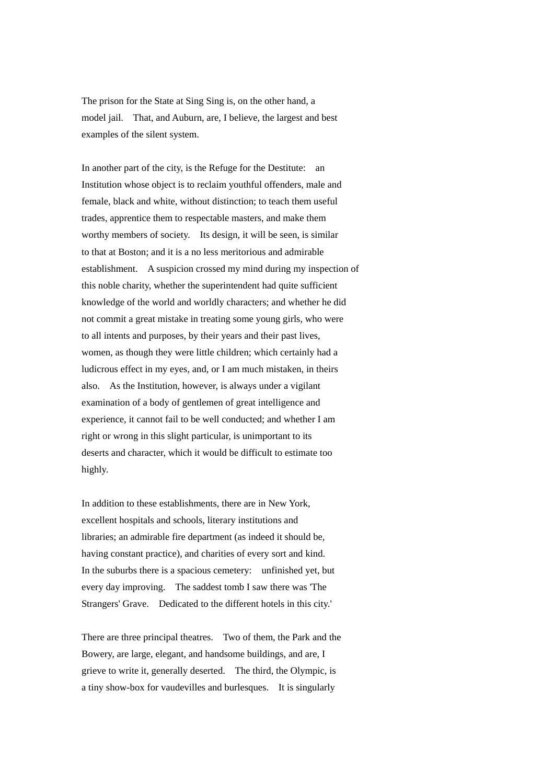The prison for the State at Sing Sing is, on the other hand, a model jail. That, and Auburn, are, I believe, the largest and best examples of the silent system.

In another part of the city, is the Refuge for the Destitute: an Institution whose object is to reclaim youthful offenders, male and female, black and white, without distinction; to teach them useful trades, apprentice them to respectable masters, and make them worthy members of society. Its design, it will be seen, is similar to that at Boston; and it is a no less meritorious and admirable establishment. A suspicion crossed my mind during my inspection of this noble charity, whether the superintendent had quite sufficient knowledge of the world and worldly characters; and whether he did not commit a great mistake in treating some young girls, who were to all intents and purposes, by their years and their past lives, women, as though they were little children; which certainly had a ludicrous effect in my eyes, and, or I am much mistaken, in theirs also. As the Institution, however, is always under a vigilant examination of a body of gentlemen of great intelligence and experience, it cannot fail to be well conducted; and whether I am right or wrong in this slight particular, is unimportant to its deserts and character, which it would be difficult to estimate too highly.

In addition to these establishments, there are in New York, excellent hospitals and schools, literary institutions and libraries; an admirable fire department (as indeed it should be, having constant practice), and charities of every sort and kind. In the suburbs there is a spacious cemetery: unfinished yet, but every day improving. The saddest tomb I saw there was 'The Strangers' Grave. Dedicated to the different hotels in this city.'

There are three principal theatres. Two of them, the Park and the Bowery, are large, elegant, and handsome buildings, and are, I grieve to write it, generally deserted. The third, the Olympic, is a tiny show-box for vaudevilles and burlesques. It is singularly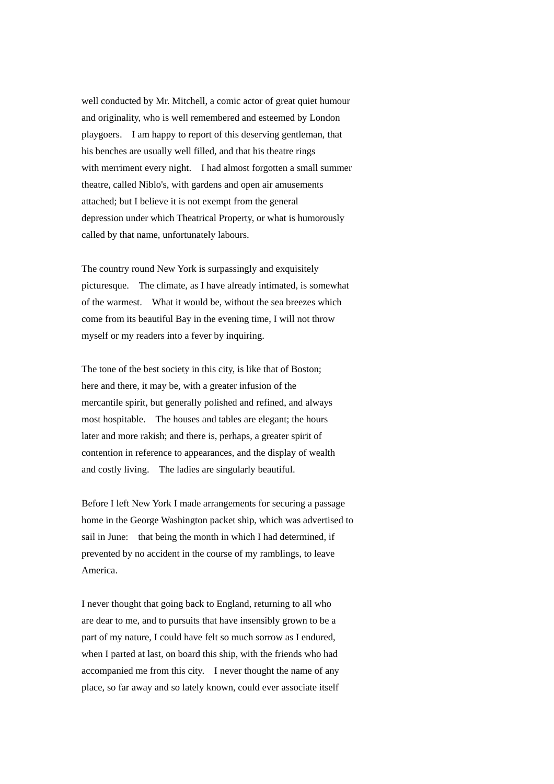well conducted by Mr. Mitchell, a comic actor of great quiet humour and originality, who is well remembered and esteemed by London playgoers. I am happy to report of this deserving gentleman, that his benches are usually well filled, and that his theatre rings with merriment every night. I had almost forgotten a small summer theatre, called Niblo's, with gardens and open air amusements attached; but I believe it is not exempt from the general depression under which Theatrical Property, or what is humorously called by that name, unfortunately labours.

The country round New York is surpassingly and exquisitely picturesque. The climate, as I have already intimated, is somewhat of the warmest. What it would be, without the sea breezes which come from its beautiful Bay in the evening time, I will not throw myself or my readers into a fever by inquiring.

The tone of the best society in this city, is like that of Boston; here and there, it may be, with a greater infusion of the mercantile spirit, but generally polished and refined, and always most hospitable. The houses and tables are elegant; the hours later and more rakish; and there is, perhaps, a greater spirit of contention in reference to appearances, and the display of wealth and costly living. The ladies are singularly beautiful.

Before I left New York I made arrangements for securing a passage home in the George Washington packet ship, which was advertised to sail in June: that being the month in which I had determined, if prevented by no accident in the course of my ramblings, to leave America.

I never thought that going back to England, returning to all who are dear to me, and to pursuits that have insensibly grown to be a part of my nature, I could have felt so much sorrow as I endured, when I parted at last, on board this ship, with the friends who had accompanied me from this city. I never thought the name of any place, so far away and so lately known, could ever associate itself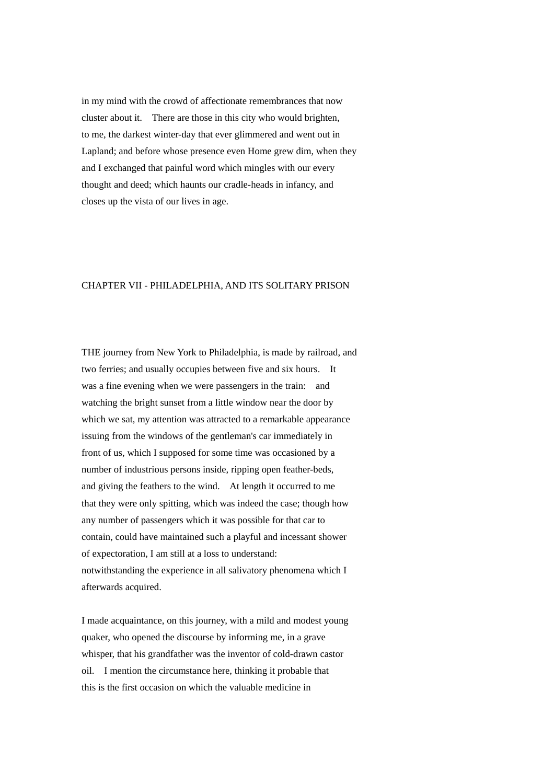in my mind with the crowd of affectionate remembrances that now cluster about it. There are those in this city who would brighten, to me, the darkest winter-day that ever glimmered and went out in Lapland; and before whose presence even Home grew dim, when they and I exchanged that painful word which mingles with our every thought and deed; which haunts our cradle-heads in infancy, and closes up the vista of our lives in age.

## CHAPTER VII - PHILADELPHIA, AND ITS SOLITARY PRISON

THE journey from New York to Philadelphia, is made by railroad, and two ferries; and usually occupies between five and six hours. It was a fine evening when we were passengers in the train: and watching the bright sunset from a little window near the door by which we sat, my attention was attracted to a remarkable appearance issuing from the windows of the gentleman's car immediately in front of us, which I supposed for some time was occasioned by a number of industrious persons inside, ripping open feather-beds, and giving the feathers to the wind. At length it occurred to me that they were only spitting, which was indeed the case; though how any number of passengers which it was possible for that car to contain, could have maintained such a playful and incessant shower of expectoration, I am still at a loss to understand: notwithstanding the experience in all salivatory phenomena which I afterwards acquired.

I made acquaintance, on this journey, with a mild and modest young quaker, who opened the discourse by informing me, in a grave whisper, that his grandfather was the inventor of cold-drawn castor oil. I mention the circumstance here, thinking it probable that this is the first occasion on which the valuable medicine in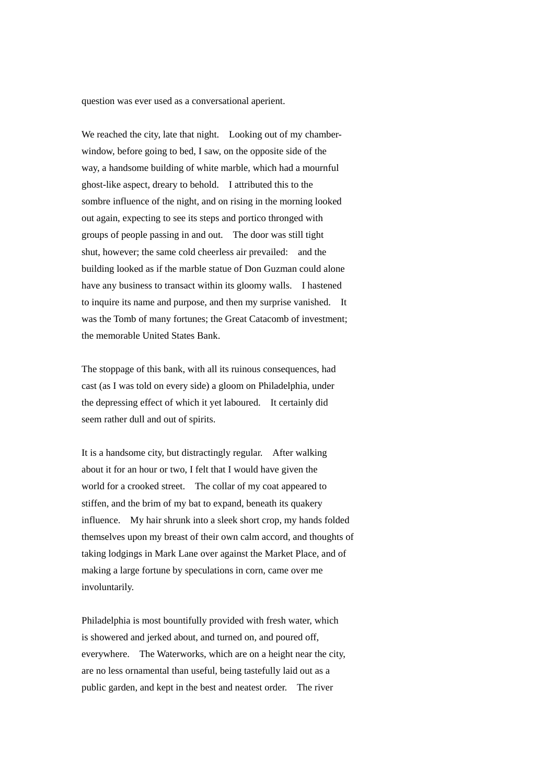question was ever used as a conversational aperient.

We reached the city, late that night. Looking out of my chamberwindow, before going to bed, I saw, on the opposite side of the way, a handsome building of white marble, which had a mournful ghost-like aspect, dreary to behold. I attributed this to the sombre influence of the night, and on rising in the morning looked out again, expecting to see its steps and portico thronged with groups of people passing in and out. The door was still tight shut, however; the same cold cheerless air prevailed: and the building looked as if the marble statue of Don Guzman could alone have any business to transact within its gloomy walls. I hastened to inquire its name and purpose, and then my surprise vanished. It was the Tomb of many fortunes; the Great Catacomb of investment; the memorable United States Bank.

The stoppage of this bank, with all its ruinous consequences, had cast (as I was told on every side) a gloom on Philadelphia, under the depressing effect of which it yet laboured. It certainly did seem rather dull and out of spirits.

It is a handsome city, but distractingly regular. After walking about it for an hour or two, I felt that I would have given the world for a crooked street. The collar of my coat appeared to stiffen, and the brim of my bat to expand, beneath its quakery influence. My hair shrunk into a sleek short crop, my hands folded themselves upon my breast of their own calm accord, and thoughts of taking lodgings in Mark Lane over against the Market Place, and of making a large fortune by speculations in corn, came over me involuntarily.

Philadelphia is most bountifully provided with fresh water, which is showered and jerked about, and turned on, and poured off, everywhere. The Waterworks, which are on a height near the city, are no less ornamental than useful, being tastefully laid out as a public garden, and kept in the best and neatest order. The river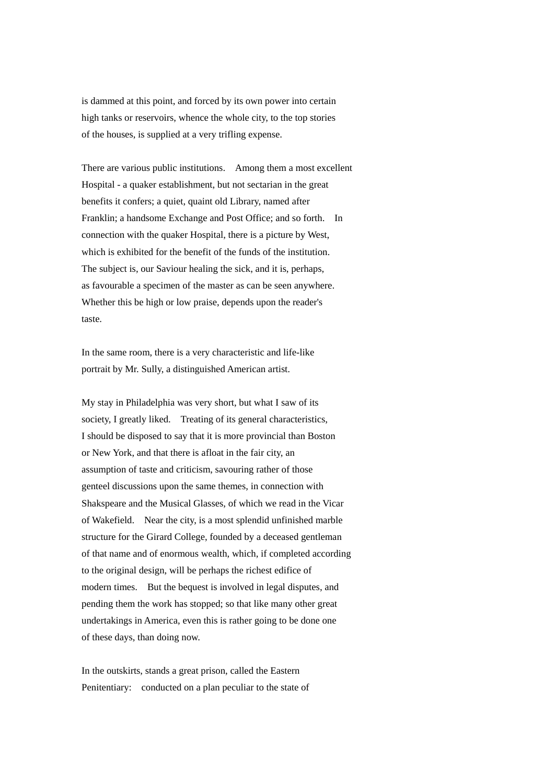is dammed at this point, and forced by its own power into certain high tanks or reservoirs, whence the whole city, to the top stories of the houses, is supplied at a very trifling expense.

There are various public institutions. Among them a most excellent Hospital - a quaker establishment, but not sectarian in the great benefits it confers; a quiet, quaint old Library, named after Franklin; a handsome Exchange and Post Office; and so forth. In connection with the quaker Hospital, there is a picture by West, which is exhibited for the benefit of the funds of the institution. The subject is, our Saviour healing the sick, and it is, perhaps, as favourable a specimen of the master as can be seen anywhere. Whether this be high or low praise, depends upon the reader's taste.

In the same room, there is a very characteristic and life-like portrait by Mr. Sully, a distinguished American artist.

My stay in Philadelphia was very short, but what I saw of its society, I greatly liked. Treating of its general characteristics, I should be disposed to say that it is more provincial than Boston or New York, and that there is afloat in the fair city, an assumption of taste and criticism, savouring rather of those genteel discussions upon the same themes, in connection with Shakspeare and the Musical Glasses, of which we read in the Vicar of Wakefield. Near the city, is a most splendid unfinished marble structure for the Girard College, founded by a deceased gentleman of that name and of enormous wealth, which, if completed according to the original design, will be perhaps the richest edifice of modern times. But the bequest is involved in legal disputes, and pending them the work has stopped; so that like many other great undertakings in America, even this is rather going to be done one of these days, than doing now.

In the outskirts, stands a great prison, called the Eastern Penitentiary: conducted on a plan peculiar to the state of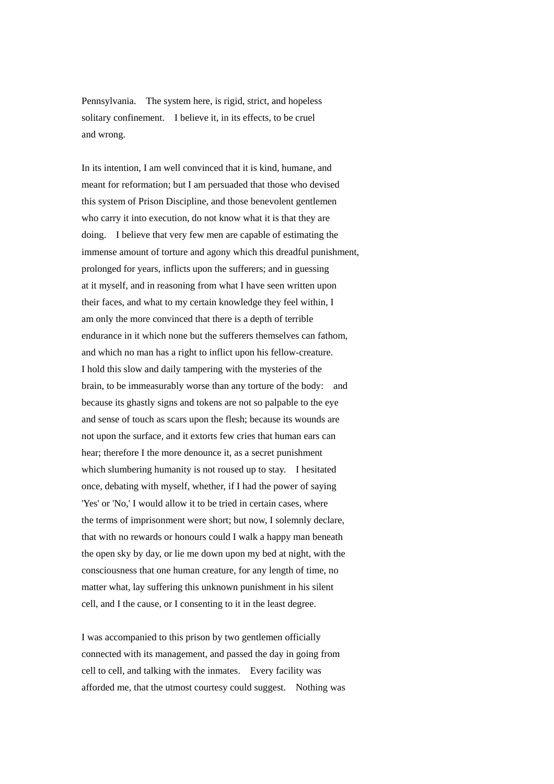Pennsylvania. The system here, is rigid, strict, and hopeless solitary confinement. I believe it, in its effects, to be cruel and wrong.

In its intention, I am well convinced that it is kind, humane, and meant for reformation; but I am persuaded that those who devised this system of Prison Discipline, and those benevolent gentlemen who carry it into execution, do not know what it is that they are doing. I believe that very few men are capable of estimating the immense amount of torture and agony which this dreadful punishment, prolonged for years, inflicts upon the sufferers; and in guessing at it myself, and in reasoning from what I have seen written upon their faces, and what to my certain knowledge they feel within, I am only the more convinced that there is a depth of terrible endurance in it which none but the sufferers themselves can fathom, and which no man has a right to inflict upon his fellow-creature. I hold this slow and daily tampering with the mysteries of the brain, to be immeasurably worse than any torture of the body: and because its ghastly signs and tokens are not so palpable to the eye and sense of touch as scars upon the flesh; because its wounds are not upon the surface, and it extorts few cries that human ears can hear; therefore I the more denounce it, as a secret punishment which slumbering humanity is not roused up to stay. I hesitated once, debating with myself, whether, if I had the power of saying 'Yes' or 'No,' I would allow it to be tried in certain cases, where the terms of imprisonment were short; but now, I solemnly declare, that with no rewards or honours could I walk a happy man beneath the open sky by day, or lie me down upon my bed at night, with the consciousness that one human creature, for any length of time, no matter what, lay suffering this unknown punishment in his silent cell, and I the cause, or I consenting to it in the least degree.

I was accompanied to this prison by two gentlemen officially connected with its management, and passed the day in going from cell to cell, and talking with the inmates. Every facility was afforded me, that the utmost courtesy could suggest. Nothing was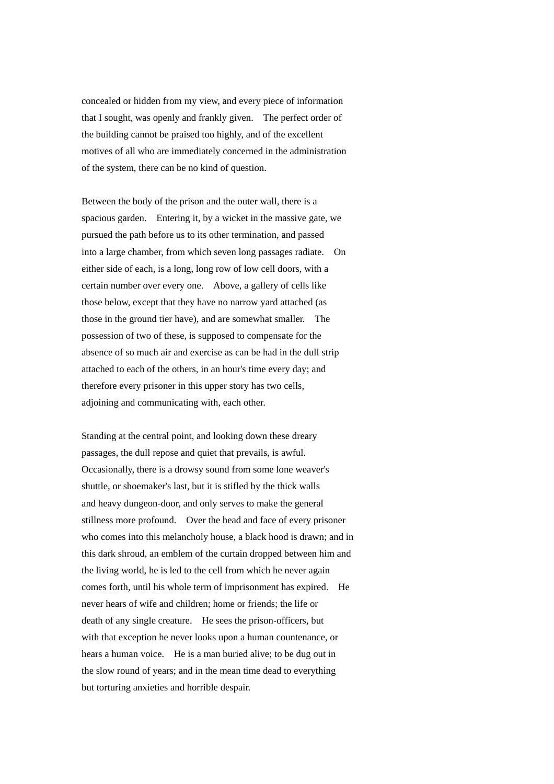concealed or hidden from my view, and every piece of information that I sought, was openly and frankly given. The perfect order of the building cannot be praised too highly, and of the excellent motives of all who are immediately concerned in the administration of the system, there can be no kind of question.

Between the body of the prison and the outer wall, there is a spacious garden. Entering it, by a wicket in the massive gate, we pursued the path before us to its other termination, and passed into a large chamber, from which seven long passages radiate. On either side of each, is a long, long row of low cell doors, with a certain number over every one. Above, a gallery of cells like those below, except that they have no narrow yard attached (as those in the ground tier have), and are somewhat smaller. The possession of two of these, is supposed to compensate for the absence of so much air and exercise as can be had in the dull strip attached to each of the others, in an hour's time every day; and therefore every prisoner in this upper story has two cells, adjoining and communicating with, each other.

Standing at the central point, and looking down these dreary passages, the dull repose and quiet that prevails, is awful. Occasionally, there is a drowsy sound from some lone weaver's shuttle, or shoemaker's last, but it is stifled by the thick walls and heavy dungeon-door, and only serves to make the general stillness more profound. Over the head and face of every prisoner who comes into this melancholy house, a black hood is drawn; and in this dark shroud, an emblem of the curtain dropped between him and the living world, he is led to the cell from which he never again comes forth, until his whole term of imprisonment has expired. He never hears of wife and children; home or friends; the life or death of any single creature. He sees the prison-officers, but with that exception he never looks upon a human countenance, or hears a human voice. He is a man buried alive; to be dug out in the slow round of years; and in the mean time dead to everything but torturing anxieties and horrible despair.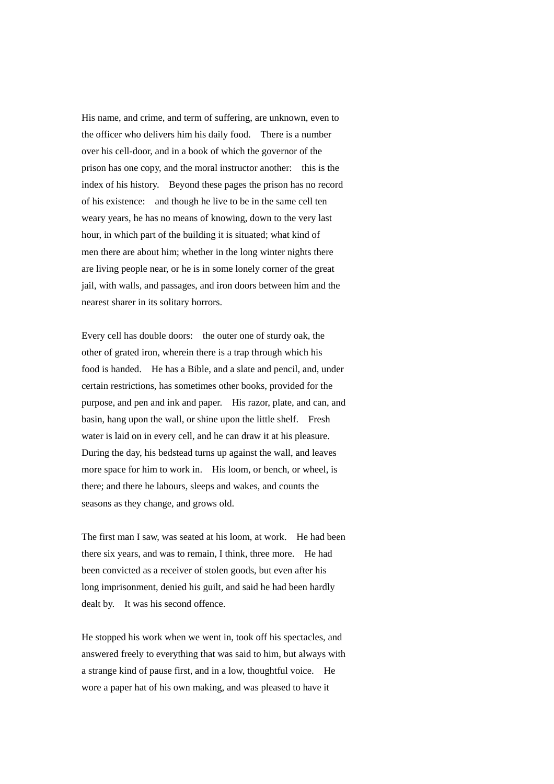His name, and crime, and term of suffering, are unknown, even to the officer who delivers him his daily food. There is a number over his cell-door, and in a book of which the governor of the prison has one copy, and the moral instructor another: this is the index of his history. Beyond these pages the prison has no record of his existence: and though he live to be in the same cell ten weary years, he has no means of knowing, down to the very last hour, in which part of the building it is situated; what kind of men there are about him; whether in the long winter nights there are living people near, or he is in some lonely corner of the great jail, with walls, and passages, and iron doors between him and the nearest sharer in its solitary horrors.

Every cell has double doors: the outer one of sturdy oak, the other of grated iron, wherein there is a trap through which his food is handed. He has a Bible, and a slate and pencil, and, under certain restrictions, has sometimes other books, provided for the purpose, and pen and ink and paper. His razor, plate, and can, and basin, hang upon the wall, or shine upon the little shelf. Fresh water is laid on in every cell, and he can draw it at his pleasure. During the day, his bedstead turns up against the wall, and leaves more space for him to work in. His loom, or bench, or wheel, is there; and there he labours, sleeps and wakes, and counts the seasons as they change, and grows old.

The first man I saw, was seated at his loom, at work. He had been there six years, and was to remain, I think, three more. He had been convicted as a receiver of stolen goods, but even after his long imprisonment, denied his guilt, and said he had been hardly dealt by. It was his second offence.

He stopped his work when we went in, took off his spectacles, and answered freely to everything that was said to him, but always with a strange kind of pause first, and in a low, thoughtful voice. He wore a paper hat of his own making, and was pleased to have it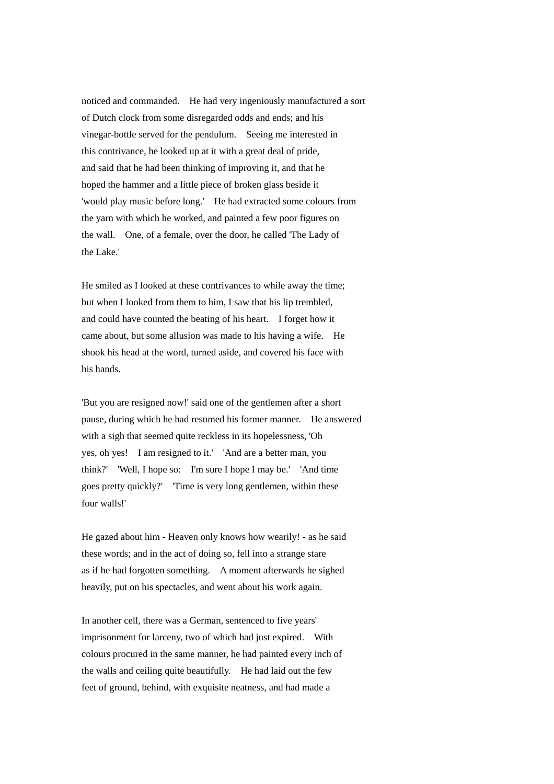noticed and commanded. He had very ingeniously manufactured a sort of Dutch clock from some disregarded odds and ends; and his vinegar-bottle served for the pendulum. Seeing me interested in this contrivance, he looked up at it with a great deal of pride, and said that he had been thinking of improving it, and that he hoped the hammer and a little piece of broken glass beside it 'would play music before long.' He had extracted some colours from the yarn with which he worked, and painted a few poor figures on the wall. One, of a female, over the door, he called 'The Lady of the Lake.'

He smiled as I looked at these contrivances to while away the time; but when I looked from them to him, I saw that his lip trembled, and could have counted the beating of his heart. I forget how it came about, but some allusion was made to his having a wife. He shook his head at the word, turned aside, and covered his face with his hands.

'But you are resigned now!' said one of the gentlemen after a short pause, during which he had resumed his former manner. He answered with a sigh that seemed quite reckless in its hopelessness. 'Oh yes, oh yes! I am resigned to it.' 'And are a better man, you think?' 'Well, I hope so: I'm sure I hope I may be.' 'And time goes pretty quickly?' 'Time is very long gentlemen, within these four walls!'

He gazed about him - Heaven only knows how wearily! - as he said these words; and in the act of doing so, fell into a strange stare as if he had forgotten something. A moment afterwards he sighed heavily, put on his spectacles, and went about his work again.

In another cell, there was a German, sentenced to five years' imprisonment for larceny, two of which had just expired. With colours procured in the same manner, he had painted every inch of the walls and ceiling quite beautifully. He had laid out the few feet of ground, behind, with exquisite neatness, and had made a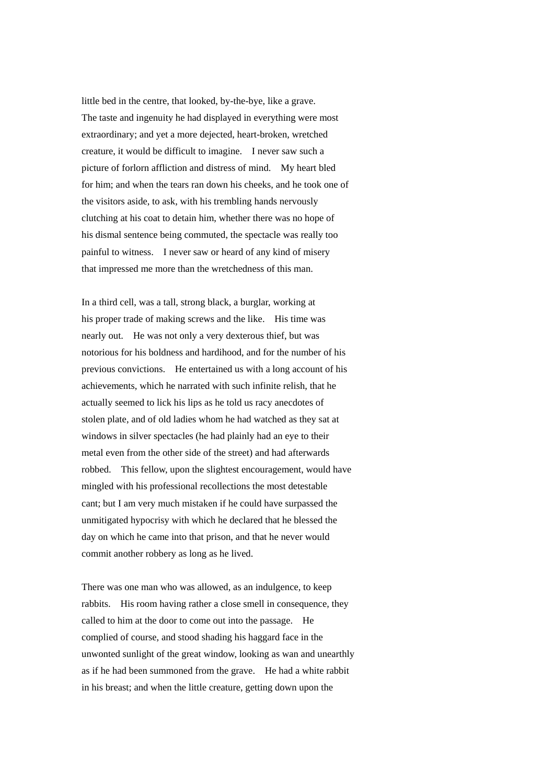little bed in the centre, that looked, by-the-bye, like a grave. The taste and ingenuity he had displayed in everything were most extraordinary; and yet a more dejected, heart-broken, wretched creature, it would be difficult to imagine. I never saw such a picture of forlorn affliction and distress of mind. My heart bled for him; and when the tears ran down his cheeks, and he took one of the visitors aside, to ask, with his trembling hands nervously clutching at his coat to detain him, whether there was no hope of his dismal sentence being commuted, the spectacle was really too painful to witness. I never saw or heard of any kind of misery that impressed me more than the wretchedness of this man.

In a third cell, was a tall, strong black, a burglar, working at his proper trade of making screws and the like. His time was nearly out. He was not only a very dexterous thief, but was notorious for his boldness and hardihood, and for the number of his previous convictions. He entertained us with a long account of his achievements, which he narrated with such infinite relish, that he actually seemed to lick his lips as he told us racy anecdotes of stolen plate, and of old ladies whom he had watched as they sat at windows in silver spectacles (he had plainly had an eye to their metal even from the other side of the street) and had afterwards robbed. This fellow, upon the slightest encouragement, would have mingled with his professional recollections the most detestable cant; but I am very much mistaken if he could have surpassed the unmitigated hypocrisy with which he declared that he blessed the day on which he came into that prison, and that he never would commit another robbery as long as he lived.

There was one man who was allowed, as an indulgence, to keep rabbits. His room having rather a close smell in consequence, they called to him at the door to come out into the passage. He complied of course, and stood shading his haggard face in the unwonted sunlight of the great window, looking as wan and unearthly as if he had been summoned from the grave. He had a white rabbit in his breast; and when the little creature, getting down upon the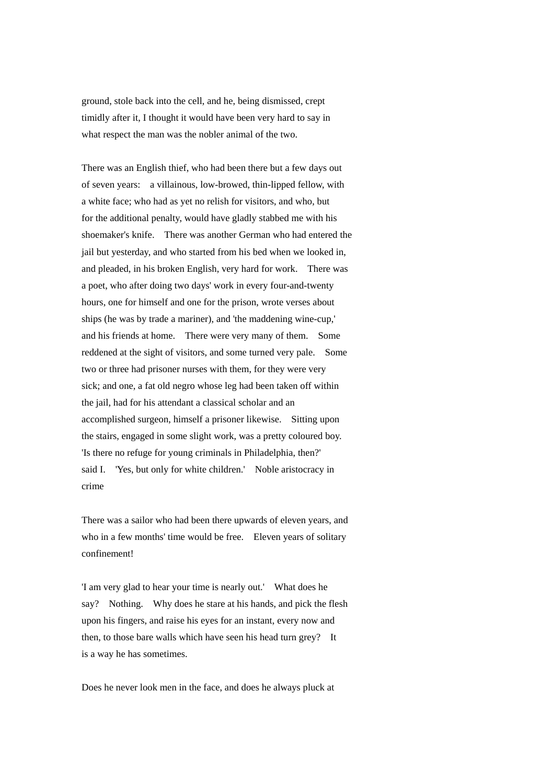ground, stole back into the cell, and he, being dismissed, crept timidly after it, I thought it would have been very hard to say in what respect the man was the nobler animal of the two.

There was an English thief, who had been there but a few days out of seven years: a villainous, low-browed, thin-lipped fellow, with a white face; who had as yet no relish for visitors, and who, but for the additional penalty, would have gladly stabbed me with his shoemaker's knife. There was another German who had entered the jail but yesterday, and who started from his bed when we looked in, and pleaded, in his broken English, very hard for work. There was a poet, who after doing two days' work in every four-and-twenty hours, one for himself and one for the prison, wrote verses about ships (he was by trade a mariner), and 'the maddening wine-cup,' and his friends at home. There were very many of them. Some reddened at the sight of visitors, and some turned very pale. Some two or three had prisoner nurses with them, for they were very sick; and one, a fat old negro whose leg had been taken off within the jail, had for his attendant a classical scholar and an accomplished surgeon, himself a prisoner likewise. Sitting upon the stairs, engaged in some slight work, was a pretty coloured boy. 'Is there no refuge for young criminals in Philadelphia, then?' said I. 'Yes, but only for white children.' Noble aristocracy in crime

There was a sailor who had been there upwards of eleven years, and who in a few months' time would be free. Eleven years of solitary confinement!

'I am very glad to hear your time is nearly out.' What does he say? Nothing. Why does he stare at his hands, and pick the flesh upon his fingers, and raise his eyes for an instant, every now and then, to those bare walls which have seen his head turn grey? It is a way he has sometimes.

Does he never look men in the face, and does he always pluck at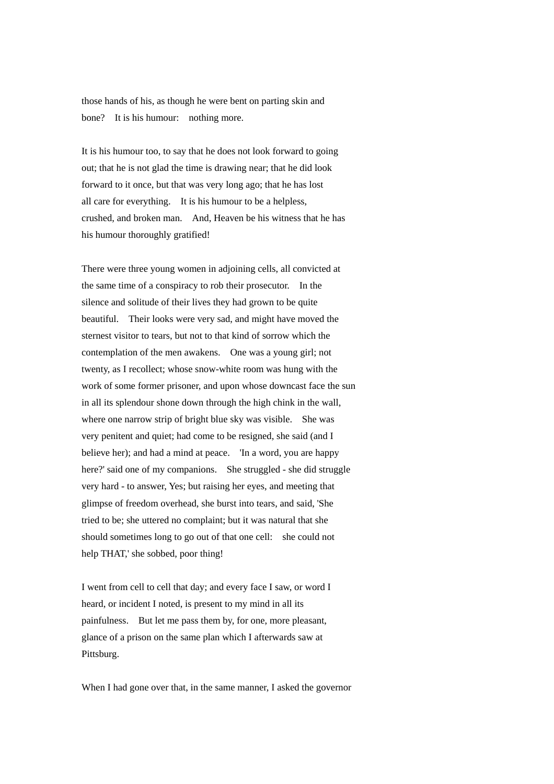those hands of his, as though he were bent on parting skin and bone? It is his humour: nothing more.

It is his humour too, to say that he does not look forward to going out; that he is not glad the time is drawing near; that he did look forward to it once, but that was very long ago; that he has lost all care for everything. It is his humour to be a helpless, crushed, and broken man. And, Heaven be his witness that he has his humour thoroughly gratified!

There were three young women in adjoining cells, all convicted at the same time of a conspiracy to rob their prosecutor. In the silence and solitude of their lives they had grown to be quite beautiful. Their looks were very sad, and might have moved the sternest visitor to tears, but not to that kind of sorrow which the contemplation of the men awakens. One was a young girl; not twenty, as I recollect; whose snow-white room was hung with the work of some former prisoner, and upon whose downcast face the sun in all its splendour shone down through the high chink in the wall, where one narrow strip of bright blue sky was visible. She was very penitent and quiet; had come to be resigned, she said (and I believe her); and had a mind at peace. 'In a word, you are happy here?' said one of my companions. She struggled - she did struggle very hard - to answer, Yes; but raising her eyes, and meeting that glimpse of freedom overhead, she burst into tears, and said, 'She tried to be; she uttered no complaint; but it was natural that she should sometimes long to go out of that one cell: she could not help THAT,' she sobbed, poor thing!

I went from cell to cell that day; and every face I saw, or word I heard, or incident I noted, is present to my mind in all its painfulness. But let me pass them by, for one, more pleasant, glance of a prison on the same plan which I afterwards saw at Pittsburg.

When I had gone over that, in the same manner, I asked the governor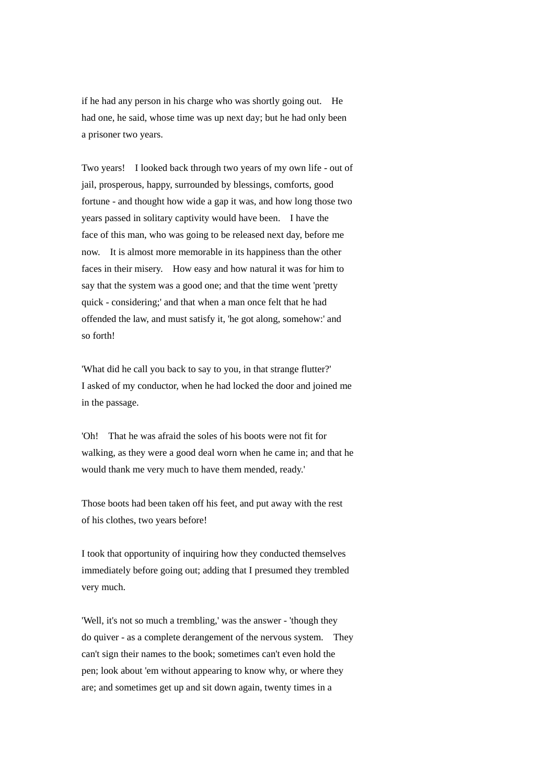if he had any person in his charge who was shortly going out. He had one, he said, whose time was up next day; but he had only been a prisoner two years.

Two years! I looked back through two years of my own life - out of jail, prosperous, happy, surrounded by blessings, comforts, good fortune - and thought how wide a gap it was, and how long those two years passed in solitary captivity would have been. I have the face of this man, who was going to be released next day, before me now. It is almost more memorable in its happiness than the other faces in their misery. How easy and how natural it was for him to say that the system was a good one; and that the time went 'pretty quick - considering;' and that when a man once felt that he had offended the law, and must satisfy it, 'he got along, somehow:' and so forth!

'What did he call you back to say to you, in that strange flutter?' I asked of my conductor, when he had locked the door and joined me in the passage.

'Oh! That he was afraid the soles of his boots were not fit for walking, as they were a good deal worn when he came in; and that he would thank me very much to have them mended, ready.'

Those boots had been taken off his feet, and put away with the rest of his clothes, two years before!

I took that opportunity of inquiring how they conducted themselves immediately before going out; adding that I presumed they trembled very much.

'Well, it's not so much a trembling,' was the answer - 'though they do quiver - as a complete derangement of the nervous system. They can't sign their names to the book; sometimes can't even hold the pen; look about 'em without appearing to know why, or where they are; and sometimes get up and sit down again, twenty times in a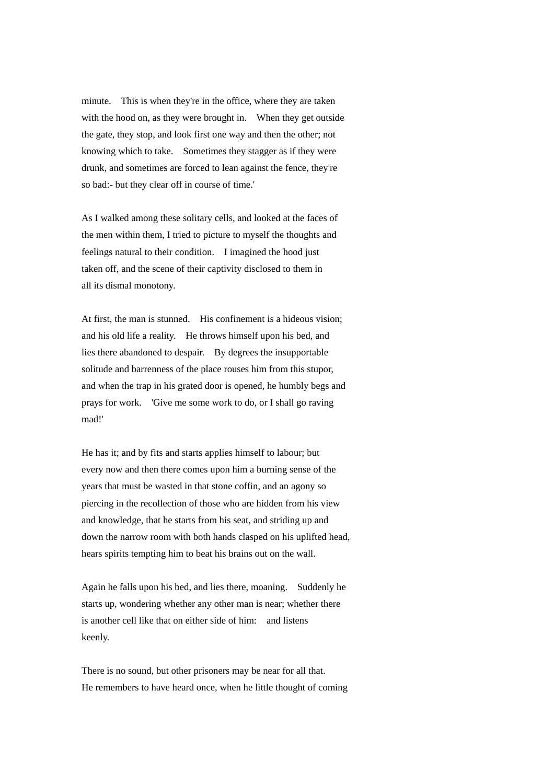minute. This is when they're in the office, where they are taken with the hood on, as they were brought in. When they get outside the gate, they stop, and look first one way and then the other; not knowing which to take. Sometimes they stagger as if they were drunk, and sometimes are forced to lean against the fence, they're so bad:- but they clear off in course of time.'

As I walked among these solitary cells, and looked at the faces of the men within them, I tried to picture to myself the thoughts and feelings natural to their condition. I imagined the hood just taken off, and the scene of their captivity disclosed to them in all its dismal monotony.

At first, the man is stunned. His confinement is a hideous vision: and his old life a reality. He throws himself upon his bed, and lies there abandoned to despair. By degrees the insupportable solitude and barrenness of the place rouses him from this stupor, and when the trap in his grated door is opened, he humbly begs and prays for work. 'Give me some work to do, or I shall go raving mad!'

He has it; and by fits and starts applies himself to labour; but every now and then there comes upon him a burning sense of the years that must be wasted in that stone coffin, and an agony so piercing in the recollection of those who are hidden from his view and knowledge, that he starts from his seat, and striding up and down the narrow room with both hands clasped on his uplifted head, hears spirits tempting him to beat his brains out on the wall.

Again he falls upon his bed, and lies there, moaning. Suddenly he starts up, wondering whether any other man is near; whether there is another cell like that on either side of him: and listens keenly.

There is no sound, but other prisoners may be near for all that. He remembers to have heard once, when he little thought of coming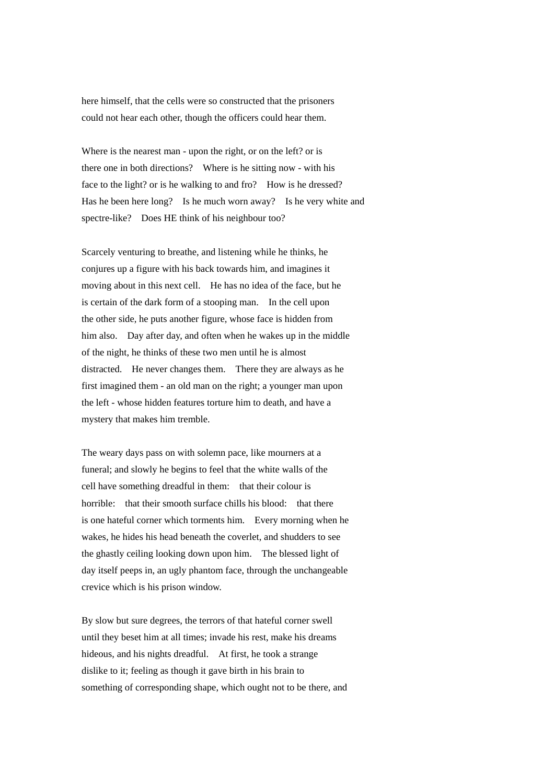here himself, that the cells were so constructed that the prisoners could not hear each other, though the officers could hear them.

Where is the nearest man - upon the right, or on the left? or is there one in both directions? Where is he sitting now - with his face to the light? or is he walking to and fro? How is he dressed? Has he been here long? Is he much worn away? Is he very white and spectre-like? Does HE think of his neighbour too?

Scarcely venturing to breathe, and listening while he thinks, he conjures up a figure with his back towards him, and imagines it moving about in this next cell. He has no idea of the face, but he is certain of the dark form of a stooping man. In the cell upon the other side, he puts another figure, whose face is hidden from him also. Day after day, and often when he wakes up in the middle of the night, he thinks of these two men until he is almost distracted. He never changes them. There they are always as he first imagined them - an old man on the right; a younger man upon the left - whose hidden features torture him to death, and have a mystery that makes him tremble.

The weary days pass on with solemn pace, like mourners at a funeral; and slowly he begins to feel that the white walls of the cell have something dreadful in them: that their colour is horrible: that their smooth surface chills his blood: that there is one hateful corner which torments him. Every morning when he wakes, he hides his head beneath the coverlet, and shudders to see the ghastly ceiling looking down upon him. The blessed light of day itself peeps in, an ugly phantom face, through the unchangeable crevice which is his prison window.

By slow but sure degrees, the terrors of that hateful corner swell until they beset him at all times; invade his rest, make his dreams hideous, and his nights dreadful. At first, he took a strange dislike to it; feeling as though it gave birth in his brain to something of corresponding shape, which ought not to be there, and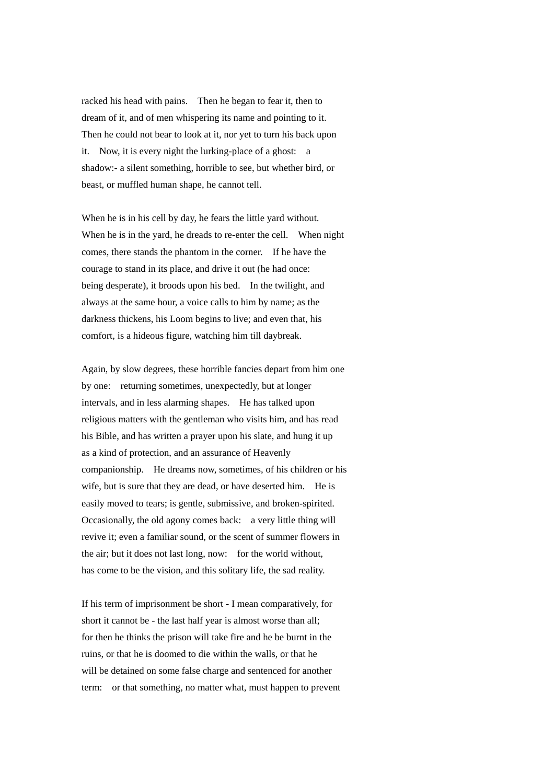racked his head with pains. Then he began to fear it, then to dream of it, and of men whispering its name and pointing to it. Then he could not bear to look at it, nor yet to turn his back upon it. Now, it is every night the lurking-place of a ghost: a shadow:- a silent something, horrible to see, but whether bird, or beast, or muffled human shape, he cannot tell.

When he is in his cell by day, he fears the little yard without. When he is in the yard, he dreads to re-enter the cell. When night comes, there stands the phantom in the corner. If he have the courage to stand in its place, and drive it out (he had once: being desperate), it broods upon his bed. In the twilight, and always at the same hour, a voice calls to him by name; as the darkness thickens, his Loom begins to live; and even that, his comfort, is a hideous figure, watching him till daybreak.

Again, by slow degrees, these horrible fancies depart from him one by one: returning sometimes, unexpectedly, but at longer intervals, and in less alarming shapes. He has talked upon religious matters with the gentleman who visits him, and has read his Bible, and has written a prayer upon his slate, and hung it up as a kind of protection, and an assurance of Heavenly companionship. He dreams now, sometimes, of his children or his wife, but is sure that they are dead, or have deserted him. He is easily moved to tears; is gentle, submissive, and broken-spirited. Occasionally, the old agony comes back: a very little thing will revive it; even a familiar sound, or the scent of summer flowers in the air; but it does not last long, now: for the world without, has come to be the vision, and this solitary life, the sad reality.

If his term of imprisonment be short - I mean comparatively, for short it cannot be - the last half year is almost worse than all; for then he thinks the prison will take fire and he be burnt in the ruins, or that he is doomed to die within the walls, or that he will be detained on some false charge and sentenced for another term: or that something, no matter what, must happen to prevent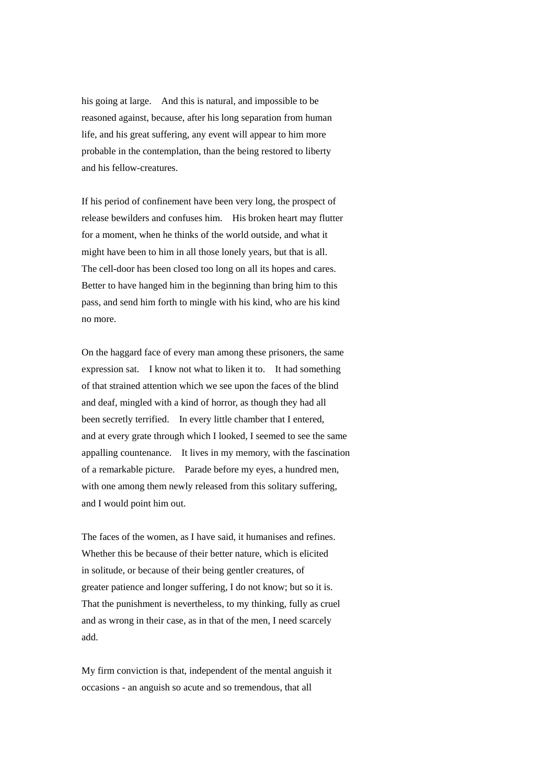his going at large. And this is natural, and impossible to be reasoned against, because, after his long separation from human life, and his great suffering, any event will appear to him more probable in the contemplation, than the being restored to liberty and his fellow-creatures.

If his period of confinement have been very long, the prospect of release bewilders and confuses him. His broken heart may flutter for a moment, when he thinks of the world outside, and what it might have been to him in all those lonely years, but that is all. The cell-door has been closed too long on all its hopes and cares. Better to have hanged him in the beginning than bring him to this pass, and send him forth to mingle with his kind, who are his kind no more.

On the haggard face of every man among these prisoners, the same expression sat. I know not what to liken it to. It had something of that strained attention which we see upon the faces of the blind and deaf, mingled with a kind of horror, as though they had all been secretly terrified. In every little chamber that I entered, and at every grate through which I looked, I seemed to see the same appalling countenance. It lives in my memory, with the fascination of a remarkable picture. Parade before my eyes, a hundred men, with one among them newly released from this solitary suffering. and I would point him out.

The faces of the women, as I have said, it humanises and refines. Whether this be because of their better nature, which is elicited in solitude, or because of their being gentler creatures, of greater patience and longer suffering, I do not know; but so it is. That the punishment is nevertheless, to my thinking, fully as cruel and as wrong in their case, as in that of the men, I need scarcely add.

My firm conviction is that, independent of the mental anguish it occasions - an anguish so acute and so tremendous, that all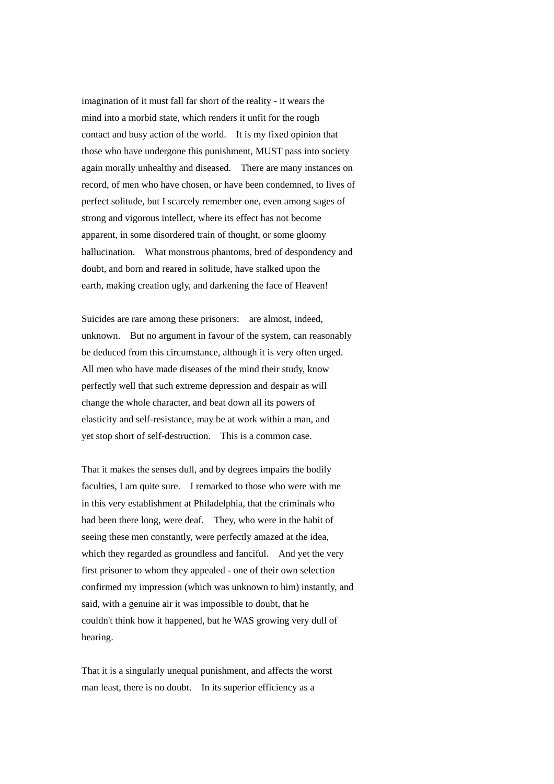imagination of it must fall far short of the reality - it wears the mind into a morbid state, which renders it unfit for the rough contact and busy action of the world. It is my fixed opinion that those who have undergone this punishment, MUST pass into society again morally unhealthy and diseased. There are many instances on record, of men who have chosen, or have been condemned, to lives of perfect solitude, but I scarcely remember one, even among sages of strong and vigorous intellect, where its effect has not become apparent, in some disordered train of thought, or some gloomy hallucination. What monstrous phantoms, bred of despondency and doubt, and born and reared in solitude, have stalked upon the earth, making creation ugly, and darkening the face of Heaven!

Suicides are rare among these prisoners: are almost, indeed, unknown. But no argument in favour of the system, can reasonably be deduced from this circumstance, although it is very often urged. All men who have made diseases of the mind their study, know perfectly well that such extreme depression and despair as will change the whole character, and beat down all its powers of elasticity and self-resistance, may be at work within a man, and yet stop short of self-destruction. This is a common case.

That it makes the senses dull, and by degrees impairs the bodily faculties, I am quite sure. I remarked to those who were with me in this very establishment at Philadelphia, that the criminals who had been there long, were deaf. They, who were in the habit of seeing these men constantly, were perfectly amazed at the idea, which they regarded as groundless and fanciful. And yet the very first prisoner to whom they appealed - one of their own selection confirmed my impression (which was unknown to him) instantly, and said, with a genuine air it was impossible to doubt, that he couldn't think how it happened, but he WAS growing very dull of hearing.

That it is a singularly unequal punishment, and affects the worst man least, there is no doubt. In its superior efficiency as a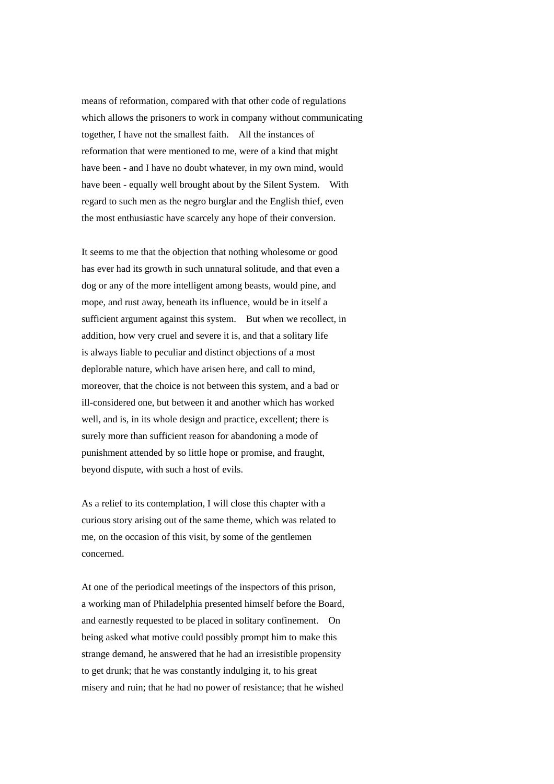means of reformation, compared with that other code of regulations which allows the prisoners to work in company without communicating together, I have not the smallest faith. All the instances of reformation that were mentioned to me, were of a kind that might have been - and I have no doubt whatever, in my own mind, would have been - equally well brought about by the Silent System. With regard to such men as the negro burglar and the English thief, even the most enthusiastic have scarcely any hope of their conversion.

It seems to me that the objection that nothing wholesome or good has ever had its growth in such unnatural solitude, and that even a dog or any of the more intelligent among beasts, would pine, and mope, and rust away, beneath its influence, would be in itself a sufficient argument against this system. But when we recollect, in addition, how very cruel and severe it is, and that a solitary life is always liable to peculiar and distinct objections of a most deplorable nature, which have arisen here, and call to mind, moreover, that the choice is not between this system, and a bad or ill-considered one, but between it and another which has worked well, and is, in its whole design and practice, excellent; there is surely more than sufficient reason for abandoning a mode of punishment attended by so little hope or promise, and fraught, beyond dispute, with such a host of evils.

As a relief to its contemplation, I will close this chapter with a curious story arising out of the same theme, which was related to me, on the occasion of this visit, by some of the gentlemen concerned.

At one of the periodical meetings of the inspectors of this prison, a working man of Philadelphia presented himself before the Board, and earnestly requested to be placed in solitary confinement. On being asked what motive could possibly prompt him to make this strange demand, he answered that he had an irresistible propensity to get drunk; that he was constantly indulging it, to his great misery and ruin; that he had no power of resistance; that he wished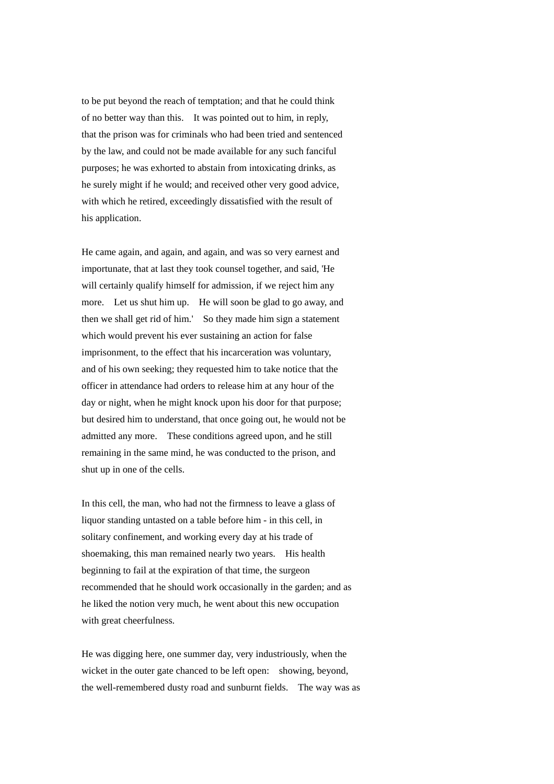to be put beyond the reach of temptation; and that he could think of no better way than this. It was pointed out to him, in reply, that the prison was for criminals who had been tried and sentenced by the law, and could not be made available for any such fanciful purposes; he was exhorted to abstain from intoxicating drinks, as he surely might if he would; and received other very good advice, with which he retired, exceedingly dissatisfied with the result of his application.

He came again, and again, and again, and was so very earnest and importunate, that at last they took counsel together, and said, 'He will certainly qualify himself for admission, if we reject him any more. Let us shut him up. He will soon be glad to go away, and then we shall get rid of him.' So they made him sign a statement which would prevent his ever sustaining an action for false imprisonment, to the effect that his incarceration was voluntary, and of his own seeking; they requested him to take notice that the officer in attendance had orders to release him at any hour of the day or night, when he might knock upon his door for that purpose; but desired him to understand, that once going out, he would not be admitted any more. These conditions agreed upon, and he still remaining in the same mind, he was conducted to the prison, and shut up in one of the cells.

In this cell, the man, who had not the firmness to leave a glass of liquor standing untasted on a table before him - in this cell, in solitary confinement, and working every day at his trade of shoemaking, this man remained nearly two years. His health beginning to fail at the expiration of that time, the surgeon recommended that he should work occasionally in the garden; and as he liked the notion very much, he went about this new occupation with great cheerfulness.

He was digging here, one summer day, very industriously, when the wicket in the outer gate chanced to be left open: showing, beyond, the well-remembered dusty road and sunburnt fields. The way was as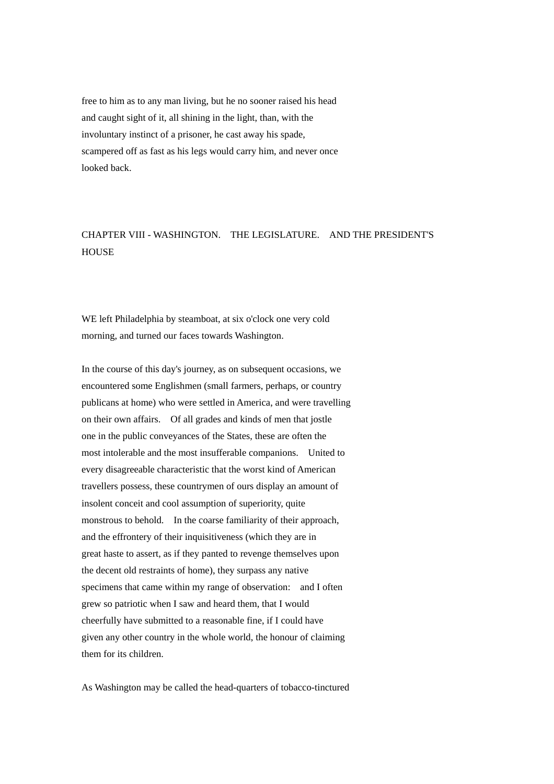free to him as to any man living, but he no sooner raised his head and caught sight of it, all shining in the light, than, with the involuntary instinct of a prisoner, he cast away his spade, scampered off as fast as his legs would carry him, and never once looked back.

## CHAPTER VIII - WASHINGTON. THE LEGISLATURE. AND THE PRESIDENT'S **HOUSE**

WE left Philadelphia by steamboat, at six o'clock one very cold morning, and turned our faces towards Washington.

In the course of this day's journey, as on subsequent occasions, we encountered some Englishmen (small farmers, perhaps, or country publicans at home) who were settled in America, and were travelling on their own affairs. Of all grades and kinds of men that jostle one in the public conveyances of the States, these are often the most intolerable and the most insufferable companions. United to every disagreeable characteristic that the worst kind of American travellers possess, these countrymen of ours display an amount of insolent conceit and cool assumption of superiority, quite monstrous to behold. In the coarse familiarity of their approach, and the effrontery of their inquisitiveness (which they are in great haste to assert, as if they panted to revenge themselves upon the decent old restraints of home), they surpass any native specimens that came within my range of observation: and I often grew so patriotic when I saw and heard them, that I would cheerfully have submitted to a reasonable fine, if I could have given any other country in the whole world, the honour of claiming them for its children.

As Washington may be called the head-quarters of tobacco-tinctured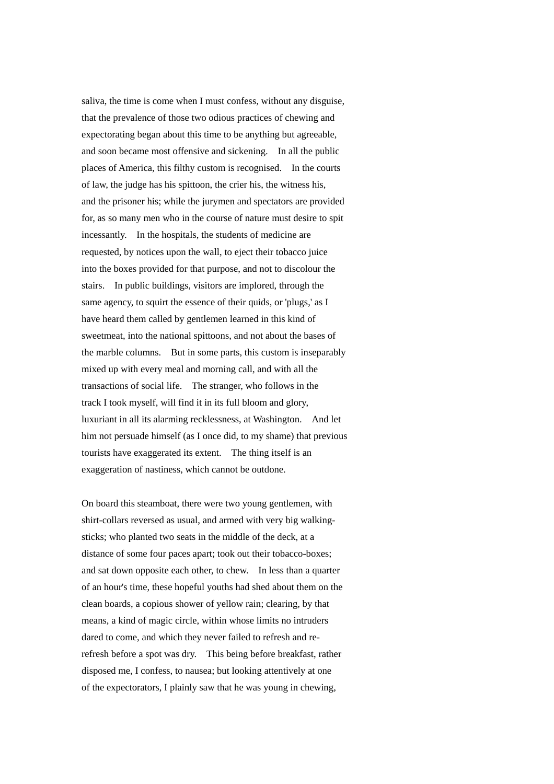saliva, the time is come when I must confess, without any disguise, that the prevalence of those two odious practices of chewing and expectorating began about this time to be anything but agreeable, and soon became most offensive and sickening. In all the public places of America, this filthy custom is recognised. In the courts of law, the judge has his spittoon, the crier his, the witness his, and the prisoner his; while the jurymen and spectators are provided for, as so many men who in the course of nature must desire to spit incessantly. In the hospitals, the students of medicine are requested, by notices upon the wall, to eject their tobacco juice into the boxes provided for that purpose, and not to discolour the stairs. In public buildings, visitors are implored, through the same agency, to squirt the essence of their quids, or 'plugs,' as I have heard them called by gentlemen learned in this kind of sweetmeat, into the national spittoons, and not about the bases of the marble columns. But in some parts, this custom is inseparably mixed up with every meal and morning call, and with all the transactions of social life. The stranger, who follows in the track I took myself, will find it in its full bloom and glory, luxuriant in all its alarming recklessness, at Washington. And let him not persuade himself (as I once did, to my shame) that previous tourists have exaggerated its extent. The thing itself is an exaggeration of nastiness, which cannot be outdone.

On board this steamboat, there were two young gentlemen, with shirt-collars reversed as usual, and armed with very big walkingsticks; who planted two seats in the middle of the deck, at a distance of some four paces apart; took out their tobacco-boxes; and sat down opposite each other, to chew. In less than a quarter of an hour's time, these hopeful youths had shed about them on the clean boards, a copious shower of yellow rain; clearing, by that means, a kind of magic circle, within whose limits no intruders dared to come, and which they never failed to refresh and rerefresh before a spot was dry. This being before breakfast, rather disposed me, I confess, to nausea; but looking attentively at one of the expectorators, I plainly saw that he was young in chewing,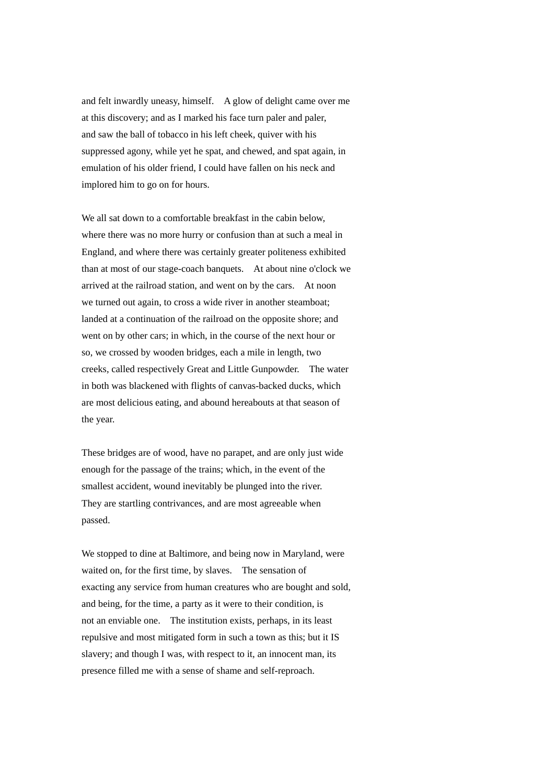and felt inwardly uneasy, himself. A glow of delight came over me at this discovery; and as I marked his face turn paler and paler, and saw the ball of tobacco in his left cheek, quiver with his suppressed agony, while yet he spat, and chewed, and spat again, in emulation of his older friend, I could have fallen on his neck and implored him to go on for hours.

We all sat down to a comfortable breakfast in the cabin below. where there was no more hurry or confusion than at such a meal in England, and where there was certainly greater politeness exhibited than at most of our stage-coach banquets. At about nine o'clock we arrived at the railroad station, and went on by the cars. At noon we turned out again, to cross a wide river in another steamboat; landed at a continuation of the railroad on the opposite shore; and went on by other cars; in which, in the course of the next hour or so, we crossed by wooden bridges, each a mile in length, two creeks, called respectively Great and Little Gunpowder. The water in both was blackened with flights of canvas-backed ducks, which are most delicious eating, and abound hereabouts at that season of the year.

These bridges are of wood, have no parapet, and are only just wide enough for the passage of the trains; which, in the event of the smallest accident, wound inevitably be plunged into the river. They are startling contrivances, and are most agreeable when passed.

We stopped to dine at Baltimore, and being now in Maryland, were waited on, for the first time, by slaves. The sensation of exacting any service from human creatures who are bought and sold, and being, for the time, a party as it were to their condition, is not an enviable one. The institution exists, perhaps, in its least repulsive and most mitigated form in such a town as this; but it IS slavery; and though I was, with respect to it, an innocent man, its presence filled me with a sense of shame and self-reproach.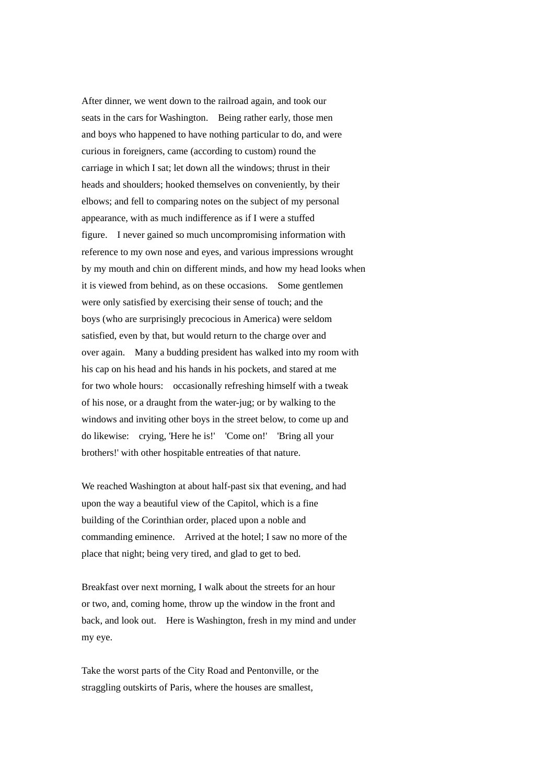After dinner, we went down to the railroad again, and took our seats in the cars for Washington. Being rather early, those men and boys who happened to have nothing particular to do, and were curious in foreigners, came (according to custom) round the carriage in which I sat; let down all the windows; thrust in their heads and shoulders; hooked themselves on conveniently, by their elbows; and fell to comparing notes on the subject of my personal appearance, with as much indifference as if I were a stuffed figure. I never gained so much uncompromising information with reference to my own nose and eyes, and various impressions wrought by my mouth and chin on different minds, and how my head looks when it is viewed from behind, as on these occasions. Some gentlemen were only satisfied by exercising their sense of touch; and the boys (who are surprisingly precocious in America) were seldom satisfied, even by that, but would return to the charge over and over again. Many a budding president has walked into my room with his cap on his head and his hands in his pockets, and stared at me for two whole hours: occasionally refreshing himself with a tweak of his nose, or a draught from the water-jug; or by walking to the windows and inviting other boys in the street below, to come up and do likewise: crying, 'Here he is!' 'Come on!' 'Bring all your brothers!' with other hospitable entreaties of that nature.

We reached Washington at about half-past six that evening, and had upon the way a beautiful view of the Capitol, which is a fine building of the Corinthian order, placed upon a noble and commanding eminence. Arrived at the hotel; I saw no more of the place that night; being very tired, and glad to get to bed.

Breakfast over next morning, I walk about the streets for an hour or two, and, coming home, throw up the window in the front and back, and look out. Here is Washington, fresh in my mind and under my eye.

Take the worst parts of the City Road and Pentonville, or the straggling outskirts of Paris, where the houses are smallest,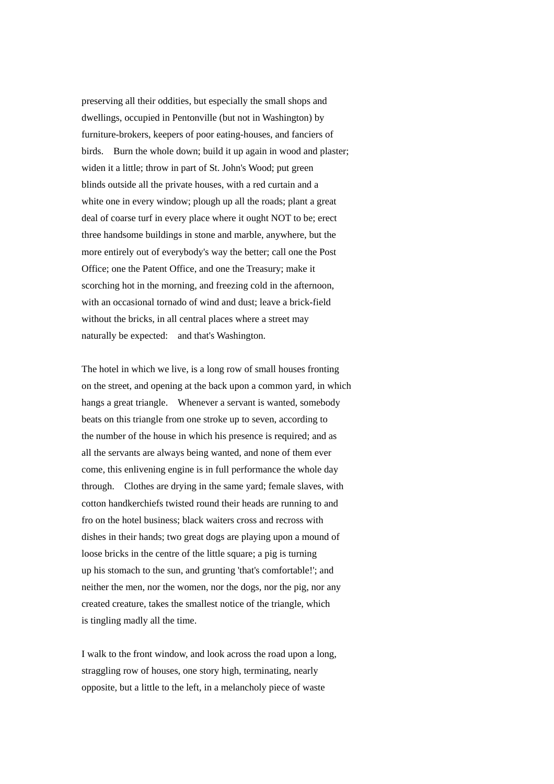preserving all their oddities, but especially the small shops and dwellings, occupied in Pentonville (but not in Washington) by furniture-brokers, keepers of poor eating-houses, and fanciers of birds. Burn the whole down; build it up again in wood and plaster; widen it a little; throw in part of St. John's Wood; put green blinds outside all the private houses, with a red curtain and a white one in every window; plough up all the roads; plant a great deal of coarse turf in every place where it ought NOT to be; erect three handsome buildings in stone and marble, anywhere, but the more entirely out of everybody's way the better; call one the Post Office; one the Patent Office, and one the Treasury; make it scorching hot in the morning, and freezing cold in the afternoon, with an occasional tornado of wind and dust; leave a brick-field without the bricks, in all central places where a street may naturally be expected: and that's Washington.

The hotel in which we live, is a long row of small houses fronting on the street, and opening at the back upon a common yard, in which hangs a great triangle. Whenever a servant is wanted, somebody beats on this triangle from one stroke up to seven, according to the number of the house in which his presence is required; and as all the servants are always being wanted, and none of them ever come, this enlivening engine is in full performance the whole day through. Clothes are drying in the same yard; female slaves, with cotton handkerchiefs twisted round their heads are running to and fro on the hotel business; black waiters cross and recross with dishes in their hands; two great dogs are playing upon a mound of loose bricks in the centre of the little square; a pig is turning up his stomach to the sun, and grunting 'that's comfortable!'; and neither the men, nor the women, nor the dogs, nor the pig, nor any created creature, takes the smallest notice of the triangle, which is tingling madly all the time.

I walk to the front window, and look across the road upon a long, straggling row of houses, one story high, terminating, nearly opposite, but a little to the left, in a melancholy piece of waste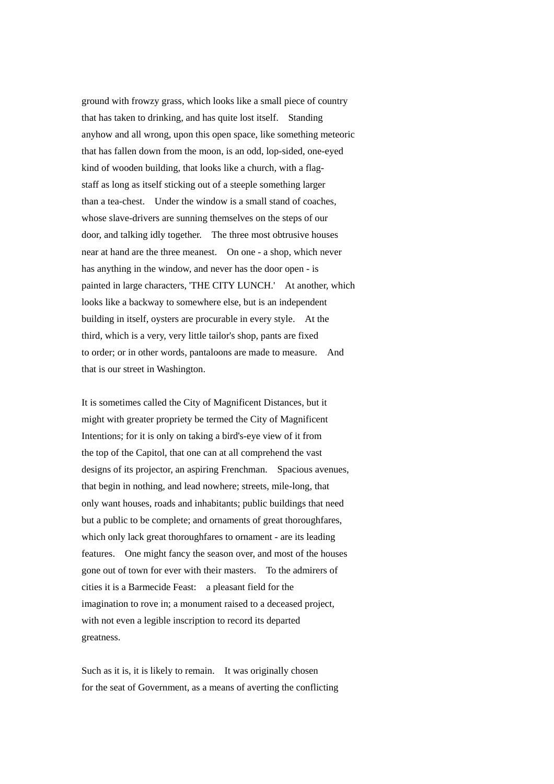ground with frowzy grass, which looks like a small piece of country that has taken to drinking, and has quite lost itself. Standing anyhow and all wrong, upon this open space, like something meteoric that has fallen down from the moon, is an odd, lop-sided, one-eyed kind of wooden building, that looks like a church, with a flagstaff as long as itself sticking out of a steeple something larger than a tea-chest. Under the window is a small stand of coaches, whose slave-drivers are sunning themselves on the steps of our door, and talking idly together. The three most obtrusive houses near at hand are the three meanest. On one - a shop, which never has anything in the window, and never has the door open - is painted in large characters, 'THE CITY LUNCH.' At another, which looks like a backway to somewhere else, but is an independent building in itself, oysters are procurable in every style. At the third, which is a very, very little tailor's shop, pants are fixed to order; or in other words, pantaloons are made to measure. And that is our street in Washington.

It is sometimes called the City of Magnificent Distances, but it might with greater propriety be termed the City of Magnificent Intentions; for it is only on taking a bird's-eye view of it from the top of the Capitol, that one can at all comprehend the vast designs of its projector, an aspiring Frenchman. Spacious avenues, that begin in nothing, and lead nowhere; streets, mile-long, that only want houses, roads and inhabitants; public buildings that need but a public to be complete; and ornaments of great thoroughfares, which only lack great thoroughfares to ornament - are its leading features. One might fancy the season over, and most of the houses gone out of town for ever with their masters. To the admirers of cities it is a Barmecide Feast: a pleasant field for the imagination to rove in; a monument raised to a deceased project, with not even a legible inscription to record its departed greatness.

Such as it is, it is likely to remain. It was originally chosen for the seat of Government, as a means of averting the conflicting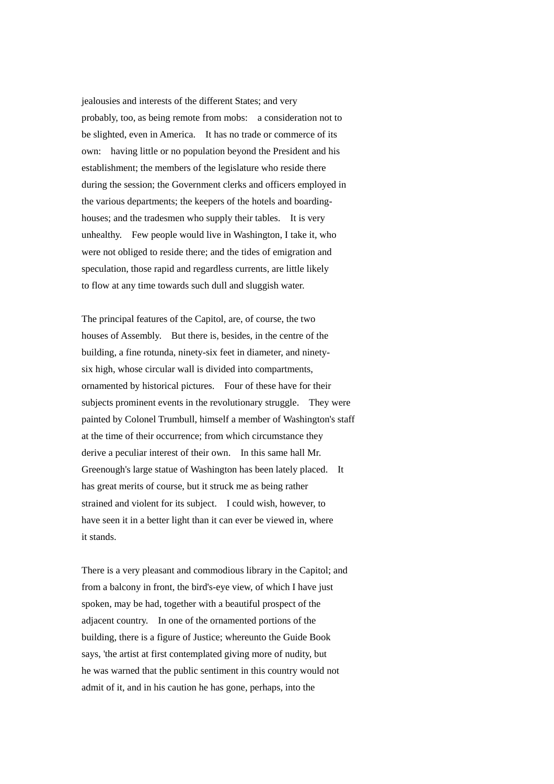jealousies and interests of the different States; and very probably, too, as being remote from mobs: a consideration not to be slighted, even in America. It has no trade or commerce of its own: having little or no population beyond the President and his establishment; the members of the legislature who reside there during the session; the Government clerks and officers employed in the various departments; the keepers of the hotels and boardinghouses; and the tradesmen who supply their tables. It is very unhealthy. Few people would live in Washington, I take it, who were not obliged to reside there; and the tides of emigration and speculation, those rapid and regardless currents, are little likely to flow at any time towards such dull and sluggish water.

The principal features of the Capitol, are, of course, the two houses of Assembly. But there is, besides, in the centre of the building, a fine rotunda, ninety-six feet in diameter, and ninetysix high, whose circular wall is divided into compartments, ornamented by historical pictures. Four of these have for their subjects prominent events in the revolutionary struggle. They were painted by Colonel Trumbull, himself a member of Washington's staff at the time of their occurrence; from which circumstance they derive a peculiar interest of their own. In this same hall Mr. Greenough's large statue of Washington has been lately placed. It has great merits of course, but it struck me as being rather strained and violent for its subject. I could wish, however, to have seen it in a better light than it can ever be viewed in, where it stands.

There is a very pleasant and commodious library in the Capitol; and from a balcony in front, the bird's-eye view, of which I have just spoken, may be had, together with a beautiful prospect of the adjacent country. In one of the ornamented portions of the building, there is a figure of Justice; whereunto the Guide Book says, 'the artist at first contemplated giving more of nudity, but he was warned that the public sentiment in this country would not admit of it, and in his caution he has gone, perhaps, into the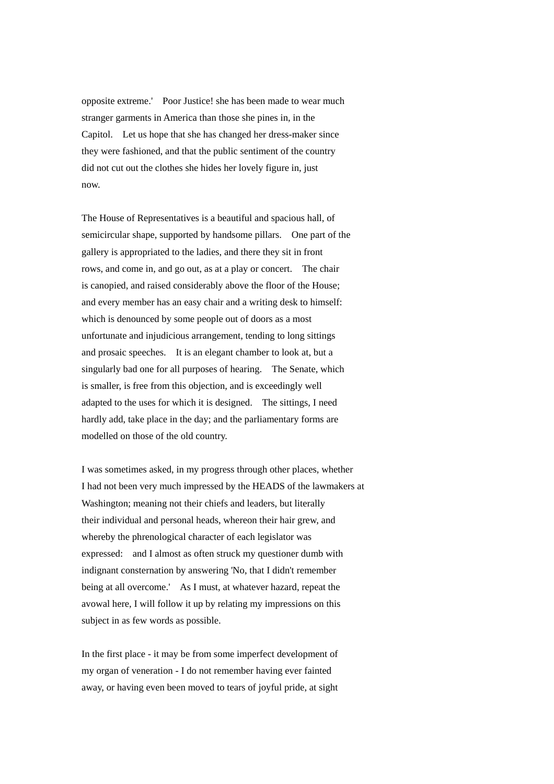opposite extreme.' Poor Justice! she has been made to wear much stranger garments in America than those she pines in, in the Capitol. Let us hope that she has changed her dress-maker since they were fashioned, and that the public sentiment of the country did not cut out the clothes she hides her lovely figure in, just now.

The House of Representatives is a beautiful and spacious hall, of semicircular shape, supported by handsome pillars. One part of the gallery is appropriated to the ladies, and there they sit in front rows, and come in, and go out, as at a play or concert. The chair is canopied, and raised considerably above the floor of the House; and every member has an easy chair and a writing desk to himself: which is denounced by some people out of doors as a most unfortunate and injudicious arrangement, tending to long sittings and prosaic speeches. It is an elegant chamber to look at, but a singularly bad one for all purposes of hearing. The Senate, which is smaller, is free from this objection, and is exceedingly well adapted to the uses for which it is designed. The sittings, I need hardly add, take place in the day; and the parliamentary forms are modelled on those of the old country.

I was sometimes asked, in my progress through other places, whether I had not been very much impressed by the HEADS of the lawmakers at Washington; meaning not their chiefs and leaders, but literally their individual and personal heads, whereon their hair grew, and whereby the phrenological character of each legislator was expressed: and I almost as often struck my questioner dumb with indignant consternation by answering 'No, that I didn't remember being at all overcome.' As I must, at whatever hazard, repeat the avowal here, I will follow it up by relating my impressions on this subject in as few words as possible.

In the first place - it may be from some imperfect development of my organ of veneration - I do not remember having ever fainted away, or having even been moved to tears of joyful pride, at sight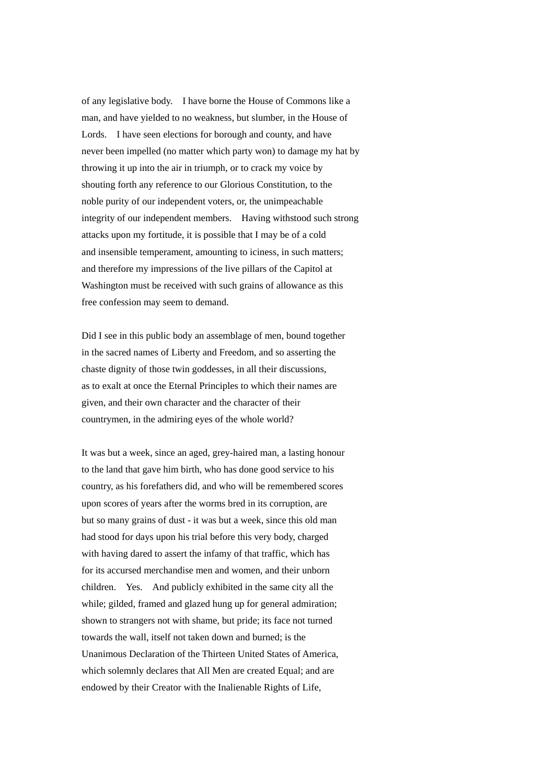of any legislative body. I have borne the House of Commons like a man, and have yielded to no weakness, but slumber, in the House of Lords. I have seen elections for borough and county, and have never been impelled (no matter which party won) to damage my hat by throwing it up into the air in triumph, or to crack my voice by shouting forth any reference to our Glorious Constitution, to the noble purity of our independent voters, or, the unimpeachable integrity of our independent members. Having withstood such strong attacks upon my fortitude, it is possible that I may be of a cold and insensible temperament, amounting to iciness, in such matters; and therefore my impressions of the live pillars of the Capitol at Washington must be received with such grains of allowance as this free confession may seem to demand.

Did I see in this public body an assemblage of men, bound together in the sacred names of Liberty and Freedom, and so asserting the chaste dignity of those twin goddesses, in all their discussions, as to exalt at once the Eternal Principles to which their names are given, and their own character and the character of their countrymen, in the admiring eyes of the whole world?

It was but a week, since an aged, grey-haired man, a lasting honour to the land that gave him birth, who has done good service to his country, as his forefathers did, and who will be remembered scores upon scores of years after the worms bred in its corruption, are but so many grains of dust - it was but a week, since this old man had stood for days upon his trial before this very body, charged with having dared to assert the infamy of that traffic, which has for its accursed merchandise men and women, and their unborn children. Yes. And publicly exhibited in the same city all the while; gilded, framed and glazed hung up for general admiration; shown to strangers not with shame, but pride; its face not turned towards the wall, itself not taken down and burned; is the Unanimous Declaration of the Thirteen United States of America, which solemnly declares that All Men are created Equal; and are endowed by their Creator with the Inalienable Rights of Life,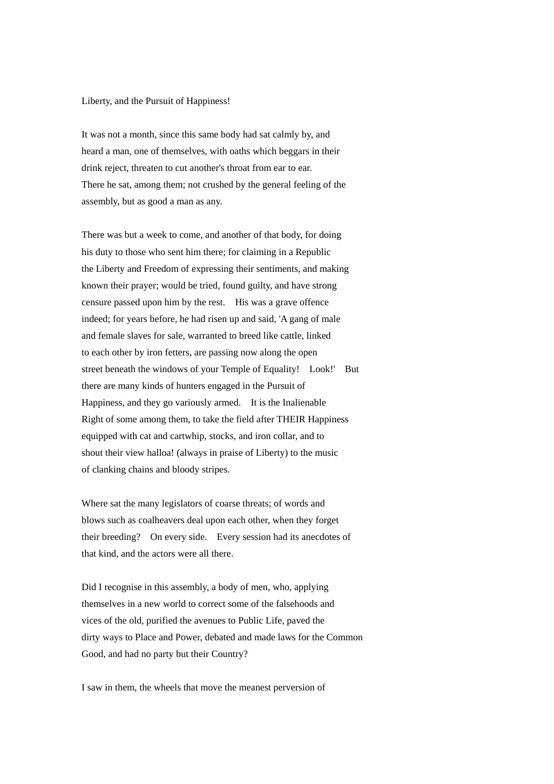## Liberty, and the Pursuit of Happiness!

It was not a month, since this same body had sat calmly by, and heard a man, one of themselves, with oaths which beggars in their drink reject, threaten to cut another's throat from ear to ear. There he sat, among them; not crushed by the general feeling of the assembly, but as good a man as any.

There was but a week to come, and another of that body, for doing his duty to those who sent him there; for claiming in a Republic the Liberty and Freedom of expressing their sentiments, and making known their prayer; would be tried, found guilty, and have strong censure passed upon him by the rest. His was a grave offence indeed; for years before, he had risen up and said, 'A gang of male and female slaves for sale, warranted to breed like cattle, linked to each other by iron fetters, are passing now along the open street beneath the windows of your Temple of Equality! Look!' But there are many kinds of hunters engaged in the Pursuit of Happiness, and they go variously armed. It is the Inalienable Right of some among them, to take the field after THEIR Happiness equipped with cat and cartwhip, stocks, and iron collar, and to shout their view halloa! (always in praise of Liberty) to the music of clanking chains and bloody stripes.

Where sat the many legislators of coarse threats; of words and blows such as coalheavers deal upon each other, when they forget their breeding? On every side. Every session had its anecdotes of that kind, and the actors were all there.

Did I recognise in this assembly, a body of men, who, applying themselves in a new world to correct some of the falsehoods and vices of the old, purified the avenues to Public Life, paved the dirty ways to Place and Power, debated and made laws for the Common Good, and had no party but their Country?

I saw in them, the wheels that move the meanest perversion of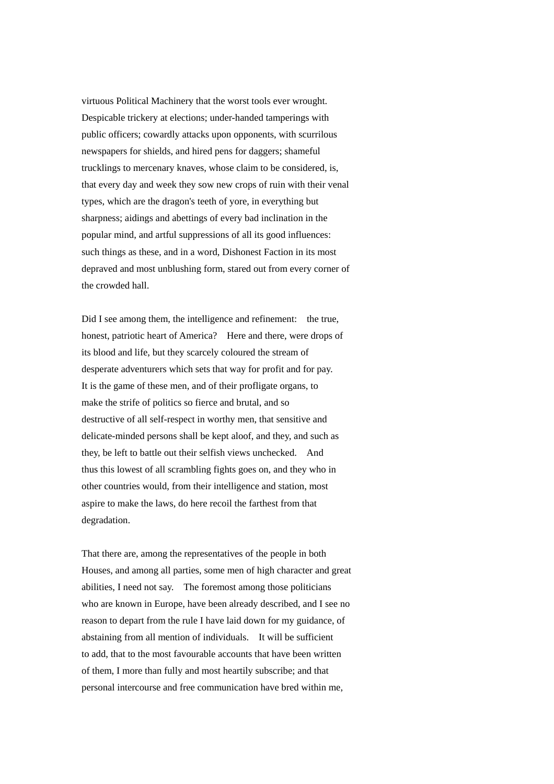virtuous Political Machinery that the worst tools ever wrought. Despicable trickery at elections; under-handed tamperings with public officers; cowardly attacks upon opponents, with scurrilous newspapers for shields, and hired pens for daggers; shameful trucklings to mercenary knaves, whose claim to be considered, is, that every day and week they sow new crops of ruin with their venal types, which are the dragon's teeth of yore, in everything but sharpness; aidings and abettings of every bad inclination in the popular mind, and artful suppressions of all its good influences: such things as these, and in a word, Dishonest Faction in its most depraved and most unblushing form, stared out from every corner of the crowded hall.

Did I see among them, the intelligence and refinement: the true, honest, patriotic heart of America? Here and there, were drops of its blood and life, but they scarcely coloured the stream of desperate adventurers which sets that way for profit and for pay. It is the game of these men, and of their profligate organs, to make the strife of politics so fierce and brutal, and so destructive of all self-respect in worthy men, that sensitive and delicate-minded persons shall be kept aloof, and they, and such as they, be left to battle out their selfish views unchecked. And thus this lowest of all scrambling fights goes on, and they who in other countries would, from their intelligence and station, most aspire to make the laws, do here recoil the farthest from that degradation.

That there are, among the representatives of the people in both Houses, and among all parties, some men of high character and great abilities, I need not say. The foremost among those politicians who are known in Europe, have been already described, and I see no reason to depart from the rule I have laid down for my guidance, of abstaining from all mention of individuals. It will be sufficient to add, that to the most favourable accounts that have been written of them, I more than fully and most heartily subscribe; and that personal intercourse and free communication have bred within me,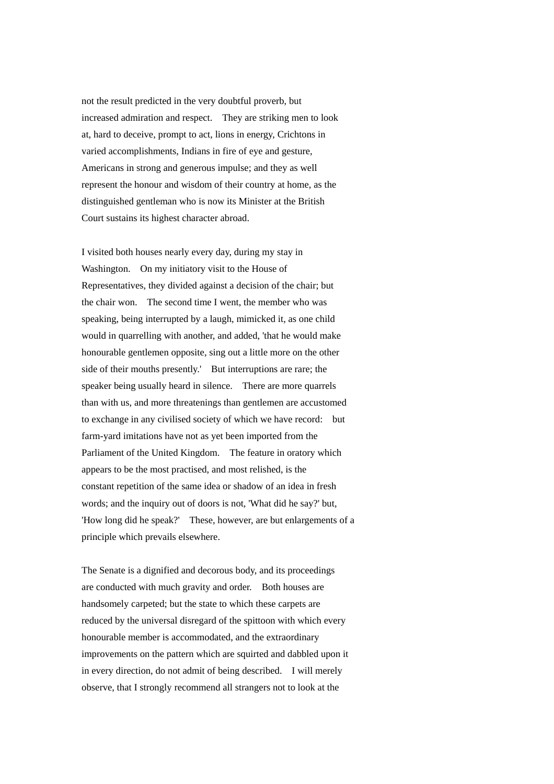not the result predicted in the very doubtful proverb, but increased admiration and respect. They are striking men to look at, hard to deceive, prompt to act, lions in energy, Crichtons in varied accomplishments, Indians in fire of eye and gesture, Americans in strong and generous impulse; and they as well represent the honour and wisdom of their country at home, as the distinguished gentleman who is now its Minister at the British Court sustains its highest character abroad.

I visited both houses nearly every day, during my stay in Washington. On my initiatory visit to the House of Representatives, they divided against a decision of the chair; but the chair won. The second time I went, the member who was speaking, being interrupted by a laugh, mimicked it, as one child would in quarrelling with another, and added, 'that he would make honourable gentlemen opposite, sing out a little more on the other side of their mouths presently.' But interruptions are rare; the speaker being usually heard in silence. There are more quarrels than with us, and more threatenings than gentlemen are accustomed to exchange in any civilised society of which we have record: but farm-yard imitations have not as yet been imported from the Parliament of the United Kingdom. The feature in oratory which appears to be the most practised, and most relished, is the constant repetition of the same idea or shadow of an idea in fresh words; and the inquiry out of doors is not, 'What did he say?' but, 'How long did he speak?' These, however, are but enlargements of a principle which prevails elsewhere.

The Senate is a dignified and decorous body, and its proceedings are conducted with much gravity and order. Both houses are handsomely carpeted; but the state to which these carpets are reduced by the universal disregard of the spittoon with which every honourable member is accommodated, and the extraordinary improvements on the pattern which are squirted and dabbled upon it in every direction, do not admit of being described. I will merely observe, that I strongly recommend all strangers not to look at the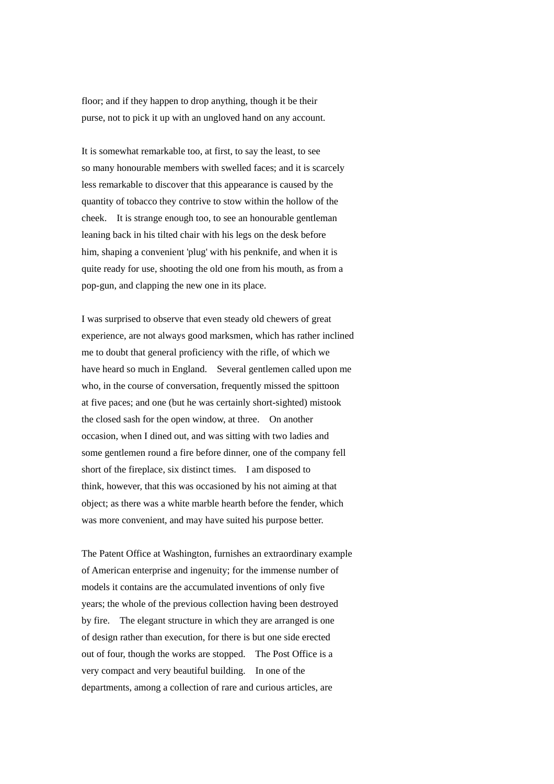floor; and if they happen to drop anything, though it be their purse, not to pick it up with an ungloved hand on any account.

It is somewhat remarkable too, at first, to say the least, to see so many honourable members with swelled faces; and it is scarcely less remarkable to discover that this appearance is caused by the quantity of tobacco they contrive to stow within the hollow of the cheek. It is strange enough too, to see an honourable gentleman leaning back in his tilted chair with his legs on the desk before him, shaping a convenient 'plug' with his penknife, and when it is quite ready for use, shooting the old one from his mouth, as from a pop-gun, and clapping the new one in its place.

I was surprised to observe that even steady old chewers of great experience, are not always good marksmen, which has rather inclined me to doubt that general proficiency with the rifle, of which we have heard so much in England. Several gentlemen called upon me who, in the course of conversation, frequently missed the spittoon at five paces; and one (but he was certainly short-sighted) mistook the closed sash for the open window, at three. On another occasion, when I dined out, and was sitting with two ladies and some gentlemen round a fire before dinner, one of the company fell short of the fireplace, six distinct times. I am disposed to think, however, that this was occasioned by his not aiming at that object; as there was a white marble hearth before the fender, which was more convenient, and may have suited his purpose better.

The Patent Office at Washington, furnishes an extraordinary example of American enterprise and ingenuity; for the immense number of models it contains are the accumulated inventions of only five years; the whole of the previous collection having been destroyed by fire. The elegant structure in which they are arranged is one of design rather than execution, for there is but one side erected out of four, though the works are stopped. The Post Office is a very compact and very beautiful building. In one of the departments, among a collection of rare and curious articles, are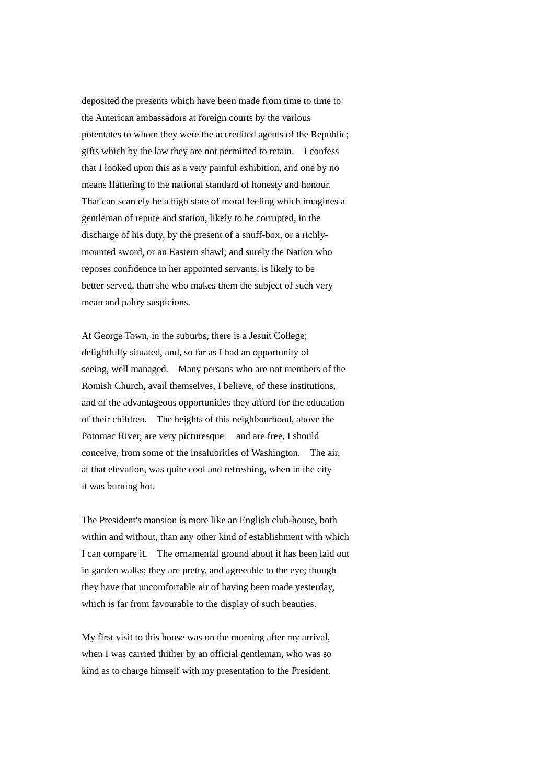deposited the presents which have been made from time to time to the American ambassadors at foreign courts by the various potentates to whom they were the accredited agents of the Republic; gifts which by the law they are not permitted to retain. I confess that I looked upon this as a very painful exhibition, and one by no means flattering to the national standard of honesty and honour. That can scarcely be a high state of moral feeling which imagines a gentleman of repute and station, likely to be corrupted, in the discharge of his duty, by the present of a snuff-box, or a richlymounted sword, or an Eastern shawl; and surely the Nation who reposes confidence in her appointed servants, is likely to be better served, than she who makes them the subject of such very mean and paltry suspicions.

At George Town, in the suburbs, there is a Jesuit College; delightfully situated, and, so far as I had an opportunity of seeing, well managed. Many persons who are not members of the Romish Church, avail themselves, I believe, of these institutions, and of the advantageous opportunities they afford for the education of their children. The heights of this neighbourhood, above the Potomac River, are very picturesque: and are free, I should conceive, from some of the insalubrities of Washington. The air, at that elevation, was quite cool and refreshing, when in the city it was burning hot.

The President's mansion is more like an English club-house, both within and without, than any other kind of establishment with which I can compare it. The ornamental ground about it has been laid out in garden walks; they are pretty, and agreeable to the eye; though they have that uncomfortable air of having been made yesterday, which is far from favourable to the display of such beauties.

My first visit to this house was on the morning after my arrival, when I was carried thither by an official gentleman, who was so kind as to charge himself with my presentation to the President.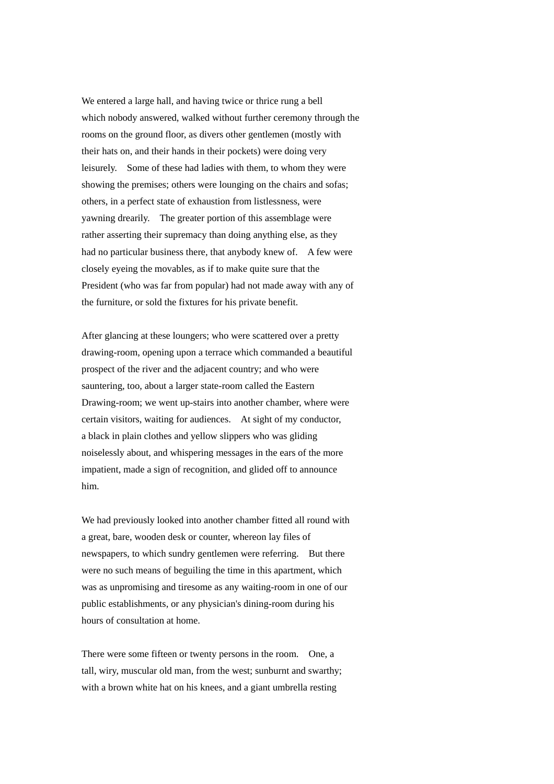We entered a large hall, and having twice or thrice rung a bell which nobody answered, walked without further ceremony through the rooms on the ground floor, as divers other gentlemen (mostly with their hats on, and their hands in their pockets) were doing very leisurely. Some of these had ladies with them, to whom they were showing the premises; others were lounging on the chairs and sofas; others, in a perfect state of exhaustion from listlessness, were yawning drearily. The greater portion of this assemblage were rather asserting their supremacy than doing anything else, as they had no particular business there, that anybody knew of. A few were closely eyeing the movables, as if to make quite sure that the President (who was far from popular) had not made away with any of the furniture, or sold the fixtures for his private benefit.

After glancing at these loungers; who were scattered over a pretty drawing-room, opening upon a terrace which commanded a beautiful prospect of the river and the adjacent country; and who were sauntering, too, about a larger state-room called the Eastern Drawing-room; we went up-stairs into another chamber, where were certain visitors, waiting for audiences. At sight of my conductor, a black in plain clothes and yellow slippers who was gliding noiselessly about, and whispering messages in the ears of the more impatient, made a sign of recognition, and glided off to announce him.

We had previously looked into another chamber fitted all round with a great, bare, wooden desk or counter, whereon lay files of newspapers, to which sundry gentlemen were referring. But there were no such means of beguiling the time in this apartment, which was as unpromising and tiresome as any waiting-room in one of our public establishments, or any physician's dining-room during his hours of consultation at home.

There were some fifteen or twenty persons in the room. One, a tall, wiry, muscular old man, from the west; sunburnt and swarthy; with a brown white hat on his knees, and a giant umbrella resting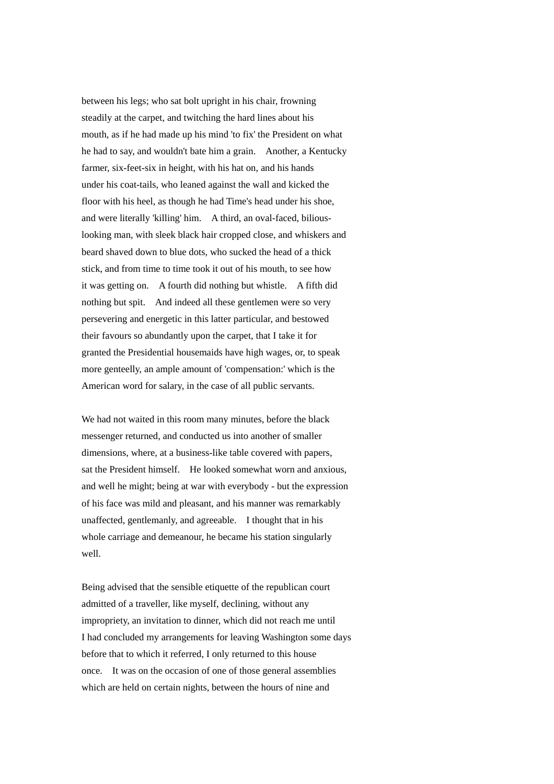between his legs; who sat bolt upright in his chair, frowning steadily at the carpet, and twitching the hard lines about his mouth, as if he had made up his mind 'to fix' the President on what he had to say, and wouldn't bate him a grain. Another, a Kentucky farmer, six-feet-six in height, with his hat on, and his hands under his coat-tails, who leaned against the wall and kicked the floor with his heel, as though he had Time's head under his shoe, and were literally 'killing' him. A third, an oval-faced, biliouslooking man, with sleek black hair cropped close, and whiskers and beard shaved down to blue dots, who sucked the head of a thick stick, and from time to time took it out of his mouth, to see how it was getting on. A fourth did nothing but whistle. A fifth did nothing but spit. And indeed all these gentlemen were so very persevering and energetic in this latter particular, and bestowed their favours so abundantly upon the carpet, that I take it for granted the Presidential housemaids have high wages, or, to speak more genteelly, an ample amount of 'compensation:' which is the American word for salary, in the case of all public servants.

We had not waited in this room many minutes, before the black messenger returned, and conducted us into another of smaller dimensions, where, at a business-like table covered with papers, sat the President himself. He looked somewhat worn and anxious, and well he might; being at war with everybody - but the expression of his face was mild and pleasant, and his manner was remarkably unaffected, gentlemanly, and agreeable. I thought that in his whole carriage and demeanour, he became his station singularly well.

Being advised that the sensible etiquette of the republican court admitted of a traveller, like myself, declining, without any impropriety, an invitation to dinner, which did not reach me until I had concluded my arrangements for leaving Washington some days before that to which it referred, I only returned to this house once. It was on the occasion of one of those general assemblies which are held on certain nights, between the hours of nine and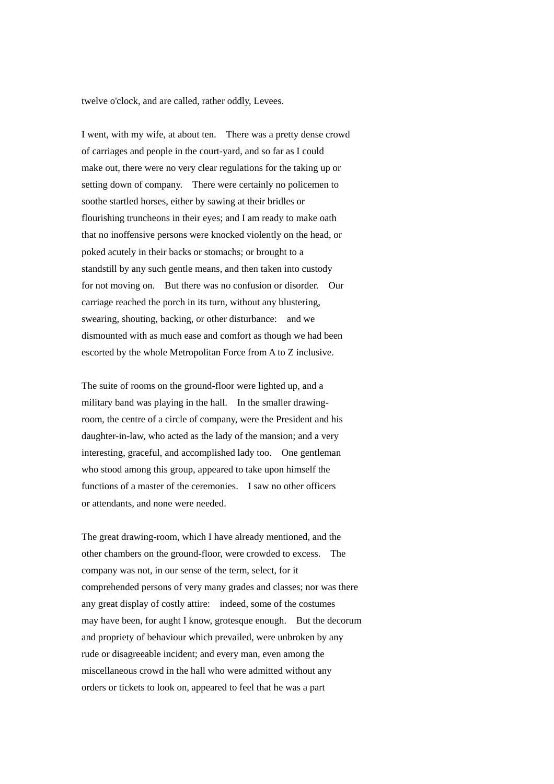twelve o'clock, and are called, rather oddly, Levees.

I went, with my wife, at about ten. There was a pretty dense crowd of carriages and people in the court-yard, and so far as I could make out, there were no very clear regulations for the taking up or setting down of company. There were certainly no policemen to soothe startled horses, either by sawing at their bridles or flourishing truncheons in their eyes; and I am ready to make oath that no inoffensive persons were knocked violently on the head, or poked acutely in their backs or stomachs; or brought to a standstill by any such gentle means, and then taken into custody for not moving on. But there was no confusion or disorder. Our carriage reached the porch in its turn, without any blustering, swearing, shouting, backing, or other disturbance: and we dismounted with as much ease and comfort as though we had been escorted by the whole Metropolitan Force from A to Z inclusive.

The suite of rooms on the ground-floor were lighted up, and a military band was playing in the hall. In the smaller drawingroom, the centre of a circle of company, were the President and his daughter-in-law, who acted as the lady of the mansion; and a very interesting, graceful, and accomplished lady too. One gentleman who stood among this group, appeared to take upon himself the functions of a master of the ceremonies. I saw no other officers or attendants, and none were needed.

The great drawing-room, which I have already mentioned, and the other chambers on the ground-floor, were crowded to excess. The company was not, in our sense of the term, select, for it comprehended persons of very many grades and classes; nor was there any great display of costly attire: indeed, some of the costumes may have been, for aught I know, grotesque enough. But the decorum and propriety of behaviour which prevailed, were unbroken by any rude or disagreeable incident; and every man, even among the miscellaneous crowd in the hall who were admitted without any orders or tickets to look on, appeared to feel that he was a part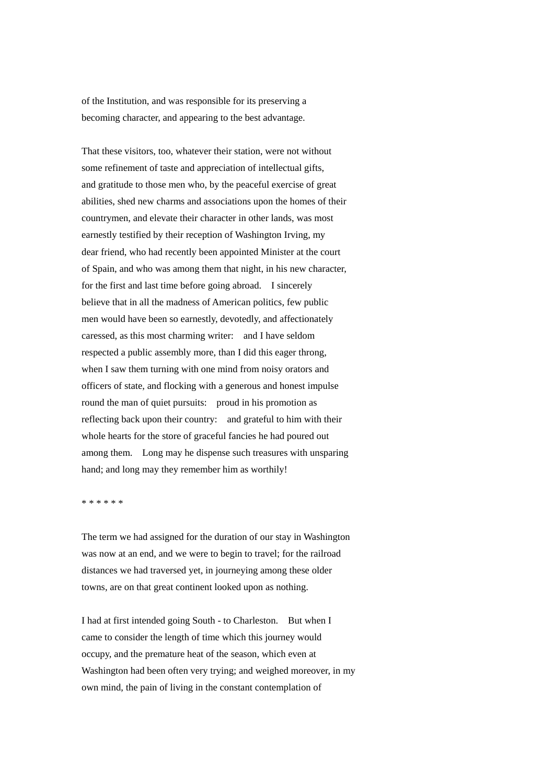of the Institution, and was responsible for its preserving a becoming character, and appearing to the best advantage.

That these visitors, too, whatever their station, were not without some refinement of taste and appreciation of intellectual gifts, and gratitude to those men who, by the peaceful exercise of great abilities, shed new charms and associations upon the homes of their countrymen, and elevate their character in other lands, was most earnestly testified by their reception of Washington Irving, my dear friend, who had recently been appointed Minister at the court of Spain, and who was among them that night, in his new character, for the first and last time before going abroad. I sincerely believe that in all the madness of American politics, few public men would have been so earnestly, devotedly, and affectionately caressed, as this most charming writer: and I have seldom respected a public assembly more, than I did this eager throng, when I saw them turning with one mind from noisy orators and officers of state, and flocking with a generous and honest impulse round the man of quiet pursuits: proud in his promotion as reflecting back upon their country: and grateful to him with their whole hearts for the store of graceful fancies he had poured out among them. Long may he dispense such treasures with unsparing hand; and long may they remember him as worthily!

\* \* \* \* \* \*

The term we had assigned for the duration of our stay in Washington was now at an end, and we were to begin to travel; for the railroad distances we had traversed yet, in journeying among these older towns, are on that great continent looked upon as nothing.

I had at first intended going South - to Charleston. But when I came to consider the length of time which this journey would occupy, and the premature heat of the season, which even at Washington had been often very trying; and weighed moreover, in my own mind, the pain of living in the constant contemplation of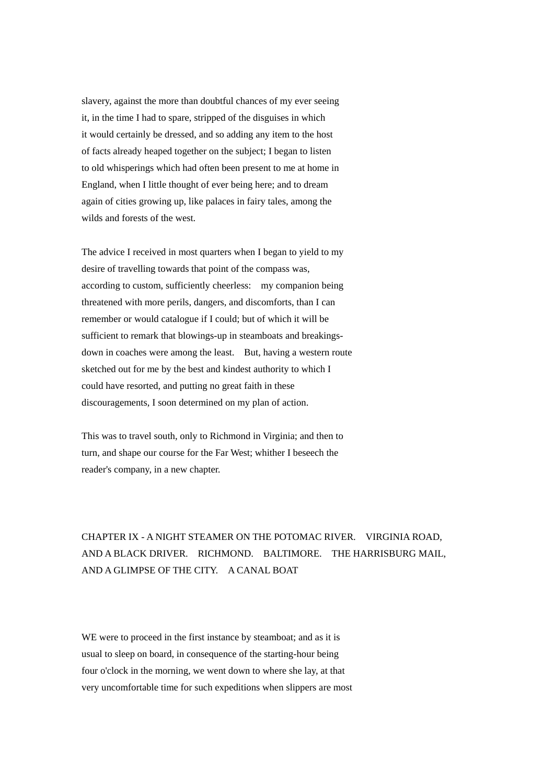slavery, against the more than doubtful chances of my ever seeing it, in the time I had to spare, stripped of the disguises in which it would certainly be dressed, and so adding any item to the host of facts already heaped together on the subject; I began to listen to old whisperings which had often been present to me at home in England, when I little thought of ever being here; and to dream again of cities growing up, like palaces in fairy tales, among the wilds and forests of the west.

The advice I received in most quarters when I began to yield to my desire of travelling towards that point of the compass was, according to custom, sufficiently cheerless: my companion being threatened with more perils, dangers, and discomforts, than I can remember or would catalogue if I could; but of which it will be sufficient to remark that blowings-up in steamboats and breakingsdown in coaches were among the least. But, having a western route sketched out for me by the best and kindest authority to which I could have resorted, and putting no great faith in these discouragements, I soon determined on my plan of action.

This was to travel south, only to Richmond in Virginia; and then to turn, and shape our course for the Far West; whither I beseech the reader's company, in a new chapter.

## CHAPTER IX - A NIGHT STEAMER ON THE POTOMAC RIVER. VIRGINIA ROAD, AND A BLACK DRIVER. RICHMOND. BALTIMORE. THE HARRISBURG MAIL, AND A GLIMPSE OF THE CITY. A CANAL BOAT

WE were to proceed in the first instance by steamboat; and as it is usual to sleep on board, in consequence of the starting-hour being four o'clock in the morning, we went down to where she lay, at that very uncomfortable time for such expeditions when slippers are most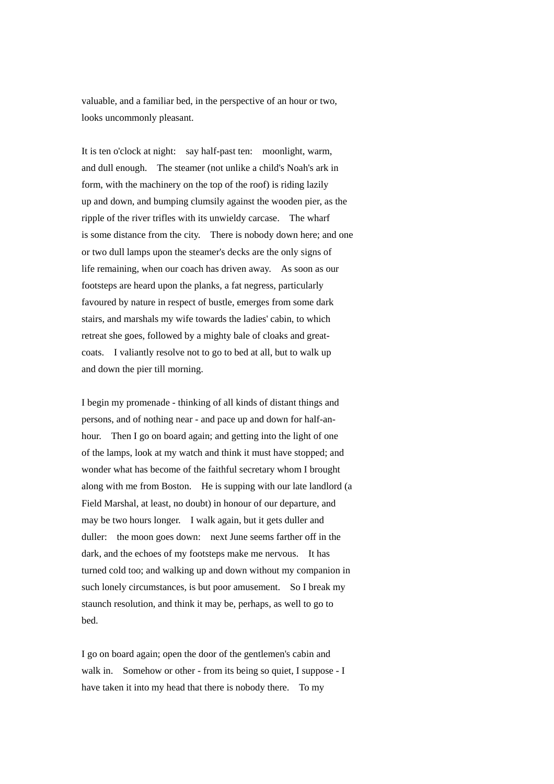valuable, and a familiar bed, in the perspective of an hour or two, looks uncommonly pleasant.

It is ten o'clock at night: say half-past ten: moonlight, warm, and dull enough. The steamer (not unlike a child's Noah's ark in form, with the machinery on the top of the roof) is riding lazily up and down, and bumping clumsily against the wooden pier, as the ripple of the river trifles with its unwieldy carcase. The wharf is some distance from the city. There is nobody down here; and one or two dull lamps upon the steamer's decks are the only signs of life remaining, when our coach has driven away. As soon as our footsteps are heard upon the planks, a fat negress, particularly favoured by nature in respect of bustle, emerges from some dark stairs, and marshals my wife towards the ladies' cabin, to which retreat she goes, followed by a mighty bale of cloaks and greatcoats. I valiantly resolve not to go to bed at all, but to walk up and down the pier till morning.

I begin my promenade - thinking of all kinds of distant things and persons, and of nothing near - and pace up and down for half-anhour. Then I go on board again; and getting into the light of one of the lamps, look at my watch and think it must have stopped; and wonder what has become of the faithful secretary whom I brought along with me from Boston. He is supping with our late landlord (a Field Marshal, at least, no doubt) in honour of our departure, and may be two hours longer. I walk again, but it gets duller and duller: the moon goes down: next June seems farther off in the dark, and the echoes of my footsteps make me nervous. It has turned cold too; and walking up and down without my companion in such lonely circumstances, is but poor amusement. So I break my staunch resolution, and think it may be, perhaps, as well to go to bed.

I go on board again; open the door of the gentlemen's cabin and walk in. Somehow or other - from its being so quiet, I suppose - I have taken it into my head that there is nobody there. To my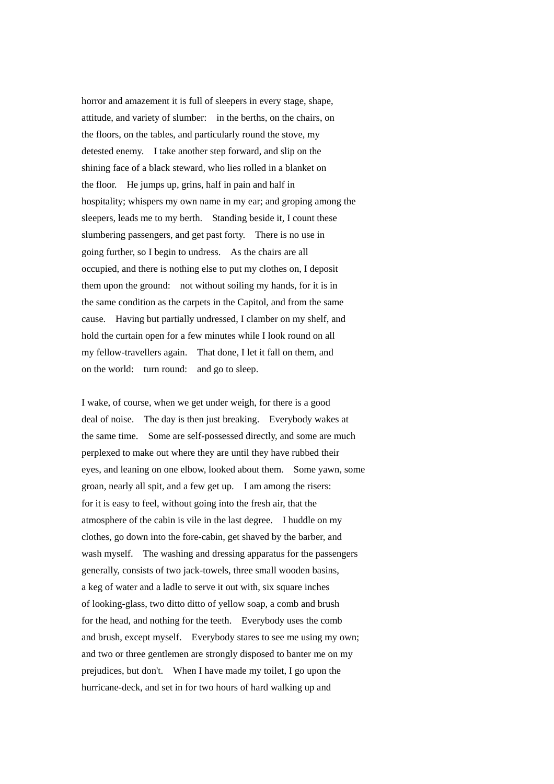horror and amazement it is full of sleepers in every stage, shape, attitude, and variety of slumber: in the berths, on the chairs, on the floors, on the tables, and particularly round the stove, my detested enemy. I take another step forward, and slip on the shining face of a black steward, who lies rolled in a blanket on the floor. He jumps up, grins, half in pain and half in hospitality; whispers my own name in my ear; and groping among the sleepers, leads me to my berth. Standing beside it, I count these slumbering passengers, and get past forty. There is no use in going further, so I begin to undress. As the chairs are all occupied, and there is nothing else to put my clothes on, I deposit them upon the ground: not without soiling my hands, for it is in the same condition as the carpets in the Capitol, and from the same cause. Having but partially undressed, I clamber on my shelf, and hold the curtain open for a few minutes while I look round on all my fellow-travellers again. That done, I let it fall on them, and on the world: turn round: and go to sleep.

I wake, of course, when we get under weigh, for there is a good deal of noise. The day is then just breaking. Everybody wakes at the same time. Some are self-possessed directly, and some are much perplexed to make out where they are until they have rubbed their eyes, and leaning on one elbow, looked about them. Some yawn, some groan, nearly all spit, and a few get up. I am among the risers: for it is easy to feel, without going into the fresh air, that the atmosphere of the cabin is vile in the last degree. I huddle on my clothes, go down into the fore-cabin, get shaved by the barber, and wash myself. The washing and dressing apparatus for the passengers generally, consists of two jack-towels, three small wooden basins, a keg of water and a ladle to serve it out with, six square inches of looking-glass, two ditto ditto of yellow soap, a comb and brush for the head, and nothing for the teeth. Everybody uses the comb and brush, except myself. Everybody stares to see me using my own; and two or three gentlemen are strongly disposed to banter me on my prejudices, but don't. When I have made my toilet, I go upon the hurricane-deck, and set in for two hours of hard walking up and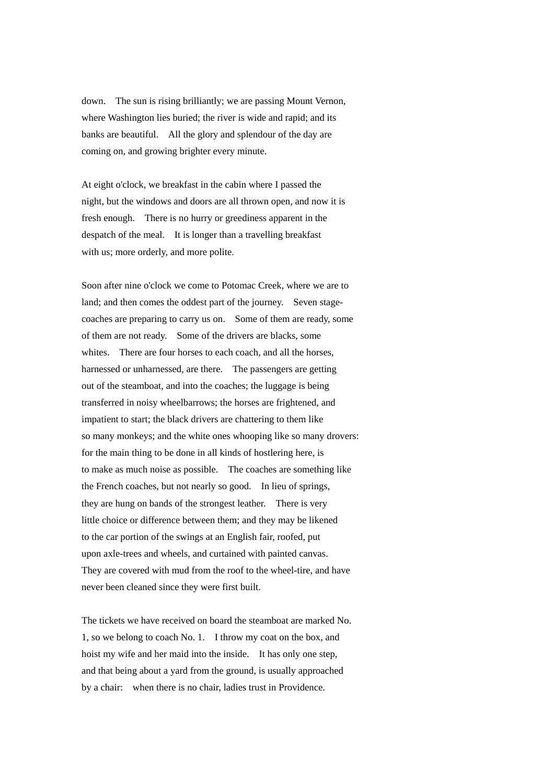down. The sun is rising brilliantly; we are passing Mount Vernon, where Washington lies buried; the river is wide and rapid; and its banks are beautiful. All the glory and splendour of the day are coming on, and growing brighter every minute.

At eight o'clock, we breakfast in the cabin where I passed the night, but the windows and doors are all thrown open, and now it is fresh enough. There is no hurry or greediness apparent in the despatch of the meal. It is longer than a travelling breakfast with us; more orderly, and more polite.

Soon after nine o'clock we come to Potomac Creek, where we are to land; and then comes the oddest part of the journey. Seven stagecoaches are preparing to carry us on. Some of them are ready, some of them are not ready. Some of the drivers are blacks, some whites. There are four horses to each coach, and all the horses, harnessed or unharnessed, are there. The passengers are getting out of the steamboat, and into the coaches; the luggage is being transferred in noisy wheelbarrows; the horses are frightened, and impatient to start; the black drivers are chattering to them like so many monkeys; and the white ones whooping like so many drovers: for the main thing to be done in all kinds of hostlering here, is to make as much noise as possible. The coaches are something like the French coaches, but not nearly so good. In lieu of springs, they are hung on bands of the strongest leather. There is very little choice or difference between them; and they may be likened to the car portion of the swings at an English fair, roofed, put upon axle-trees and wheels, and curtained with painted canvas. They are covered with mud from the roof to the wheel-tire, and have never been cleaned since they were first built.

The tickets we have received on board the steamboat are marked No. 1, so we belong to coach No. 1. I throw my coat on the box, and hoist my wife and her maid into the inside. It has only one step, and that being about a yard from the ground, is usually approached by a chair: when there is no chair, ladies trust in Providence.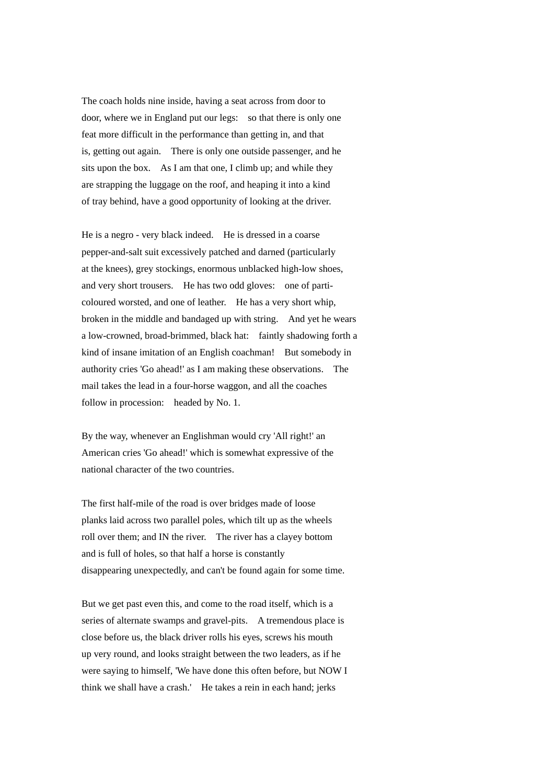The coach holds nine inside, having a seat across from door to door, where we in England put our legs: so that there is only one feat more difficult in the performance than getting in, and that is, getting out again. There is only one outside passenger, and he sits upon the box. As I am that one, I climb up; and while they are strapping the luggage on the roof, and heaping it into a kind of tray behind, have a good opportunity of looking at the driver.

He is a negro - very black indeed. He is dressed in a coarse pepper-and-salt suit excessively patched and darned (particularly at the knees), grey stockings, enormous unblacked high-low shoes, and very short trousers. He has two odd gloves: one of particoloured worsted, and one of leather. He has a very short whip, broken in the middle and bandaged up with string. And yet he wears a low-crowned, broad-brimmed, black hat: faintly shadowing forth a kind of insane imitation of an English coachman! But somebody in authority cries 'Go ahead!' as I am making these observations. The mail takes the lead in a four-horse waggon, and all the coaches follow in procession: headed by No. 1.

By the way, whenever an Englishman would cry 'All right!' an American cries 'Go ahead!' which is somewhat expressive of the national character of the two countries.

The first half-mile of the road is over bridges made of loose planks laid across two parallel poles, which tilt up as the wheels roll over them; and IN the river. The river has a clayey bottom and is full of holes, so that half a horse is constantly disappearing unexpectedly, and can't be found again for some time.

But we get past even this, and come to the road itself, which is a series of alternate swamps and gravel-pits. A tremendous place is close before us, the black driver rolls his eyes, screws his mouth up very round, and looks straight between the two leaders, as if he were saying to himself, 'We have done this often before, but NOW I think we shall have a crash.' He takes a rein in each hand; jerks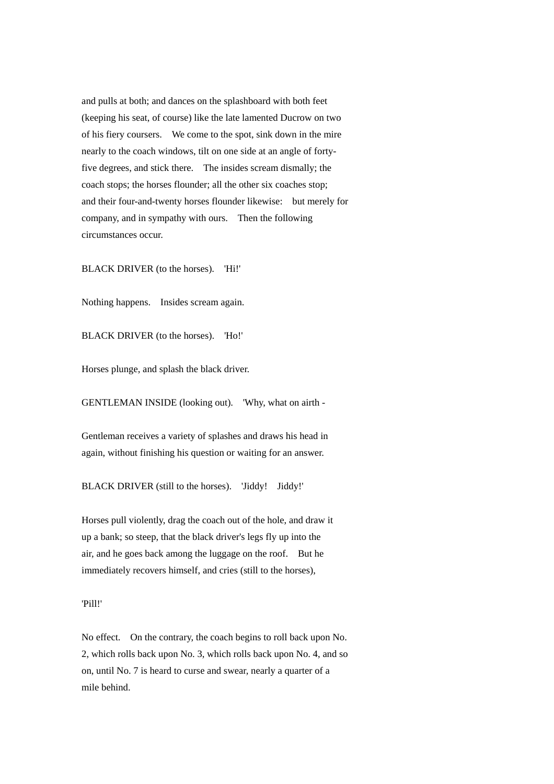and pulls at both; and dances on the splashboard with both feet (keeping his seat, of course) like the late lamented Ducrow on two of his fiery coursers. We come to the spot, sink down in the mire nearly to the coach windows, tilt on one side at an angle of fortyfive degrees, and stick there. The insides scream dismally; the coach stops; the horses flounder; all the other six coaches stop; and their four-and-twenty horses flounder likewise: but merely for company, and in sympathy with ours. Then the following circumstances occur.

BLACK DRIVER (to the horses). 'Hi!'

Nothing happens. Insides scream again.

BLACK DRIVER (to the horses). 'Ho!'

Horses plunge, and splash the black driver.

GENTLEMAN INSIDE (looking out). 'Why, what on airth -

Gentleman receives a variety of splashes and draws his head in again, without finishing his question or waiting for an answer.

BLACK DRIVER (still to the horses). 'Jiddy! Jiddy!'

Horses pull violently, drag the coach out of the hole, and draw it up a bank; so steep, that the black driver's legs fly up into the air, and he goes back among the luggage on the roof. But he immediately recovers himself, and cries (still to the horses),

'Pill!'

No effect. On the contrary, the coach begins to roll back upon No. 2, which rolls back upon No. 3, which rolls back upon No. 4, and so on, until No. 7 is heard to curse and swear, nearly a quarter of a mile behind.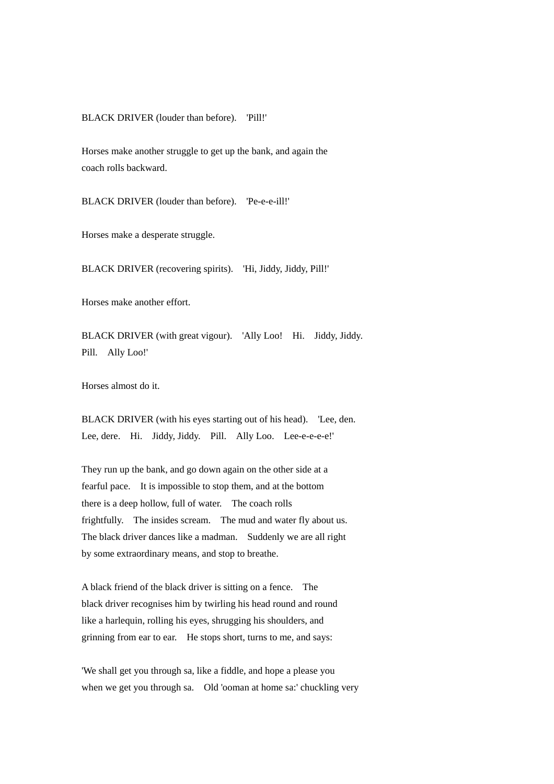BLACK DRIVER (louder than before). 'Pill!'

Horses make another struggle to get up the bank, and again the coach rolls backward.

BLACK DRIVER (louder than before). 'Pe-e-e-ill!'

Horses make a desperate struggle.

BLACK DRIVER (recovering spirits). 'Hi, Jiddy, Jiddy, Pill!'

Horses make another effort.

BLACK DRIVER (with great vigour). 'Ally Loo! Hi. Jiddy, Jiddy. Pill. Ally Loo!'

Horses almost do it.

BLACK DRIVER (with his eyes starting out of his head). 'Lee, den. Lee, dere. Hi. Jiddy, Jiddy. Pill. Ally Loo. Lee-e-e-e-e!'

They run up the bank, and go down again on the other side at a fearful pace. It is impossible to stop them, and at the bottom there is a deep hollow, full of water. The coach rolls frightfully. The insides scream. The mud and water fly about us. The black driver dances like a madman. Suddenly we are all right by some extraordinary means, and stop to breathe.

A black friend of the black driver is sitting on a fence. The black driver recognises him by twirling his head round and round like a harlequin, rolling his eyes, shrugging his shoulders, and grinning from ear to ear. He stops short, turns to me, and says:

'We shall get you through sa, like a fiddle, and hope a please you when we get you through sa. Old 'ooman at home sa:' chuckling very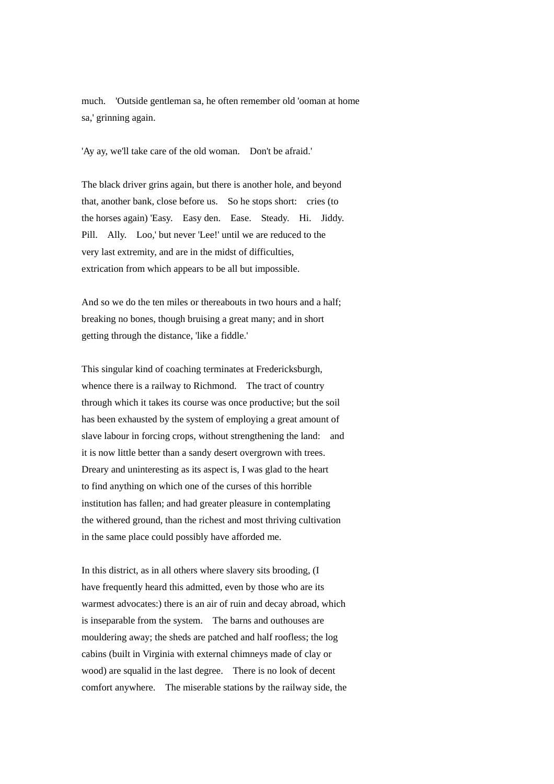much. 'Outside gentleman sa, he often remember old 'ooman at home sa,' grinning again.

'Ay ay, we'll take care of the old woman. Don't be afraid.'

The black driver grins again, but there is another hole, and beyond that, another bank, close before us. So he stops short: cries (to the horses again) 'Easy. Easy den. Ease. Steady. Hi. Jiddy. Pill. Ally. Loo,' but never 'Lee!' until we are reduced to the very last extremity, and are in the midst of difficulties, extrication from which appears to be all but impossible.

And so we do the ten miles or thereabouts in two hours and a half: breaking no bones, though bruising a great many; and in short getting through the distance, 'like a fiddle.'

This singular kind of coaching terminates at Fredericksburgh, whence there is a railway to Richmond. The tract of country through which it takes its course was once productive; but the soil has been exhausted by the system of employing a great amount of slave labour in forcing crops, without strengthening the land: and it is now little better than a sandy desert overgrown with trees. Dreary and uninteresting as its aspect is, I was glad to the heart to find anything on which one of the curses of this horrible institution has fallen; and had greater pleasure in contemplating the withered ground, than the richest and most thriving cultivation in the same place could possibly have afforded me.

In this district, as in all others where slavery sits brooding, (I have frequently heard this admitted, even by those who are its warmest advocates:) there is an air of ruin and decay abroad, which is inseparable from the system. The barns and outhouses are mouldering away; the sheds are patched and half roofless; the log cabins (built in Virginia with external chimneys made of clay or wood) are squalid in the last degree. There is no look of decent comfort anywhere. The miserable stations by the railway side, the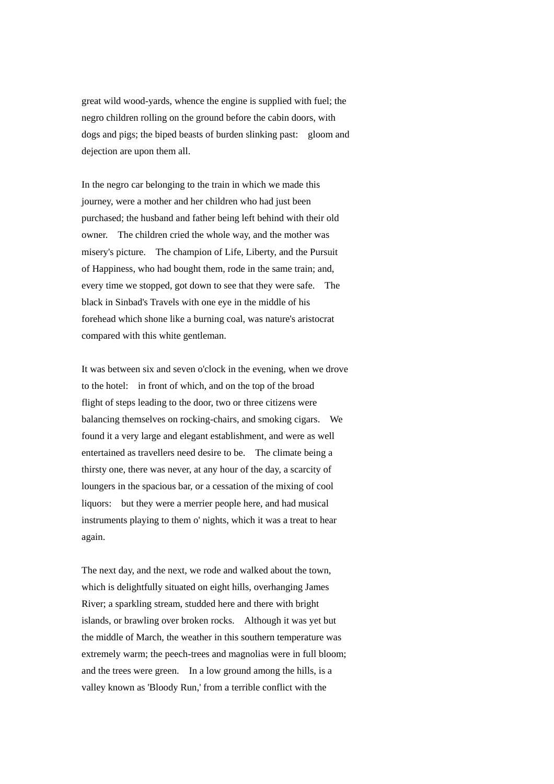great wild wood-yards, whence the engine is supplied with fuel; the negro children rolling on the ground before the cabin doors, with dogs and pigs; the biped beasts of burden slinking past: gloom and dejection are upon them all.

In the negro car belonging to the train in which we made this journey, were a mother and her children who had just been purchased; the husband and father being left behind with their old owner. The children cried the whole way, and the mother was misery's picture. The champion of Life, Liberty, and the Pursuit of Happiness, who had bought them, rode in the same train; and, every time we stopped, got down to see that they were safe. The black in Sinbad's Travels with one eye in the middle of his forehead which shone like a burning coal, was nature's aristocrat compared with this white gentleman.

It was between six and seven o'clock in the evening, when we drove to the hotel: in front of which, and on the top of the broad flight of steps leading to the door, two or three citizens were balancing themselves on rocking-chairs, and smoking cigars. We found it a very large and elegant establishment, and were as well entertained as travellers need desire to be. The climate being a thirsty one, there was never, at any hour of the day, a scarcity of loungers in the spacious bar, or a cessation of the mixing of cool liquors: but they were a merrier people here, and had musical instruments playing to them o' nights, which it was a treat to hear again.

The next day, and the next, we rode and walked about the town, which is delightfully situated on eight hills, overhanging James River; a sparkling stream, studded here and there with bright islands, or brawling over broken rocks. Although it was yet but the middle of March, the weather in this southern temperature was extremely warm; the peech-trees and magnolias were in full bloom; and the trees were green. In a low ground among the hills, is a valley known as 'Bloody Run,' from a terrible conflict with the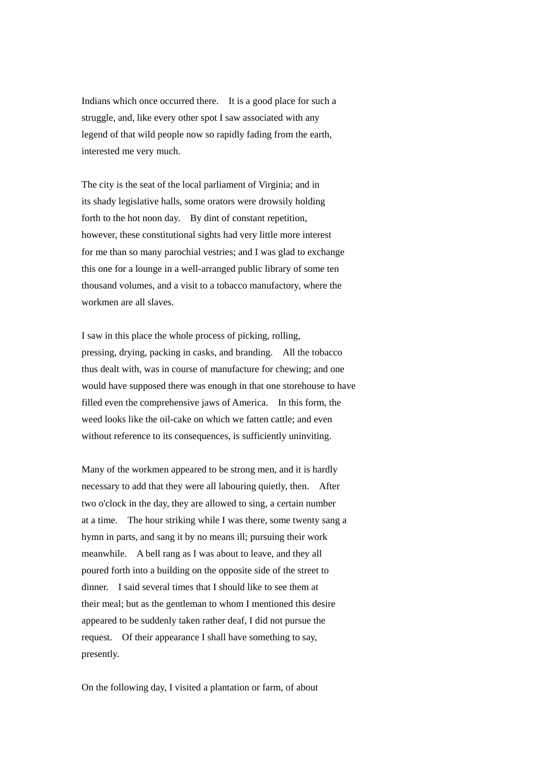Indians which once occurred there. It is a good place for such a struggle, and, like every other spot I saw associated with any legend of that wild people now so rapidly fading from the earth, interested me very much.

The city is the seat of the local parliament of Virginia; and in its shady legislative halls, some orators were drowsily holding forth to the hot noon day. By dint of constant repetition, however, these constitutional sights had very little more interest for me than so many parochial vestries; and I was glad to exchange this one for a lounge in a well-arranged public library of some ten thousand volumes, and a visit to a tobacco manufactory, where the workmen are all slaves.

I saw in this place the whole process of picking, rolling, pressing, drying, packing in casks, and branding. All the tobacco thus dealt with, was in course of manufacture for chewing; and one would have supposed there was enough in that one storehouse to have filled even the comprehensive jaws of America. In this form, the weed looks like the oil-cake on which we fatten cattle; and even without reference to its consequences, is sufficiently uninviting.

Many of the workmen appeared to be strong men, and it is hardly necessary to add that they were all labouring quietly, then. After two o'clock in the day, they are allowed to sing, a certain number at a time. The hour striking while I was there, some twenty sang a hymn in parts, and sang it by no means ill; pursuing their work meanwhile. A bell rang as I was about to leave, and they all poured forth into a building on the opposite side of the street to dinner. I said several times that I should like to see them at their meal; but as the gentleman to whom I mentioned this desire appeared to be suddenly taken rather deaf, I did not pursue the request. Of their appearance I shall have something to say, presently.

On the following day, I visited a plantation or farm, of about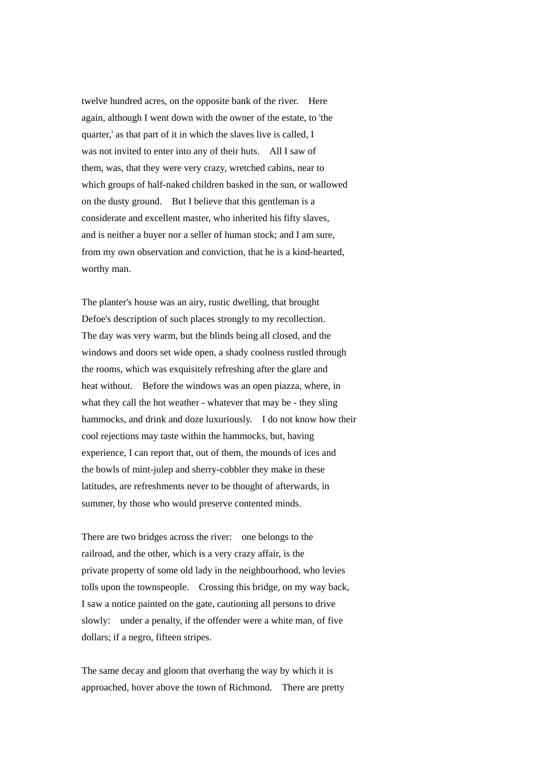twelve hundred acres, on the opposite bank of the river. Here again, although I went down with the owner of the estate, to 'the quarter,' as that part of it in which the slaves live is called, I was not invited to enter into any of their huts. All I saw of them, was, that they were very crazy, wretched cabins, near to which groups of half-naked children basked in the sun, or wallowed on the dusty ground. But I believe that this gentleman is a considerate and excellent master, who inherited his fifty slaves, and is neither a buyer nor a seller of human stock; and I am sure, from my own observation and conviction, that he is a kind-hearted, worthy man.

The planter's house was an airy, rustic dwelling, that brought Defoe's description of such places strongly to my recollection. The day was very warm, but the blinds being all closed, and the windows and doors set wide open, a shady coolness rustled through the rooms, which was exquisitely refreshing after the glare and heat without. Before the windows was an open piazza, where, in what they call the hot weather - whatever that may be - they sling hammocks, and drink and doze luxuriously. I do not know how their cool rejections may taste within the hammocks, but, having experience, I can report that, out of them, the mounds of ices and the bowls of mint-julep and sherry-cobbler they make in these latitudes, are refreshments never to be thought of afterwards, in summer, by those who would preserve contented minds.

There are two bridges across the river: one belongs to the railroad, and the other, which is a very crazy affair, is the private property of some old lady in the neighbourhood, who levies tolls upon the townspeople. Crossing this bridge, on my way back, I saw a notice painted on the gate, cautioning all persons to drive slowly: under a penalty, if the offender were a white man, of five dollars; if a negro, fifteen stripes.

The same decay and gloom that overhang the way by which it is approached, hover above the town of Richmond. There are pretty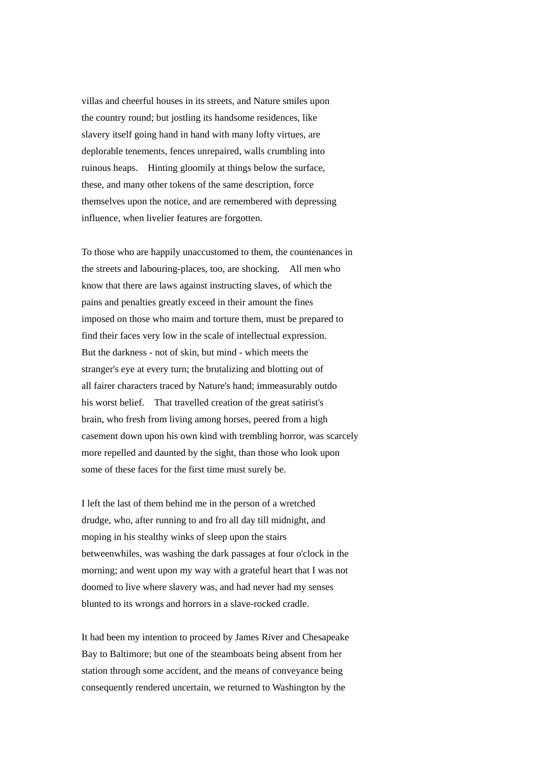villas and cheerful houses in its streets, and Nature smiles upon the country round; but jostling its handsome residences, like slavery itself going hand in hand with many lofty virtues, are deplorable tenements, fences unrepaired, walls crumbling into ruinous heaps. Hinting gloomily at things below the surface, these, and many other tokens of the same description, force themselves upon the notice, and are remembered with depressing influence, when livelier features are forgotten.

To those who are happily unaccustomed to them, the countenances in the streets and labouring-places, too, are shocking. All men who know that there are laws against instructing slaves, of which the pains and penalties greatly exceed in their amount the fines imposed on those who maim and torture them, must be prepared to find their faces very low in the scale of intellectual expression. But the darkness - not of skin, but mind - which meets the stranger's eye at every turn; the brutalizing and blotting out of all fairer characters traced by Nature's hand; immeasurably outdo his worst belief. That travelled creation of the great satirist's brain, who fresh from living among horses, peered from a high casement down upon his own kind with trembling horror, was scarcely more repelled and daunted by the sight, than those who look upon some of these faces for the first time must surely be.

I left the last of them behind me in the person of a wretched drudge, who, after running to and fro all day till midnight, and moping in his stealthy winks of sleep upon the stairs betweenwhiles, was washing the dark passages at four o'clock in the morning; and went upon my way with a grateful heart that I was not doomed to live where slavery was, and had never had my senses blunted to its wrongs and horrors in a slave-rocked cradle.

It had been my intention to proceed by James River and Chesapeake Bay to Baltimore; but one of the steamboats being absent from her station through some accident, and the means of conveyance being consequently rendered uncertain, we returned to Washington by the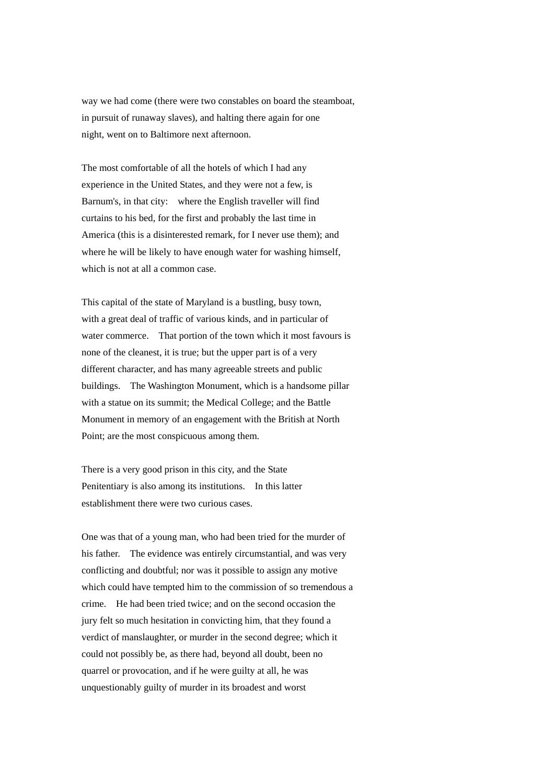way we had come (there were two constables on board the steamboat, in pursuit of runaway slaves), and halting there again for one night, went on to Baltimore next afternoon.

The most comfortable of all the hotels of which I had any experience in the United States, and they were not a few, is Barnum's, in that city: where the English traveller will find curtains to his bed, for the first and probably the last time in America (this is a disinterested remark, for I never use them); and where he will be likely to have enough water for washing himself. which is not at all a common case.

This capital of the state of Maryland is a bustling, busy town, with a great deal of traffic of various kinds, and in particular of water commerce. That portion of the town which it most favours is none of the cleanest, it is true; but the upper part is of a very different character, and has many agreeable streets and public buildings. The Washington Monument, which is a handsome pillar with a statue on its summit; the Medical College; and the Battle Monument in memory of an engagement with the British at North Point; are the most conspicuous among them.

There is a very good prison in this city, and the State Penitentiary is also among its institutions. In this latter establishment there were two curious cases.

One was that of a young man, who had been tried for the murder of his father. The evidence was entirely circumstantial, and was very conflicting and doubtful; nor was it possible to assign any motive which could have tempted him to the commission of so tremendous a crime. He had been tried twice; and on the second occasion the jury felt so much hesitation in convicting him, that they found a verdict of manslaughter, or murder in the second degree; which it could not possibly be, as there had, beyond all doubt, been no quarrel or provocation, and if he were guilty at all, he was unquestionably guilty of murder in its broadest and worst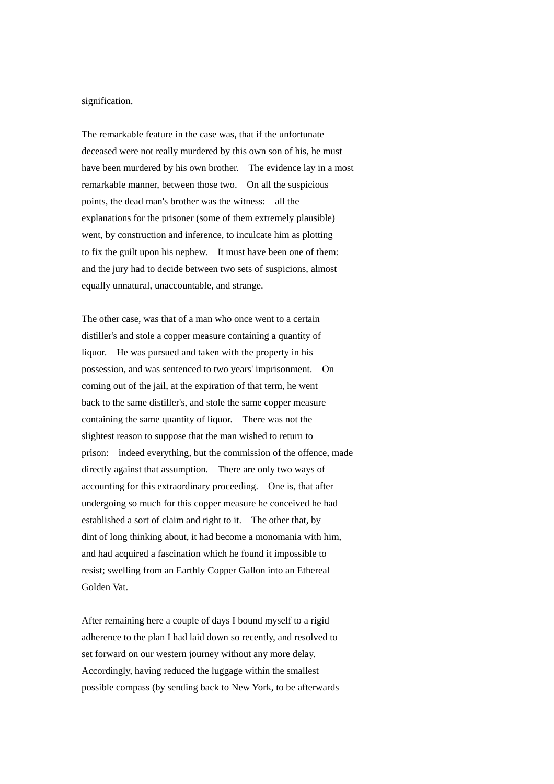## signification.

The remarkable feature in the case was, that if the unfortunate deceased were not really murdered by this own son of his, he must have been murdered by his own brother. The evidence lay in a most remarkable manner, between those two. On all the suspicious points, the dead man's brother was the witness: all the explanations for the prisoner (some of them extremely plausible) went, by construction and inference, to inculcate him as plotting to fix the guilt upon his nephew. It must have been one of them: and the jury had to decide between two sets of suspicions, almost equally unnatural, unaccountable, and strange.

The other case, was that of a man who once went to a certain distiller's and stole a copper measure containing a quantity of liquor. He was pursued and taken with the property in his possession, and was sentenced to two years' imprisonment. On coming out of the jail, at the expiration of that term, he went back to the same distiller's, and stole the same copper measure containing the same quantity of liquor. There was not the slightest reason to suppose that the man wished to return to prison: indeed everything, but the commission of the offence, made directly against that assumption. There are only two ways of accounting for this extraordinary proceeding. One is, that after undergoing so much for this copper measure he conceived he had established a sort of claim and right to it. The other that, by dint of long thinking about, it had become a monomania with him, and had acquired a fascination which he found it impossible to resist; swelling from an Earthly Copper Gallon into an Ethereal Golden Vat.

After remaining here a couple of days I bound myself to a rigid adherence to the plan I had laid down so recently, and resolved to set forward on our western journey without any more delay. Accordingly, having reduced the luggage within the smallest possible compass (by sending back to New York, to be afterwards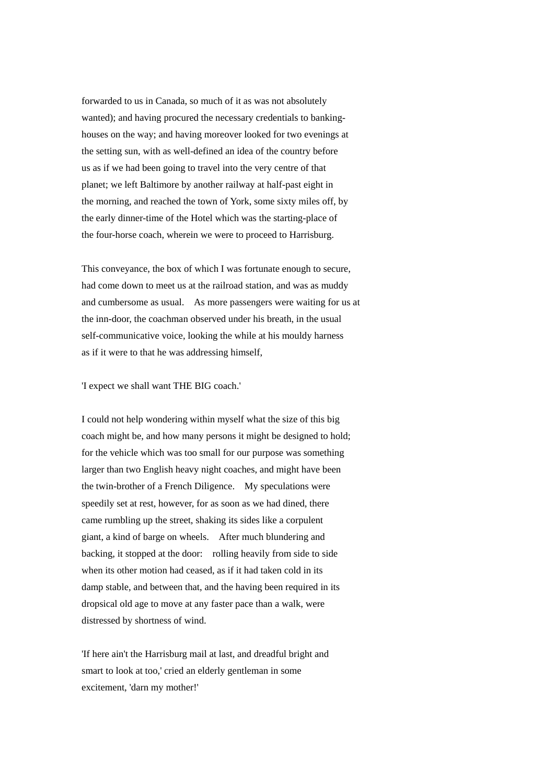forwarded to us in Canada, so much of it as was not absolutely wanted); and having procured the necessary credentials to bankinghouses on the way; and having moreover looked for two evenings at the setting sun, with as well-defined an idea of the country before us as if we had been going to travel into the very centre of that planet; we left Baltimore by another railway at half-past eight in the morning, and reached the town of York, some sixty miles off, by the early dinner-time of the Hotel which was the starting-place of the four-horse coach, wherein we were to proceed to Harrisburg.

This conveyance, the box of which I was fortunate enough to secure, had come down to meet us at the railroad station, and was as muddy and cumbersome as usual. As more passengers were waiting for us at the inn-door, the coachman observed under his breath, in the usual self-communicative voice, looking the while at his mouldy harness as if it were to that he was addressing himself,

'I expect we shall want THE BIG coach.'

I could not help wondering within myself what the size of this big coach might be, and how many persons it might be designed to hold; for the vehicle which was too small for our purpose was something larger than two English heavy night coaches, and might have been the twin-brother of a French Diligence. My speculations were speedily set at rest, however, for as soon as we had dined, there came rumbling up the street, shaking its sides like a corpulent giant, a kind of barge on wheels. After much blundering and backing, it stopped at the door: rolling heavily from side to side when its other motion had ceased, as if it had taken cold in its damp stable, and between that, and the having been required in its dropsical old age to move at any faster pace than a walk, were distressed by shortness of wind.

'If here ain't the Harrisburg mail at last, and dreadful bright and smart to look at too,' cried an elderly gentleman in some excitement, 'darn my mother!'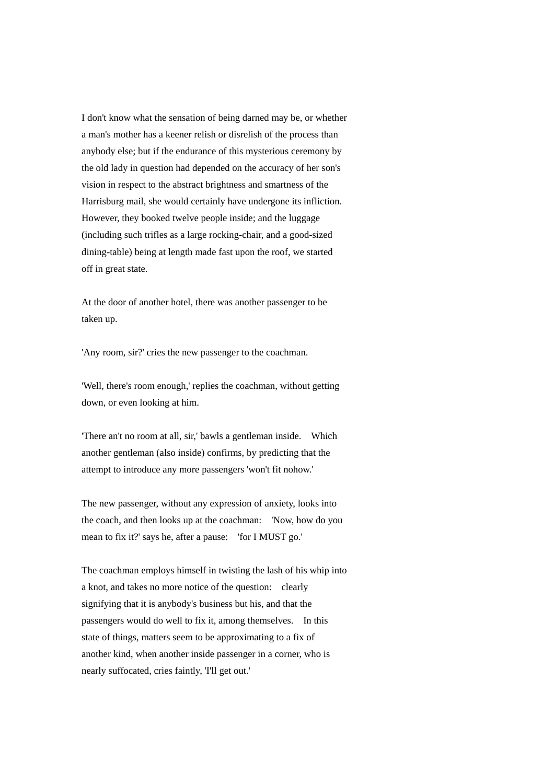I don't know what the sensation of being darned may be, or whether a man's mother has a keener relish or disrelish of the process than anybody else; but if the endurance of this mysterious ceremony by the old lady in question had depended on the accuracy of her son's vision in respect to the abstract brightness and smartness of the Harrisburg mail, she would certainly have undergone its infliction. However, they booked twelve people inside; and the luggage (including such trifles as a large rocking-chair, and a good-sized dining-table) being at length made fast upon the roof, we started off in great state.

At the door of another hotel, there was another passenger to be taken up.

'Any room, sir?' cries the new passenger to the coachman.

'Well, there's room enough,' replies the coachman, without getting down, or even looking at him.

'There an't no room at all, sir,' bawls a gentleman inside. Which another gentleman (also inside) confirms, by predicting that the attempt to introduce any more passengers 'won't fit nohow.'

The new passenger, without any expression of anxiety, looks into the coach, and then looks up at the coachman: 'Now, how do you mean to fix it?' says he, after a pause: 'for I MUST go.'

The coachman employs himself in twisting the lash of his whip into a knot, and takes no more notice of the question: clearly signifying that it is anybody's business but his, and that the passengers would do well to fix it, among themselves. In this state of things, matters seem to be approximating to a fix of another kind, when another inside passenger in a corner, who is nearly suffocated, cries faintly, 'I'll get out.'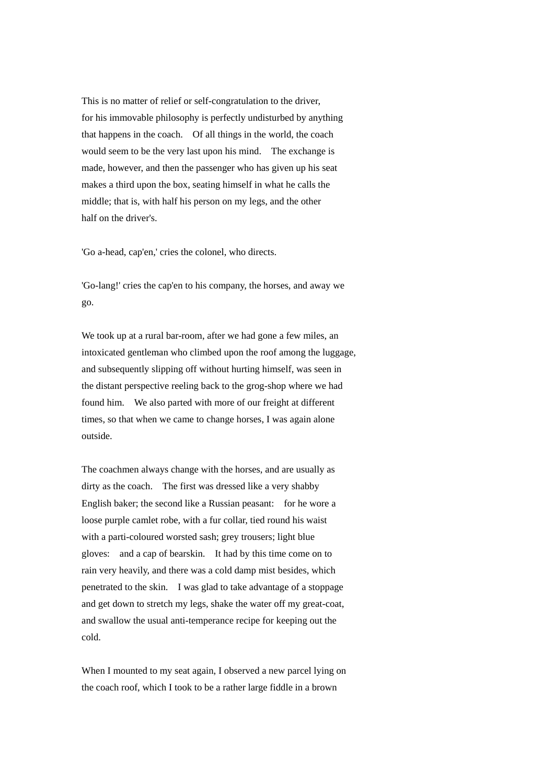This is no matter of relief or self-congratulation to the driver, for his immovable philosophy is perfectly undisturbed by anything that happens in the coach. Of all things in the world, the coach would seem to be the very last upon his mind. The exchange is made, however, and then the passenger who has given up his seat makes a third upon the box, seating himself in what he calls the middle; that is, with half his person on my legs, and the other half on the driver's.

'Go a-head, cap'en,' cries the colonel, who directs.

'Go-lang!' cries the cap'en to his company, the horses, and away we go.

We took up at a rural bar-room, after we had gone a few miles, an intoxicated gentleman who climbed upon the roof among the luggage, and subsequently slipping off without hurting himself, was seen in the distant perspective reeling back to the grog-shop where we had found him. We also parted with more of our freight at different times, so that when we came to change horses, I was again alone outside.

The coachmen always change with the horses, and are usually as dirty as the coach. The first was dressed like a very shabby English baker; the second like a Russian peasant: for he wore a loose purple camlet robe, with a fur collar, tied round his waist with a parti-coloured worsted sash; grey trousers; light blue gloves: and a cap of bearskin. It had by this time come on to rain very heavily, and there was a cold damp mist besides, which penetrated to the skin. I was glad to take advantage of a stoppage and get down to stretch my legs, shake the water off my great-coat, and swallow the usual anti-temperance recipe for keeping out the cold.

When I mounted to my seat again, I observed a new parcel lying on the coach roof, which I took to be a rather large fiddle in a brown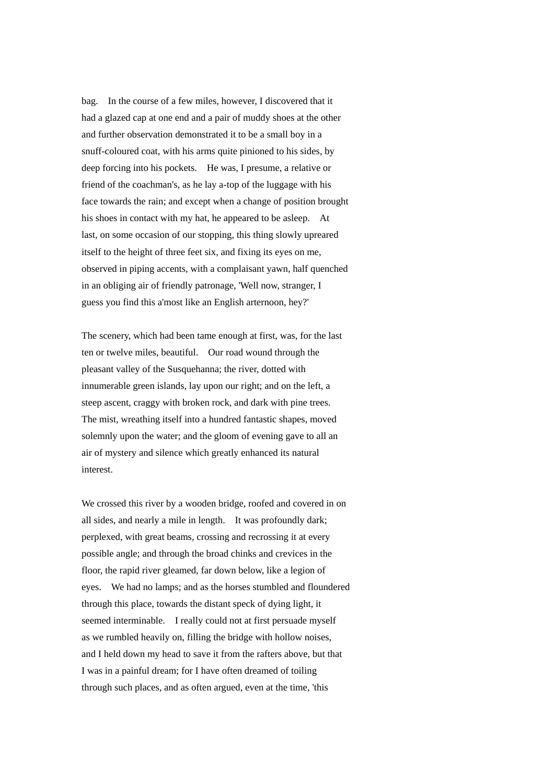bag. In the course of a few miles, however, I discovered that it had a glazed cap at one end and a pair of muddy shoes at the other and further observation demonstrated it to be a small boy in a snuff-coloured coat, with his arms quite pinioned to his sides, by deep forcing into his pockets. He was, I presume, a relative or friend of the coachman's, as he lay a-top of the luggage with his face towards the rain; and except when a change of position brought his shoes in contact with my hat, he appeared to be asleep. At last, on some occasion of our stopping, this thing slowly upreared itself to the height of three feet six, and fixing its eyes on me, observed in piping accents, with a complaisant yawn, half quenched in an obliging air of friendly patronage, 'Well now, stranger, I guess you find this a'most like an English arternoon, hey?'

The scenery, which had been tame enough at first, was, for the last ten or twelve miles, beautiful. Our road wound through the pleasant valley of the Susquehanna; the river, dotted with innumerable green islands, lay upon our right; and on the left, a steep ascent, craggy with broken rock, and dark with pine trees. The mist, wreathing itself into a hundred fantastic shapes, moved solemnly upon the water; and the gloom of evening gave to all an air of mystery and silence which greatly enhanced its natural interest.

We crossed this river by a wooden bridge, roofed and covered in on all sides, and nearly a mile in length. It was profoundly dark; perplexed, with great beams, crossing and recrossing it at every possible angle; and through the broad chinks and crevices in the floor, the rapid river gleamed, far down below, like a legion of eyes. We had no lamps; and as the horses stumbled and floundered through this place, towards the distant speck of dying light, it seemed interminable. I really could not at first persuade myself as we rumbled heavily on, filling the bridge with hollow noises, and I held down my head to save it from the rafters above, but that I was in a painful dream; for I have often dreamed of toiling through such places, and as often argued, even at the time, 'this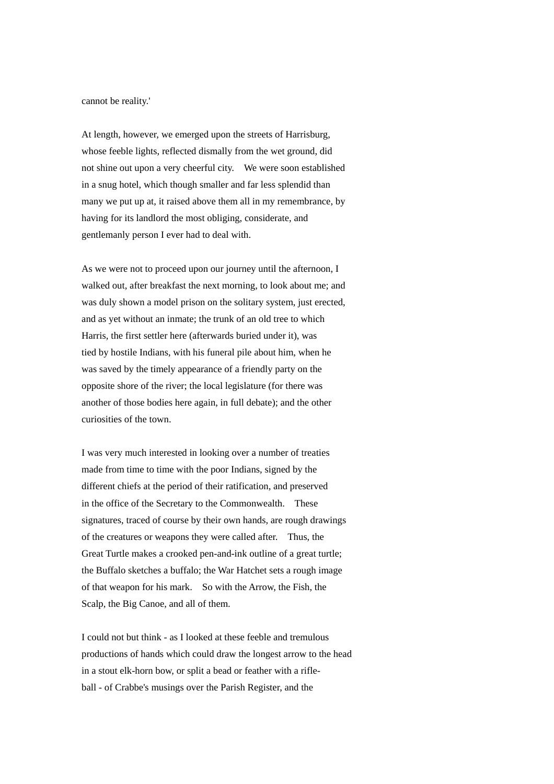cannot be reality.'

At length, however, we emerged upon the streets of Harrisburg, whose feeble lights, reflected dismally from the wet ground, did not shine out upon a very cheerful city. We were soon established in a snug hotel, which though smaller and far less splendid than many we put up at, it raised above them all in my remembrance, by having for its landlord the most obliging, considerate, and gentlemanly person I ever had to deal with.

As we were not to proceed upon our journey until the afternoon, I walked out, after breakfast the next morning, to look about me; and was duly shown a model prison on the solitary system, just erected, and as yet without an inmate; the trunk of an old tree to which Harris, the first settler here (afterwards buried under it), was tied by hostile Indians, with his funeral pile about him, when he was saved by the timely appearance of a friendly party on the opposite shore of the river; the local legislature (for there was another of those bodies here again, in full debate); and the other curiosities of the town.

I was very much interested in looking over a number of treaties made from time to time with the poor Indians, signed by the different chiefs at the period of their ratification, and preserved in the office of the Secretary to the Commonwealth. These signatures, traced of course by their own hands, are rough drawings of the creatures or weapons they were called after. Thus, the Great Turtle makes a crooked pen-and-ink outline of a great turtle; the Buffalo sketches a buffalo; the War Hatchet sets a rough image of that weapon for his mark. So with the Arrow, the Fish, the Scalp, the Big Canoe, and all of them.

I could not but think - as I looked at these feeble and tremulous productions of hands which could draw the longest arrow to the head in a stout elk-horn bow, or split a bead or feather with a rifleball - of Crabbe's musings over the Parish Register, and the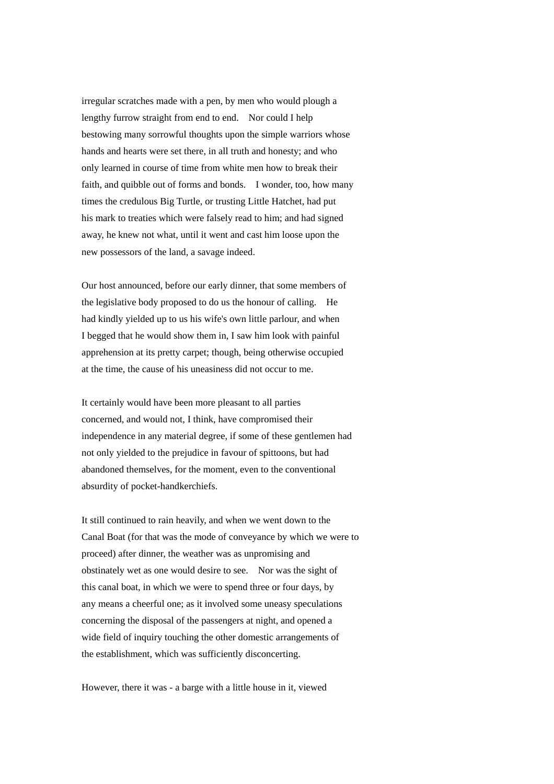irregular scratches made with a pen, by men who would plough a lengthy furrow straight from end to end. Nor could I help bestowing many sorrowful thoughts upon the simple warriors whose hands and hearts were set there, in all truth and honesty; and who only learned in course of time from white men how to break their faith, and quibble out of forms and bonds. I wonder, too, how many times the credulous Big Turtle, or trusting Little Hatchet, had put his mark to treaties which were falsely read to him; and had signed away, he knew not what, until it went and cast him loose upon the new possessors of the land, a savage indeed.

Our host announced, before our early dinner, that some members of the legislative body proposed to do us the honour of calling. He had kindly yielded up to us his wife's own little parlour, and when I begged that he would show them in, I saw him look with painful apprehension at its pretty carpet; though, being otherwise occupied at the time, the cause of his uneasiness did not occur to me.

It certainly would have been more pleasant to all parties concerned, and would not, I think, have compromised their independence in any material degree, if some of these gentlemen had not only yielded to the prejudice in favour of spittoons, but had abandoned themselves, for the moment, even to the conventional absurdity of pocket-handkerchiefs.

It still continued to rain heavily, and when we went down to the Canal Boat (for that was the mode of conveyance by which we were to proceed) after dinner, the weather was as unpromising and obstinately wet as one would desire to see. Nor was the sight of this canal boat, in which we were to spend three or four days, by any means a cheerful one; as it involved some uneasy speculations concerning the disposal of the passengers at night, and opened a wide field of inquiry touching the other domestic arrangements of the establishment, which was sufficiently disconcerting.

However, there it was - a barge with a little house in it, viewed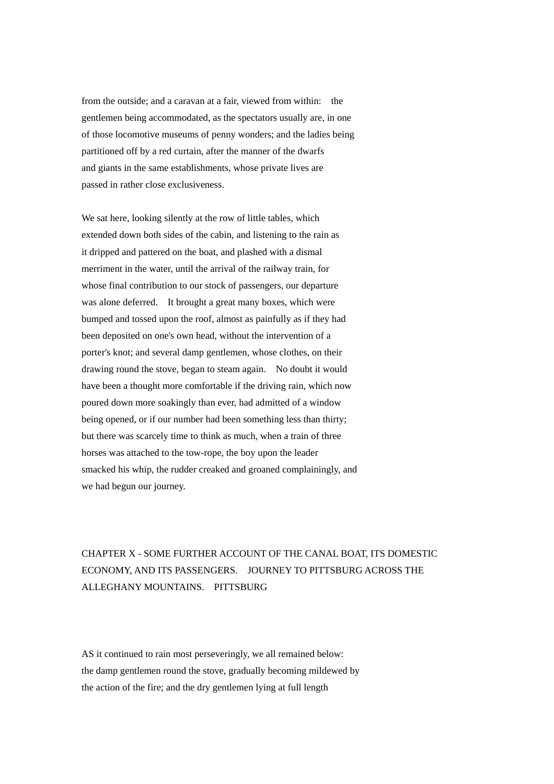from the outside; and a caravan at a fair, viewed from within: the gentlemen being accommodated, as the spectators usually are, in one of those locomotive museums of penny wonders; and the ladies being partitioned off by a red curtain, after the manner of the dwarfs and giants in the same establishments, whose private lives are passed in rather close exclusiveness.

We sat here, looking silently at the row of little tables, which extended down both sides of the cabin, and listening to the rain as it dripped and pattered on the boat, and plashed with a dismal merriment in the water, until the arrival of the railway train, for whose final contribution to our stock of passengers, our departure was alone deferred. It brought a great many boxes, which were bumped and tossed upon the roof, almost as painfully as if they had been deposited on one's own head, without the intervention of a porter's knot; and several damp gentlemen, whose clothes, on their drawing round the stove, began to steam again. No doubt it would have been a thought more comfortable if the driving rain, which now poured down more soakingly than ever, had admitted of a window being opened, or if our number had been something less than thirty; but there was scarcely time to think as much, when a train of three horses was attached to the tow-rope, the boy upon the leader smacked his whip, the rudder creaked and groaned complainingly, and we had begun our journey.

## CHAPTER X - SOME FURTHER ACCOUNT OF THE CANAL BOAT, ITS DOMESTIC ECONOMY, AND ITS PASSENGERS. JOURNEY TO PITTSBURG ACROSS THE ALLEGHANY MOUNTAINS. PITTSBURG

AS it continued to rain most perseveringly, we all remained below: the damp gentlemen round the stove, gradually becoming mildewed by the action of the fire; and the dry gentlemen lying at full length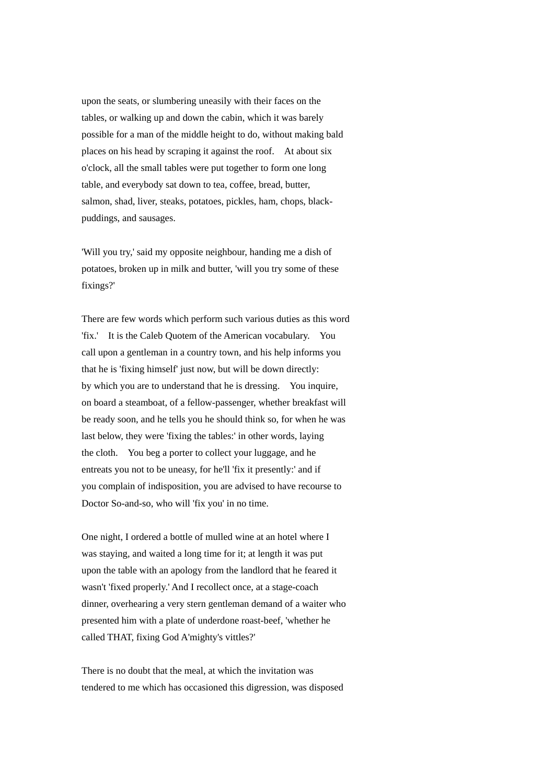upon the seats, or slumbering uneasily with their faces on the tables, or walking up and down the cabin, which it was barely possible for a man of the middle height to do, without making bald places on his head by scraping it against the roof. At about six o'clock, all the small tables were put together to form one long table, and everybody sat down to tea, coffee, bread, butter, salmon, shad, liver, steaks, potatoes, pickles, ham, chops, blackpuddings, and sausages.

'Will you try,' said my opposite neighbour, handing me a dish of potatoes, broken up in milk and butter, 'will you try some of these fixings?'

There are few words which perform such various duties as this word 'fix.' It is the Caleb Quotem of the American vocabulary. You call upon a gentleman in a country town, and his help informs you that he is 'fixing himself' just now, but will be down directly: by which you are to understand that he is dressing. You inquire, on board a steamboat, of a fellow-passenger, whether breakfast will be ready soon, and he tells you he should think so, for when he was last below, they were 'fixing the tables:' in other words, laying the cloth. You beg a porter to collect your luggage, and he entreats you not to be uneasy, for he'll 'fix it presently:' and if you complain of indisposition, you are advised to have recourse to Doctor So-and-so, who will 'fix you' in no time.

One night, I ordered a bottle of mulled wine at an hotel where I was staying, and waited a long time for it; at length it was put upon the table with an apology from the landlord that he feared it wasn't 'fixed properly.' And I recollect once, at a stage-coach dinner, overhearing a very stern gentleman demand of a waiter who presented him with a plate of underdone roast-beef, 'whether he called THAT, fixing God A'mighty's vittles?'

There is no doubt that the meal, at which the invitation was tendered to me which has occasioned this digression, was disposed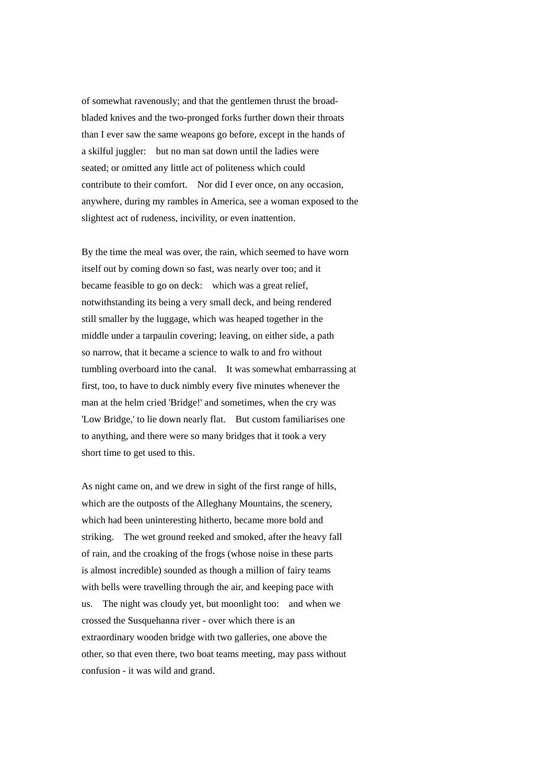of somewhat ravenously; and that the gentlemen thrust the broadbladed knives and the two-pronged forks further down their throats than I ever saw the same weapons go before, except in the hands of a skilful juggler: but no man sat down until the ladies were seated; or omitted any little act of politeness which could contribute to their comfort. Nor did I ever once, on any occasion, anywhere, during my rambles in America, see a woman exposed to the slightest act of rudeness, incivility, or even inattention.

By the time the meal was over, the rain, which seemed to have worn itself out by coming down so fast, was nearly over too; and it became feasible to go on deck: which was a great relief, notwithstanding its being a very small deck, and being rendered still smaller by the luggage, which was heaped together in the middle under a tarpaulin covering; leaving, on either side, a path so narrow, that it became a science to walk to and fro without tumbling overboard into the canal. It was somewhat embarrassing at first, too, to have to duck nimbly every five minutes whenever the man at the helm cried 'Bridge!' and sometimes, when the cry was 'Low Bridge,' to lie down nearly flat. But custom familiarises one to anything, and there were so many bridges that it took a very short time to get used to this.

As night came on, and we drew in sight of the first range of hills, which are the outposts of the Alleghany Mountains, the scenery, which had been uninteresting hitherto, became more bold and striking. The wet ground reeked and smoked, after the heavy fall of rain, and the croaking of the frogs (whose noise in these parts is almost incredible) sounded as though a million of fairy teams with bells were travelling through the air, and keeping pace with us. The night was cloudy yet, but moonlight too: and when we crossed the Susquehanna river - over which there is an extraordinary wooden bridge with two galleries, one above the other, so that even there, two boat teams meeting, may pass without confusion - it was wild and grand.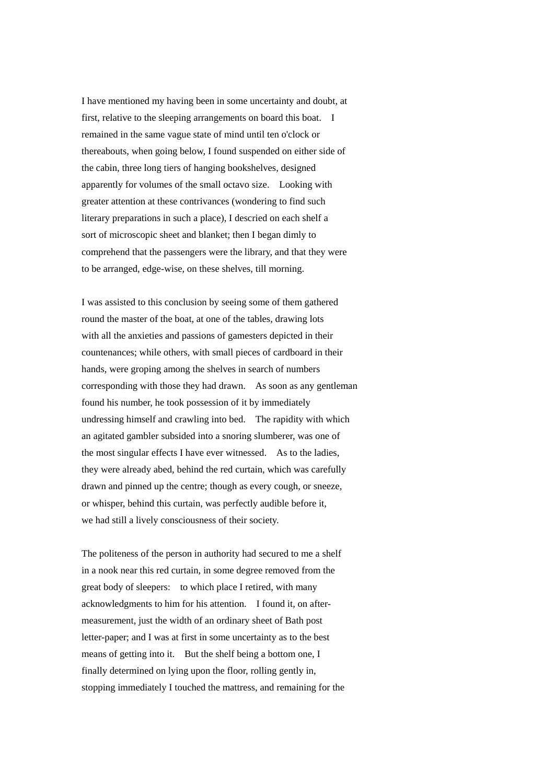I have mentioned my having been in some uncertainty and doubt, at first, relative to the sleeping arrangements on board this boat. I remained in the same vague state of mind until ten o'clock or thereabouts, when going below, I found suspended on either side of the cabin, three long tiers of hanging bookshelves, designed apparently for volumes of the small octavo size. Looking with greater attention at these contrivances (wondering to find such literary preparations in such a place), I descried on each shelf a sort of microscopic sheet and blanket; then I began dimly to comprehend that the passengers were the library, and that they were to be arranged, edge-wise, on these shelves, till morning.

I was assisted to this conclusion by seeing some of them gathered round the master of the boat, at one of the tables, drawing lots with all the anxieties and passions of gamesters depicted in their countenances; while others, with small pieces of cardboard in their hands, were groping among the shelves in search of numbers corresponding with those they had drawn. As soon as any gentleman found his number, he took possession of it by immediately undressing himself and crawling into bed. The rapidity with which an agitated gambler subsided into a snoring slumberer, was one of the most singular effects I have ever witnessed. As to the ladies, they were already abed, behind the red curtain, which was carefully drawn and pinned up the centre; though as every cough, or sneeze, or whisper, behind this curtain, was perfectly audible before it, we had still a lively consciousness of their society.

The politeness of the person in authority had secured to me a shelf in a nook near this red curtain, in some degree removed from the great body of sleepers: to which place I retired, with many acknowledgments to him for his attention. I found it, on aftermeasurement, just the width of an ordinary sheet of Bath post letter-paper; and I was at first in some uncertainty as to the best means of getting into it. But the shelf being a bottom one, I finally determined on lying upon the floor, rolling gently in, stopping immediately I touched the mattress, and remaining for the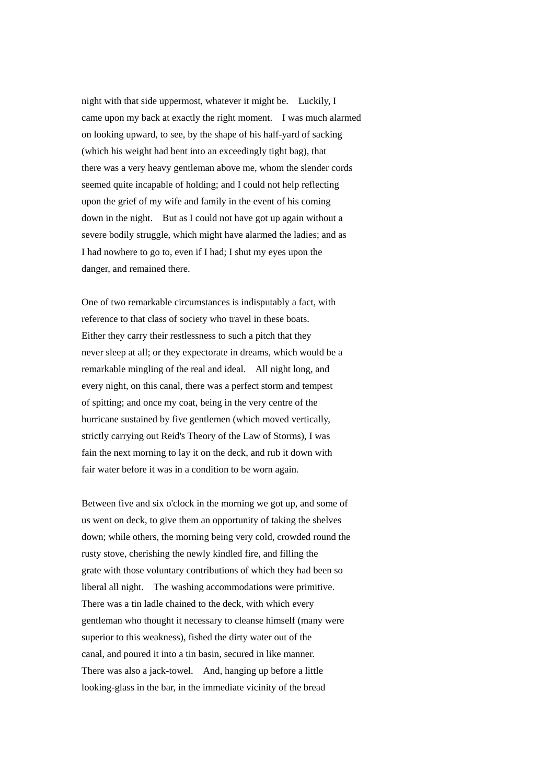night with that side uppermost, whatever it might be. Luckily, I came upon my back at exactly the right moment. I was much alarmed on looking upward, to see, by the shape of his half-yard of sacking (which his weight had bent into an exceedingly tight bag), that there was a very heavy gentleman above me, whom the slender cords seemed quite incapable of holding; and I could not help reflecting upon the grief of my wife and family in the event of his coming down in the night. But as I could not have got up again without a severe bodily struggle, which might have alarmed the ladies; and as I had nowhere to go to, even if I had; I shut my eyes upon the danger, and remained there.

One of two remarkable circumstances is indisputably a fact, with reference to that class of society who travel in these boats. Either they carry their restlessness to such a pitch that they never sleep at all; or they expectorate in dreams, which would be a remarkable mingling of the real and ideal. All night long, and every night, on this canal, there was a perfect storm and tempest of spitting; and once my coat, being in the very centre of the hurricane sustained by five gentlemen (which moved vertically, strictly carrying out Reid's Theory of the Law of Storms), I was fain the next morning to lay it on the deck, and rub it down with fair water before it was in a condition to be worn again.

Between five and six o'clock in the morning we got up, and some of us went on deck, to give them an opportunity of taking the shelves down; while others, the morning being very cold, crowded round the rusty stove, cherishing the newly kindled fire, and filling the grate with those voluntary contributions of which they had been so liberal all night. The washing accommodations were primitive. There was a tin ladle chained to the deck, with which every gentleman who thought it necessary to cleanse himself (many were superior to this weakness), fished the dirty water out of the canal, and poured it into a tin basin, secured in like manner. There was also a jack-towel. And, hanging up before a little looking-glass in the bar, in the immediate vicinity of the bread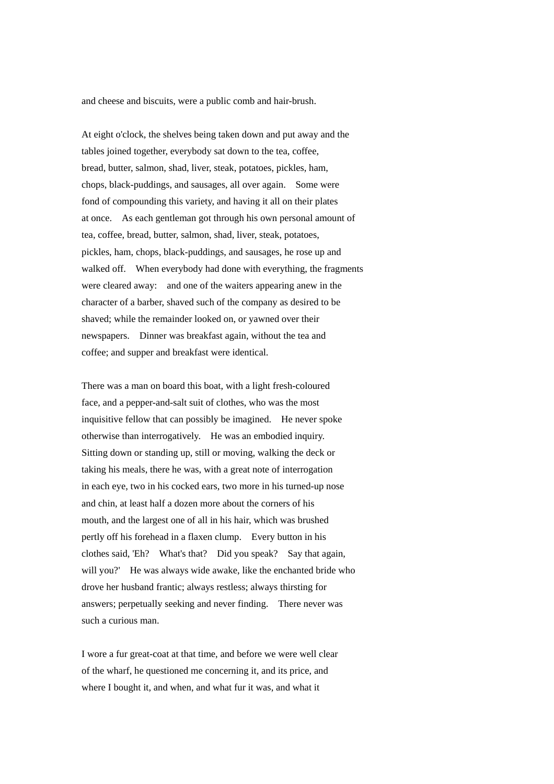and cheese and biscuits, were a public comb and hair-brush.

At eight o'clock, the shelves being taken down and put away and the tables joined together, everybody sat down to the tea, coffee, bread, butter, salmon, shad, liver, steak, potatoes, pickles, ham, chops, black-puddings, and sausages, all over again. Some were fond of compounding this variety, and having it all on their plates at once. As each gentleman got through his own personal amount of tea, coffee, bread, butter, salmon, shad, liver, steak, potatoes, pickles, ham, chops, black-puddings, and sausages, he rose up and walked off. When everybody had done with everything, the fragments were cleared away: and one of the waiters appearing anew in the character of a barber, shaved such of the company as desired to be shaved; while the remainder looked on, or yawned over their newspapers. Dinner was breakfast again, without the tea and coffee; and supper and breakfast were identical.

There was a man on board this boat, with a light fresh-coloured face, and a pepper-and-salt suit of clothes, who was the most inquisitive fellow that can possibly be imagined. He never spoke otherwise than interrogatively. He was an embodied inquiry. Sitting down or standing up, still or moving, walking the deck or taking his meals, there he was, with a great note of interrogation in each eye, two in his cocked ears, two more in his turned-up nose and chin, at least half a dozen more about the corners of his mouth, and the largest one of all in his hair, which was brushed pertly off his forehead in a flaxen clump. Every button in his clothes said, 'Eh? What's that? Did you speak? Say that again, will you?' He was always wide awake, like the enchanted bride who drove her husband frantic; always restless; always thirsting for answers; perpetually seeking and never finding. There never was such a curious man.

I wore a fur great-coat at that time, and before we were well clear of the wharf, he questioned me concerning it, and its price, and where I bought it, and when, and what fur it was, and what it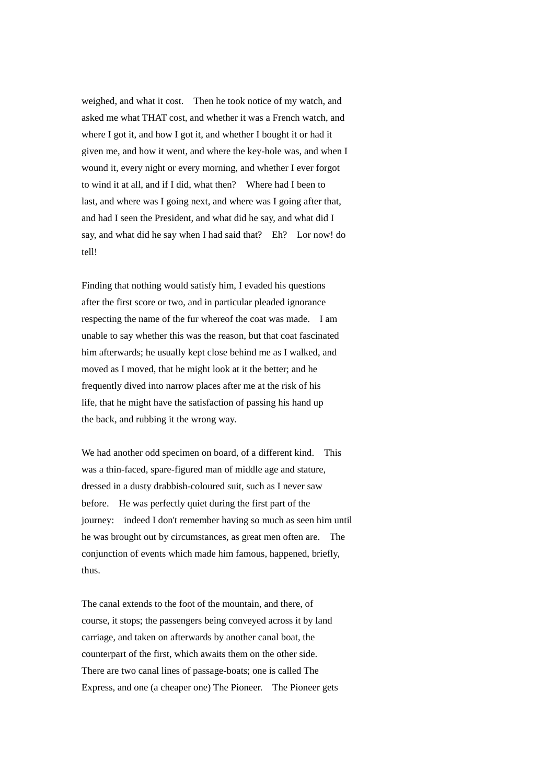weighed, and what it cost. Then he took notice of my watch, and asked me what THAT cost, and whether it was a French watch, and where I got it, and how I got it, and whether I bought it or had it given me, and how it went, and where the key-hole was, and when I wound it, every night or every morning, and whether I ever forgot to wind it at all, and if I did, what then? Where had I been to last, and where was I going next, and where was I going after that, and had I seen the President, and what did he say, and what did I say, and what did he say when I had said that? Eh? Lor now! do tell!

Finding that nothing would satisfy him, I evaded his questions after the first score or two, and in particular pleaded ignorance respecting the name of the fur whereof the coat was made. I am unable to say whether this was the reason, but that coat fascinated him afterwards; he usually kept close behind me as I walked, and moved as I moved, that he might look at it the better; and he frequently dived into narrow places after me at the risk of his life, that he might have the satisfaction of passing his hand up the back, and rubbing it the wrong way.

We had another odd specimen on board, of a different kind. This was a thin-faced, spare-figured man of middle age and stature, dressed in a dusty drabbish-coloured suit, such as I never saw before. He was perfectly quiet during the first part of the journey: indeed I don't remember having so much as seen him until he was brought out by circumstances, as great men often are. The conjunction of events which made him famous, happened, briefly, thus.

The canal extends to the foot of the mountain, and there, of course, it stops; the passengers being conveyed across it by land carriage, and taken on afterwards by another canal boat, the counterpart of the first, which awaits them on the other side. There are two canal lines of passage-boats; one is called The Express, and one (a cheaper one) The Pioneer. The Pioneer gets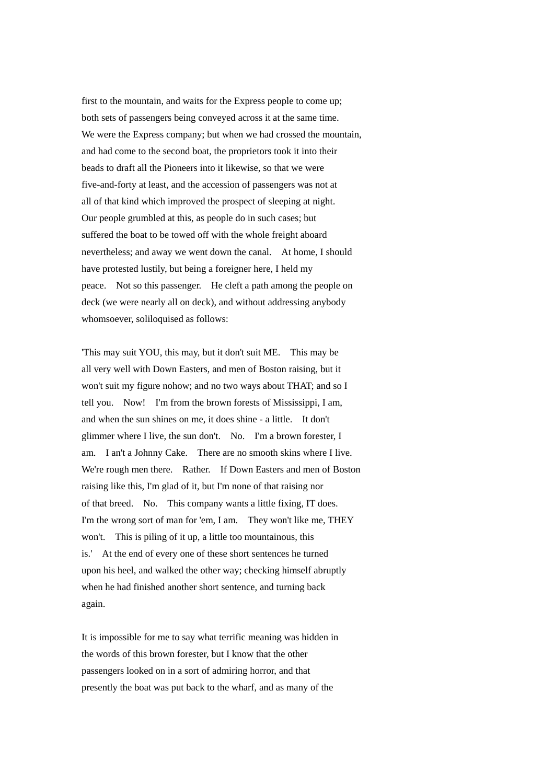first to the mountain, and waits for the Express people to come up; both sets of passengers being conveyed across it at the same time. We were the Express company; but when we had crossed the mountain, and had come to the second boat, the proprietors took it into their beads to draft all the Pioneers into it likewise, so that we were five-and-forty at least, and the accession of passengers was not at all of that kind which improved the prospect of sleeping at night. Our people grumbled at this, as people do in such cases; but suffered the boat to be towed off with the whole freight aboard nevertheless; and away we went down the canal. At home, I should have protested lustily, but being a foreigner here, I held my peace. Not so this passenger. He cleft a path among the people on deck (we were nearly all on deck), and without addressing anybody whomsoever, soliloquised as follows:

'This may suit YOU, this may, but it don't suit ME. This may be all very well with Down Easters, and men of Boston raising, but it won't suit my figure nohow; and no two ways about THAT; and so I tell you. Now! I'm from the brown forests of Mississippi, I am, and when the sun shines on me, it does shine - a little. It don't glimmer where I live, the sun don't. No. I'm a brown forester, I am. I an't a Johnny Cake. There are no smooth skins where I live. We're rough men there. Rather. If Down Easters and men of Boston raising like this, I'm glad of it, but I'm none of that raising nor of that breed. No. This company wants a little fixing, IT does. I'm the wrong sort of man for 'em, I am. They won't like me, THEY won't. This is piling of it up, a little too mountainous, this is.' At the end of every one of these short sentences he turned upon his heel, and walked the other way; checking himself abruptly when he had finished another short sentence, and turning back again.

It is impossible for me to say what terrific meaning was hidden in the words of this brown forester, but I know that the other passengers looked on in a sort of admiring horror, and that presently the boat was put back to the wharf, and as many of the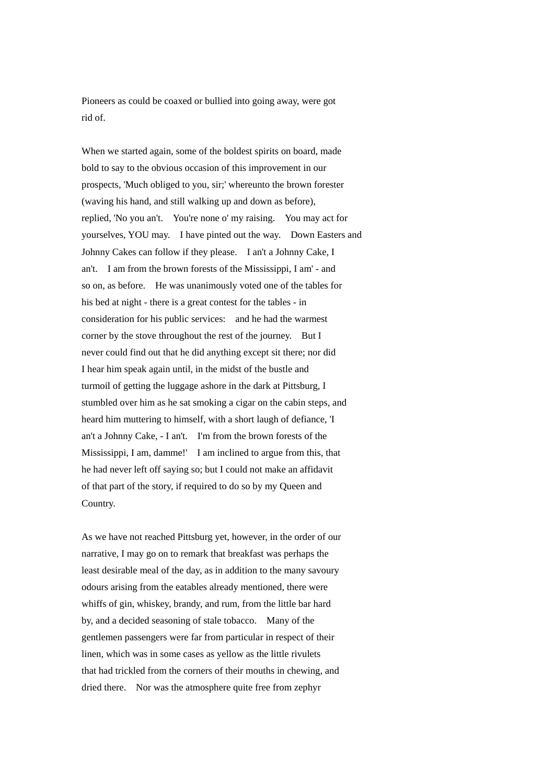Pioneers as could be coaxed or bullied into going away, were got rid of.

When we started again, some of the boldest spirits on board, made bold to say to the obvious occasion of this improvement in our prospects, 'Much obliged to you, sir;' whereunto the brown forester (waving his hand, and still walking up and down as before), replied, 'No you an't. You're none o' my raising. You may act for yourselves, YOU may. I have pinted out the way. Down Easters and Johnny Cakes can follow if they please. I an't a Johnny Cake, I an't. I am from the brown forests of the Mississippi, I am' - and so on, as before. He was unanimously voted one of the tables for his bed at night - there is a great contest for the tables - in consideration for his public services: and he had the warmest corner by the stove throughout the rest of the journey. But I never could find out that he did anything except sit there; nor did I hear him speak again until, in the midst of the bustle and turmoil of getting the luggage ashore in the dark at Pittsburg, I stumbled over him as he sat smoking a cigar on the cabin steps, and heard him muttering to himself, with a short laugh of defiance, 'I an't a Johnny Cake, - I an't. I'm from the brown forests of the Mississippi, I am, damme!' I am inclined to argue from this, that he had never left off saying so; but I could not make an affidavit of that part of the story, if required to do so by my Queen and Country.

As we have not reached Pittsburg yet, however, in the order of our narrative, I may go on to remark that breakfast was perhaps the least desirable meal of the day, as in addition to the many savoury odours arising from the eatables already mentioned, there were whiffs of gin, whiskey, brandy, and rum, from the little bar hard by, and a decided seasoning of stale tobacco. Many of the gentlemen passengers were far from particular in respect of their linen, which was in some cases as yellow as the little rivulets that had trickled from the corners of their mouths in chewing, and dried there. Nor was the atmosphere quite free from zephyr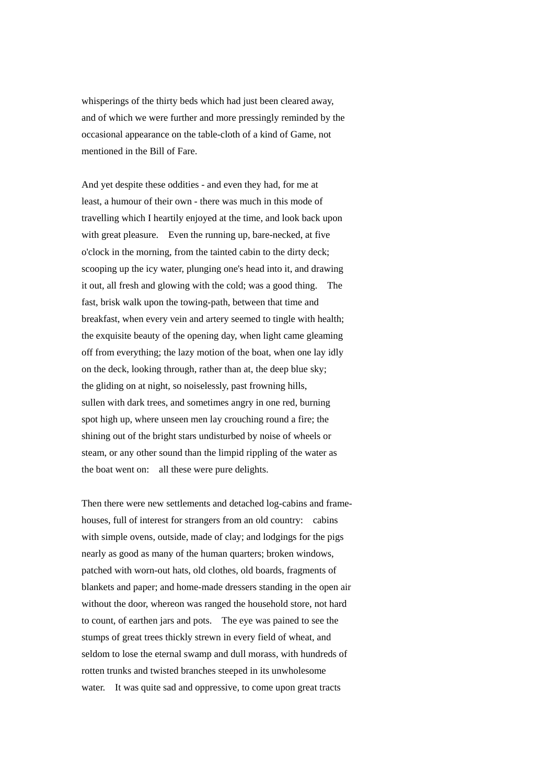whisperings of the thirty beds which had just been cleared away, and of which we were further and more pressingly reminded by the occasional appearance on the table-cloth of a kind of Game, not mentioned in the Bill of Fare.

And yet despite these oddities - and even they had, for me at least, a humour of their own - there was much in this mode of travelling which I heartily enjoyed at the time, and look back upon with great pleasure. Even the running up, bare-necked, at five o'clock in the morning, from the tainted cabin to the dirty deck; scooping up the icy water, plunging one's head into it, and drawing it out, all fresh and glowing with the cold; was a good thing. The fast, brisk walk upon the towing-path, between that time and breakfast, when every vein and artery seemed to tingle with health; the exquisite beauty of the opening day, when light came gleaming off from everything; the lazy motion of the boat, when one lay idly on the deck, looking through, rather than at, the deep blue sky; the gliding on at night, so noiselessly, past frowning hills, sullen with dark trees, and sometimes angry in one red, burning spot high up, where unseen men lay crouching round a fire; the shining out of the bright stars undisturbed by noise of wheels or steam, or any other sound than the limpid rippling of the water as the boat went on: all these were pure delights.

Then there were new settlements and detached log-cabins and framehouses, full of interest for strangers from an old country: cabins with simple ovens, outside, made of clay; and lodgings for the pigs nearly as good as many of the human quarters; broken windows, patched with worn-out hats, old clothes, old boards, fragments of blankets and paper; and home-made dressers standing in the open air without the door, whereon was ranged the household store, not hard to count, of earthen jars and pots. The eye was pained to see the stumps of great trees thickly strewn in every field of wheat, and seldom to lose the eternal swamp and dull morass, with hundreds of rotten trunks and twisted branches steeped in its unwholesome water. It was quite sad and oppressive, to come upon great tracts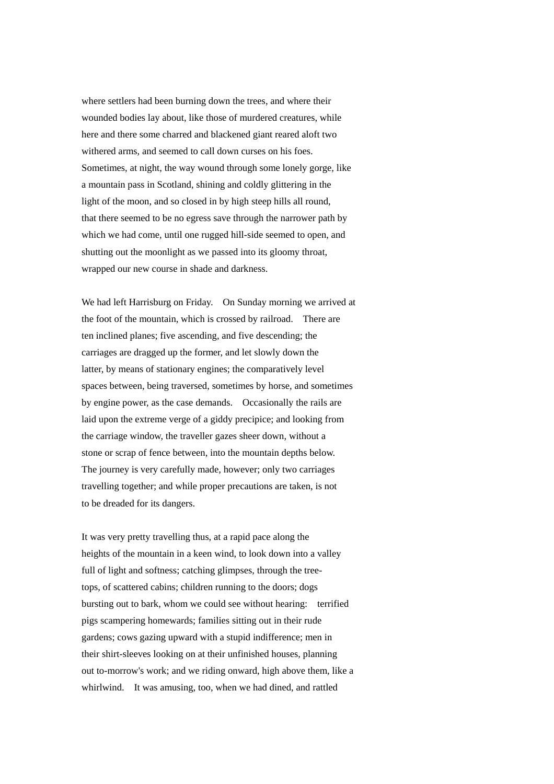where settlers had been burning down the trees, and where their wounded bodies lay about, like those of murdered creatures, while here and there some charred and blackened giant reared aloft two withered arms, and seemed to call down curses on his foes. Sometimes, at night, the way wound through some lonely gorge, like a mountain pass in Scotland, shining and coldly glittering in the light of the moon, and so closed in by high steep hills all round, that there seemed to be no egress save through the narrower path by which we had come, until one rugged hill-side seemed to open, and shutting out the moonlight as we passed into its gloomy throat, wrapped our new course in shade and darkness.

We had left Harrisburg on Friday. On Sunday morning we arrived at the foot of the mountain, which is crossed by railroad. There are ten inclined planes; five ascending, and five descending; the carriages are dragged up the former, and let slowly down the latter, by means of stationary engines; the comparatively level spaces between, being traversed, sometimes by horse, and sometimes by engine power, as the case demands. Occasionally the rails are laid upon the extreme verge of a giddy precipice; and looking from the carriage window, the traveller gazes sheer down, without a stone or scrap of fence between, into the mountain depths below. The journey is very carefully made, however; only two carriages travelling together; and while proper precautions are taken, is not to be dreaded for its dangers.

It was very pretty travelling thus, at a rapid pace along the heights of the mountain in a keen wind, to look down into a valley full of light and softness; catching glimpses, through the treetops, of scattered cabins; children running to the doors; dogs bursting out to bark, whom we could see without hearing: terrified pigs scampering homewards; families sitting out in their rude gardens; cows gazing upward with a stupid indifference; men in their shirt-sleeves looking on at their unfinished houses, planning out to-morrow's work; and we riding onward, high above them, like a whirlwind. It was amusing, too, when we had dined, and rattled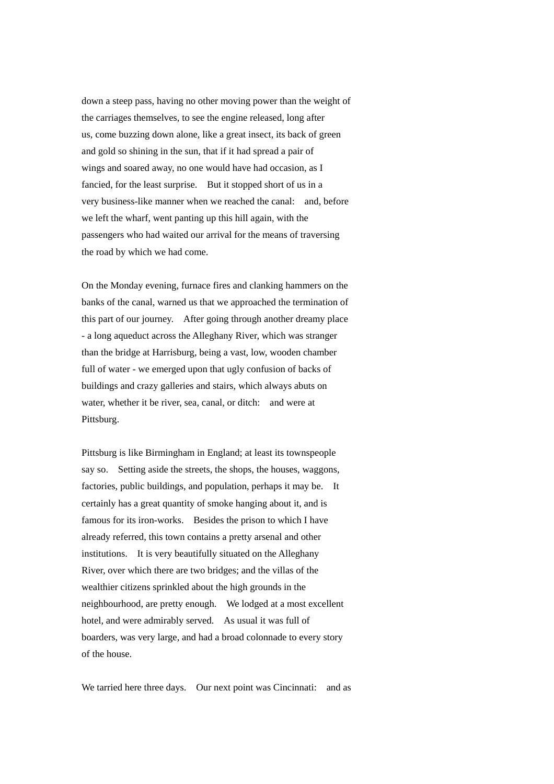down a steep pass, having no other moving power than the weight of the carriages themselves, to see the engine released, long after us, come buzzing down alone, like a great insect, its back of green and gold so shining in the sun, that if it had spread a pair of wings and soared away, no one would have had occasion, as I fancied, for the least surprise. But it stopped short of us in a very business-like manner when we reached the canal: and, before we left the wharf, went panting up this hill again, with the passengers who had waited our arrival for the means of traversing the road by which we had come.

On the Monday evening, furnace fires and clanking hammers on the banks of the canal, warned us that we approached the termination of this part of our journey. After going through another dreamy place - a long aqueduct across the Alleghany River, which was stranger than the bridge at Harrisburg, being a vast, low, wooden chamber full of water - we emerged upon that ugly confusion of backs of buildings and crazy galleries and stairs, which always abuts on water, whether it be river, sea, canal, or ditch: and were at Pittsburg.

Pittsburg is like Birmingham in England; at least its townspeople say so. Setting aside the streets, the shops, the houses, waggons, factories, public buildings, and population, perhaps it may be. It certainly has a great quantity of smoke hanging about it, and is famous for its iron-works. Besides the prison to which I have already referred, this town contains a pretty arsenal and other institutions. It is very beautifully situated on the Alleghany River, over which there are two bridges; and the villas of the wealthier citizens sprinkled about the high grounds in the neighbourhood, are pretty enough. We lodged at a most excellent hotel, and were admirably served. As usual it was full of boarders, was very large, and had a broad colonnade to every story of the house.

We tarried here three days. Our next point was Cincinnati: and as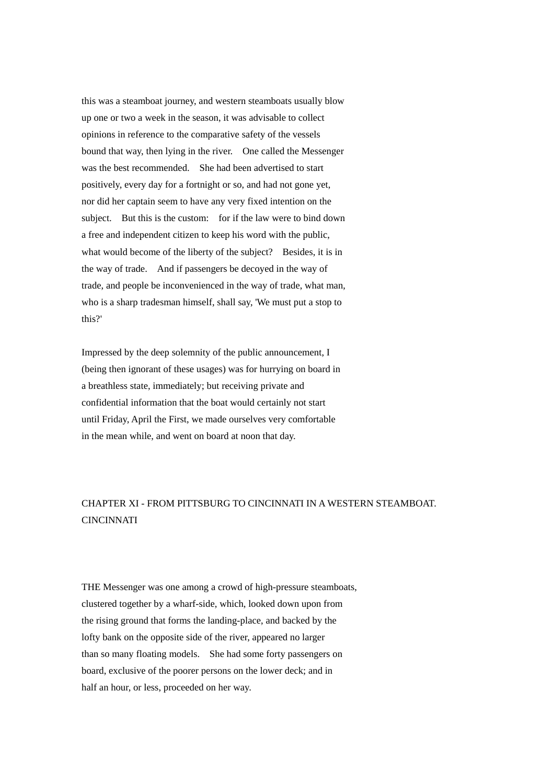this was a steamboat journey, and western steamboats usually blow up one or two a week in the season, it was advisable to collect opinions in reference to the comparative safety of the vessels bound that way, then lying in the river. One called the Messenger was the best recommended. She had been advertised to start positively, every day for a fortnight or so, and had not gone yet, nor did her captain seem to have any very fixed intention on the subject. But this is the custom: for if the law were to bind down a free and independent citizen to keep his word with the public, what would become of the liberty of the subject? Besides, it is in the way of trade. And if passengers be decoyed in the way of trade, and people be inconvenienced in the way of trade, what man, who is a sharp tradesman himself, shall say, 'We must put a stop to this?'

Impressed by the deep solemnity of the public announcement, I (being then ignorant of these usages) was for hurrying on board in a breathless state, immediately; but receiving private and confidential information that the boat would certainly not start until Friday, April the First, we made ourselves very comfortable in the mean while, and went on board at noon that day.

## CHAPTER XI - FROM PITTSBURG TO CINCINNATI IN A WESTERN STEAMBOAT. **CINCINNATI**

THE Messenger was one among a crowd of high-pressure steamboats, clustered together by a wharf-side, which, looked down upon from the rising ground that forms the landing-place, and backed by the lofty bank on the opposite side of the river, appeared no larger than so many floating models. She had some forty passengers on board, exclusive of the poorer persons on the lower deck; and in half an hour, or less, proceeded on her way.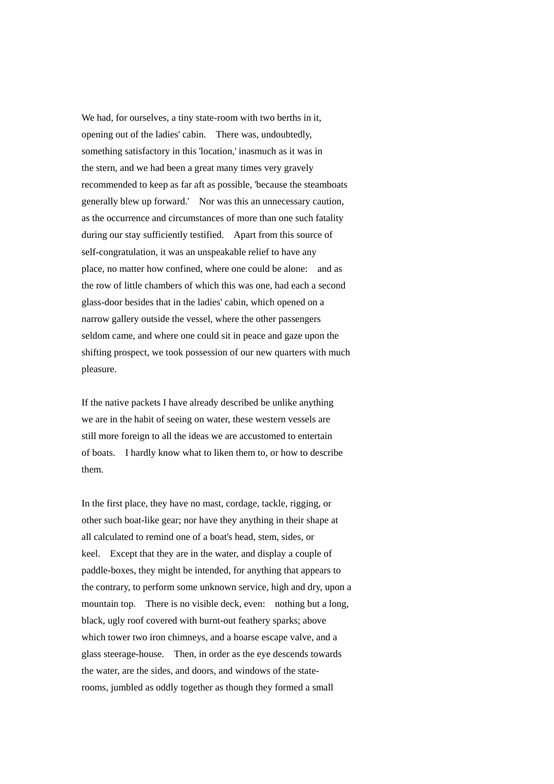We had, for ourselves, a tiny state-room with two berths in it, opening out of the ladies' cabin. There was, undoubtedly, something satisfactory in this 'location,' inasmuch as it was in the stern, and we had been a great many times very gravely recommended to keep as far aft as possible, 'because the steamboats generally blew up forward.' Nor was this an unnecessary caution, as the occurrence and circumstances of more than one such fatality during our stay sufficiently testified. Apart from this source of self-congratulation, it was an unspeakable relief to have any place, no matter how confined, where one could be alone: and as the row of little chambers of which this was one, had each a second glass-door besides that in the ladies' cabin, which opened on a narrow gallery outside the vessel, where the other passengers seldom came, and where one could sit in peace and gaze upon the shifting prospect, we took possession of our new quarters with much pleasure.

If the native packets I have already described be unlike anything we are in the habit of seeing on water, these western vessels are still more foreign to all the ideas we are accustomed to entertain of boats. I hardly know what to liken them to, or how to describe them.

In the first place, they have no mast, cordage, tackle, rigging, or other such boat-like gear; nor have they anything in their shape at all calculated to remind one of a boat's head, stem, sides, or keel. Except that they are in the water, and display a couple of paddle-boxes, they might be intended, for anything that appears to the contrary, to perform some unknown service, high and dry, upon a mountain top. There is no visible deck, even: nothing but a long, black, ugly roof covered with burnt-out feathery sparks; above which tower two iron chimneys, and a hoarse escape valve, and a glass steerage-house. Then, in order as the eye descends towards the water, are the sides, and doors, and windows of the staterooms, jumbled as oddly together as though they formed a small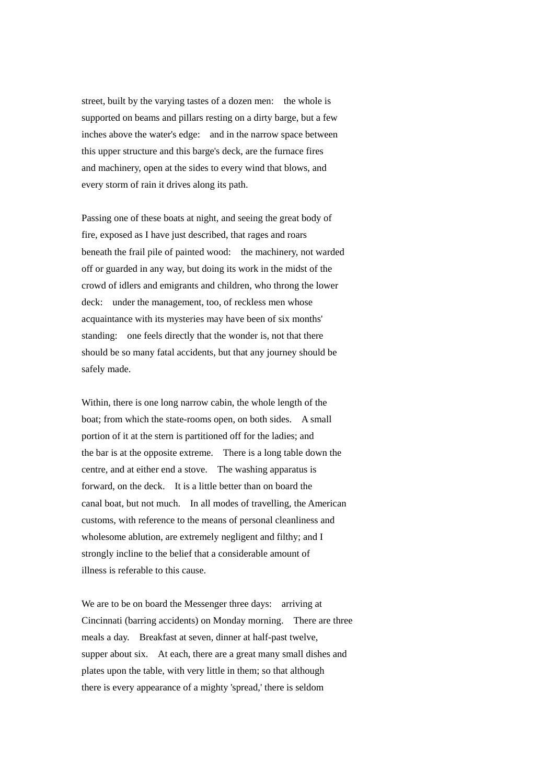street, built by the varying tastes of a dozen men: the whole is supported on beams and pillars resting on a dirty barge, but a few inches above the water's edge: and in the narrow space between this upper structure and this barge's deck, are the furnace fires and machinery, open at the sides to every wind that blows, and every storm of rain it drives along its path.

Passing one of these boats at night, and seeing the great body of fire, exposed as I have just described, that rages and roars beneath the frail pile of painted wood: the machinery, not warded off or guarded in any way, but doing its work in the midst of the crowd of idlers and emigrants and children, who throng the lower deck: under the management, too, of reckless men whose acquaintance with its mysteries may have been of six months' standing: one feels directly that the wonder is, not that there should be so many fatal accidents, but that any journey should be safely made.

Within, there is one long narrow cabin, the whole length of the boat; from which the state-rooms open, on both sides. A small portion of it at the stern is partitioned off for the ladies; and the bar is at the opposite extreme. There is a long table down the centre, and at either end a stove. The washing apparatus is forward, on the deck. It is a little better than on board the canal boat, but not much. In all modes of travelling, the American customs, with reference to the means of personal cleanliness and wholesome ablution, are extremely negligent and filthy; and I strongly incline to the belief that a considerable amount of illness is referable to this cause.

We are to be on board the Messenger three days: arriving at Cincinnati (barring accidents) on Monday morning. There are three meals a day. Breakfast at seven, dinner at half-past twelve, supper about six. At each, there are a great many small dishes and plates upon the table, with very little in them; so that although there is every appearance of a mighty 'spread,' there is seldom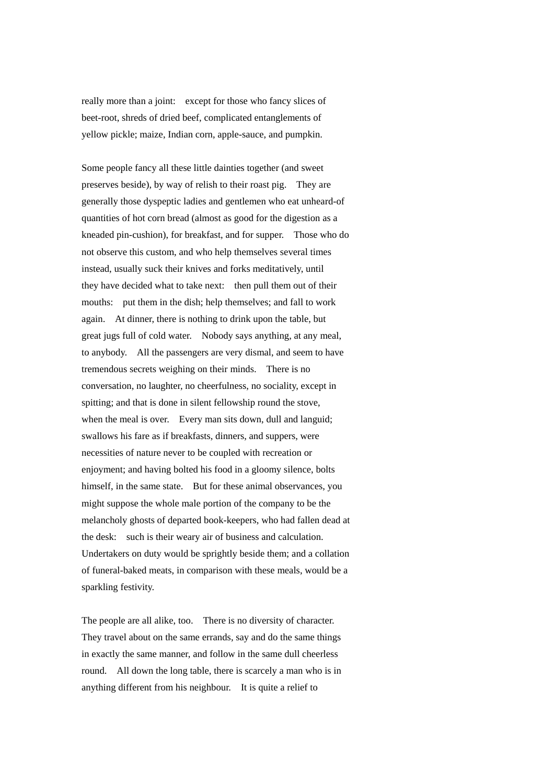really more than a joint: except for those who fancy slices of beet-root, shreds of dried beef, complicated entanglements of yellow pickle; maize, Indian corn, apple-sauce, and pumpkin.

Some people fancy all these little dainties together (and sweet preserves beside), by way of relish to their roast pig. They are generally those dyspeptic ladies and gentlemen who eat unheard-of quantities of hot corn bread (almost as good for the digestion as a kneaded pin-cushion), for breakfast, and for supper. Those who do not observe this custom, and who help themselves several times instead, usually suck their knives and forks meditatively, until they have decided what to take next: then pull them out of their mouths: put them in the dish; help themselves; and fall to work again. At dinner, there is nothing to drink upon the table, but great jugs full of cold water. Nobody says anything, at any meal, to anybody. All the passengers are very dismal, and seem to have tremendous secrets weighing on their minds. There is no conversation, no laughter, no cheerfulness, no sociality, except in spitting; and that is done in silent fellowship round the stove, when the meal is over. Every man sits down, dull and languid; swallows his fare as if breakfasts, dinners, and suppers, were necessities of nature never to be coupled with recreation or enjoyment; and having bolted his food in a gloomy silence, bolts himself, in the same state. But for these animal observances, you might suppose the whole male portion of the company to be the melancholy ghosts of departed book-keepers, who had fallen dead at the desk: such is their weary air of business and calculation. Undertakers on duty would be sprightly beside them; and a collation of funeral-baked meats, in comparison with these meals, would be a sparkling festivity.

The people are all alike, too. There is no diversity of character. They travel about on the same errands, say and do the same things in exactly the same manner, and follow in the same dull cheerless round. All down the long table, there is scarcely a man who is in anything different from his neighbour. It is quite a relief to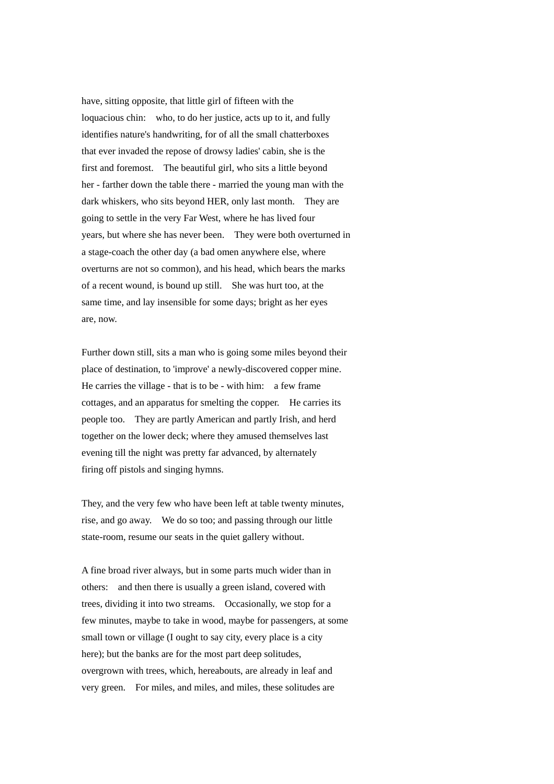have, sitting opposite, that little girl of fifteen with the loquacious chin: who, to do her justice, acts up to it, and fully identifies nature's handwriting, for of all the small chatterboxes that ever invaded the repose of drowsy ladies' cabin, she is the first and foremost. The beautiful girl, who sits a little beyond her - farther down the table there - married the young man with the dark whiskers, who sits beyond HER, only last month. They are going to settle in the very Far West, where he has lived four years, but where she has never been. They were both overturned in a stage-coach the other day (a bad omen anywhere else, where overturns are not so common), and his head, which bears the marks of a recent wound, is bound up still. She was hurt too, at the same time, and lay insensible for some days; bright as her eyes are, now.

Further down still, sits a man who is going some miles beyond their place of destination, to 'improve' a newly-discovered copper mine. He carries the village - that is to be - with him: a few frame cottages, and an apparatus for smelting the copper. He carries its people too. They are partly American and partly Irish, and herd together on the lower deck; where they amused themselves last evening till the night was pretty far advanced, by alternately firing off pistols and singing hymns.

They, and the very few who have been left at table twenty minutes, rise, and go away. We do so too; and passing through our little state-room, resume our seats in the quiet gallery without.

A fine broad river always, but in some parts much wider than in others: and then there is usually a green island, covered with trees, dividing it into two streams. Occasionally, we stop for a few minutes, maybe to take in wood, maybe for passengers, at some small town or village (I ought to say city, every place is a city here); but the banks are for the most part deep solitudes, overgrown with trees, which, hereabouts, are already in leaf and very green. For miles, and miles, and miles, these solitudes are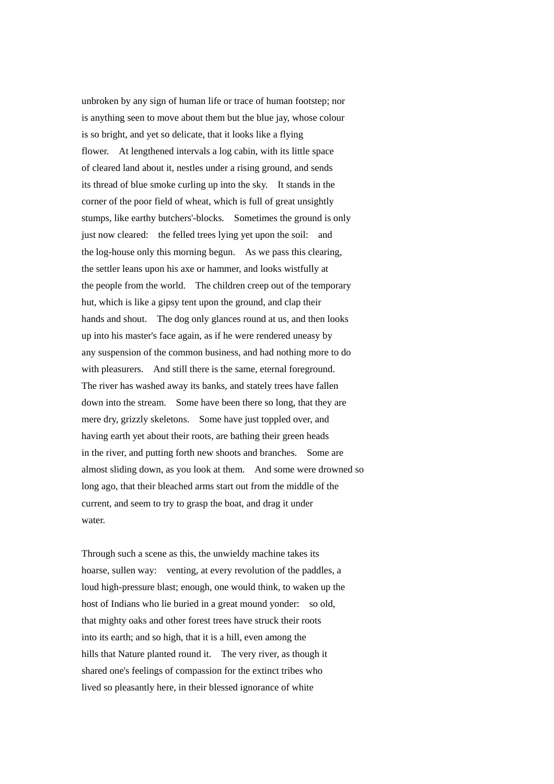unbroken by any sign of human life or trace of human footstep; nor is anything seen to move about them but the blue jay, whose colour is so bright, and yet so delicate, that it looks like a flying flower. At lengthened intervals a log cabin, with its little space of cleared land about it, nestles under a rising ground, and sends its thread of blue smoke curling up into the sky. It stands in the corner of the poor field of wheat, which is full of great unsightly stumps, like earthy butchers'-blocks. Sometimes the ground is only just now cleared: the felled trees lying yet upon the soil: and the log-house only this morning begun. As we pass this clearing, the settler leans upon his axe or hammer, and looks wistfully at the people from the world. The children creep out of the temporary hut, which is like a gipsy tent upon the ground, and clap their hands and shout. The dog only glances round at us, and then looks up into his master's face again, as if he were rendered uneasy by any suspension of the common business, and had nothing more to do with pleasurers. And still there is the same, eternal foreground. The river has washed away its banks, and stately trees have fallen down into the stream. Some have been there so long, that they are mere dry, grizzly skeletons. Some have just toppled over, and having earth yet about their roots, are bathing their green heads in the river, and putting forth new shoots and branches. Some are almost sliding down, as you look at them. And some were drowned so long ago, that their bleached arms start out from the middle of the current, and seem to try to grasp the boat, and drag it under water.

Through such a scene as this, the unwieldy machine takes its hoarse, sullen way: venting, at every revolution of the paddles, a loud high-pressure blast; enough, one would think, to waken up the host of Indians who lie buried in a great mound yonder: so old, that mighty oaks and other forest trees have struck their roots into its earth; and so high, that it is a hill, even among the hills that Nature planted round it. The very river, as though it shared one's feelings of compassion for the extinct tribes who lived so pleasantly here, in their blessed ignorance of white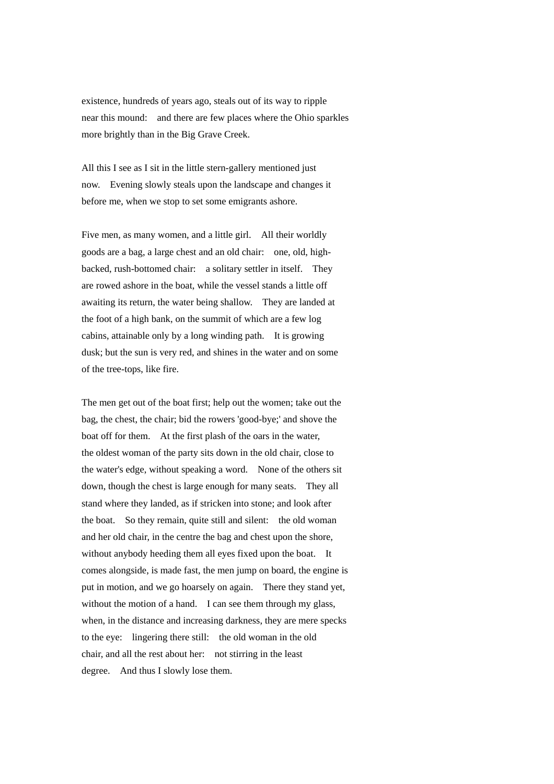existence, hundreds of years ago, steals out of its way to ripple near this mound: and there are few places where the Ohio sparkles more brightly than in the Big Grave Creek.

All this I see as I sit in the little stern-gallery mentioned just now. Evening slowly steals upon the landscape and changes it before me, when we stop to set some emigrants ashore.

Five men, as many women, and a little girl. All their worldly goods are a bag, a large chest and an old chair: one, old, highbacked, rush-bottomed chair: a solitary settler in itself. They are rowed ashore in the boat, while the vessel stands a little off awaiting its return, the water being shallow. They are landed at the foot of a high bank, on the summit of which are a few log cabins, attainable only by a long winding path. It is growing dusk; but the sun is very red, and shines in the water and on some of the tree-tops, like fire.

The men get out of the boat first; help out the women; take out the bag, the chest, the chair; bid the rowers 'good-bye;' and shove the boat off for them. At the first plash of the oars in the water, the oldest woman of the party sits down in the old chair, close to the water's edge, without speaking a word. None of the others sit down, though the chest is large enough for many seats. They all stand where they landed, as if stricken into stone; and look after the boat. So they remain, quite still and silent: the old woman and her old chair, in the centre the bag and chest upon the shore, without anybody heeding them all eyes fixed upon the boat. It comes alongside, is made fast, the men jump on board, the engine is put in motion, and we go hoarsely on again. There they stand yet, without the motion of a hand. I can see them through my glass, when, in the distance and increasing darkness, they are mere specks to the eye: lingering there still: the old woman in the old chair, and all the rest about her: not stirring in the least degree. And thus I slowly lose them.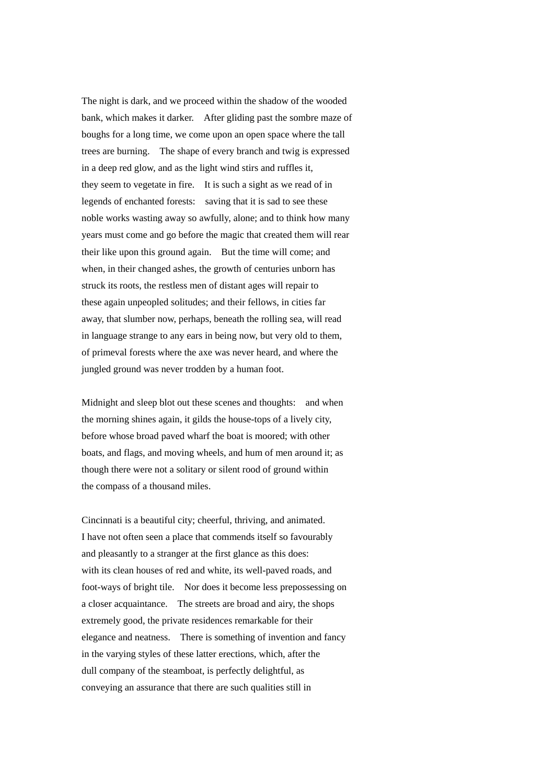The night is dark, and we proceed within the shadow of the wooded bank, which makes it darker. After gliding past the sombre maze of boughs for a long time, we come upon an open space where the tall trees are burning. The shape of every branch and twig is expressed in a deep red glow, and as the light wind stirs and ruffles it, they seem to vegetate in fire. It is such a sight as we read of in legends of enchanted forests: saving that it is sad to see these noble works wasting away so awfully, alone; and to think how many years must come and go before the magic that created them will rear their like upon this ground again. But the time will come; and when, in their changed ashes, the growth of centuries unborn has struck its roots, the restless men of distant ages will repair to these again unpeopled solitudes; and their fellows, in cities far away, that slumber now, perhaps, beneath the rolling sea, will read in language strange to any ears in being now, but very old to them, of primeval forests where the axe was never heard, and where the jungled ground was never trodden by a human foot.

Midnight and sleep blot out these scenes and thoughts: and when the morning shines again, it gilds the house-tops of a lively city, before whose broad paved wharf the boat is moored; with other boats, and flags, and moving wheels, and hum of men around it; as though there were not a solitary or silent rood of ground within the compass of a thousand miles.

Cincinnati is a beautiful city; cheerful, thriving, and animated. I have not often seen a place that commends itself so favourably and pleasantly to a stranger at the first glance as this does: with its clean houses of red and white, its well-paved roads, and foot-ways of bright tile. Nor does it become less prepossessing on a closer acquaintance. The streets are broad and airy, the shops extremely good, the private residences remarkable for their elegance and neatness. There is something of invention and fancy in the varying styles of these latter erections, which, after the dull company of the steamboat, is perfectly delightful, as conveying an assurance that there are such qualities still in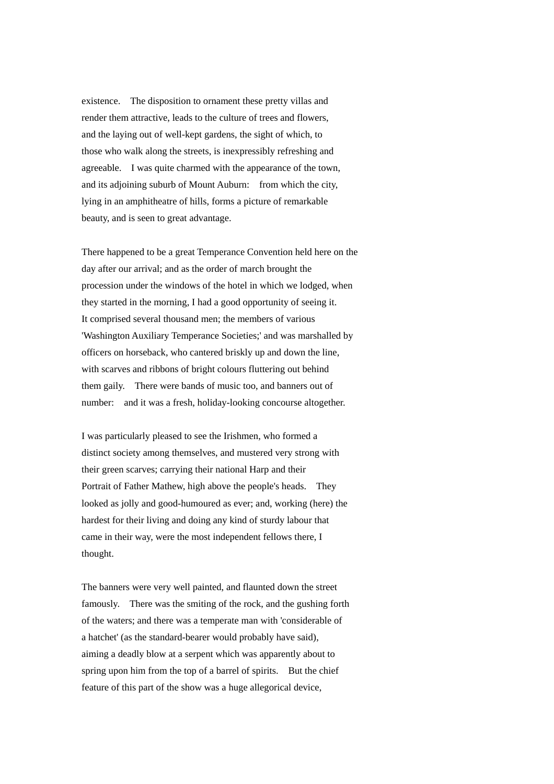existence. The disposition to ornament these pretty villas and render them attractive, leads to the culture of trees and flowers, and the laying out of well-kept gardens, the sight of which, to those who walk along the streets, is inexpressibly refreshing and agreeable. I was quite charmed with the appearance of the town, and its adjoining suburb of Mount Auburn: from which the city, lying in an amphitheatre of hills, forms a picture of remarkable beauty, and is seen to great advantage.

There happened to be a great Temperance Convention held here on the day after our arrival; and as the order of march brought the procession under the windows of the hotel in which we lodged, when they started in the morning, I had a good opportunity of seeing it. It comprised several thousand men; the members of various 'Washington Auxiliary Temperance Societies;' and was marshalled by officers on horseback, who cantered briskly up and down the line, with scarves and ribbons of bright colours fluttering out behind them gaily. There were bands of music too, and banners out of number: and it was a fresh, holiday-looking concourse altogether.

I was particularly pleased to see the Irishmen, who formed a distinct society among themselves, and mustered very strong with their green scarves; carrying their national Harp and their Portrait of Father Mathew, high above the people's heads. They looked as jolly and good-humoured as ever; and, working (here) the hardest for their living and doing any kind of sturdy labour that came in their way, were the most independent fellows there, I thought.

The banners were very well painted, and flaunted down the street famously. There was the smiting of the rock, and the gushing forth of the waters; and there was a temperate man with 'considerable of a hatchet' (as the standard-bearer would probably have said), aiming a deadly blow at a serpent which was apparently about to spring upon him from the top of a barrel of spirits. But the chief feature of this part of the show was a huge allegorical device,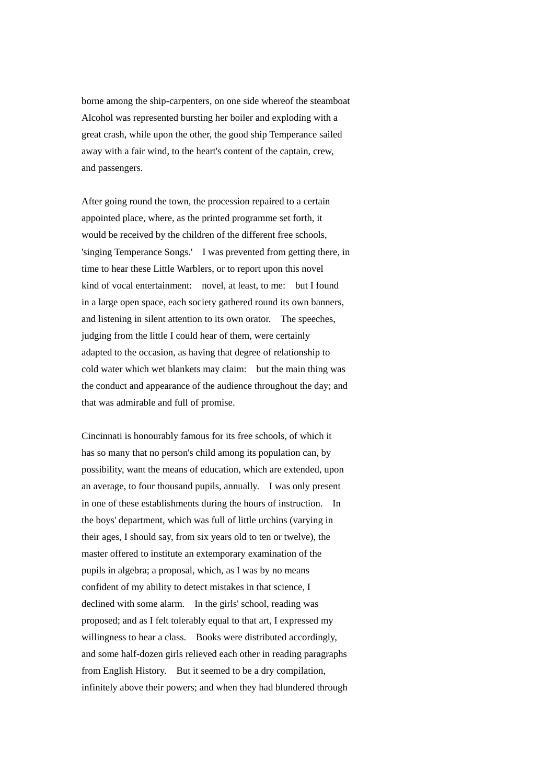borne among the ship-carpenters, on one side whereof the steamboat Alcohol was represented bursting her boiler and exploding with a great crash, while upon the other, the good ship Temperance sailed away with a fair wind, to the heart's content of the captain, crew, and passengers.

After going round the town, the procession repaired to a certain appointed place, where, as the printed programme set forth, it would be received by the children of the different free schools, 'singing Temperance Songs.' I was prevented from getting there, in time to hear these Little Warblers, or to report upon this novel kind of vocal entertainment: novel, at least, to me: but I found in a large open space, each society gathered round its own banners, and listening in silent attention to its own orator. The speeches, judging from the little I could hear of them, were certainly adapted to the occasion, as having that degree of relationship to cold water which wet blankets may claim: but the main thing was the conduct and appearance of the audience throughout the day; and that was admirable and full of promise.

Cincinnati is honourably famous for its free schools, of which it has so many that no person's child among its population can, by possibility, want the means of education, which are extended, upon an average, to four thousand pupils, annually. I was only present in one of these establishments during the hours of instruction. In the boys' department, which was full of little urchins (varying in their ages, I should say, from six years old to ten or twelve), the master offered to institute an extemporary examination of the pupils in algebra; a proposal, which, as I was by no means confident of my ability to detect mistakes in that science, I declined with some alarm. In the girls' school, reading was proposed; and as I felt tolerably equal to that art, I expressed my willingness to hear a class. Books were distributed accordingly, and some half-dozen girls relieved each other in reading paragraphs from English History. But it seemed to be a dry compilation, infinitely above their powers; and when they had blundered through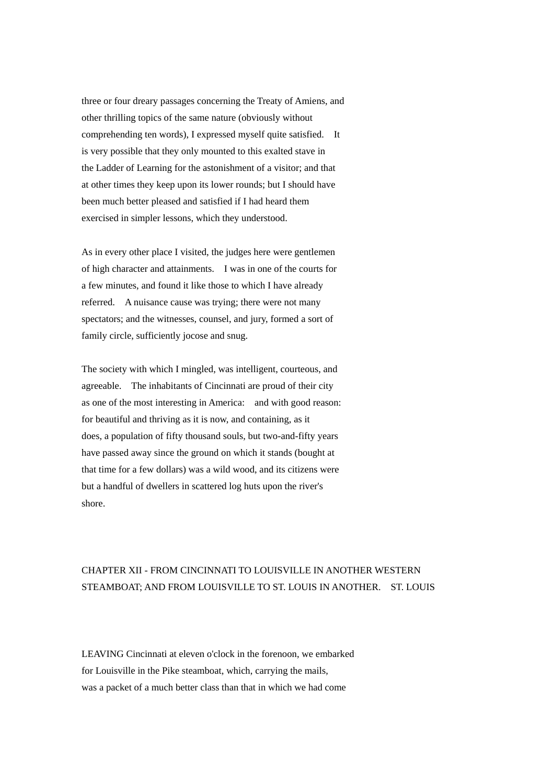three or four dreary passages concerning the Treaty of Amiens, and other thrilling topics of the same nature (obviously without comprehending ten words), I expressed myself quite satisfied. It is very possible that they only mounted to this exalted stave in the Ladder of Learning for the astonishment of a visitor; and that at other times they keep upon its lower rounds; but I should have been much better pleased and satisfied if I had heard them exercised in simpler lessons, which they understood.

As in every other place I visited, the judges here were gentlemen of high character and attainments. I was in one of the courts for a few minutes, and found it like those to which I have already referred. A nuisance cause was trying; there were not many spectators; and the witnesses, counsel, and jury, formed a sort of family circle, sufficiently jocose and snug.

The society with which I mingled, was intelligent, courteous, and agreeable. The inhabitants of Cincinnati are proud of their city as one of the most interesting in America: and with good reason: for beautiful and thriving as it is now, and containing, as it does, a population of fifty thousand souls, but two-and-fifty years have passed away since the ground on which it stands (bought at that time for a few dollars) was a wild wood, and its citizens were but a handful of dwellers in scattered log huts upon the river's shore.

## CHAPTER XII - FROM CINCINNATI TO LOUISVILLE IN ANOTHER WESTERN STEAMBOAT; AND FROM LOUISVILLE TO ST. LOUIS IN ANOTHER. ST. LOUIS

LEAVING Cincinnati at eleven o'clock in the forenoon, we embarked for Louisville in the Pike steamboat, which, carrying the mails, was a packet of a much better class than that in which we had come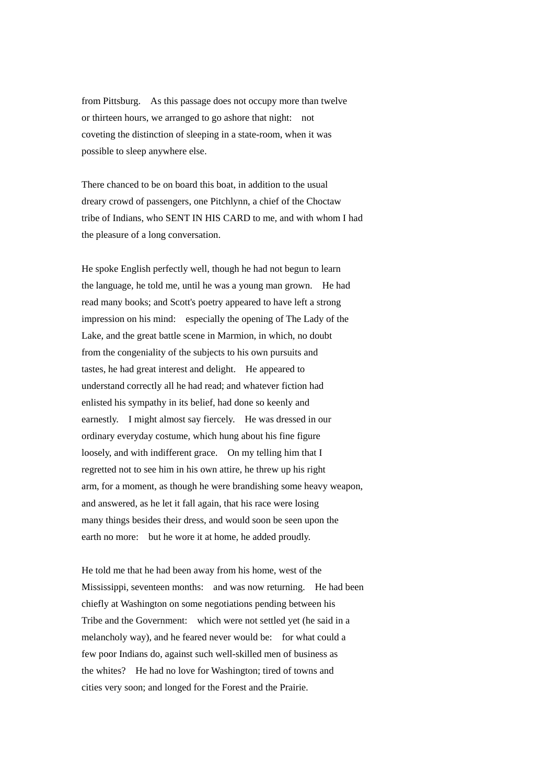from Pittsburg. As this passage does not occupy more than twelve or thirteen hours, we arranged to go ashore that night: not coveting the distinction of sleeping in a state-room, when it was possible to sleep anywhere else.

There chanced to be on board this boat, in addition to the usual dreary crowd of passengers, one Pitchlynn, a chief of the Choctaw tribe of Indians, who SENT IN HIS CARD to me, and with whom I had the pleasure of a long conversation.

He spoke English perfectly well, though he had not begun to learn the language, he told me, until he was a young man grown. He had read many books; and Scott's poetry appeared to have left a strong impression on his mind: especially the opening of The Lady of the Lake, and the great battle scene in Marmion, in which, no doubt from the congeniality of the subjects to his own pursuits and tastes, he had great interest and delight. He appeared to understand correctly all he had read; and whatever fiction had enlisted his sympathy in its belief, had done so keenly and earnestly. I might almost say fiercely. He was dressed in our ordinary everyday costume, which hung about his fine figure loosely, and with indifferent grace. On my telling him that I regretted not to see him in his own attire, he threw up his right arm, for a moment, as though he were brandishing some heavy weapon, and answered, as he let it fall again, that his race were losing many things besides their dress, and would soon be seen upon the earth no more: but he wore it at home, he added proudly.

He told me that he had been away from his home, west of the Mississippi, seventeen months: and was now returning. He had been chiefly at Washington on some negotiations pending between his Tribe and the Government: which were not settled yet (he said in a melancholy way), and he feared never would be: for what could a few poor Indians do, against such well-skilled men of business as the whites? He had no love for Washington; tired of towns and cities very soon; and longed for the Forest and the Prairie.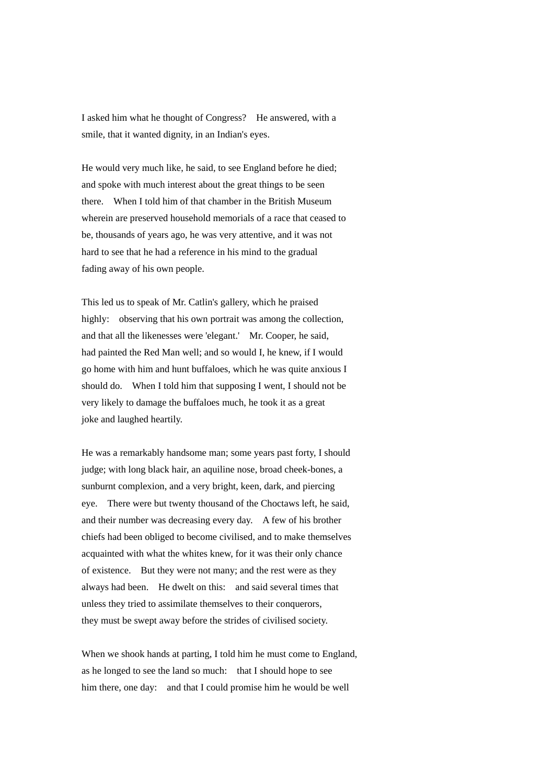I asked him what he thought of Congress? He answered, with a smile, that it wanted dignity, in an Indian's eyes.

He would very much like, he said, to see England before he died; and spoke with much interest about the great things to be seen there. When I told him of that chamber in the British Museum wherein are preserved household memorials of a race that ceased to be, thousands of years ago, he was very attentive, and it was not hard to see that he had a reference in his mind to the gradual fading away of his own people.

This led us to speak of Mr. Catlin's gallery, which he praised highly: observing that his own portrait was among the collection, and that all the likenesses were 'elegant.' Mr. Cooper, he said, had painted the Red Man well; and so would I, he knew, if I would go home with him and hunt buffaloes, which he was quite anxious I should do. When I told him that supposing I went, I should not be very likely to damage the buffaloes much, he took it as a great joke and laughed heartily.

He was a remarkably handsome man; some years past forty, I should judge; with long black hair, an aquiline nose, broad cheek-bones, a sunburnt complexion, and a very bright, keen, dark, and piercing eye. There were but twenty thousand of the Choctaws left, he said, and their number was decreasing every day. A few of his brother chiefs had been obliged to become civilised, and to make themselves acquainted with what the whites knew, for it was their only chance of existence. But they were not many; and the rest were as they always had been. He dwelt on this: and said several times that unless they tried to assimilate themselves to their conquerors, they must be swept away before the strides of civilised society.

When we shook hands at parting, I told him he must come to England, as he longed to see the land so much: that I should hope to see him there, one day: and that I could promise him he would be well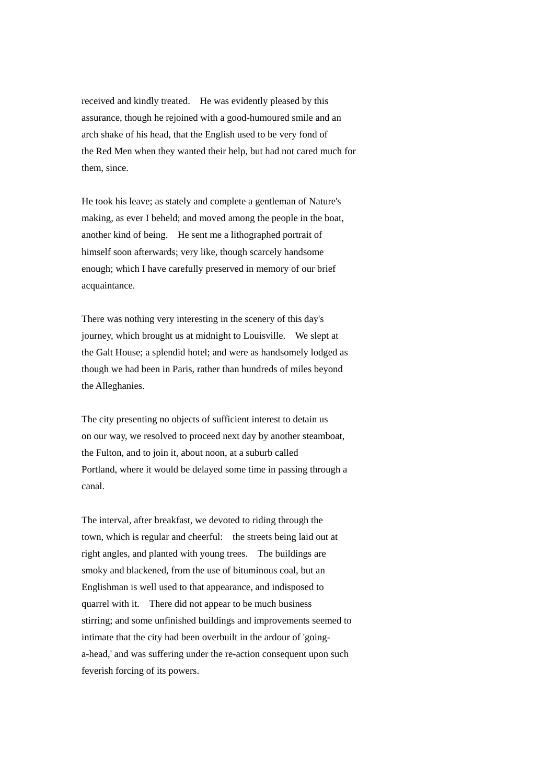received and kindly treated. He was evidently pleased by this assurance, though he rejoined with a good-humoured smile and an arch shake of his head, that the English used to be very fond of the Red Men when they wanted their help, but had not cared much for them, since.

He took his leave; as stately and complete a gentleman of Nature's making, as ever I beheld; and moved among the people in the boat, another kind of being. He sent me a lithographed portrait of himself soon afterwards; very like, though scarcely handsome enough; which I have carefully preserved in memory of our brief acquaintance.

There was nothing very interesting in the scenery of this day's journey, which brought us at midnight to Louisville. We slept at the Galt House; a splendid hotel; and were as handsomely lodged as though we had been in Paris, rather than hundreds of miles beyond the Alleghanies.

The city presenting no objects of sufficient interest to detain us on our way, we resolved to proceed next day by another steamboat, the Fulton, and to join it, about noon, at a suburb called Portland, where it would be delayed some time in passing through a canal.

The interval, after breakfast, we devoted to riding through the town, which is regular and cheerful: the streets being laid out at right angles, and planted with young trees. The buildings are smoky and blackened, from the use of bituminous coal, but an Englishman is well used to that appearance, and indisposed to quarrel with it. There did not appear to be much business stirring; and some unfinished buildings and improvements seemed to intimate that the city had been overbuilt in the ardour of 'goinga-head,' and was suffering under the re-action consequent upon such feverish forcing of its powers.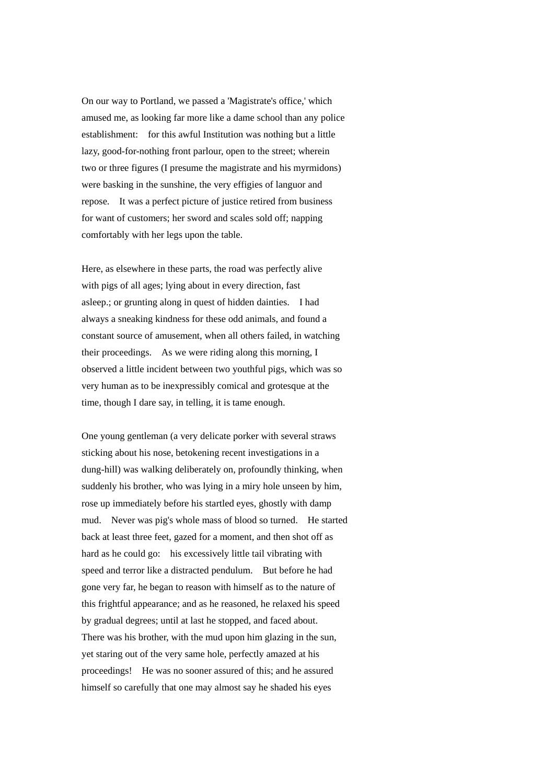On our way to Portland, we passed a 'Magistrate's office,' which amused me, as looking far more like a dame school than any police establishment: for this awful Institution was nothing but a little lazy, good-for-nothing front parlour, open to the street; wherein two or three figures (I presume the magistrate and his myrmidons) were basking in the sunshine, the very effigies of languor and repose. It was a perfect picture of justice retired from business for want of customers; her sword and scales sold off; napping comfortably with her legs upon the table.

Here, as elsewhere in these parts, the road was perfectly alive with pigs of all ages; lying about in every direction, fast asleep.; or grunting along in quest of hidden dainties. I had always a sneaking kindness for these odd animals, and found a constant source of amusement, when all others failed, in watching their proceedings. As we were riding along this morning, I observed a little incident between two youthful pigs, which was so very human as to be inexpressibly comical and grotesque at the time, though I dare say, in telling, it is tame enough.

One young gentleman (a very delicate porker with several straws sticking about his nose, betokening recent investigations in a dung-hill) was walking deliberately on, profoundly thinking, when suddenly his brother, who was lying in a miry hole unseen by him, rose up immediately before his startled eyes, ghostly with damp mud. Never was pig's whole mass of blood so turned. He started back at least three feet, gazed for a moment, and then shot off as hard as he could go: his excessively little tail vibrating with speed and terror like a distracted pendulum. But before he had gone very far, he began to reason with himself as to the nature of this frightful appearance; and as he reasoned, he relaxed his speed by gradual degrees; until at last he stopped, and faced about. There was his brother, with the mud upon him glazing in the sun, yet staring out of the very same hole, perfectly amazed at his proceedings! He was no sooner assured of this; and he assured himself so carefully that one may almost say he shaded his eyes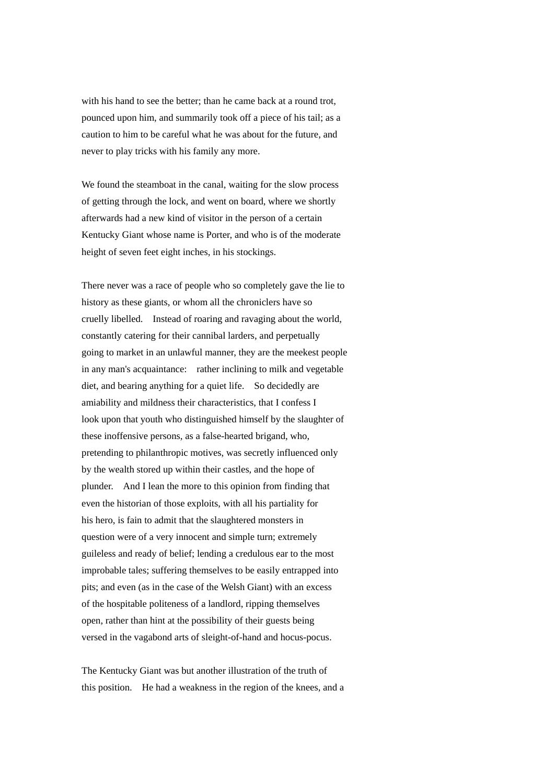with his hand to see the better; than he came back at a round trot. pounced upon him, and summarily took off a piece of his tail; as a caution to him to be careful what he was about for the future, and never to play tricks with his family any more.

We found the steamboat in the canal, waiting for the slow process of getting through the lock, and went on board, where we shortly afterwards had a new kind of visitor in the person of a certain Kentucky Giant whose name is Porter, and who is of the moderate height of seven feet eight inches, in his stockings.

There never was a race of people who so completely gave the lie to history as these giants, or whom all the chroniclers have so cruelly libelled. Instead of roaring and ravaging about the world, constantly catering for their cannibal larders, and perpetually going to market in an unlawful manner, they are the meekest people in any man's acquaintance: rather inclining to milk and vegetable diet, and bearing anything for a quiet life. So decidedly are amiability and mildness their characteristics, that I confess I look upon that youth who distinguished himself by the slaughter of these inoffensive persons, as a false-hearted brigand, who, pretending to philanthropic motives, was secretly influenced only by the wealth stored up within their castles, and the hope of plunder. And I lean the more to this opinion from finding that even the historian of those exploits, with all his partiality for his hero, is fain to admit that the slaughtered monsters in question were of a very innocent and simple turn; extremely guileless and ready of belief; lending a credulous ear to the most improbable tales; suffering themselves to be easily entrapped into pits; and even (as in the case of the Welsh Giant) with an excess of the hospitable politeness of a landlord, ripping themselves open, rather than hint at the possibility of their guests being versed in the vagabond arts of sleight-of-hand and hocus-pocus.

The Kentucky Giant was but another illustration of the truth of this position. He had a weakness in the region of the knees, and a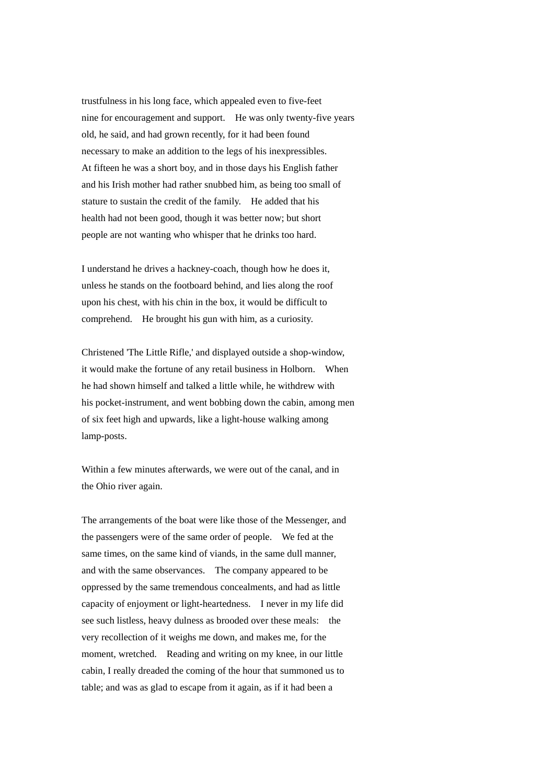trustfulness in his long face, which appealed even to five-feet nine for encouragement and support. He was only twenty-five years old, he said, and had grown recently, for it had been found necessary to make an addition to the legs of his inexpressibles. At fifteen he was a short boy, and in those days his English father and his Irish mother had rather snubbed him, as being too small of stature to sustain the credit of the family. He added that his health had not been good, though it was better now; but short people are not wanting who whisper that he drinks too hard.

I understand he drives a hackney-coach, though how he does it, unless he stands on the footboard behind, and lies along the roof upon his chest, with his chin in the box, it would be difficult to comprehend. He brought his gun with him, as a curiosity.

Christened 'The Little Rifle,' and displayed outside a shop-window, it would make the fortune of any retail business in Holborn. When he had shown himself and talked a little while, he withdrew with his pocket-instrument, and went bobbing down the cabin, among men of six feet high and upwards, like a light-house walking among lamp-posts.

Within a few minutes afterwards, we were out of the canal, and in the Ohio river again.

The arrangements of the boat were like those of the Messenger, and the passengers were of the same order of people. We fed at the same times, on the same kind of viands, in the same dull manner, and with the same observances. The company appeared to be oppressed by the same tremendous concealments, and had as little capacity of enjoyment or light-heartedness. I never in my life did see such listless, heavy dulness as brooded over these meals: the very recollection of it weighs me down, and makes me, for the moment, wretched. Reading and writing on my knee, in our little cabin, I really dreaded the coming of the hour that summoned us to table; and was as glad to escape from it again, as if it had been a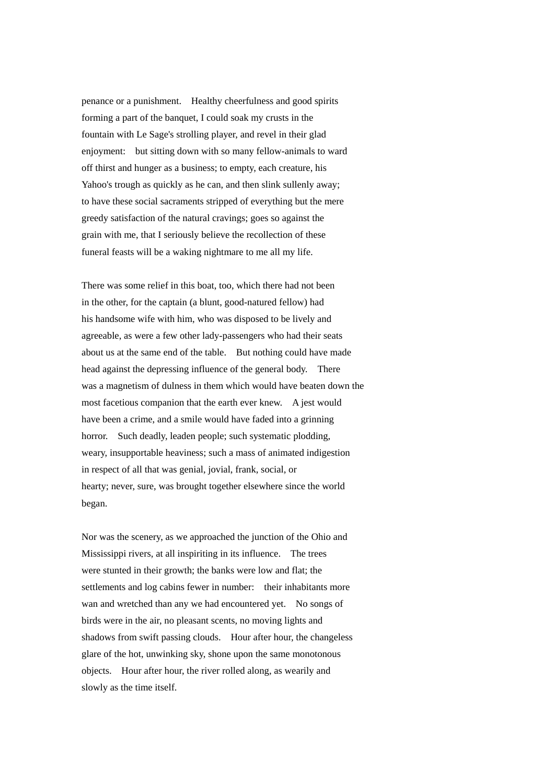penance or a punishment. Healthy cheerfulness and good spirits forming a part of the banquet, I could soak my crusts in the fountain with Le Sage's strolling player, and revel in their glad enjoyment: but sitting down with so many fellow-animals to ward off thirst and hunger as a business; to empty, each creature, his Yahoo's trough as quickly as he can, and then slink sullenly away; to have these social sacraments stripped of everything but the mere greedy satisfaction of the natural cravings; goes so against the grain with me, that I seriously believe the recollection of these funeral feasts will be a waking nightmare to me all my life.

There was some relief in this boat, too, which there had not been in the other, for the captain (a blunt, good-natured fellow) had his handsome wife with him, who was disposed to be lively and agreeable, as were a few other lady-passengers who had their seats about us at the same end of the table. But nothing could have made head against the depressing influence of the general body. There was a magnetism of dulness in them which would have beaten down the most facetious companion that the earth ever knew. A jest would have been a crime, and a smile would have faded into a grinning horror. Such deadly, leaden people; such systematic plodding, weary, insupportable heaviness; such a mass of animated indigestion in respect of all that was genial, jovial, frank, social, or hearty; never, sure, was brought together elsewhere since the world began.

Nor was the scenery, as we approached the junction of the Ohio and Mississippi rivers, at all inspiriting in its influence. The trees were stunted in their growth; the banks were low and flat; the settlements and log cabins fewer in number: their inhabitants more wan and wretched than any we had encountered yet. No songs of birds were in the air, no pleasant scents, no moving lights and shadows from swift passing clouds. Hour after hour, the changeless glare of the hot, unwinking sky, shone upon the same monotonous objects. Hour after hour, the river rolled along, as wearily and slowly as the time itself.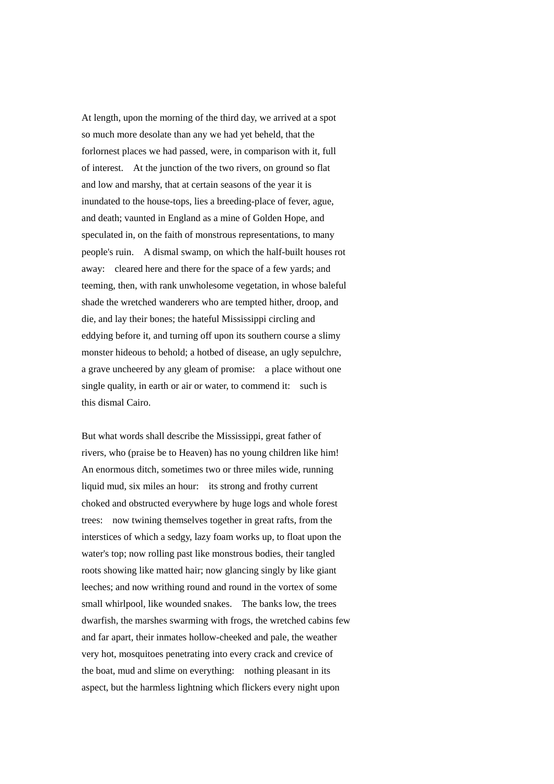At length, upon the morning of the third day, we arrived at a spot so much more desolate than any we had yet beheld, that the forlornest places we had passed, were, in comparison with it, full of interest. At the junction of the two rivers, on ground so flat and low and marshy, that at certain seasons of the year it is inundated to the house-tops, lies a breeding-place of fever, ague, and death; vaunted in England as a mine of Golden Hope, and speculated in, on the faith of monstrous representations, to many people's ruin. A dismal swamp, on which the half-built houses rot away: cleared here and there for the space of a few yards; and teeming, then, with rank unwholesome vegetation, in whose baleful shade the wretched wanderers who are tempted hither, droop, and die, and lay their bones; the hateful Mississippi circling and eddying before it, and turning off upon its southern course a slimy monster hideous to behold; a hotbed of disease, an ugly sepulchre, a grave uncheered by any gleam of promise: a place without one single quality, in earth or air or water, to commend it: such is this dismal Cairo.

But what words shall describe the Mississippi, great father of rivers, who (praise be to Heaven) has no young children like him! An enormous ditch, sometimes two or three miles wide, running liquid mud, six miles an hour: its strong and frothy current choked and obstructed everywhere by huge logs and whole forest trees: now twining themselves together in great rafts, from the interstices of which a sedgy, lazy foam works up, to float upon the water's top; now rolling past like monstrous bodies, their tangled roots showing like matted hair; now glancing singly by like giant leeches; and now writhing round and round in the vortex of some small whirlpool, like wounded snakes. The banks low, the trees dwarfish, the marshes swarming with frogs, the wretched cabins few and far apart, their inmates hollow-cheeked and pale, the weather very hot, mosquitoes penetrating into every crack and crevice of the boat, mud and slime on everything: nothing pleasant in its aspect, but the harmless lightning which flickers every night upon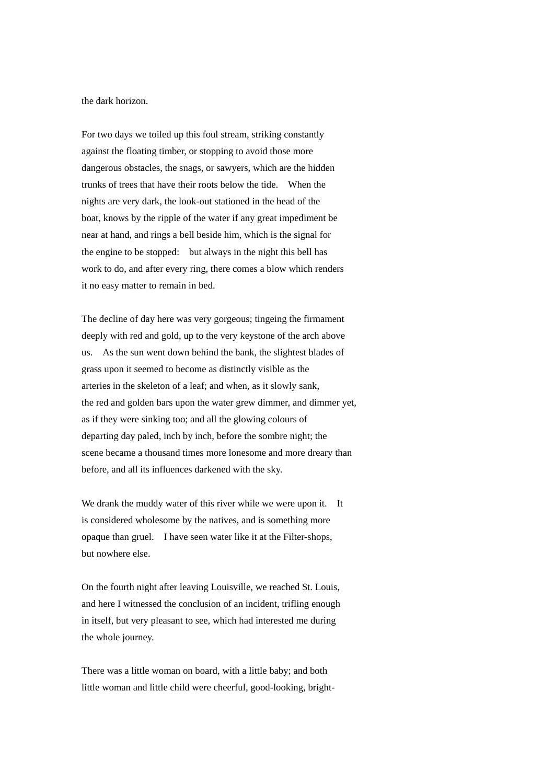the dark horizon.

For two days we toiled up this foul stream, striking constantly against the floating timber, or stopping to avoid those more dangerous obstacles, the snags, or sawyers, which are the hidden trunks of trees that have their roots below the tide. When the nights are very dark, the look-out stationed in the head of the boat, knows by the ripple of the water if any great impediment be near at hand, and rings a bell beside him, which is the signal for the engine to be stopped: but always in the night this bell has work to do, and after every ring, there comes a blow which renders it no easy matter to remain in bed.

The decline of day here was very gorgeous; tingeing the firmament deeply with red and gold, up to the very keystone of the arch above us. As the sun went down behind the bank, the slightest blades of grass upon it seemed to become as distinctly visible as the arteries in the skeleton of a leaf; and when, as it slowly sank, the red and golden bars upon the water grew dimmer, and dimmer yet, as if they were sinking too; and all the glowing colours of departing day paled, inch by inch, before the sombre night; the scene became a thousand times more lonesome and more dreary than before, and all its influences darkened with the sky.

We drank the muddy water of this river while we were upon it. It is considered wholesome by the natives, and is something more opaque than gruel. I have seen water like it at the Filter-shops, but nowhere else.

On the fourth night after leaving Louisville, we reached St. Louis, and here I witnessed the conclusion of an incident, trifling enough in itself, but very pleasant to see, which had interested me during the whole journey.

There was a little woman on board, with a little baby; and both little woman and little child were cheerful, good-looking, bright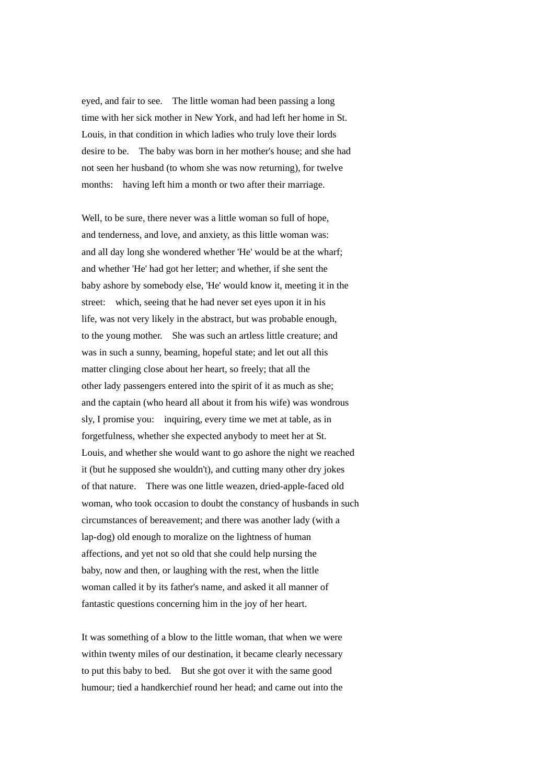eyed, and fair to see. The little woman had been passing a long time with her sick mother in New York, and had left her home in St. Louis, in that condition in which ladies who truly love their lords desire to be. The baby was born in her mother's house; and she had not seen her husband (to whom she was now returning), for twelve months: having left him a month or two after their marriage.

Well, to be sure, there never was a little woman so full of hope, and tenderness, and love, and anxiety, as this little woman was: and all day long she wondered whether 'He' would be at the wharf; and whether 'He' had got her letter; and whether, if she sent the baby ashore by somebody else, 'He' would know it, meeting it in the street: which, seeing that he had never set eyes upon it in his life, was not very likely in the abstract, but was probable enough, to the young mother. She was such an artless little creature; and was in such a sunny, beaming, hopeful state; and let out all this matter clinging close about her heart, so freely; that all the other lady passengers entered into the spirit of it as much as she; and the captain (who heard all about it from his wife) was wondrous sly, I promise you: inquiring, every time we met at table, as in forgetfulness, whether she expected anybody to meet her at St. Louis, and whether she would want to go ashore the night we reached it (but he supposed she wouldn't), and cutting many other dry jokes of that nature. There was one little weazen, dried-apple-faced old woman, who took occasion to doubt the constancy of husbands in such circumstances of bereavement; and there was another lady (with a lap-dog) old enough to moralize on the lightness of human affections, and yet not so old that she could help nursing the baby, now and then, or laughing with the rest, when the little woman called it by its father's name, and asked it all manner of fantastic questions concerning him in the joy of her heart.

It was something of a blow to the little woman, that when we were within twenty miles of our destination, it became clearly necessary to put this baby to bed. But she got over it with the same good humour; tied a handkerchief round her head; and came out into the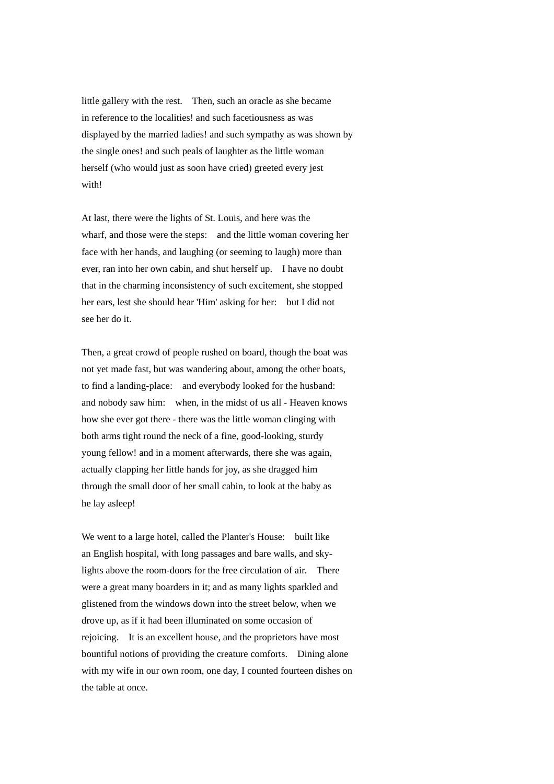little gallery with the rest. Then, such an oracle as she became in reference to the localities! and such facetiousness as was displayed by the married ladies! and such sympathy as was shown by the single ones! and such peals of laughter as the little woman herself (who would just as soon have cried) greeted every jest with!

At last, there were the lights of St. Louis, and here was the wharf, and those were the steps: and the little woman covering her face with her hands, and laughing (or seeming to laugh) more than ever, ran into her own cabin, and shut herself up. I have no doubt that in the charming inconsistency of such excitement, she stopped her ears, lest she should hear 'Him' asking for her: but I did not see her do it.

Then, a great crowd of people rushed on board, though the boat was not yet made fast, but was wandering about, among the other boats, to find a landing-place: and everybody looked for the husband: and nobody saw him: when, in the midst of us all - Heaven knows how she ever got there - there was the little woman clinging with both arms tight round the neck of a fine, good-looking, sturdy young fellow! and in a moment afterwards, there she was again, actually clapping her little hands for joy, as she dragged him through the small door of her small cabin, to look at the baby as he lay asleep!

We went to a large hotel, called the Planter's House: built like an English hospital, with long passages and bare walls, and skylights above the room-doors for the free circulation of air. There were a great many boarders in it; and as many lights sparkled and glistened from the windows down into the street below, when we drove up, as if it had been illuminated on some occasion of rejoicing. It is an excellent house, and the proprietors have most bountiful notions of providing the creature comforts. Dining alone with my wife in our own room, one day, I counted fourteen dishes on the table at once.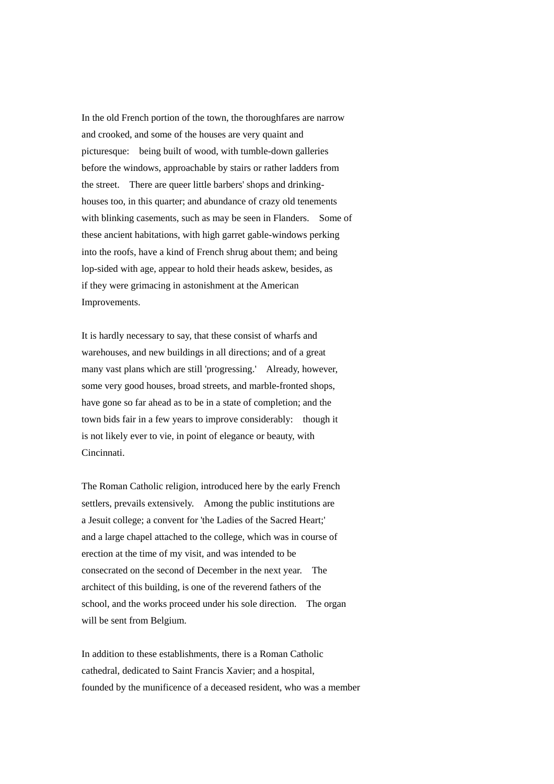In the old French portion of the town, the thoroughfares are narrow and crooked, and some of the houses are very quaint and picturesque: being built of wood, with tumble-down galleries before the windows, approachable by stairs or rather ladders from the street. There are queer little barbers' shops and drinkinghouses too, in this quarter; and abundance of crazy old tenements with blinking casements, such as may be seen in Flanders. Some of these ancient habitations, with high garret gable-windows perking into the roofs, have a kind of French shrug about them; and being lop-sided with age, appear to hold their heads askew, besides, as if they were grimacing in astonishment at the American Improvements.

It is hardly necessary to say, that these consist of wharfs and warehouses, and new buildings in all directions; and of a great many vast plans which are still 'progressing.' Already, however, some very good houses, broad streets, and marble-fronted shops, have gone so far ahead as to be in a state of completion; and the town bids fair in a few years to improve considerably: though it is not likely ever to vie, in point of elegance or beauty, with Cincinnati.

The Roman Catholic religion, introduced here by the early French settlers, prevails extensively. Among the public institutions are a Jesuit college; a convent for 'the Ladies of the Sacred Heart;' and a large chapel attached to the college, which was in course of erection at the time of my visit, and was intended to be consecrated on the second of December in the next year. The architect of this building, is one of the reverend fathers of the school, and the works proceed under his sole direction. The organ will be sent from Belgium.

In addition to these establishments, there is a Roman Catholic cathedral, dedicated to Saint Francis Xavier; and a hospital, founded by the munificence of a deceased resident, who was a member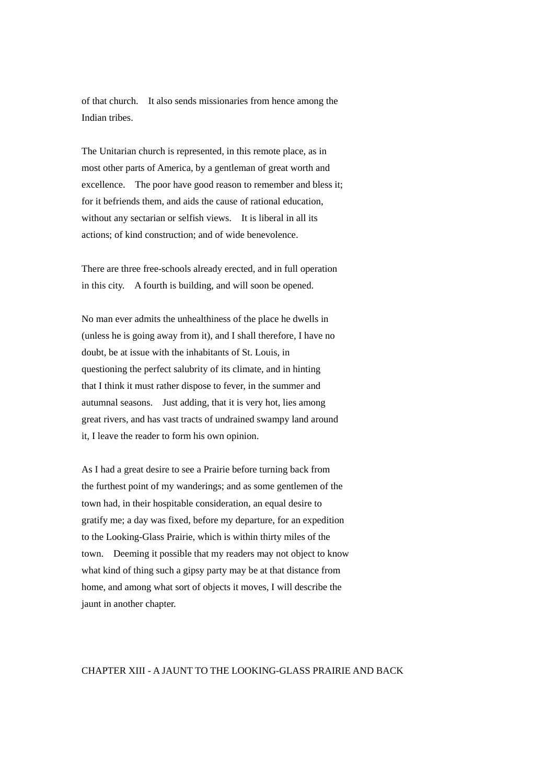of that church. It also sends missionaries from hence among the Indian tribes.

The Unitarian church is represented, in this remote place, as in most other parts of America, by a gentleman of great worth and excellence. The poor have good reason to remember and bless it; for it befriends them, and aids the cause of rational education, without any sectarian or selfish views. It is liberal in all its actions; of kind construction; and of wide benevolence.

There are three free-schools already erected, and in full operation in this city. A fourth is building, and will soon be opened.

No man ever admits the unhealthiness of the place he dwells in (unless he is going away from it), and I shall therefore, I have no doubt, be at issue with the inhabitants of St. Louis, in questioning the perfect salubrity of its climate, and in hinting that I think it must rather dispose to fever, in the summer and autumnal seasons. Just adding, that it is very hot, lies among great rivers, and has vast tracts of undrained swampy land around it, I leave the reader to form his own opinion.

As I had a great desire to see a Prairie before turning back from the furthest point of my wanderings; and as some gentlemen of the town had, in their hospitable consideration, an equal desire to gratify me; a day was fixed, before my departure, for an expedition to the Looking-Glass Prairie, which is within thirty miles of the town. Deeming it possible that my readers may not object to know what kind of thing such a gipsy party may be at that distance from home, and among what sort of objects it moves, I will describe the jaunt in another chapter.

## CHAPTER XIII - A JAUNT TO THE LOOKING-GLASS PRAIRIE AND BACK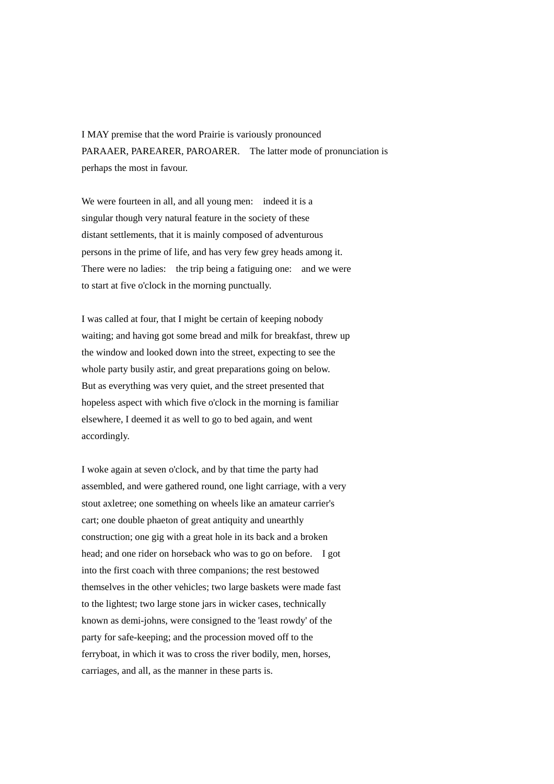I MAY premise that the word Prairie is variously pronounced PARAAER, PAREARER, PAROARER. The latter mode of pronunciation is perhaps the most in favour.

We were fourteen in all, and all young men: indeed it is a singular though very natural feature in the society of these distant settlements, that it is mainly composed of adventurous persons in the prime of life, and has very few grey heads among it. There were no ladies: the trip being a fatiguing one: and we were to start at five o'clock in the morning punctually.

I was called at four, that I might be certain of keeping nobody waiting; and having got some bread and milk for breakfast, threw up the window and looked down into the street, expecting to see the whole party busily astir, and great preparations going on below. But as everything was very quiet, and the street presented that hopeless aspect with which five o'clock in the morning is familiar elsewhere, I deemed it as well to go to bed again, and went accordingly.

I woke again at seven o'clock, and by that time the party had assembled, and were gathered round, one light carriage, with a very stout axletree; one something on wheels like an amateur carrier's cart; one double phaeton of great antiquity and unearthly construction; one gig with a great hole in its back and a broken head; and one rider on horseback who was to go on before. I got into the first coach with three companions; the rest bestowed themselves in the other vehicles; two large baskets were made fast to the lightest; two large stone jars in wicker cases, technically known as demi-johns, were consigned to the 'least rowdy' of the party for safe-keeping; and the procession moved off to the ferryboat, in which it was to cross the river bodily, men, horses, carriages, and all, as the manner in these parts is.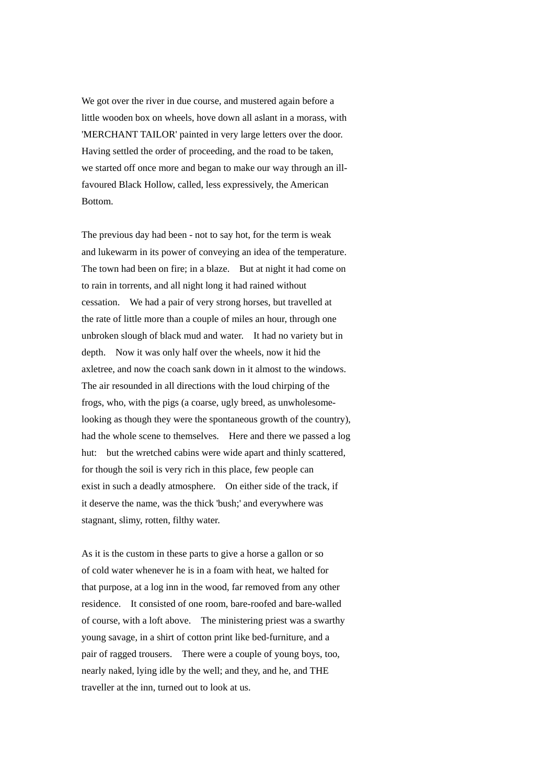We got over the river in due course, and mustered again before a little wooden box on wheels, hove down all aslant in a morass, with 'MERCHANT TAILOR' painted in very large letters over the door. Having settled the order of proceeding, and the road to be taken, we started off once more and began to make our way through an illfavoured Black Hollow, called, less expressively, the American Bottom.

The previous day had been - not to say hot, for the term is weak and lukewarm in its power of conveying an idea of the temperature. The town had been on fire; in a blaze. But at night it had come on to rain in torrents, and all night long it had rained without cessation. We had a pair of very strong horses, but travelled at the rate of little more than a couple of miles an hour, through one unbroken slough of black mud and water. It had no variety but in depth. Now it was only half over the wheels, now it hid the axletree, and now the coach sank down in it almost to the windows. The air resounded in all directions with the loud chirping of the frogs, who, with the pigs (a coarse, ugly breed, as unwholesomelooking as though they were the spontaneous growth of the country), had the whole scene to themselves. Here and there we passed a log hut: but the wretched cabins were wide apart and thinly scattered, for though the soil is very rich in this place, few people can exist in such a deadly atmosphere. On either side of the track, if it deserve the name, was the thick 'bush;' and everywhere was stagnant, slimy, rotten, filthy water.

As it is the custom in these parts to give a horse a gallon or so of cold water whenever he is in a foam with heat, we halted for that purpose, at a log inn in the wood, far removed from any other residence. It consisted of one room, bare-roofed and bare-walled of course, with a loft above. The ministering priest was a swarthy young savage, in a shirt of cotton print like bed-furniture, and a pair of ragged trousers. There were a couple of young boys, too, nearly naked, lying idle by the well; and they, and he, and THE traveller at the inn, turned out to look at us.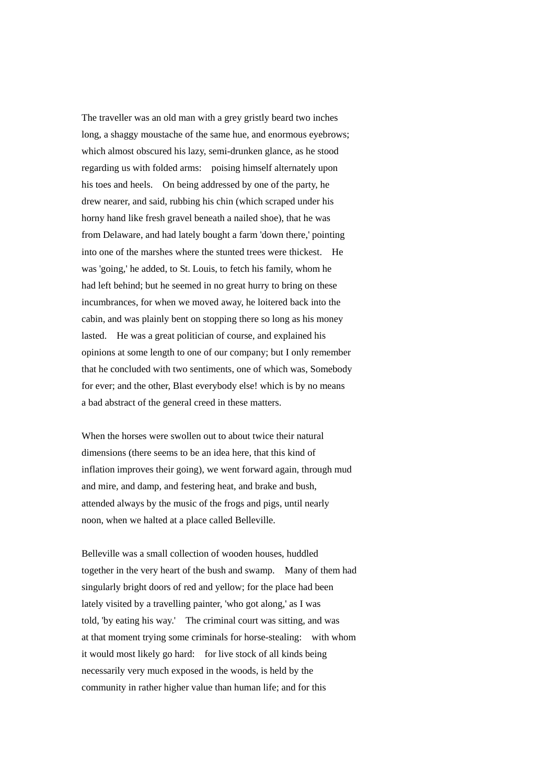The traveller was an old man with a grey gristly beard two inches long, a shaggy moustache of the same hue, and enormous eyebrows; which almost obscured his lazy, semi-drunken glance, as he stood regarding us with folded arms: poising himself alternately upon his toes and heels. On being addressed by one of the party, he drew nearer, and said, rubbing his chin (which scraped under his horny hand like fresh gravel beneath a nailed shoe), that he was from Delaware, and had lately bought a farm 'down there,' pointing into one of the marshes where the stunted trees were thickest. He was 'going,' he added, to St. Louis, to fetch his family, whom he had left behind; but he seemed in no great hurry to bring on these incumbrances, for when we moved away, he loitered back into the cabin, and was plainly bent on stopping there so long as his money lasted. He was a great politician of course, and explained his opinions at some length to one of our company; but I only remember that he concluded with two sentiments, one of which was, Somebody for ever; and the other, Blast everybody else! which is by no means a bad abstract of the general creed in these matters.

When the horses were swollen out to about twice their natural dimensions (there seems to be an idea here, that this kind of inflation improves their going), we went forward again, through mud and mire, and damp, and festering heat, and brake and bush, attended always by the music of the frogs and pigs, until nearly noon, when we halted at a place called Belleville.

Belleville was a small collection of wooden houses, huddled together in the very heart of the bush and swamp. Many of them had singularly bright doors of red and yellow; for the place had been lately visited by a travelling painter, 'who got along,' as I was told, 'by eating his way.' The criminal court was sitting, and was at that moment trying some criminals for horse-stealing: with whom it would most likely go hard: for live stock of all kinds being necessarily very much exposed in the woods, is held by the community in rather higher value than human life; and for this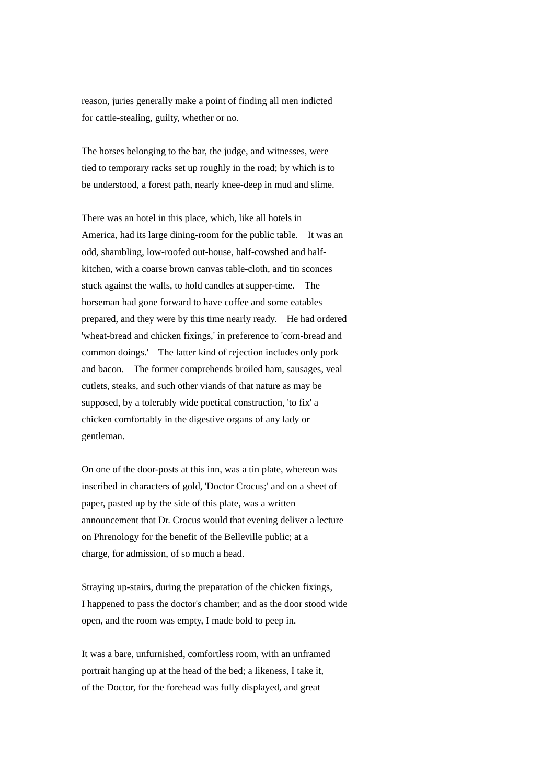reason, juries generally make a point of finding all men indicted for cattle-stealing, guilty, whether or no.

The horses belonging to the bar, the judge, and witnesses, were tied to temporary racks set up roughly in the road; by which is to be understood, a forest path, nearly knee-deep in mud and slime.

There was an hotel in this place, which, like all hotels in America, had its large dining-room for the public table. It was an odd, shambling, low-roofed out-house, half-cowshed and halfkitchen, with a coarse brown canvas table-cloth, and tin sconces stuck against the walls, to hold candles at supper-time. The horseman had gone forward to have coffee and some eatables prepared, and they were by this time nearly ready. He had ordered 'wheat-bread and chicken fixings,' in preference to 'corn-bread and common doings.' The latter kind of rejection includes only pork and bacon. The former comprehends broiled ham, sausages, veal cutlets, steaks, and such other viands of that nature as may be supposed, by a tolerably wide poetical construction, 'to fix' a chicken comfortably in the digestive organs of any lady or gentleman.

On one of the door-posts at this inn, was a tin plate, whereon was inscribed in characters of gold, 'Doctor Crocus;' and on a sheet of paper, pasted up by the side of this plate, was a written announcement that Dr. Crocus would that evening deliver a lecture on Phrenology for the benefit of the Belleville public; at a charge, for admission, of so much a head.

Straying up-stairs, during the preparation of the chicken fixings, I happened to pass the doctor's chamber; and as the door stood wide open, and the room was empty, I made bold to peep in.

It was a bare, unfurnished, comfortless room, with an unframed portrait hanging up at the head of the bed; a likeness, I take it, of the Doctor, for the forehead was fully displayed, and great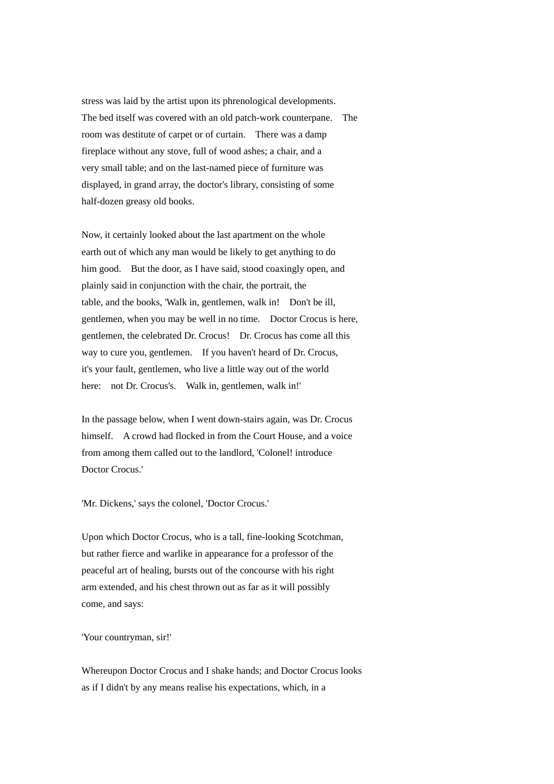stress was laid by the artist upon its phrenological developments. The bed itself was covered with an old patch-work counterpane. The room was destitute of carpet or of curtain. There was a damp fireplace without any stove, full of wood ashes; a chair, and a very small table; and on the last-named piece of furniture was displayed, in grand array, the doctor's library, consisting of some half-dozen greasy old books.

Now, it certainly looked about the last apartment on the whole earth out of which any man would be likely to get anything to do him good. But the door, as I have said, stood coaxingly open, and plainly said in conjunction with the chair, the portrait, the table, and the books, 'Walk in, gentlemen, walk in! Don't be ill, gentlemen, when you may be well in no time. Doctor Crocus is here, gentlemen, the celebrated Dr. Crocus! Dr. Crocus has come all this way to cure you, gentlemen. If you haven't heard of Dr. Crocus, it's your fault, gentlemen, who live a little way out of the world here: not Dr. Crocus's. Walk in, gentlemen, walk in!'

In the passage below, when I went down-stairs again, was Dr. Crocus himself. A crowd had flocked in from the Court House, and a voice from among them called out to the landlord, 'Colonel! introduce Doctor Crocus.'

'Mr. Dickens,' says the colonel, 'Doctor Crocus.'

Upon which Doctor Crocus, who is a tall, fine-looking Scotchman, but rather fierce and warlike in appearance for a professor of the peaceful art of healing, bursts out of the concourse with his right arm extended, and his chest thrown out as far as it will possibly come, and says:

'Your countryman, sir!'

Whereupon Doctor Crocus and I shake hands; and Doctor Crocus looks as if I didn't by any means realise his expectations, which, in a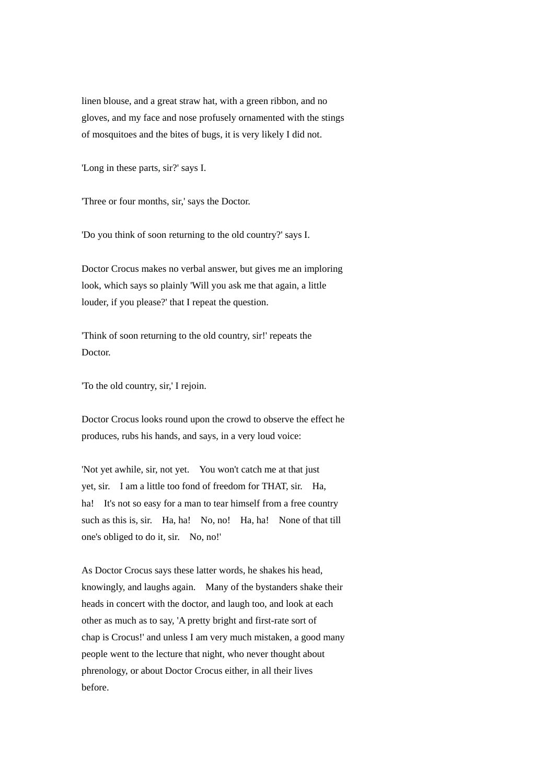linen blouse, and a great straw hat, with a green ribbon, and no gloves, and my face and nose profusely ornamented with the stings of mosquitoes and the bites of bugs, it is very likely I did not.

'Long in these parts, sir?' says I.

'Three or four months, sir,' says the Doctor.

'Do you think of soon returning to the old country?' says I.

Doctor Crocus makes no verbal answer, but gives me an imploring look, which says so plainly 'Will you ask me that again, a little louder, if you please?' that I repeat the question.

'Think of soon returning to the old country, sir!' repeats the Doctor.

'To the old country, sir,' I rejoin.

Doctor Crocus looks round upon the crowd to observe the effect he produces, rubs his hands, and says, in a very loud voice:

'Not yet awhile, sir, not yet. You won't catch me at that just yet, sir. I am a little too fond of freedom for THAT, sir. Ha, ha! It's not so easy for a man to tear himself from a free country such as this is, sir. Ha, ha! No, no! Ha, ha! None of that till one's obliged to do it, sir. No, no!'

As Doctor Crocus says these latter words, he shakes his head, knowingly, and laughs again. Many of the bystanders shake their heads in concert with the doctor, and laugh too, and look at each other as much as to say, 'A pretty bright and first-rate sort of chap is Crocus!' and unless I am very much mistaken, a good many people went to the lecture that night, who never thought about phrenology, or about Doctor Crocus either, in all their lives before.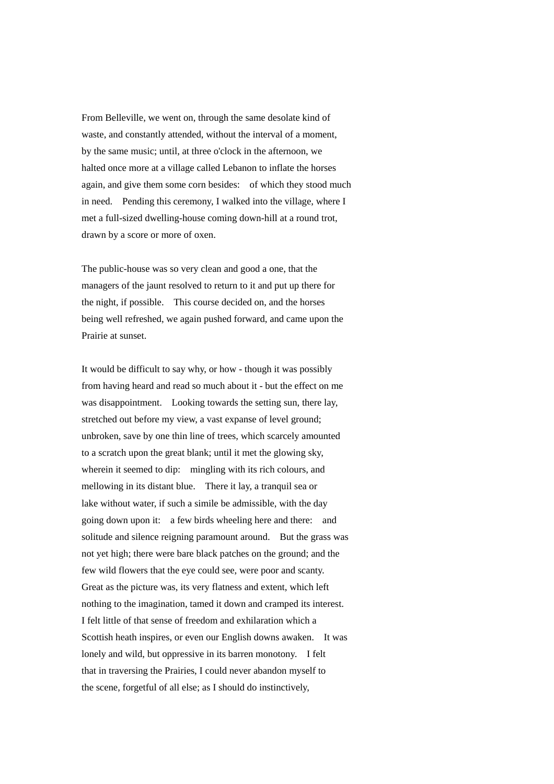From Belleville, we went on, through the same desolate kind of waste, and constantly attended, without the interval of a moment, by the same music; until, at three o'clock in the afternoon, we halted once more at a village called Lebanon to inflate the horses again, and give them some corn besides: of which they stood much in need. Pending this ceremony, I walked into the village, where I met a full-sized dwelling-house coming down-hill at a round trot, drawn by a score or more of oxen.

The public-house was so very clean and good a one, that the managers of the jaunt resolved to return to it and put up there for the night, if possible. This course decided on, and the horses being well refreshed, we again pushed forward, and came upon the Prairie at sunset.

It would be difficult to say why, or how - though it was possibly from having heard and read so much about it - but the effect on me was disappointment. Looking towards the setting sun, there lay, stretched out before my view, a vast expanse of level ground; unbroken, save by one thin line of trees, which scarcely amounted to a scratch upon the great blank; until it met the glowing sky, wherein it seemed to dip: mingling with its rich colours, and mellowing in its distant blue. There it lay, a tranquil sea or lake without water, if such a simile be admissible, with the day going down upon it: a few birds wheeling here and there: and solitude and silence reigning paramount around. But the grass was not yet high; there were bare black patches on the ground; and the few wild flowers that the eye could see, were poor and scanty. Great as the picture was, its very flatness and extent, which left nothing to the imagination, tamed it down and cramped its interest. I felt little of that sense of freedom and exhilaration which a Scottish heath inspires, or even our English downs awaken. It was lonely and wild, but oppressive in its barren monotony. I felt that in traversing the Prairies, I could never abandon myself to the scene, forgetful of all else; as I should do instinctively,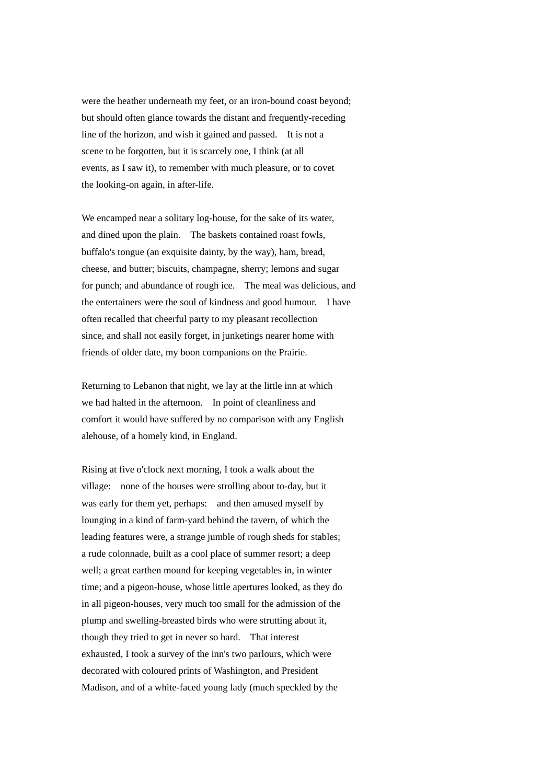were the heather underneath my feet, or an iron-bound coast beyond; but should often glance towards the distant and frequently-receding line of the horizon, and wish it gained and passed. It is not a scene to be forgotten, but it is scarcely one, I think (at all events, as I saw it), to remember with much pleasure, or to covet the looking-on again, in after-life.

We encamped near a solitary log-house, for the sake of its water, and dined upon the plain. The baskets contained roast fowls, buffalo's tongue (an exquisite dainty, by the way), ham, bread, cheese, and butter; biscuits, champagne, sherry; lemons and sugar for punch; and abundance of rough ice. The meal was delicious, and the entertainers were the soul of kindness and good humour. I have often recalled that cheerful party to my pleasant recollection since, and shall not easily forget, in junketings nearer home with friends of older date, my boon companions on the Prairie.

Returning to Lebanon that night, we lay at the little inn at which we had halted in the afternoon. In point of cleanliness and comfort it would have suffered by no comparison with any English alehouse, of a homely kind, in England.

Rising at five o'clock next morning, I took a walk about the village: none of the houses were strolling about to-day, but it was early for them yet, perhaps: and then amused myself by lounging in a kind of farm-yard behind the tavern, of which the leading features were, a strange jumble of rough sheds for stables; a rude colonnade, built as a cool place of summer resort; a deep well; a great earthen mound for keeping vegetables in, in winter time; and a pigeon-house, whose little apertures looked, as they do in all pigeon-houses, very much too small for the admission of the plump and swelling-breasted birds who were strutting about it, though they tried to get in never so hard. That interest exhausted, I took a survey of the inn's two parlours, which were decorated with coloured prints of Washington, and President Madison, and of a white-faced young lady (much speckled by the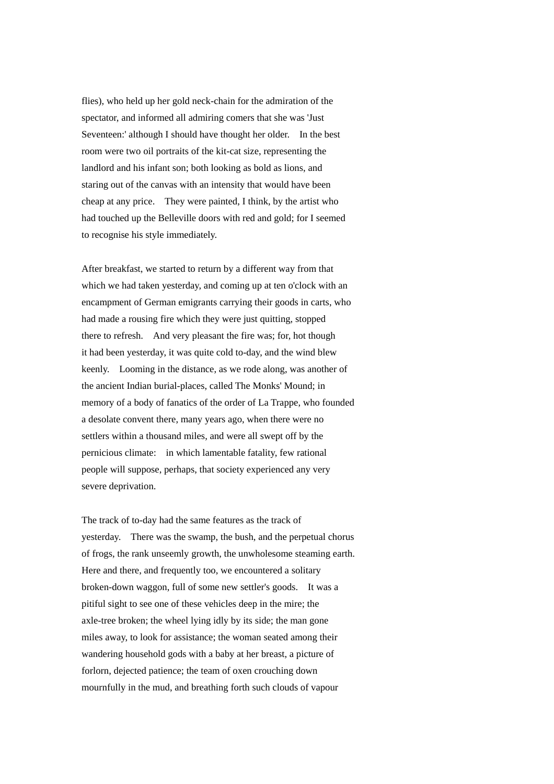flies), who held up her gold neck-chain for the admiration of the spectator, and informed all admiring comers that she was 'Just Seventeen:' although I should have thought her older. In the best room were two oil portraits of the kit-cat size, representing the landlord and his infant son; both looking as bold as lions, and staring out of the canvas with an intensity that would have been cheap at any price. They were painted, I think, by the artist who had touched up the Belleville doors with red and gold; for I seemed to recognise his style immediately.

After breakfast, we started to return by a different way from that which we had taken yesterday, and coming up at ten o'clock with an encampment of German emigrants carrying their goods in carts, who had made a rousing fire which they were just quitting, stopped there to refresh. And very pleasant the fire was; for, hot though it had been yesterday, it was quite cold to-day, and the wind blew keenly. Looming in the distance, as we rode along, was another of the ancient Indian burial-places, called The Monks' Mound; in memory of a body of fanatics of the order of La Trappe, who founded a desolate convent there, many years ago, when there were no settlers within a thousand miles, and were all swept off by the pernicious climate: in which lamentable fatality, few rational people will suppose, perhaps, that society experienced any very severe deprivation.

The track of to-day had the same features as the track of yesterday. There was the swamp, the bush, and the perpetual chorus of frogs, the rank unseemly growth, the unwholesome steaming earth. Here and there, and frequently too, we encountered a solitary broken-down waggon, full of some new settler's goods. It was a pitiful sight to see one of these vehicles deep in the mire; the axle-tree broken; the wheel lying idly by its side; the man gone miles away, to look for assistance; the woman seated among their wandering household gods with a baby at her breast, a picture of forlorn, dejected patience; the team of oxen crouching down mournfully in the mud, and breathing forth such clouds of vapour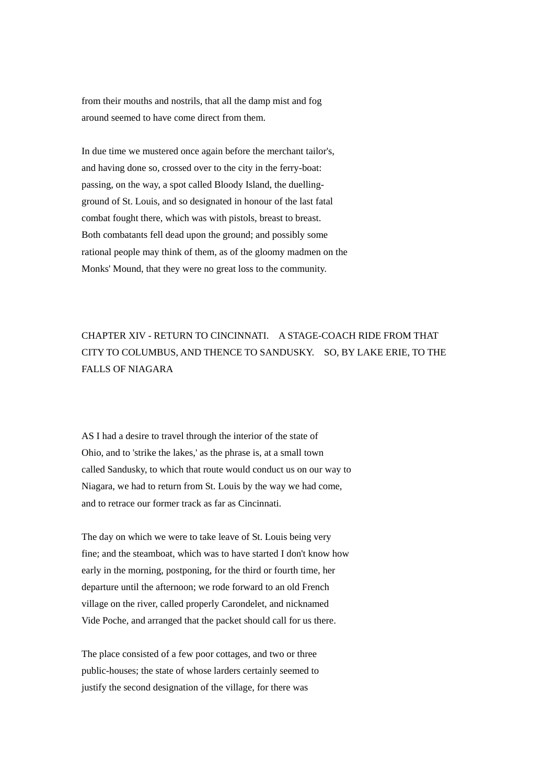from their mouths and nostrils, that all the damp mist and fog around seemed to have come direct from them.

In due time we mustered once again before the merchant tailor's, and having done so, crossed over to the city in the ferry-boat: passing, on the way, a spot called Bloody Island, the duellingground of St. Louis, and so designated in honour of the last fatal combat fought there, which was with pistols, breast to breast. Both combatants fell dead upon the ground; and possibly some rational people may think of them, as of the gloomy madmen on the Monks' Mound, that they were no great loss to the community.

## CHAPTER XIV - RETURN TO CINCINNATI. A STAGE-COACH RIDE FROM THAT CITY TO COLUMBUS, AND THENCE TO SANDUSKY. SO, BY LAKE ERIE, TO THE FALLS OF NIAGARA

AS I had a desire to travel through the interior of the state of Ohio, and to 'strike the lakes,' as the phrase is, at a small town called Sandusky, to which that route would conduct us on our way to Niagara, we had to return from St. Louis by the way we had come, and to retrace our former track as far as Cincinnati.

The day on which we were to take leave of St. Louis being very fine; and the steamboat, which was to have started I don't know how early in the morning, postponing, for the third or fourth time, her departure until the afternoon; we rode forward to an old French village on the river, called properly Carondelet, and nicknamed Vide Poche, and arranged that the packet should call for us there.

The place consisted of a few poor cottages, and two or three public-houses; the state of whose larders certainly seemed to justify the second designation of the village, for there was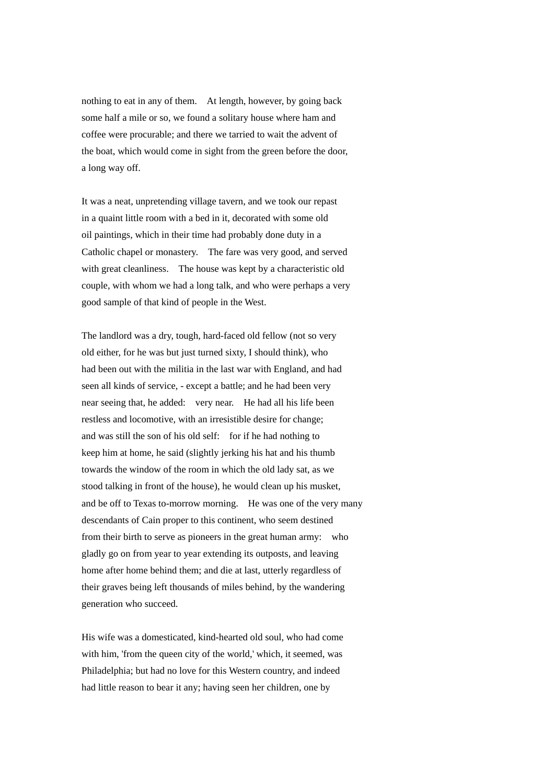nothing to eat in any of them. At length, however, by going back some half a mile or so, we found a solitary house where ham and coffee were procurable; and there we tarried to wait the advent of the boat, which would come in sight from the green before the door, a long way off.

It was a neat, unpretending village tavern, and we took our repast in a quaint little room with a bed in it, decorated with some old oil paintings, which in their time had probably done duty in a Catholic chapel or monastery. The fare was very good, and served with great cleanliness. The house was kept by a characteristic old couple, with whom we had a long talk, and who were perhaps a very good sample of that kind of people in the West.

The landlord was a dry, tough, hard-faced old fellow (not so very old either, for he was but just turned sixty, I should think), who had been out with the militia in the last war with England, and had seen all kinds of service, - except a battle; and he had been very near seeing that, he added: very near. He had all his life been restless and locomotive, with an irresistible desire for change; and was still the son of his old self: for if he had nothing to keep him at home, he said (slightly jerking his hat and his thumb towards the window of the room in which the old lady sat, as we stood talking in front of the house), he would clean up his musket, and be off to Texas to-morrow morning. He was one of the very many descendants of Cain proper to this continent, who seem destined from their birth to serve as pioneers in the great human army: who gladly go on from year to year extending its outposts, and leaving home after home behind them; and die at last, utterly regardless of their graves being left thousands of miles behind, by the wandering generation who succeed.

His wife was a domesticated, kind-hearted old soul, who had come with him, 'from the queen city of the world,' which, it seemed, was Philadelphia; but had no love for this Western country, and indeed had little reason to bear it any; having seen her children, one by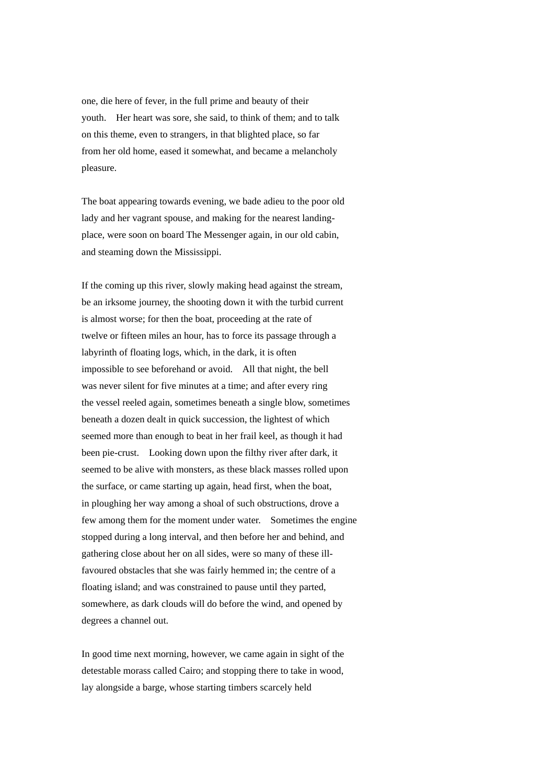one, die here of fever, in the full prime and beauty of their youth. Her heart was sore, she said, to think of them; and to talk on this theme, even to strangers, in that blighted place, so far from her old home, eased it somewhat, and became a melancholy pleasure.

The boat appearing towards evening, we bade adieu to the poor old lady and her vagrant spouse, and making for the nearest landingplace, were soon on board The Messenger again, in our old cabin, and steaming down the Mississippi.

If the coming up this river, slowly making head against the stream, be an irksome journey, the shooting down it with the turbid current is almost worse; for then the boat, proceeding at the rate of twelve or fifteen miles an hour, has to force its passage through a labyrinth of floating logs, which, in the dark, it is often impossible to see beforehand or avoid. All that night, the bell was never silent for five minutes at a time; and after every ring the vessel reeled again, sometimes beneath a single blow, sometimes beneath a dozen dealt in quick succession, the lightest of which seemed more than enough to beat in her frail keel, as though it had been pie-crust. Looking down upon the filthy river after dark, it seemed to be alive with monsters, as these black masses rolled upon the surface, or came starting up again, head first, when the boat, in ploughing her way among a shoal of such obstructions, drove a few among them for the moment under water. Sometimes the engine stopped during a long interval, and then before her and behind, and gathering close about her on all sides, were so many of these illfavoured obstacles that she was fairly hemmed in; the centre of a floating island; and was constrained to pause until they parted, somewhere, as dark clouds will do before the wind, and opened by degrees a channel out.

In good time next morning, however, we came again in sight of the detestable morass called Cairo; and stopping there to take in wood, lay alongside a barge, whose starting timbers scarcely held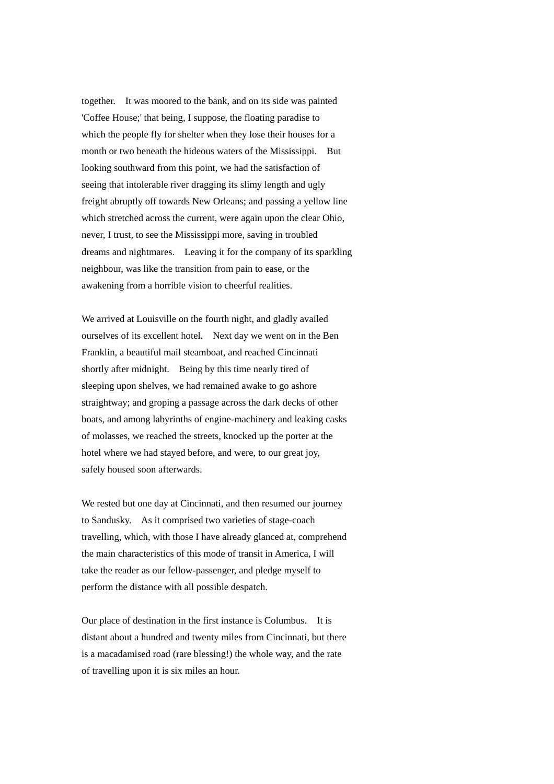together. It was moored to the bank, and on its side was painted 'Coffee House;' that being, I suppose, the floating paradise to which the people fly for shelter when they lose their houses for a month or two beneath the hideous waters of the Mississippi. But looking southward from this point, we had the satisfaction of seeing that intolerable river dragging its slimy length and ugly freight abruptly off towards New Orleans; and passing a yellow line which stretched across the current, were again upon the clear Ohio, never, I trust, to see the Mississippi more, saving in troubled dreams and nightmares. Leaving it for the company of its sparkling neighbour, was like the transition from pain to ease, or the awakening from a horrible vision to cheerful realities.

We arrived at Louisville on the fourth night, and gladly availed ourselves of its excellent hotel. Next day we went on in the Ben Franklin, a beautiful mail steamboat, and reached Cincinnati shortly after midnight. Being by this time nearly tired of sleeping upon shelves, we had remained awake to go ashore straightway; and groping a passage across the dark decks of other boats, and among labyrinths of engine-machinery and leaking casks of molasses, we reached the streets, knocked up the porter at the hotel where we had stayed before, and were, to our great joy, safely housed soon afterwards.

We rested but one day at Cincinnati, and then resumed our journey to Sandusky. As it comprised two varieties of stage-coach travelling, which, with those I have already glanced at, comprehend the main characteristics of this mode of transit in America, I will take the reader as our fellow-passenger, and pledge myself to perform the distance with all possible despatch.

Our place of destination in the first instance is Columbus. It is distant about a hundred and twenty miles from Cincinnati, but there is a macadamised road (rare blessing!) the whole way, and the rate of travelling upon it is six miles an hour.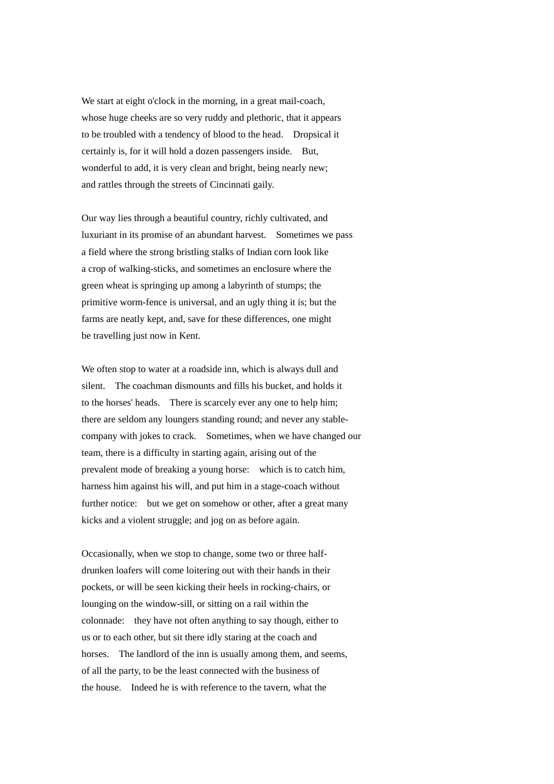We start at eight o'clock in the morning, in a great mail-coach, whose huge cheeks are so very ruddy and plethoric, that it appears to be troubled with a tendency of blood to the head. Dropsical it certainly is, for it will hold a dozen passengers inside. But, wonderful to add, it is very clean and bright, being nearly new; and rattles through the streets of Cincinnati gaily.

Our way lies through a beautiful country, richly cultivated, and luxuriant in its promise of an abundant harvest. Sometimes we pass a field where the strong bristling stalks of Indian corn look like a crop of walking-sticks, and sometimes an enclosure where the green wheat is springing up among a labyrinth of stumps; the primitive worm-fence is universal, and an ugly thing it is; but the farms are neatly kept, and, save for these differences, one might be travelling just now in Kent.

We often stop to water at a roadside inn, which is always dull and silent. The coachman dismounts and fills his bucket, and holds it to the horses' heads. There is scarcely ever any one to help him; there are seldom any loungers standing round; and never any stablecompany with jokes to crack. Sometimes, when we have changed our team, there is a difficulty in starting again, arising out of the prevalent mode of breaking a young horse: which is to catch him, harness him against his will, and put him in a stage-coach without further notice: but we get on somehow or other, after a great many kicks and a violent struggle; and jog on as before again.

Occasionally, when we stop to change, some two or three halfdrunken loafers will come loitering out with their hands in their pockets, or will be seen kicking their heels in rocking-chairs, or lounging on the window-sill, or sitting on a rail within the colonnade: they have not often anything to say though, either to us or to each other, but sit there idly staring at the coach and horses. The landlord of the inn is usually among them, and seems, of all the party, to be the least connected with the business of the house. Indeed he is with reference to the tavern, what the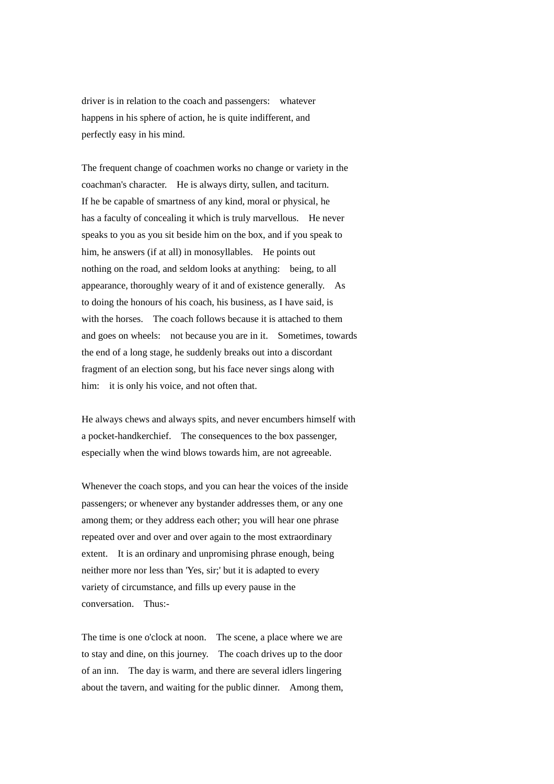driver is in relation to the coach and passengers: whatever happens in his sphere of action, he is quite indifferent, and perfectly easy in his mind.

The frequent change of coachmen works no change or variety in the coachman's character. He is always dirty, sullen, and taciturn. If he be capable of smartness of any kind, moral or physical, he has a faculty of concealing it which is truly marvellous. He never speaks to you as you sit beside him on the box, and if you speak to him, he answers (if at all) in monosyllables. He points out nothing on the road, and seldom looks at anything: being, to all appearance, thoroughly weary of it and of existence generally. As to doing the honours of his coach, his business, as I have said, is with the horses. The coach follows because it is attached to them and goes on wheels: not because you are in it. Sometimes, towards the end of a long stage, he suddenly breaks out into a discordant fragment of an election song, but his face never sings along with him: it is only his voice, and not often that.

He always chews and always spits, and never encumbers himself with a pocket-handkerchief. The consequences to the box passenger, especially when the wind blows towards him, are not agreeable.

Whenever the coach stops, and you can hear the voices of the inside passengers; or whenever any bystander addresses them, or any one among them; or they address each other; you will hear one phrase repeated over and over and over again to the most extraordinary extent. It is an ordinary and unpromising phrase enough, being neither more nor less than 'Yes, sir;' but it is adapted to every variety of circumstance, and fills up every pause in the conversation. Thus:-

The time is one o'clock at noon. The scene, a place where we are to stay and dine, on this journey. The coach drives up to the door of an inn. The day is warm, and there are several idlers lingering about the tavern, and waiting for the public dinner. Among them,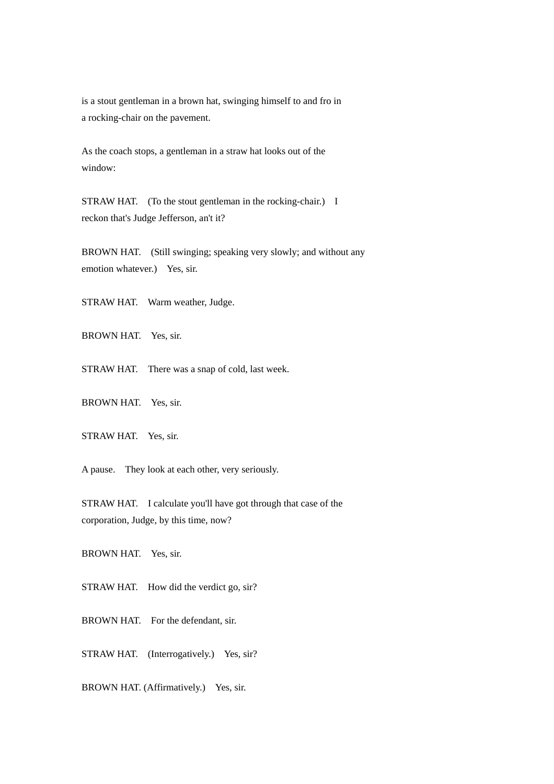is a stout gentleman in a brown hat, swinging himself to and fro in a rocking-chair on the pavement.

As the coach stops, a gentleman in a straw hat looks out of the window:

STRAW HAT. (To the stout gentleman in the rocking-chair.) I reckon that's Judge Jefferson, an't it?

BROWN HAT. (Still swinging; speaking very slowly; and without any emotion whatever.) Yes, sir.

STRAW HAT. Warm weather, Judge.

BROWN HAT. Yes, sir.

STRAW HAT. There was a snap of cold, last week.

BROWN HAT. Yes, sir.

STRAW HAT. Yes, sir.

A pause. They look at each other, very seriously.

STRAW HAT. I calculate you'll have got through that case of the corporation, Judge, by this time, now?

BROWN HAT. Yes, sir.

STRAW HAT. How did the verdict go, sir?

BROWN HAT. For the defendant, sir.

STRAW HAT. (Interrogatively.) Yes, sir?

BROWN HAT. (Affirmatively.) Yes, sir.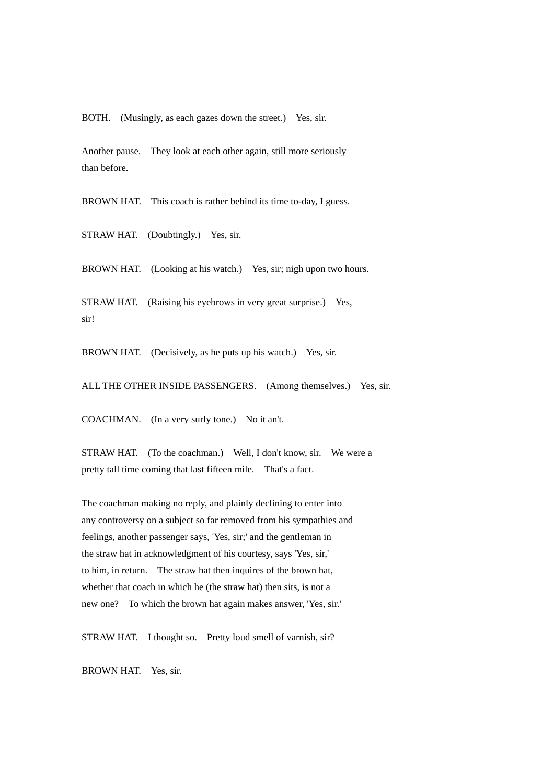BOTH. (Musingly, as each gazes down the street.) Yes, sir.

Another pause. They look at each other again, still more seriously than before.

BROWN HAT. This coach is rather behind its time to-day, I guess.

STRAW HAT. (Doubtingly.) Yes, sir.

BROWN HAT. (Looking at his watch.) Yes, sir; nigh upon two hours.

STRAW HAT. (Raising his eyebrows in very great surprise.) Yes, sir!

BROWN HAT. (Decisively, as he puts up his watch.) Yes, sir.

ALL THE OTHER INSIDE PASSENGERS. (Among themselves.) Yes, sir.

COACHMAN. (In a very surly tone.) No it an't.

STRAW HAT. (To the coachman.) Well, I don't know, sir. We were a pretty tall time coming that last fifteen mile. That's a fact.

The coachman making no reply, and plainly declining to enter into any controversy on a subject so far removed from his sympathies and feelings, another passenger says, 'Yes, sir;' and the gentleman in the straw hat in acknowledgment of his courtesy, says 'Yes, sir,' to him, in return. The straw hat then inquires of the brown hat, whether that coach in which he (the straw hat) then sits, is not a new one? To which the brown hat again makes answer, 'Yes, sir.'

STRAW HAT. I thought so. Pretty loud smell of varnish, sir?

BROWN HAT. Yes, sir.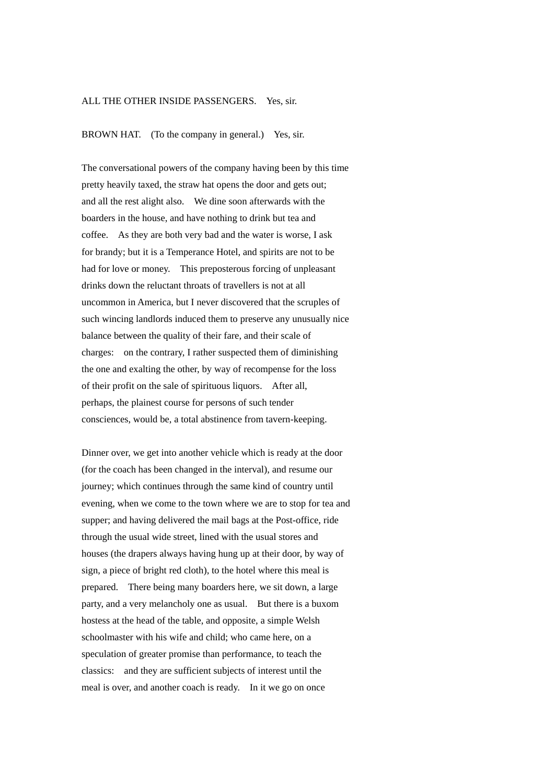## ALL THE OTHER INSIDE PASSENGERS. Yes, sir.

BROWN HAT. (To the company in general.) Yes, sir.

The conversational powers of the company having been by this time pretty heavily taxed, the straw hat opens the door and gets out; and all the rest alight also. We dine soon afterwards with the boarders in the house, and have nothing to drink but tea and coffee. As they are both very bad and the water is worse, I ask for brandy; but it is a Temperance Hotel, and spirits are not to be had for love or money. This preposterous forcing of unpleasant drinks down the reluctant throats of travellers is not at all uncommon in America, but I never discovered that the scruples of such wincing landlords induced them to preserve any unusually nice balance between the quality of their fare, and their scale of charges: on the contrary, I rather suspected them of diminishing the one and exalting the other, by way of recompense for the loss of their profit on the sale of spirituous liquors. After all, perhaps, the plainest course for persons of such tender consciences, would be, a total abstinence from tavern-keeping.

Dinner over, we get into another vehicle which is ready at the door (for the coach has been changed in the interval), and resume our journey; which continues through the same kind of country until evening, when we come to the town where we are to stop for tea and supper; and having delivered the mail bags at the Post-office, ride through the usual wide street, lined with the usual stores and houses (the drapers always having hung up at their door, by way of sign, a piece of bright red cloth), to the hotel where this meal is prepared. There being many boarders here, we sit down, a large party, and a very melancholy one as usual. But there is a buxom hostess at the head of the table, and opposite, a simple Welsh schoolmaster with his wife and child; who came here, on a speculation of greater promise than performance, to teach the classics: and they are sufficient subjects of interest until the meal is over, and another coach is ready. In it we go on once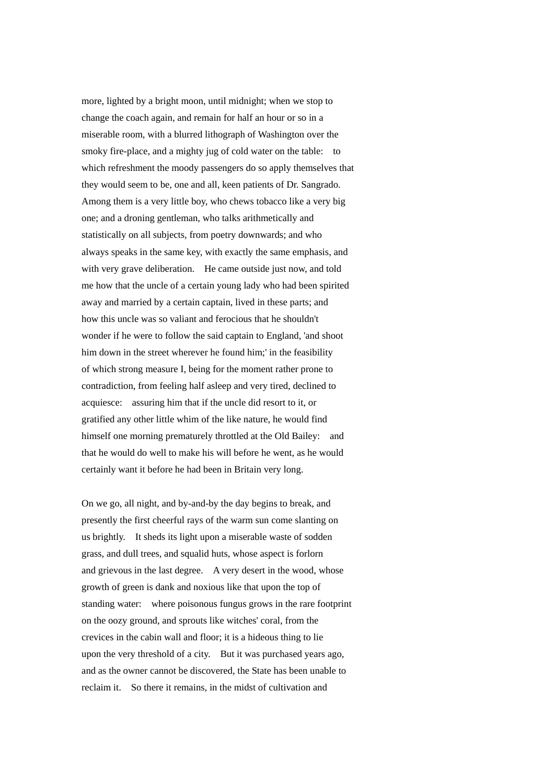more, lighted by a bright moon, until midnight; when we stop to change the coach again, and remain for half an hour or so in a miserable room, with a blurred lithograph of Washington over the smoky fire-place, and a mighty jug of cold water on the table: to which refreshment the moody passengers do so apply themselves that they would seem to be, one and all, keen patients of Dr. Sangrado. Among them is a very little boy, who chews tobacco like a very big one; and a droning gentleman, who talks arithmetically and statistically on all subjects, from poetry downwards; and who always speaks in the same key, with exactly the same emphasis, and with very grave deliberation. He came outside just now, and told me how that the uncle of a certain young lady who had been spirited away and married by a certain captain, lived in these parts; and how this uncle was so valiant and ferocious that he shouldn't wonder if he were to follow the said captain to England, 'and shoot him down in the street wherever he found him;' in the feasibility of which strong measure I, being for the moment rather prone to contradiction, from feeling half asleep and very tired, declined to acquiesce: assuring him that if the uncle did resort to it, or gratified any other little whim of the like nature, he would find himself one morning prematurely throttled at the Old Bailey: and that he would do well to make his will before he went, as he would certainly want it before he had been in Britain very long.

On we go, all night, and by-and-by the day begins to break, and presently the first cheerful rays of the warm sun come slanting on us brightly. It sheds its light upon a miserable waste of sodden grass, and dull trees, and squalid huts, whose aspect is forlorn and grievous in the last degree. A very desert in the wood, whose growth of green is dank and noxious like that upon the top of standing water: where poisonous fungus grows in the rare footprint on the oozy ground, and sprouts like witches' coral, from the crevices in the cabin wall and floor; it is a hideous thing to lie upon the very threshold of a city. But it was purchased years ago, and as the owner cannot be discovered, the State has been unable to reclaim it. So there it remains, in the midst of cultivation and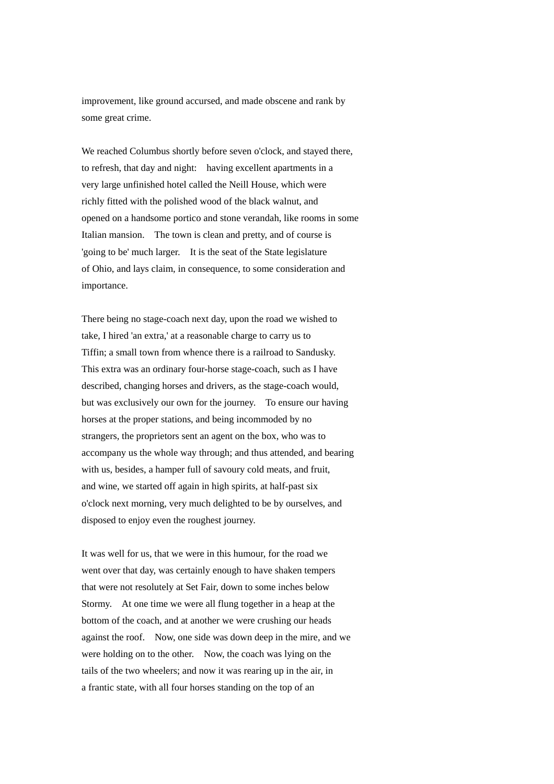improvement, like ground accursed, and made obscene and rank by some great crime.

We reached Columbus shortly before seven o'clock, and stayed there, to refresh, that day and night: having excellent apartments in a very large unfinished hotel called the Neill House, which were richly fitted with the polished wood of the black walnut, and opened on a handsome portico and stone verandah, like rooms in some Italian mansion. The town is clean and pretty, and of course is 'going to be' much larger. It is the seat of the State legislature of Ohio, and lays claim, in consequence, to some consideration and importance.

There being no stage-coach next day, upon the road we wished to take, I hired 'an extra,' at a reasonable charge to carry us to Tiffin; a small town from whence there is a railroad to Sandusky. This extra was an ordinary four-horse stage-coach, such as I have described, changing horses and drivers, as the stage-coach would, but was exclusively our own for the journey. To ensure our having horses at the proper stations, and being incommoded by no strangers, the proprietors sent an agent on the box, who was to accompany us the whole way through; and thus attended, and bearing with us, besides, a hamper full of savoury cold meats, and fruit, and wine, we started off again in high spirits, at half-past six o'clock next morning, very much delighted to be by ourselves, and disposed to enjoy even the roughest journey.

It was well for us, that we were in this humour, for the road we went over that day, was certainly enough to have shaken tempers that were not resolutely at Set Fair, down to some inches below Stormy. At one time we were all flung together in a heap at the bottom of the coach, and at another we were crushing our heads against the roof. Now, one side was down deep in the mire, and we were holding on to the other. Now, the coach was lying on the tails of the two wheelers; and now it was rearing up in the air, in a frantic state, with all four horses standing on the top of an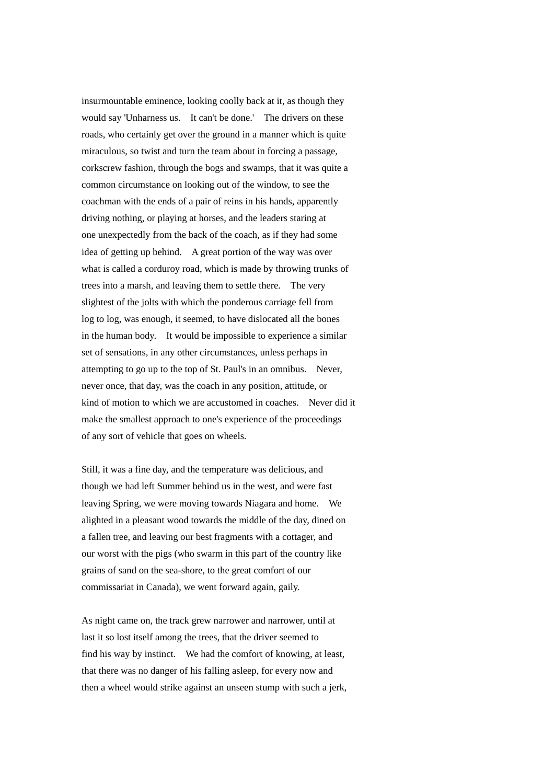insurmountable eminence, looking coolly back at it, as though they would say 'Unharness us. It can't be done.' The drivers on these roads, who certainly get over the ground in a manner which is quite miraculous, so twist and turn the team about in forcing a passage, corkscrew fashion, through the bogs and swamps, that it was quite a common circumstance on looking out of the window, to see the coachman with the ends of a pair of reins in his hands, apparently driving nothing, or playing at horses, and the leaders staring at one unexpectedly from the back of the coach, as if they had some idea of getting up behind. A great portion of the way was over what is called a corduroy road, which is made by throwing trunks of trees into a marsh, and leaving them to settle there. The very slightest of the jolts with which the ponderous carriage fell from log to log, was enough, it seemed, to have dislocated all the bones in the human body. It would be impossible to experience a similar set of sensations, in any other circumstances, unless perhaps in attempting to go up to the top of St. Paul's in an omnibus. Never, never once, that day, was the coach in any position, attitude, or kind of motion to which we are accustomed in coaches. Never did it make the smallest approach to one's experience of the proceedings of any sort of vehicle that goes on wheels.

Still, it was a fine day, and the temperature was delicious, and though we had left Summer behind us in the west, and were fast leaving Spring, we were moving towards Niagara and home. We alighted in a pleasant wood towards the middle of the day, dined on a fallen tree, and leaving our best fragments with a cottager, and our worst with the pigs (who swarm in this part of the country like grains of sand on the sea-shore, to the great comfort of our commissariat in Canada), we went forward again, gaily.

As night came on, the track grew narrower and narrower, until at last it so lost itself among the trees, that the driver seemed to find his way by instinct. We had the comfort of knowing, at least, that there was no danger of his falling asleep, for every now and then a wheel would strike against an unseen stump with such a jerk,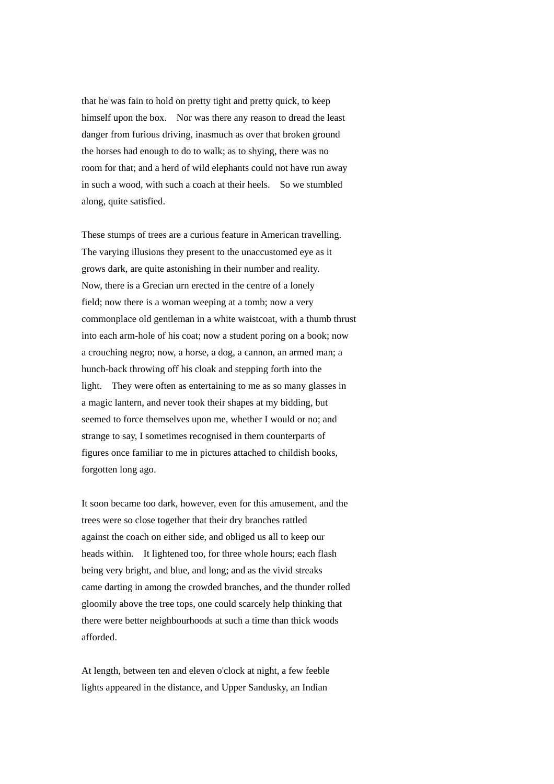that he was fain to hold on pretty tight and pretty quick, to keep himself upon the box. Nor was there any reason to dread the least danger from furious driving, inasmuch as over that broken ground the horses had enough to do to walk; as to shying, there was no room for that; and a herd of wild elephants could not have run away in such a wood, with such a coach at their heels. So we stumbled along, quite satisfied.

These stumps of trees are a curious feature in American travelling. The varying illusions they present to the unaccustomed eye as it grows dark, are quite astonishing in their number and reality. Now, there is a Grecian urn erected in the centre of a lonely field; now there is a woman weeping at a tomb; now a very commonplace old gentleman in a white waistcoat, with a thumb thrust into each arm-hole of his coat; now a student poring on a book; now a crouching negro; now, a horse, a dog, a cannon, an armed man; a hunch-back throwing off his cloak and stepping forth into the light. They were often as entertaining to me as so many glasses in a magic lantern, and never took their shapes at my bidding, but seemed to force themselves upon me, whether I would or no; and strange to say, I sometimes recognised in them counterparts of figures once familiar to me in pictures attached to childish books, forgotten long ago.

It soon became too dark, however, even for this amusement, and the trees were so close together that their dry branches rattled against the coach on either side, and obliged us all to keep our heads within. It lightened too, for three whole hours; each flash being very bright, and blue, and long; and as the vivid streaks came darting in among the crowded branches, and the thunder rolled gloomily above the tree tops, one could scarcely help thinking that there were better neighbourhoods at such a time than thick woods afforded.

At length, between ten and eleven o'clock at night, a few feeble lights appeared in the distance, and Upper Sandusky, an Indian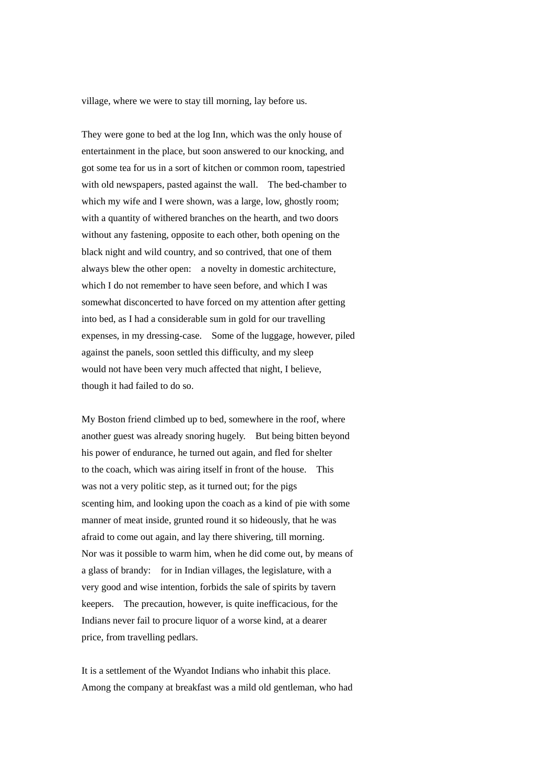village, where we were to stay till morning, lay before us.

They were gone to bed at the log Inn, which was the only house of entertainment in the place, but soon answered to our knocking, and got some tea for us in a sort of kitchen or common room, tapestried with old newspapers, pasted against the wall. The bed-chamber to which my wife and I were shown, was a large, low, ghostly room; with a quantity of withered branches on the hearth, and two doors without any fastening, opposite to each other, both opening on the black night and wild country, and so contrived, that one of them always blew the other open: a novelty in domestic architecture, which I do not remember to have seen before, and which I was somewhat disconcerted to have forced on my attention after getting into bed, as I had a considerable sum in gold for our travelling expenses, in my dressing-case. Some of the luggage, however, piled against the panels, soon settled this difficulty, and my sleep would not have been very much affected that night, I believe, though it had failed to do so.

My Boston friend climbed up to bed, somewhere in the roof, where another guest was already snoring hugely. But being bitten beyond his power of endurance, he turned out again, and fled for shelter to the coach, which was airing itself in front of the house. This was not a very politic step, as it turned out; for the pigs scenting him, and looking upon the coach as a kind of pie with some manner of meat inside, grunted round it so hideously, that he was afraid to come out again, and lay there shivering, till morning. Nor was it possible to warm him, when he did come out, by means of a glass of brandy: for in Indian villages, the legislature, with a very good and wise intention, forbids the sale of spirits by tavern keepers. The precaution, however, is quite inefficacious, for the Indians never fail to procure liquor of a worse kind, at a dearer price, from travelling pedlars.

It is a settlement of the Wyandot Indians who inhabit this place. Among the company at breakfast was a mild old gentleman, who had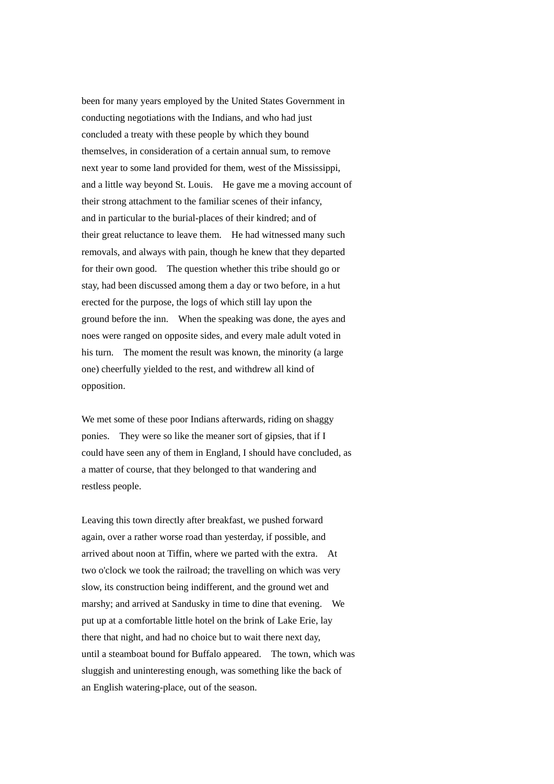been for many years employed by the United States Government in conducting negotiations with the Indians, and who had just concluded a treaty with these people by which they bound themselves, in consideration of a certain annual sum, to remove next year to some land provided for them, west of the Mississippi, and a little way beyond St. Louis. He gave me a moving account of their strong attachment to the familiar scenes of their infancy, and in particular to the burial-places of their kindred; and of their great reluctance to leave them. He had witnessed many such removals, and always with pain, though he knew that they departed for their own good. The question whether this tribe should go or stay, had been discussed among them a day or two before, in a hut erected for the purpose, the logs of which still lay upon the ground before the inn. When the speaking was done, the ayes and noes were ranged on opposite sides, and every male adult voted in his turn. The moment the result was known, the minority (a large one) cheerfully yielded to the rest, and withdrew all kind of opposition.

We met some of these poor Indians afterwards, riding on shaggy ponies. They were so like the meaner sort of gipsies, that if I could have seen any of them in England, I should have concluded, as a matter of course, that they belonged to that wandering and restless people.

Leaving this town directly after breakfast, we pushed forward again, over a rather worse road than yesterday, if possible, and arrived about noon at Tiffin, where we parted with the extra. At two o'clock we took the railroad; the travelling on which was very slow, its construction being indifferent, and the ground wet and marshy; and arrived at Sandusky in time to dine that evening. We put up at a comfortable little hotel on the brink of Lake Erie, lay there that night, and had no choice but to wait there next day, until a steamboat bound for Buffalo appeared. The town, which was sluggish and uninteresting enough, was something like the back of an English watering-place, out of the season.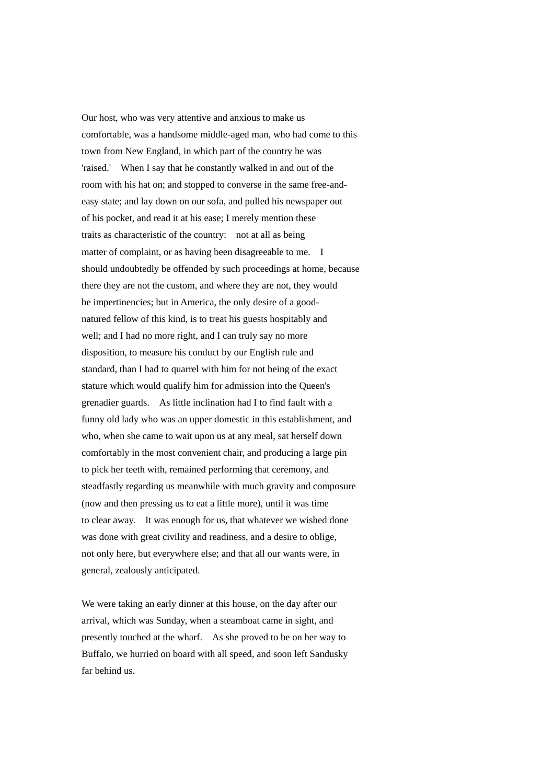Our host, who was very attentive and anxious to make us comfortable, was a handsome middle-aged man, who had come to this town from New England, in which part of the country he was 'raised.' When I say that he constantly walked in and out of the room with his hat on; and stopped to converse in the same free-andeasy state; and lay down on our sofa, and pulled his newspaper out of his pocket, and read it at his ease; I merely mention these traits as characteristic of the country: not at all as being matter of complaint, or as having been disagreeable to me. I should undoubtedly be offended by such proceedings at home, because there they are not the custom, and where they are not, they would be impertinencies; but in America, the only desire of a goodnatured fellow of this kind, is to treat his guests hospitably and well; and I had no more right, and I can truly say no more disposition, to measure his conduct by our English rule and standard, than I had to quarrel with him for not being of the exact stature which would qualify him for admission into the Queen's grenadier guards. As little inclination had I to find fault with a funny old lady who was an upper domestic in this establishment, and who, when she came to wait upon us at any meal, sat herself down comfortably in the most convenient chair, and producing a large pin to pick her teeth with, remained performing that ceremony, and steadfastly regarding us meanwhile with much gravity and composure (now and then pressing us to eat a little more), until it was time to clear away. It was enough for us, that whatever we wished done was done with great civility and readiness, and a desire to oblige, not only here, but everywhere else; and that all our wants were, in general, zealously anticipated.

We were taking an early dinner at this house, on the day after our arrival, which was Sunday, when a steamboat came in sight, and presently touched at the wharf. As she proved to be on her way to Buffalo, we hurried on board with all speed, and soon left Sandusky far behind us.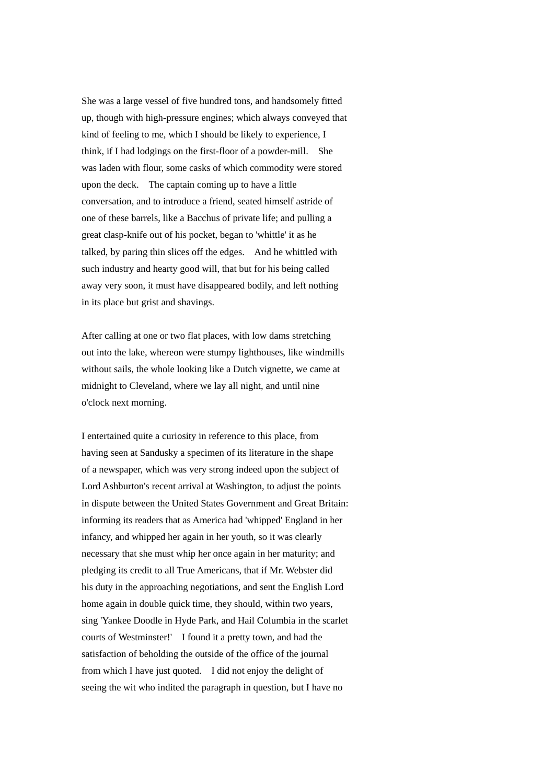She was a large vessel of five hundred tons, and handsomely fitted up, though with high-pressure engines; which always conveyed that kind of feeling to me, which I should be likely to experience, I think, if I had lodgings on the first-floor of a powder-mill. She was laden with flour, some casks of which commodity were stored upon the deck. The captain coming up to have a little conversation, and to introduce a friend, seated himself astride of one of these barrels, like a Bacchus of private life; and pulling a great clasp-knife out of his pocket, began to 'whittle' it as he talked, by paring thin slices off the edges. And he whittled with such industry and hearty good will, that but for his being called away very soon, it must have disappeared bodily, and left nothing in its place but grist and shavings.

After calling at one or two flat places, with low dams stretching out into the lake, whereon were stumpy lighthouses, like windmills without sails, the whole looking like a Dutch vignette, we came at midnight to Cleveland, where we lay all night, and until nine o'clock next morning.

I entertained quite a curiosity in reference to this place, from having seen at Sandusky a specimen of its literature in the shape of a newspaper, which was very strong indeed upon the subject of Lord Ashburton's recent arrival at Washington, to adjust the points in dispute between the United States Government and Great Britain: informing its readers that as America had 'whipped' England in her infancy, and whipped her again in her youth, so it was clearly necessary that she must whip her once again in her maturity; and pledging its credit to all True Americans, that if Mr. Webster did his duty in the approaching negotiations, and sent the English Lord home again in double quick time, they should, within two years, sing 'Yankee Doodle in Hyde Park, and Hail Columbia in the scarlet courts of Westminster!' I found it a pretty town, and had the satisfaction of beholding the outside of the office of the journal from which I have just quoted. I did not enjoy the delight of seeing the wit who indited the paragraph in question, but I have no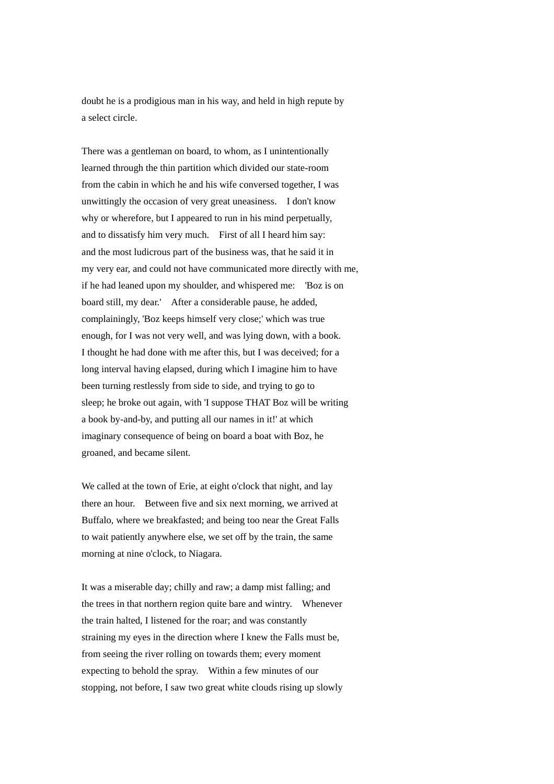doubt he is a prodigious man in his way, and held in high repute by a select circle.

There was a gentleman on board, to whom, as I unintentionally learned through the thin partition which divided our state-room from the cabin in which he and his wife conversed together, I was unwittingly the occasion of very great uneasiness. I don't know why or wherefore, but I appeared to run in his mind perpetually, and to dissatisfy him very much. First of all I heard him say: and the most ludicrous part of the business was, that he said it in my very ear, and could not have communicated more directly with me, if he had leaned upon my shoulder, and whispered me: 'Boz is on board still, my dear.' After a considerable pause, he added, complainingly, 'Boz keeps himself very close;' which was true enough, for I was not very well, and was lying down, with a book. I thought he had done with me after this, but I was deceived; for a long interval having elapsed, during which I imagine him to have been turning restlessly from side to side, and trying to go to sleep; he broke out again, with 'I suppose THAT Boz will be writing a book by-and-by, and putting all our names in it!' at which imaginary consequence of being on board a boat with Boz, he groaned, and became silent.

We called at the town of Erie, at eight o'clock that night, and lay there an hour. Between five and six next morning, we arrived at Buffalo, where we breakfasted; and being too near the Great Falls to wait patiently anywhere else, we set off by the train, the same morning at nine o'clock, to Niagara.

It was a miserable day; chilly and raw; a damp mist falling; and the trees in that northern region quite bare and wintry. Whenever the train halted, I listened for the roar; and was constantly straining my eyes in the direction where I knew the Falls must be, from seeing the river rolling on towards them; every moment expecting to behold the spray. Within a few minutes of our stopping, not before, I saw two great white clouds rising up slowly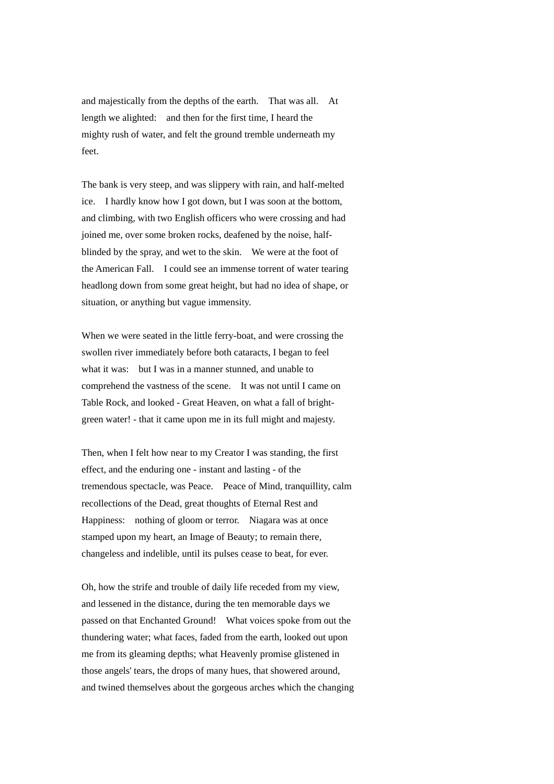and majestically from the depths of the earth. That was all. At length we alighted: and then for the first time, I heard the mighty rush of water, and felt the ground tremble underneath my feet.

The bank is very steep, and was slippery with rain, and half-melted ice. I hardly know how I got down, but I was soon at the bottom, and climbing, with two English officers who were crossing and had joined me, over some broken rocks, deafened by the noise, halfblinded by the spray, and wet to the skin. We were at the foot of the American Fall. I could see an immense torrent of water tearing headlong down from some great height, but had no idea of shape, or situation, or anything but vague immensity.

When we were seated in the little ferry-boat, and were crossing the swollen river immediately before both cataracts, I began to feel what it was: but I was in a manner stunned, and unable to comprehend the vastness of the scene. It was not until I came on Table Rock, and looked - Great Heaven, on what a fall of brightgreen water! - that it came upon me in its full might and majesty.

Then, when I felt how near to my Creator I was standing, the first effect, and the enduring one - instant and lasting - of the tremendous spectacle, was Peace. Peace of Mind, tranquillity, calm recollections of the Dead, great thoughts of Eternal Rest and Happiness: nothing of gloom or terror. Niagara was at once stamped upon my heart, an Image of Beauty; to remain there, changeless and indelible, until its pulses cease to beat, for ever.

Oh, how the strife and trouble of daily life receded from my view, and lessened in the distance, during the ten memorable days we passed on that Enchanted Ground! What voices spoke from out the thundering water; what faces, faded from the earth, looked out upon me from its gleaming depths; what Heavenly promise glistened in those angels' tears, the drops of many hues, that showered around, and twined themselves about the gorgeous arches which the changing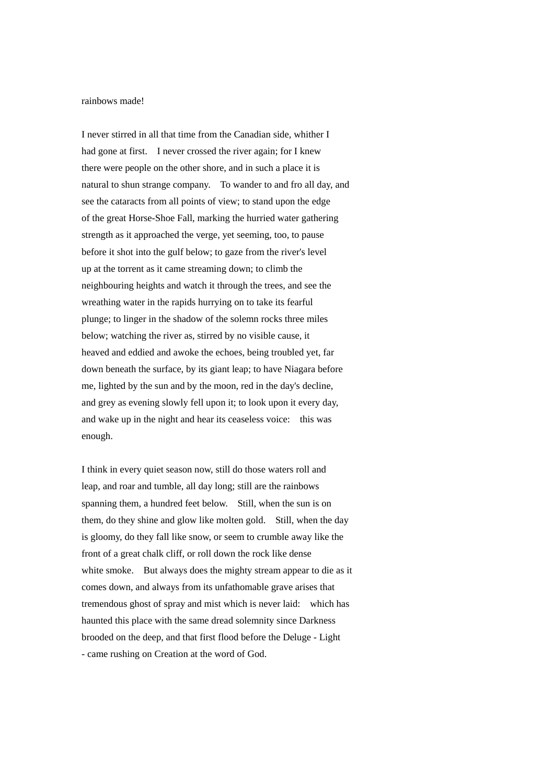## rainbows made!

I never stirred in all that time from the Canadian side, whither I had gone at first. I never crossed the river again; for I knew there were people on the other shore, and in such a place it is natural to shun strange company. To wander to and fro all day, and see the cataracts from all points of view; to stand upon the edge of the great Horse-Shoe Fall, marking the hurried water gathering strength as it approached the verge, yet seeming, too, to pause before it shot into the gulf below; to gaze from the river's level up at the torrent as it came streaming down; to climb the neighbouring heights and watch it through the trees, and see the wreathing water in the rapids hurrying on to take its fearful plunge; to linger in the shadow of the solemn rocks three miles below; watching the river as, stirred by no visible cause, it heaved and eddied and awoke the echoes, being troubled yet, far down beneath the surface, by its giant leap; to have Niagara before me, lighted by the sun and by the moon, red in the day's decline, and grey as evening slowly fell upon it; to look upon it every day, and wake up in the night and hear its ceaseless voice: this was enough.

I think in every quiet season now, still do those waters roll and leap, and roar and tumble, all day long; still are the rainbows spanning them, a hundred feet below. Still, when the sun is on them, do they shine and glow like molten gold. Still, when the day is gloomy, do they fall like snow, or seem to crumble away like the front of a great chalk cliff, or roll down the rock like dense white smoke. But always does the mighty stream appear to die as it comes down, and always from its unfathomable grave arises that tremendous ghost of spray and mist which is never laid: which has haunted this place with the same dread solemnity since Darkness brooded on the deep, and that first flood before the Deluge - Light - came rushing on Creation at the word of God.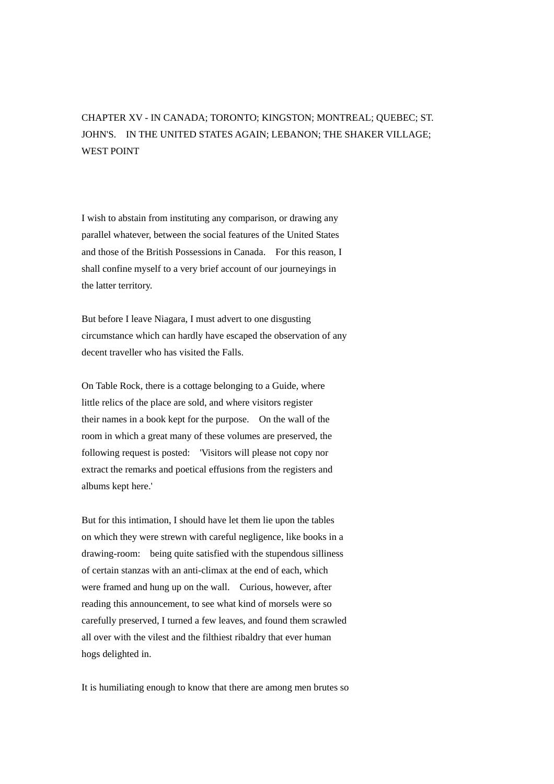## CHAPTER XV - IN CANADA; TORONTO; KINGSTON; MONTREAL; QUEBEC; ST. JOHN'S. IN THE UNITED STATES AGAIN; LEBANON; THE SHAKER VILLAGE; WEST POINT

I wish to abstain from instituting any comparison, or drawing any parallel whatever, between the social features of the United States and those of the British Possessions in Canada. For this reason, I shall confine myself to a very brief account of our journeyings in the latter territory.

But before I leave Niagara, I must advert to one disgusting circumstance which can hardly have escaped the observation of any decent traveller who has visited the Falls.

On Table Rock, there is a cottage belonging to a Guide, where little relics of the place are sold, and where visitors register their names in a book kept for the purpose. On the wall of the room in which a great many of these volumes are preserved, the following request is posted: 'Visitors will please not copy nor extract the remarks and poetical effusions from the registers and albums kept here.'

But for this intimation, I should have let them lie upon the tables on which they were strewn with careful negligence, like books in a drawing-room: being quite satisfied with the stupendous silliness of certain stanzas with an anti-climax at the end of each, which were framed and hung up on the wall. Curious, however, after reading this announcement, to see what kind of morsels were so carefully preserved, I turned a few leaves, and found them scrawled all over with the vilest and the filthiest ribaldry that ever human hogs delighted in.

It is humiliating enough to know that there are among men brutes so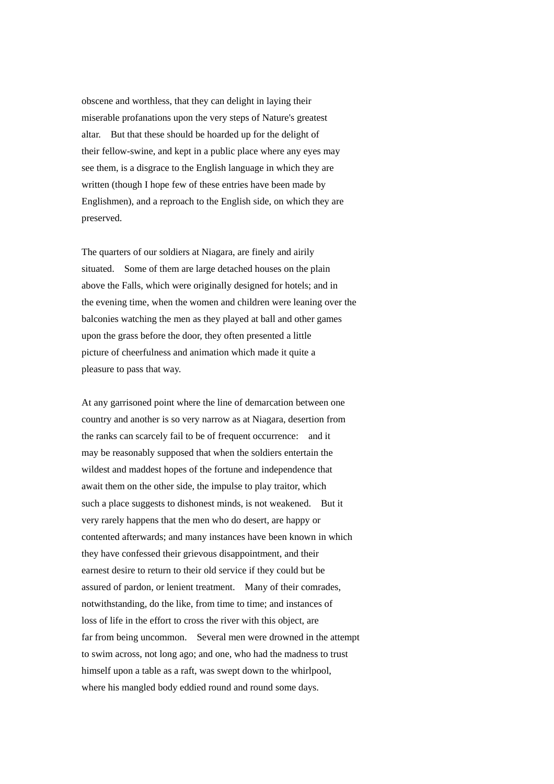obscene and worthless, that they can delight in laying their miserable profanations upon the very steps of Nature's greatest altar. But that these should be hoarded up for the delight of their fellow-swine, and kept in a public place where any eyes may see them, is a disgrace to the English language in which they are written (though I hope few of these entries have been made by Englishmen), and a reproach to the English side, on which they are preserved.

The quarters of our soldiers at Niagara, are finely and airily situated. Some of them are large detached houses on the plain above the Falls, which were originally designed for hotels; and in the evening time, when the women and children were leaning over the balconies watching the men as they played at ball and other games upon the grass before the door, they often presented a little picture of cheerfulness and animation which made it quite a pleasure to pass that way.

At any garrisoned point where the line of demarcation between one country and another is so very narrow as at Niagara, desertion from the ranks can scarcely fail to be of frequent occurrence: and it may be reasonably supposed that when the soldiers entertain the wildest and maddest hopes of the fortune and independence that await them on the other side, the impulse to play traitor, which such a place suggests to dishonest minds, is not weakened. But it very rarely happens that the men who do desert, are happy or contented afterwards; and many instances have been known in which they have confessed their grievous disappointment, and their earnest desire to return to their old service if they could but be assured of pardon, or lenient treatment. Many of their comrades, notwithstanding, do the like, from time to time; and instances of loss of life in the effort to cross the river with this object, are far from being uncommon. Several men were drowned in the attempt to swim across, not long ago; and one, who had the madness to trust himself upon a table as a raft, was swept down to the whirlpool, where his mangled body eddied round and round some days.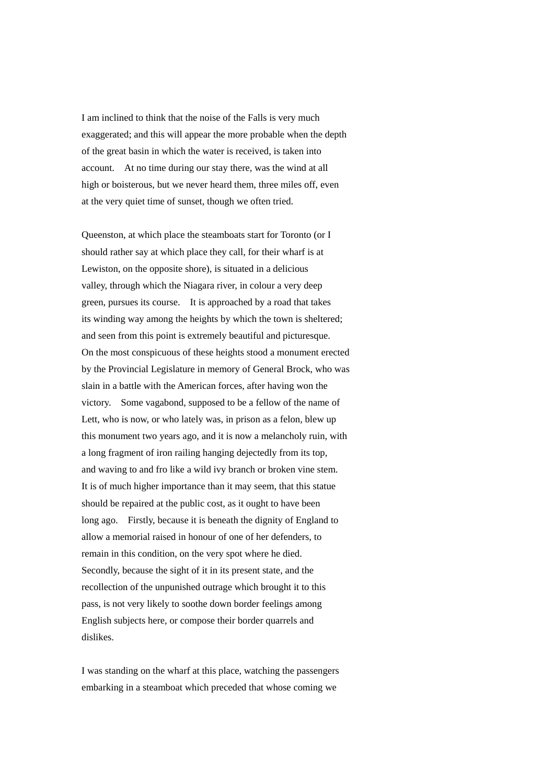I am inclined to think that the noise of the Falls is very much exaggerated; and this will appear the more probable when the depth of the great basin in which the water is received, is taken into account. At no time during our stay there, was the wind at all high or boisterous, but we never heard them, three miles off, even at the very quiet time of sunset, though we often tried.

Queenston, at which place the steamboats start for Toronto (or I should rather say at which place they call, for their wharf is at Lewiston, on the opposite shore), is situated in a delicious valley, through which the Niagara river, in colour a very deep green, pursues its course. It is approached by a road that takes its winding way among the heights by which the town is sheltered; and seen from this point is extremely beautiful and picturesque. On the most conspicuous of these heights stood a monument erected by the Provincial Legislature in memory of General Brock, who was slain in a battle with the American forces, after having won the victory. Some vagabond, supposed to be a fellow of the name of Lett, who is now, or who lately was, in prison as a felon, blew up this monument two years ago, and it is now a melancholy ruin, with a long fragment of iron railing hanging dejectedly from its top, and waving to and fro like a wild ivy branch or broken vine stem. It is of much higher importance than it may seem, that this statue should be repaired at the public cost, as it ought to have been long ago. Firstly, because it is beneath the dignity of England to allow a memorial raised in honour of one of her defenders, to remain in this condition, on the very spot where he died. Secondly, because the sight of it in its present state, and the recollection of the unpunished outrage which brought it to this pass, is not very likely to soothe down border feelings among English subjects here, or compose their border quarrels and dislikes.

I was standing on the wharf at this place, watching the passengers embarking in a steamboat which preceded that whose coming we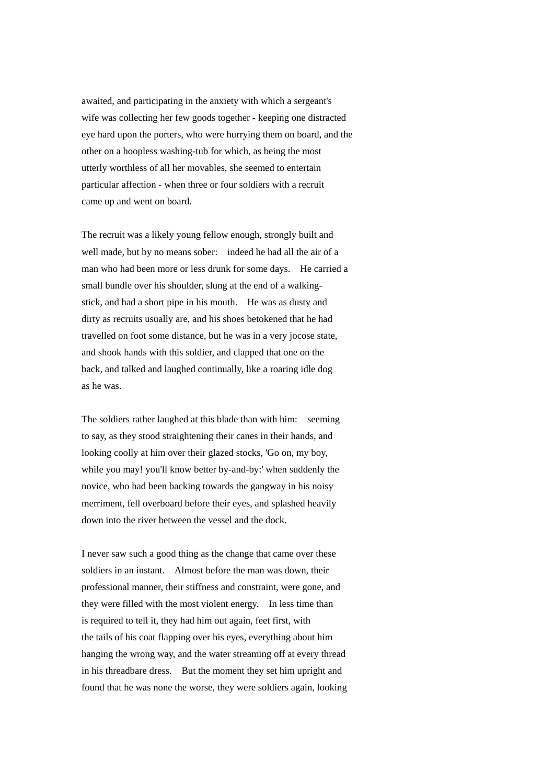awaited, and participating in the anxiety with which a sergeant's wife was collecting her few goods together - keeping one distracted eye hard upon the porters, who were hurrying them on board, and the other on a hoopless washing-tub for which, as being the most utterly worthless of all her movables, she seemed to entertain particular affection - when three or four soldiers with a recruit came up and went on board.

The recruit was a likely young fellow enough, strongly built and well made, but by no means sober: indeed he had all the air of a man who had been more or less drunk for some days. He carried a small bundle over his shoulder, slung at the end of a walkingstick, and had a short pipe in his mouth. He was as dusty and dirty as recruits usually are, and his shoes betokened that he had travelled on foot some distance, but he was in a very jocose state, and shook hands with this soldier, and clapped that one on the back, and talked and laughed continually, like a roaring idle dog as he was.

The soldiers rather laughed at this blade than with him: seeming to say, as they stood straightening their canes in their hands, and looking coolly at him over their glazed stocks, 'Go on, my boy, while you may! you'll know better by-and-by:' when suddenly the novice, who had been backing towards the gangway in his noisy merriment, fell overboard before their eyes, and splashed heavily down into the river between the vessel and the dock.

I never saw such a good thing as the change that came over these soldiers in an instant. Almost before the man was down, their professional manner, their stiffness and constraint, were gone, and they were filled with the most violent energy. In less time than is required to tell it, they had him out again, feet first, with the tails of his coat flapping over his eyes, everything about him hanging the wrong way, and the water streaming off at every thread in his threadbare dress. But the moment they set him upright and found that he was none the worse, they were soldiers again, looking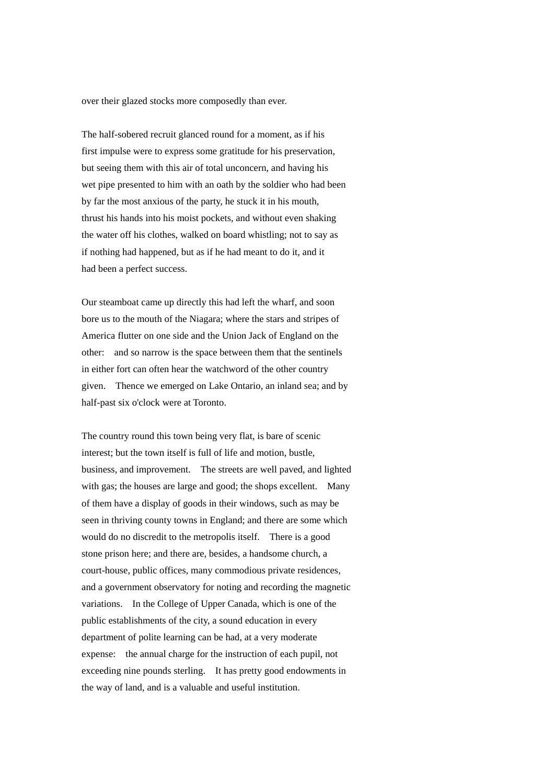over their glazed stocks more composedly than ever.

The half-sobered recruit glanced round for a moment, as if his first impulse were to express some gratitude for his preservation, but seeing them with this air of total unconcern, and having his wet pipe presented to him with an oath by the soldier who had been by far the most anxious of the party, he stuck it in his mouth, thrust his hands into his moist pockets, and without even shaking the water off his clothes, walked on board whistling; not to say as if nothing had happened, but as if he had meant to do it, and it had been a perfect success.

Our steamboat came up directly this had left the wharf, and soon bore us to the mouth of the Niagara; where the stars and stripes of America flutter on one side and the Union Jack of England on the other: and so narrow is the space between them that the sentinels in either fort can often hear the watchword of the other country given. Thence we emerged on Lake Ontario, an inland sea; and by half-past six o'clock were at Toronto.

The country round this town being very flat, is bare of scenic interest; but the town itself is full of life and motion, bustle, business, and improvement. The streets are well paved, and lighted with gas; the houses are large and good; the shops excellent. Many of them have a display of goods in their windows, such as may be seen in thriving county towns in England; and there are some which would do no discredit to the metropolis itself. There is a good stone prison here; and there are, besides, a handsome church, a court-house, public offices, many commodious private residences, and a government observatory for noting and recording the magnetic variations. In the College of Upper Canada, which is one of the public establishments of the city, a sound education in every department of polite learning can be had, at a very moderate expense: the annual charge for the instruction of each pupil, not exceeding nine pounds sterling. It has pretty good endowments in the way of land, and is a valuable and useful institution.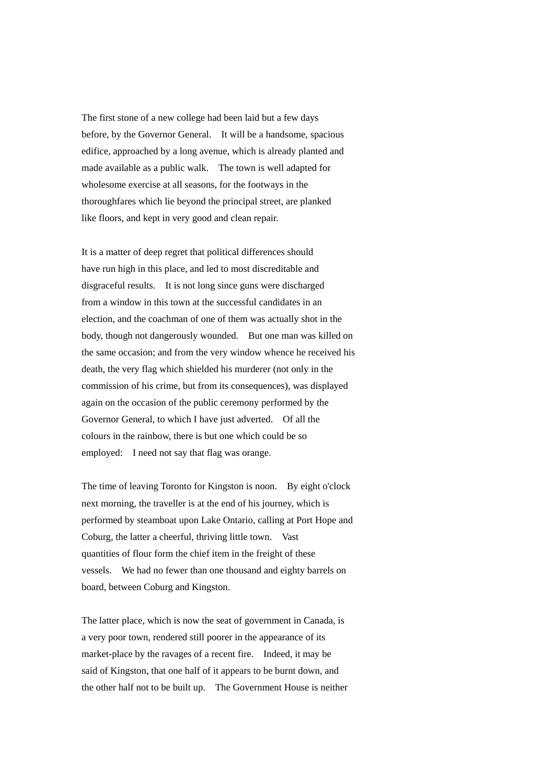The first stone of a new college had been laid but a few days before, by the Governor General. It will be a handsome, spacious edifice, approached by a long avenue, which is already planted and made available as a public walk. The town is well adapted for wholesome exercise at all seasons, for the footways in the thoroughfares which lie beyond the principal street, are planked like floors, and kept in very good and clean repair.

It is a matter of deep regret that political differences should have run high in this place, and led to most discreditable and disgraceful results. It is not long since guns were discharged from a window in this town at the successful candidates in an election, and the coachman of one of them was actually shot in the body, though not dangerously wounded. But one man was killed on the same occasion; and from the very window whence he received his death, the very flag which shielded his murderer (not only in the commission of his crime, but from its consequences), was displayed again on the occasion of the public ceremony performed by the Governor General, to which I have just adverted. Of all the colours in the rainbow, there is but one which could be so employed: I need not say that flag was orange.

The time of leaving Toronto for Kingston is noon. By eight o'clock next morning, the traveller is at the end of his journey, which is performed by steamboat upon Lake Ontario, calling at Port Hope and Coburg, the latter a cheerful, thriving little town. Vast quantities of flour form the chief item in the freight of these vessels. We had no fewer than one thousand and eighty barrels on board, between Coburg and Kingston.

The latter place, which is now the seat of government in Canada, is a very poor town, rendered still poorer in the appearance of its market-place by the ravages of a recent fire. Indeed, it may be said of Kingston, that one half of it appears to be burnt down, and the other half not to be built up. The Government House is neither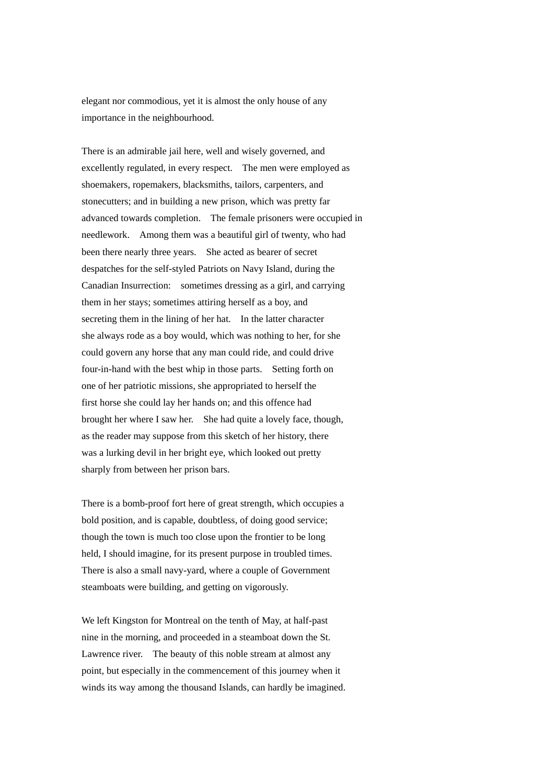elegant nor commodious, yet it is almost the only house of any importance in the neighbourhood.

There is an admirable jail here, well and wisely governed, and excellently regulated, in every respect. The men were employed as shoemakers, ropemakers, blacksmiths, tailors, carpenters, and stonecutters; and in building a new prison, which was pretty far advanced towards completion. The female prisoners were occupied in needlework. Among them was a beautiful girl of twenty, who had been there nearly three years. She acted as bearer of secret despatches for the self-styled Patriots on Navy Island, during the Canadian Insurrection: sometimes dressing as a girl, and carrying them in her stays; sometimes attiring herself as a boy, and secreting them in the lining of her hat. In the latter character she always rode as a boy would, which was nothing to her, for she could govern any horse that any man could ride, and could drive four-in-hand with the best whip in those parts. Setting forth on one of her patriotic missions, she appropriated to herself the first horse she could lay her hands on; and this offence had brought her where I saw her. She had quite a lovely face, though, as the reader may suppose from this sketch of her history, there was a lurking devil in her bright eye, which looked out pretty sharply from between her prison bars.

There is a bomb-proof fort here of great strength, which occupies a bold position, and is capable, doubtless, of doing good service; though the town is much too close upon the frontier to be long held, I should imagine, for its present purpose in troubled times. There is also a small navy-yard, where a couple of Government steamboats were building, and getting on vigorously.

We left Kingston for Montreal on the tenth of May, at half-past nine in the morning, and proceeded in a steamboat down the St. Lawrence river. The beauty of this noble stream at almost any point, but especially in the commencement of this journey when it winds its way among the thousand Islands, can hardly be imagined.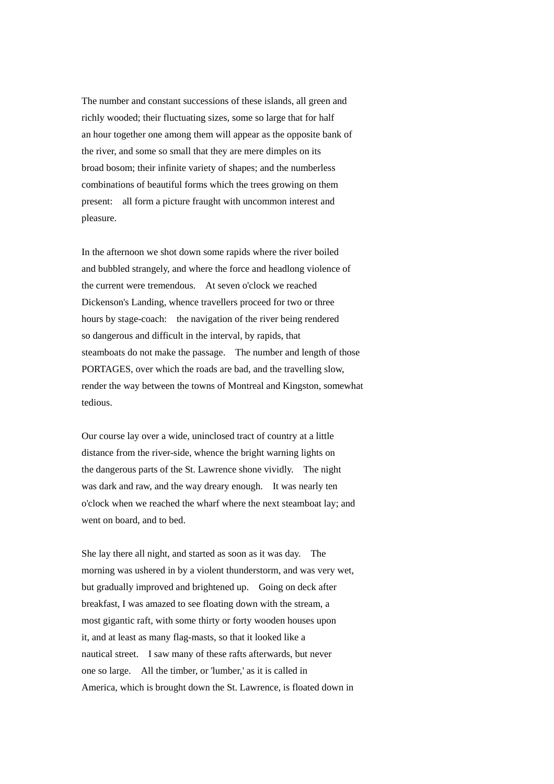The number and constant successions of these islands, all green and richly wooded; their fluctuating sizes, some so large that for half an hour together one among them will appear as the opposite bank of the river, and some so small that they are mere dimples on its broad bosom; their infinite variety of shapes; and the numberless combinations of beautiful forms which the trees growing on them present: all form a picture fraught with uncommon interest and pleasure.

In the afternoon we shot down some rapids where the river boiled and bubbled strangely, and where the force and headlong violence of the current were tremendous. At seven o'clock we reached Dickenson's Landing, whence travellers proceed for two or three hours by stage-coach: the navigation of the river being rendered so dangerous and difficult in the interval, by rapids, that steamboats do not make the passage. The number and length of those PORTAGES, over which the roads are bad, and the travelling slow, render the way between the towns of Montreal and Kingston, somewhat tedious.

Our course lay over a wide, uninclosed tract of country at a little distance from the river-side, whence the bright warning lights on the dangerous parts of the St. Lawrence shone vividly. The night was dark and raw, and the way dreary enough. It was nearly ten o'clock when we reached the wharf where the next steamboat lay; and went on board, and to bed.

She lay there all night, and started as soon as it was day. The morning was ushered in by a violent thunderstorm, and was very wet, but gradually improved and brightened up. Going on deck after breakfast, I was amazed to see floating down with the stream, a most gigantic raft, with some thirty or forty wooden houses upon it, and at least as many flag-masts, so that it looked like a nautical street. I saw many of these rafts afterwards, but never one so large. All the timber, or 'lumber,' as it is called in America, which is brought down the St. Lawrence, is floated down in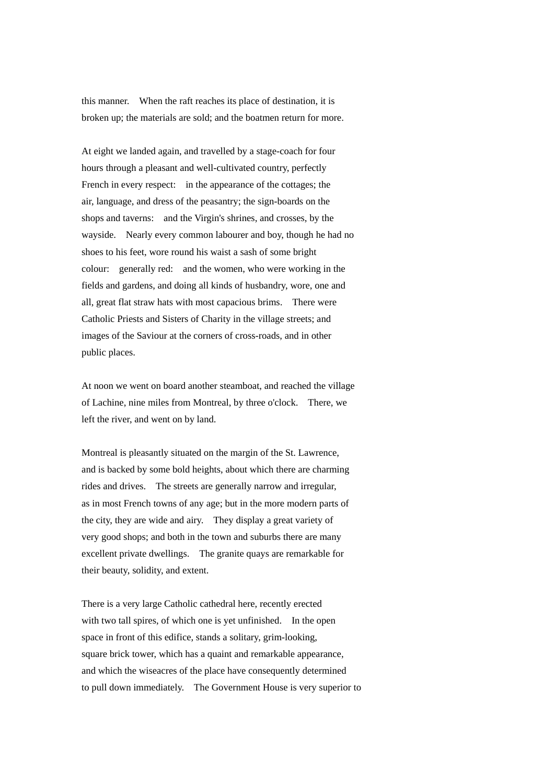this manner. When the raft reaches its place of destination, it is broken up; the materials are sold; and the boatmen return for more.

At eight we landed again, and travelled by a stage-coach for four hours through a pleasant and well-cultivated country, perfectly French in every respect: in the appearance of the cottages; the air, language, and dress of the peasantry; the sign-boards on the shops and taverns: and the Virgin's shrines, and crosses, by the wayside. Nearly every common labourer and boy, though he had no shoes to his feet, wore round his waist a sash of some bright colour: generally red: and the women, who were working in the fields and gardens, and doing all kinds of husbandry, wore, one and all, great flat straw hats with most capacious brims. There were Catholic Priests and Sisters of Charity in the village streets; and images of the Saviour at the corners of cross-roads, and in other public places.

At noon we went on board another steamboat, and reached the village of Lachine, nine miles from Montreal, by three o'clock. There, we left the river, and went on by land.

Montreal is pleasantly situated on the margin of the St. Lawrence, and is backed by some bold heights, about which there are charming rides and drives. The streets are generally narrow and irregular, as in most French towns of any age; but in the more modern parts of the city, they are wide and airy. They display a great variety of very good shops; and both in the town and suburbs there are many excellent private dwellings. The granite quays are remarkable for their beauty, solidity, and extent.

There is a very large Catholic cathedral here, recently erected with two tall spires, of which one is yet unfinished. In the open space in front of this edifice, stands a solitary, grim-looking, square brick tower, which has a quaint and remarkable appearance, and which the wiseacres of the place have consequently determined to pull down immediately. The Government House is very superior to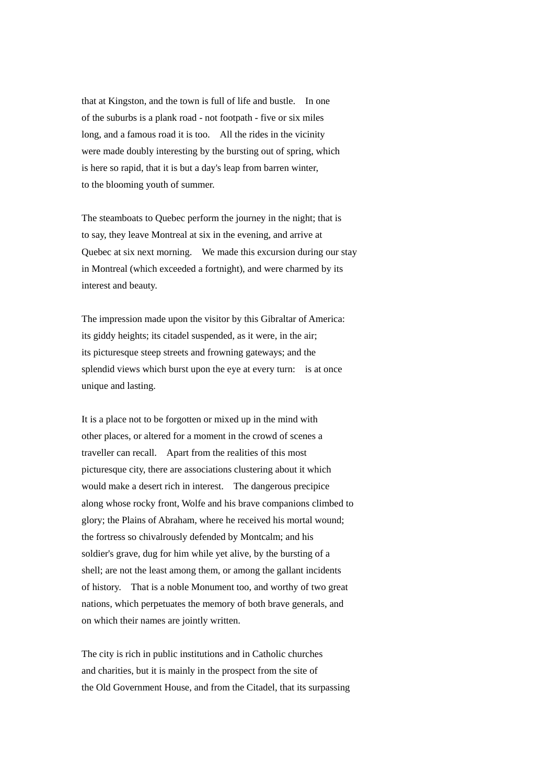that at Kingston, and the town is full of life and bustle. In one of the suburbs is a plank road - not footpath - five or six miles long, and a famous road it is too. All the rides in the vicinity were made doubly interesting by the bursting out of spring, which is here so rapid, that it is but a day's leap from barren winter, to the blooming youth of summer.

The steamboats to Quebec perform the journey in the night; that is to say, they leave Montreal at six in the evening, and arrive at Quebec at six next morning. We made this excursion during our stay in Montreal (which exceeded a fortnight), and were charmed by its interest and beauty.

The impression made upon the visitor by this Gibraltar of America: its giddy heights; its citadel suspended, as it were, in the air; its picturesque steep streets and frowning gateways; and the splendid views which burst upon the eye at every turn: is at once unique and lasting.

It is a place not to be forgotten or mixed up in the mind with other places, or altered for a moment in the crowd of scenes a traveller can recall. Apart from the realities of this most picturesque city, there are associations clustering about it which would make a desert rich in interest. The dangerous precipice along whose rocky front, Wolfe and his brave companions climbed to glory; the Plains of Abraham, where he received his mortal wound; the fortress so chivalrously defended by Montcalm; and his soldier's grave, dug for him while yet alive, by the bursting of a shell; are not the least among them, or among the gallant incidents of history. That is a noble Monument too, and worthy of two great nations, which perpetuates the memory of both brave generals, and on which their names are jointly written.

The city is rich in public institutions and in Catholic churches and charities, but it is mainly in the prospect from the site of the Old Government House, and from the Citadel, that its surpassing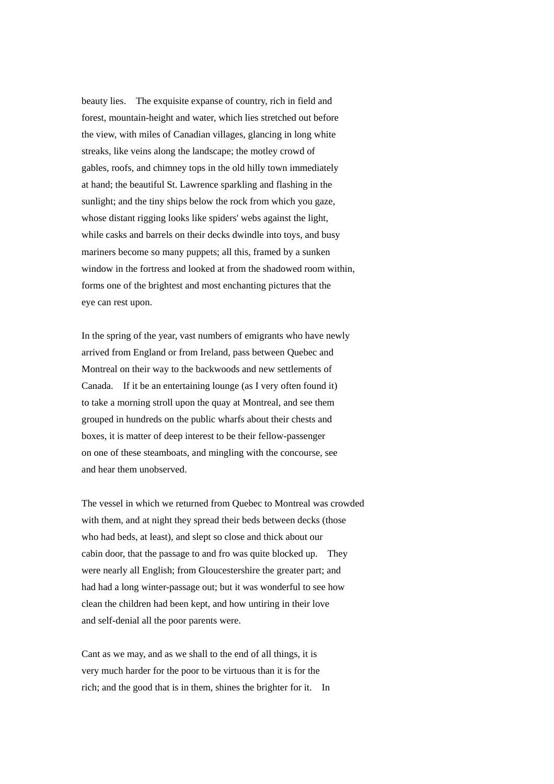beauty lies. The exquisite expanse of country, rich in field and forest, mountain-height and water, which lies stretched out before the view, with miles of Canadian villages, glancing in long white streaks, like veins along the landscape; the motley crowd of gables, roofs, and chimney tops in the old hilly town immediately at hand; the beautiful St. Lawrence sparkling and flashing in the sunlight; and the tiny ships below the rock from which you gaze, whose distant rigging looks like spiders' webs against the light, while casks and barrels on their decks dwindle into toys, and busy mariners become so many puppets; all this, framed by a sunken window in the fortress and looked at from the shadowed room within, forms one of the brightest and most enchanting pictures that the eye can rest upon.

In the spring of the year, vast numbers of emigrants who have newly arrived from England or from Ireland, pass between Quebec and Montreal on their way to the backwoods and new settlements of Canada. If it be an entertaining lounge (as I very often found it) to take a morning stroll upon the quay at Montreal, and see them grouped in hundreds on the public wharfs about their chests and boxes, it is matter of deep interest to be their fellow-passenger on one of these steamboats, and mingling with the concourse, see and hear them unobserved.

The vessel in which we returned from Quebec to Montreal was crowded with them, and at night they spread their beds between decks (those who had beds, at least), and slept so close and thick about our cabin door, that the passage to and fro was quite blocked up. They were nearly all English; from Gloucestershire the greater part; and had had a long winter-passage out; but it was wonderful to see how clean the children had been kept, and how untiring in their love and self-denial all the poor parents were.

Cant as we may, and as we shall to the end of all things, it is very much harder for the poor to be virtuous than it is for the rich; and the good that is in them, shines the brighter for it. In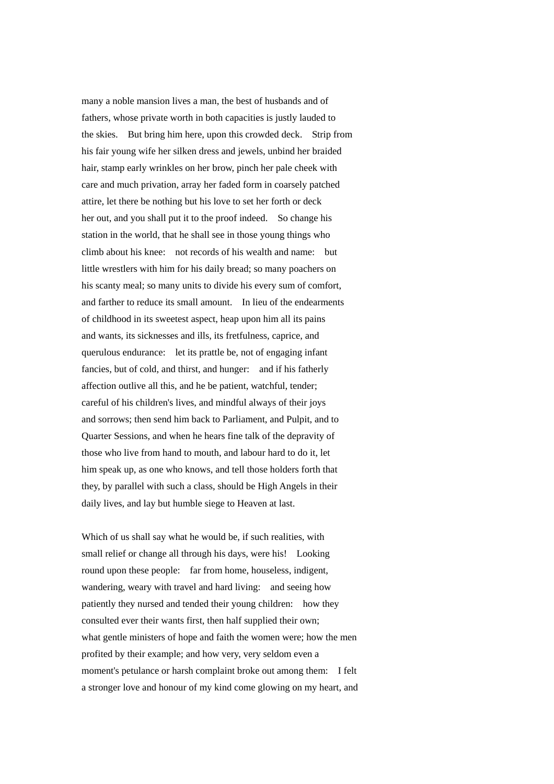many a noble mansion lives a man, the best of husbands and of fathers, whose private worth in both capacities is justly lauded to the skies. But bring him here, upon this crowded deck. Strip from his fair young wife her silken dress and jewels, unbind her braided hair, stamp early wrinkles on her brow, pinch her pale cheek with care and much privation, array her faded form in coarsely patched attire, let there be nothing but his love to set her forth or deck her out, and you shall put it to the proof indeed. So change his station in the world, that he shall see in those young things who climb about his knee: not records of his wealth and name: but little wrestlers with him for his daily bread; so many poachers on his scanty meal; so many units to divide his every sum of comfort, and farther to reduce its small amount. In lieu of the endearments of childhood in its sweetest aspect, heap upon him all its pains and wants, its sicknesses and ills, its fretfulness, caprice, and querulous endurance: let its prattle be, not of engaging infant fancies, but of cold, and thirst, and hunger: and if his fatherly affection outlive all this, and he be patient, watchful, tender; careful of his children's lives, and mindful always of their joys and sorrows; then send him back to Parliament, and Pulpit, and to Quarter Sessions, and when he hears fine talk of the depravity of those who live from hand to mouth, and labour hard to do it, let him speak up, as one who knows, and tell those holders forth that they, by parallel with such a class, should be High Angels in their daily lives, and lay but humble siege to Heaven at last.

Which of us shall say what he would be, if such realities, with small relief or change all through his days, were his! Looking round upon these people: far from home, houseless, indigent, wandering, weary with travel and hard living: and seeing how patiently they nursed and tended their young children: how they consulted ever their wants first, then half supplied their own; what gentle ministers of hope and faith the women were; how the men profited by their example; and how very, very seldom even a moment's petulance or harsh complaint broke out among them: I felt a stronger love and honour of my kind come glowing on my heart, and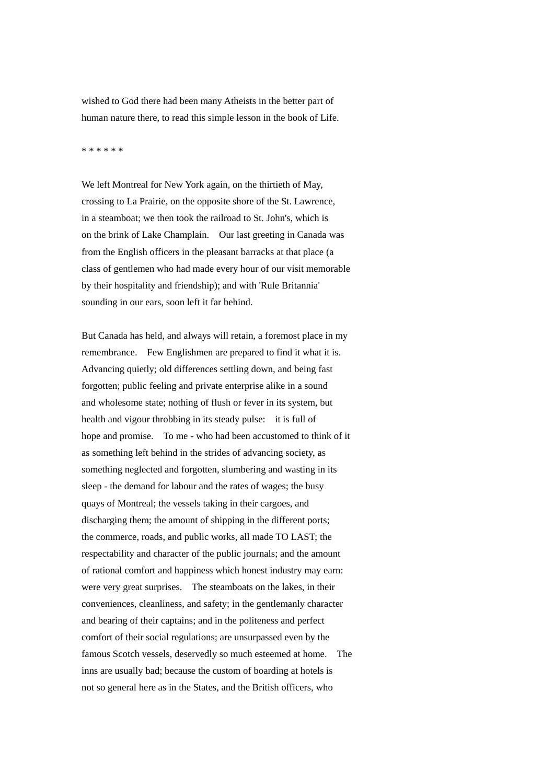wished to God there had been many Atheists in the better part of human nature there, to read this simple lesson in the book of Life.

## \* \* \* \* \* \*

We left Montreal for New York again, on the thirtieth of May, crossing to La Prairie, on the opposite shore of the St. Lawrence, in a steamboat; we then took the railroad to St. John's, which is on the brink of Lake Champlain. Our last greeting in Canada was from the English officers in the pleasant barracks at that place (a class of gentlemen who had made every hour of our visit memorable by their hospitality and friendship); and with 'Rule Britannia' sounding in our ears, soon left it far behind.

But Canada has held, and always will retain, a foremost place in my remembrance. Few Englishmen are prepared to find it what it is. Advancing quietly; old differences settling down, and being fast forgotten; public feeling and private enterprise alike in a sound and wholesome state; nothing of flush or fever in its system, but health and vigour throbbing in its steady pulse: it is full of hope and promise. To me - who had been accustomed to think of it as something left behind in the strides of advancing society, as something neglected and forgotten, slumbering and wasting in its sleep - the demand for labour and the rates of wages; the busy quays of Montreal; the vessels taking in their cargoes, and discharging them; the amount of shipping in the different ports; the commerce, roads, and public works, all made TO LAST; the respectability and character of the public journals; and the amount of rational comfort and happiness which honest industry may earn: were very great surprises. The steamboats on the lakes, in their conveniences, cleanliness, and safety; in the gentlemanly character and bearing of their captains; and in the politeness and perfect comfort of their social regulations; are unsurpassed even by the famous Scotch vessels, deservedly so much esteemed at home. The inns are usually bad; because the custom of boarding at hotels is not so general here as in the States, and the British officers, who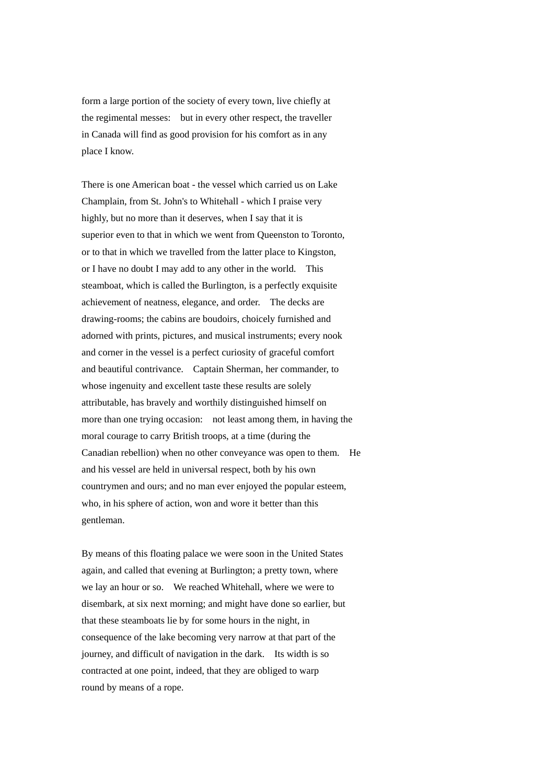form a large portion of the society of every town, live chiefly at the regimental messes: but in every other respect, the traveller in Canada will find as good provision for his comfort as in any place I know.

There is one American boat - the vessel which carried us on Lake Champlain, from St. John's to Whitehall - which I praise very highly, but no more than it deserves, when I say that it is superior even to that in which we went from Queenston to Toronto, or to that in which we travelled from the latter place to Kingston, or I have no doubt I may add to any other in the world. This steamboat, which is called the Burlington, is a perfectly exquisite achievement of neatness, elegance, and order. The decks are drawing-rooms; the cabins are boudoirs, choicely furnished and adorned with prints, pictures, and musical instruments; every nook and corner in the vessel is a perfect curiosity of graceful comfort and beautiful contrivance. Captain Sherman, her commander, to whose ingenuity and excellent taste these results are solely attributable, has bravely and worthily distinguished himself on more than one trying occasion: not least among them, in having the moral courage to carry British troops, at a time (during the Canadian rebellion) when no other conveyance was open to them. He and his vessel are held in universal respect, both by his own countrymen and ours; and no man ever enjoyed the popular esteem, who, in his sphere of action, won and wore it better than this gentleman.

By means of this floating palace we were soon in the United States again, and called that evening at Burlington; a pretty town, where we lay an hour or so. We reached Whitehall, where we were to disembark, at six next morning; and might have done so earlier, but that these steamboats lie by for some hours in the night, in consequence of the lake becoming very narrow at that part of the journey, and difficult of navigation in the dark. Its width is so contracted at one point, indeed, that they are obliged to warp round by means of a rope.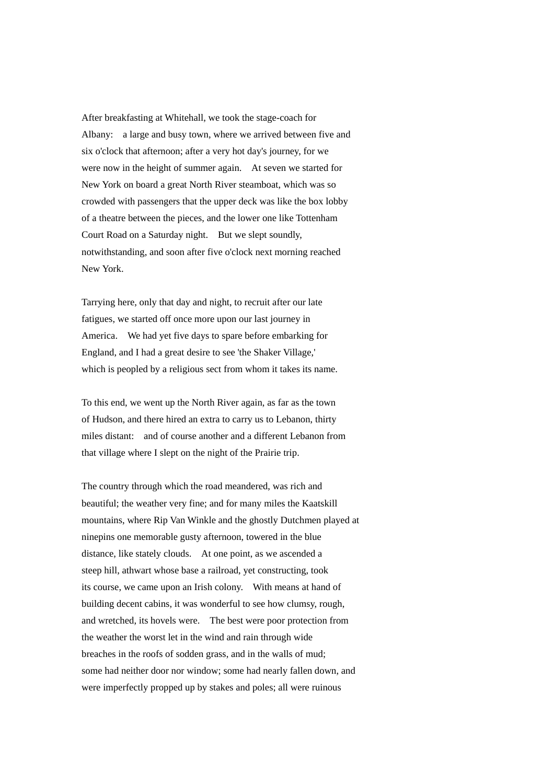After breakfasting at Whitehall, we took the stage-coach for Albany: a large and busy town, where we arrived between five and six o'clock that afternoon; after a very hot day's journey, for we were now in the height of summer again. At seven we started for New York on board a great North River steamboat, which was so crowded with passengers that the upper deck was like the box lobby of a theatre between the pieces, and the lower one like Tottenham Court Road on a Saturday night. But we slept soundly, notwithstanding, and soon after five o'clock next morning reached New York.

Tarrying here, only that day and night, to recruit after our late fatigues, we started off once more upon our last journey in America. We had yet five days to spare before embarking for England, and I had a great desire to see 'the Shaker Village,' which is peopled by a religious sect from whom it takes its name.

To this end, we went up the North River again, as far as the town of Hudson, and there hired an extra to carry us to Lebanon, thirty miles distant: and of course another and a different Lebanon from that village where I slept on the night of the Prairie trip.

The country through which the road meandered, was rich and beautiful; the weather very fine; and for many miles the Kaatskill mountains, where Rip Van Winkle and the ghostly Dutchmen played at ninepins one memorable gusty afternoon, towered in the blue distance, like stately clouds. At one point, as we ascended a steep hill, athwart whose base a railroad, yet constructing, took its course, we came upon an Irish colony. With means at hand of building decent cabins, it was wonderful to see how clumsy, rough, and wretched, its hovels were. The best were poor protection from the weather the worst let in the wind and rain through wide breaches in the roofs of sodden grass, and in the walls of mud; some had neither door nor window; some had nearly fallen down, and were imperfectly propped up by stakes and poles; all were ruinous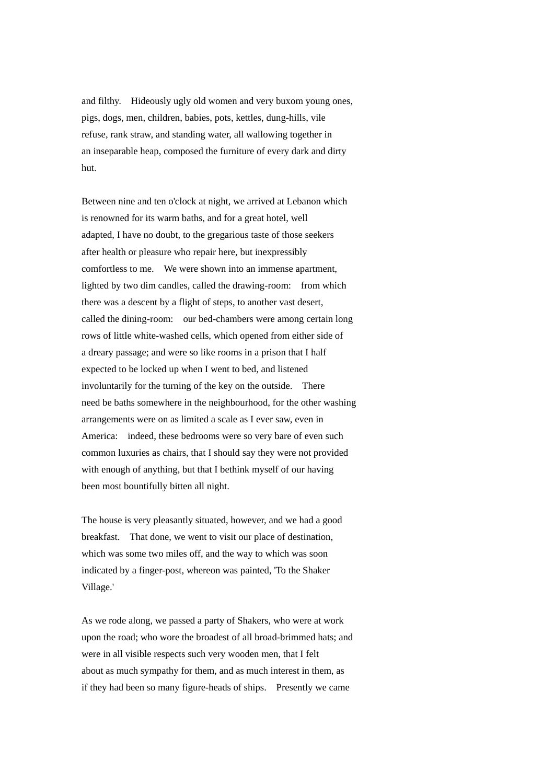and filthy. Hideously ugly old women and very buxom young ones, pigs, dogs, men, children, babies, pots, kettles, dung-hills, vile refuse, rank straw, and standing water, all wallowing together in an inseparable heap, composed the furniture of every dark and dirty hut.

Between nine and ten o'clock at night, we arrived at Lebanon which is renowned for its warm baths, and for a great hotel, well adapted, I have no doubt, to the gregarious taste of those seekers after health or pleasure who repair here, but inexpressibly comfortless to me. We were shown into an immense apartment, lighted by two dim candles, called the drawing-room: from which there was a descent by a flight of steps, to another vast desert, called the dining-room: our bed-chambers were among certain long rows of little white-washed cells, which opened from either side of a dreary passage; and were so like rooms in a prison that I half expected to be locked up when I went to bed, and listened involuntarily for the turning of the key on the outside. There need be baths somewhere in the neighbourhood, for the other washing arrangements were on as limited a scale as I ever saw, even in America: indeed, these bedrooms were so very bare of even such common luxuries as chairs, that I should say they were not provided with enough of anything, but that I bethink myself of our having been most bountifully bitten all night.

The house is very pleasantly situated, however, and we had a good breakfast. That done, we went to visit our place of destination, which was some two miles off, and the way to which was soon indicated by a finger-post, whereon was painted, 'To the Shaker Village.'

As we rode along, we passed a party of Shakers, who were at work upon the road; who wore the broadest of all broad-brimmed hats; and were in all visible respects such very wooden men, that I felt about as much sympathy for them, and as much interest in them, as if they had been so many figure-heads of ships. Presently we came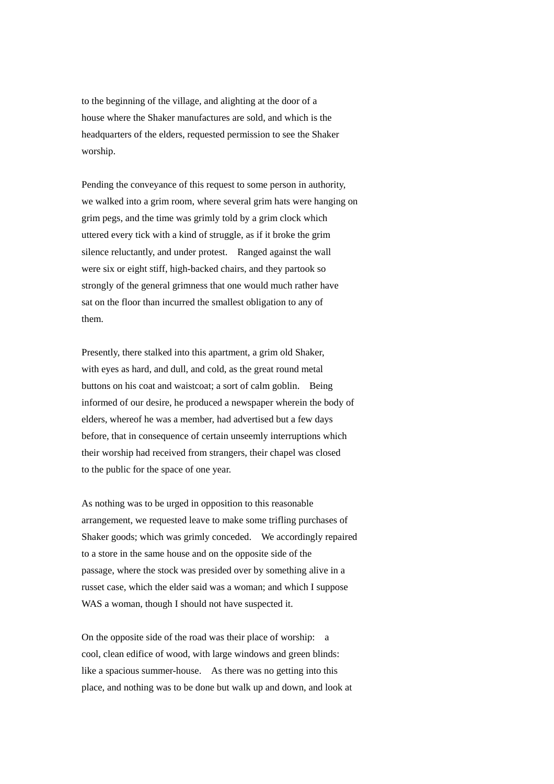to the beginning of the village, and alighting at the door of a house where the Shaker manufactures are sold, and which is the headquarters of the elders, requested permission to see the Shaker worship.

Pending the conveyance of this request to some person in authority, we walked into a grim room, where several grim hats were hanging on grim pegs, and the time was grimly told by a grim clock which uttered every tick with a kind of struggle, as if it broke the grim silence reluctantly, and under protest. Ranged against the wall were six or eight stiff, high-backed chairs, and they partook so strongly of the general grimness that one would much rather have sat on the floor than incurred the smallest obligation to any of them.

Presently, there stalked into this apartment, a grim old Shaker, with eyes as hard, and dull, and cold, as the great round metal buttons on his coat and waistcoat; a sort of calm goblin. Being informed of our desire, he produced a newspaper wherein the body of elders, whereof he was a member, had advertised but a few days before, that in consequence of certain unseemly interruptions which their worship had received from strangers, their chapel was closed to the public for the space of one year.

As nothing was to be urged in opposition to this reasonable arrangement, we requested leave to make some trifling purchases of Shaker goods; which was grimly conceded. We accordingly repaired to a store in the same house and on the opposite side of the passage, where the stock was presided over by something alive in a russet case, which the elder said was a woman; and which I suppose WAS a woman, though I should not have suspected it.

On the opposite side of the road was their place of worship: a cool, clean edifice of wood, with large windows and green blinds: like a spacious summer-house. As there was no getting into this place, and nothing was to be done but walk up and down, and look at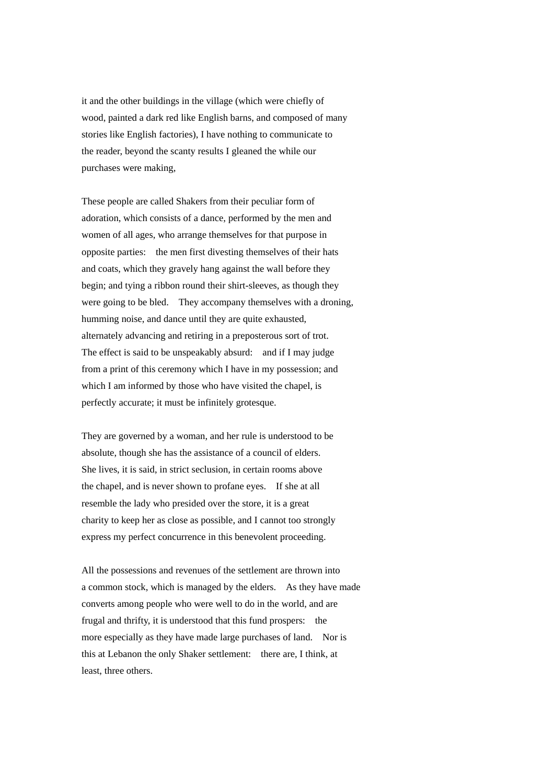it and the other buildings in the village (which were chiefly of wood, painted a dark red like English barns, and composed of many stories like English factories), I have nothing to communicate to the reader, beyond the scanty results I gleaned the while our purchases were making,

These people are called Shakers from their peculiar form of adoration, which consists of a dance, performed by the men and women of all ages, who arrange themselves for that purpose in opposite parties: the men first divesting themselves of their hats and coats, which they gravely hang against the wall before they begin; and tying a ribbon round their shirt-sleeves, as though they were going to be bled. They accompany themselves with a droning, humming noise, and dance until they are quite exhausted, alternately advancing and retiring in a preposterous sort of trot. The effect is said to be unspeakably absurd: and if I may judge from a print of this ceremony which I have in my possession; and which I am informed by those who have visited the chapel, is perfectly accurate; it must be infinitely grotesque.

They are governed by a woman, and her rule is understood to be absolute, though she has the assistance of a council of elders. She lives, it is said, in strict seclusion, in certain rooms above the chapel, and is never shown to profane eyes. If she at all resemble the lady who presided over the store, it is a great charity to keep her as close as possible, and I cannot too strongly express my perfect concurrence in this benevolent proceeding.

All the possessions and revenues of the settlement are thrown into a common stock, which is managed by the elders. As they have made converts among people who were well to do in the world, and are frugal and thrifty, it is understood that this fund prospers: the more especially as they have made large purchases of land. Nor is this at Lebanon the only Shaker settlement: there are, I think, at least, three others.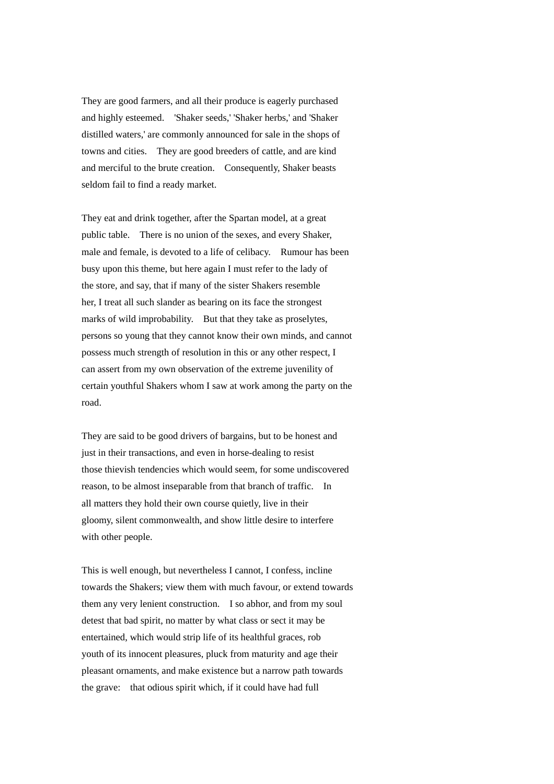They are good farmers, and all their produce is eagerly purchased and highly esteemed. 'Shaker seeds,' 'Shaker herbs,' and 'Shaker distilled waters,' are commonly announced for sale in the shops of towns and cities. They are good breeders of cattle, and are kind and merciful to the brute creation. Consequently, Shaker beasts seldom fail to find a ready market.

They eat and drink together, after the Spartan model, at a great public table. There is no union of the sexes, and every Shaker, male and female, is devoted to a life of celibacy. Rumour has been busy upon this theme, but here again I must refer to the lady of the store, and say, that if many of the sister Shakers resemble her, I treat all such slander as bearing on its face the strongest marks of wild improbability. But that they take as proselytes, persons so young that they cannot know their own minds, and cannot possess much strength of resolution in this or any other respect, I can assert from my own observation of the extreme juvenility of certain youthful Shakers whom I saw at work among the party on the road.

They are said to be good drivers of bargains, but to be honest and just in their transactions, and even in horse-dealing to resist those thievish tendencies which would seem, for some undiscovered reason, to be almost inseparable from that branch of traffic. In all matters they hold their own course quietly, live in their gloomy, silent commonwealth, and show little desire to interfere with other people.

This is well enough, but nevertheless I cannot, I confess, incline towards the Shakers; view them with much favour, or extend towards them any very lenient construction. I so abhor, and from my soul detest that bad spirit, no matter by what class or sect it may be entertained, which would strip life of its healthful graces, rob youth of its innocent pleasures, pluck from maturity and age their pleasant ornaments, and make existence but a narrow path towards the grave: that odious spirit which, if it could have had full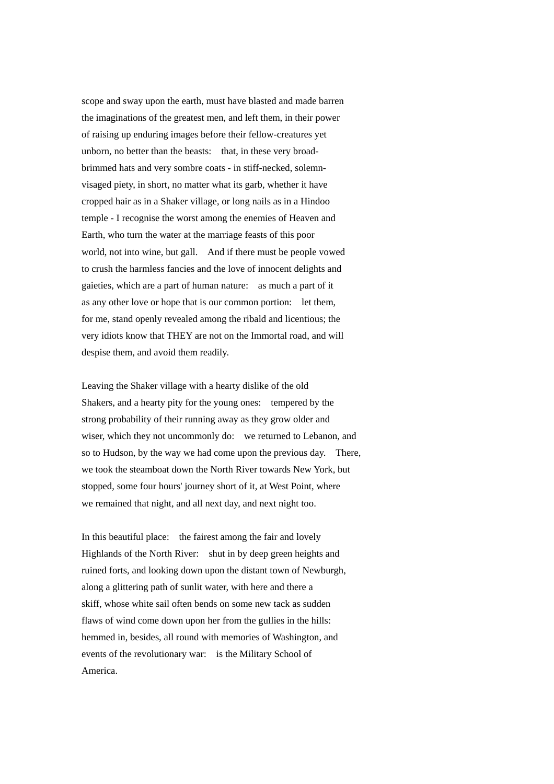scope and sway upon the earth, must have blasted and made barren the imaginations of the greatest men, and left them, in their power of raising up enduring images before their fellow-creatures yet unborn, no better than the beasts: that, in these very broadbrimmed hats and very sombre coats - in stiff-necked, solemnvisaged piety, in short, no matter what its garb, whether it have cropped hair as in a Shaker village, or long nails as in a Hindoo temple - I recognise the worst among the enemies of Heaven and Earth, who turn the water at the marriage feasts of this poor world, not into wine, but gall. And if there must be people vowed to crush the harmless fancies and the love of innocent delights and gaieties, which are a part of human nature: as much a part of it as any other love or hope that is our common portion: let them, for me, stand openly revealed among the ribald and licentious; the very idiots know that THEY are not on the Immortal road, and will despise them, and avoid them readily.

Leaving the Shaker village with a hearty dislike of the old Shakers, and a hearty pity for the young ones: tempered by the strong probability of their running away as they grow older and wiser, which they not uncommonly do: we returned to Lebanon, and so to Hudson, by the way we had come upon the previous day. There, we took the steamboat down the North River towards New York, but stopped, some four hours' journey short of it, at West Point, where we remained that night, and all next day, and next night too.

In this beautiful place: the fairest among the fair and lovely Highlands of the North River: shut in by deep green heights and ruined forts, and looking down upon the distant town of Newburgh, along a glittering path of sunlit water, with here and there a skiff, whose white sail often bends on some new tack as sudden flaws of wind come down upon her from the gullies in the hills: hemmed in, besides, all round with memories of Washington, and events of the revolutionary war: is the Military School of America.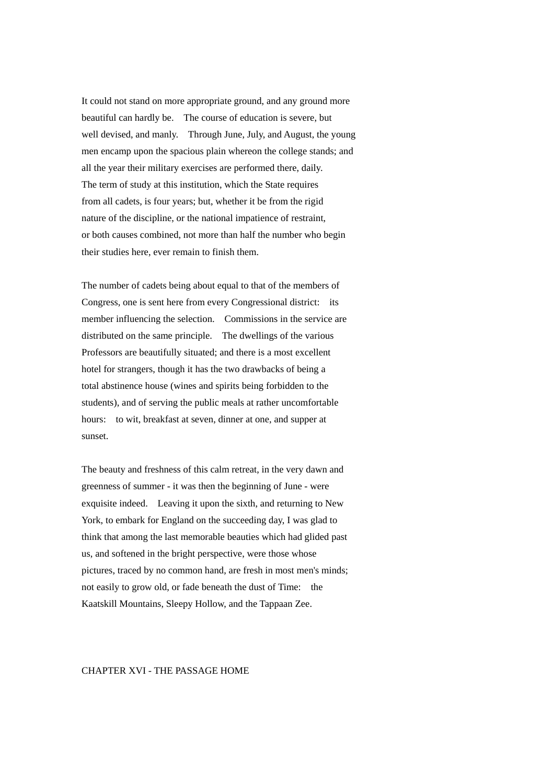It could not stand on more appropriate ground, and any ground more beautiful can hardly be. The course of education is severe, but well devised, and manly. Through June, July, and August, the young men encamp upon the spacious plain whereon the college stands; and all the year their military exercises are performed there, daily. The term of study at this institution, which the State requires from all cadets, is four years; but, whether it be from the rigid nature of the discipline, or the national impatience of restraint, or both causes combined, not more than half the number who begin their studies here, ever remain to finish them.

The number of cadets being about equal to that of the members of Congress, one is sent here from every Congressional district: its member influencing the selection. Commissions in the service are distributed on the same principle. The dwellings of the various Professors are beautifully situated; and there is a most excellent hotel for strangers, though it has the two drawbacks of being a total abstinence house (wines and spirits being forbidden to the students), and of serving the public meals at rather uncomfortable hours: to wit, breakfast at seven, dinner at one, and supper at sunset.

The beauty and freshness of this calm retreat, in the very dawn and greenness of summer - it was then the beginning of June - were exquisite indeed. Leaving it upon the sixth, and returning to New York, to embark for England on the succeeding day, I was glad to think that among the last memorable beauties which had glided past us, and softened in the bright perspective, were those whose pictures, traced by no common hand, are fresh in most men's minds; not easily to grow old, or fade beneath the dust of Time: the Kaatskill Mountains, Sleepy Hollow, and the Tappaan Zee.

# CHAPTER XVI - THE PASSAGE HOME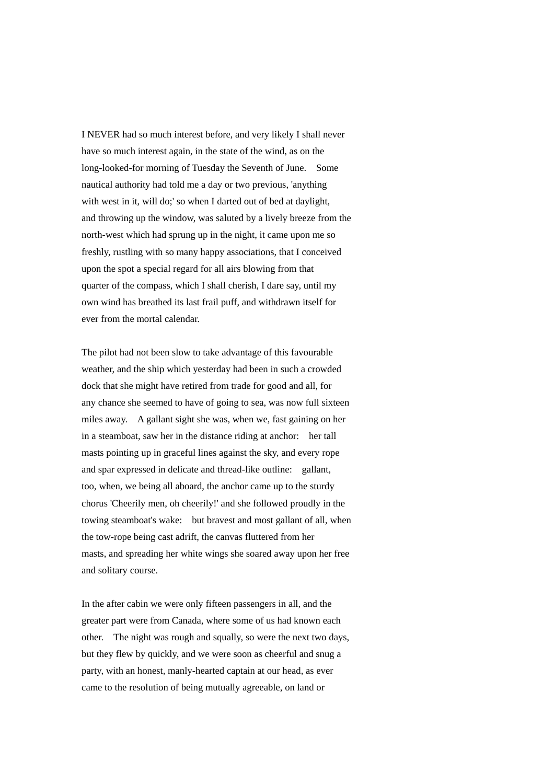I NEVER had so much interest before, and very likely I shall never have so much interest again, in the state of the wind, as on the long-looked-for morning of Tuesday the Seventh of June. Some nautical authority had told me a day or two previous, 'anything with west in it, will do;' so when I darted out of bed at daylight, and throwing up the window, was saluted by a lively breeze from the north-west which had sprung up in the night, it came upon me so freshly, rustling with so many happy associations, that I conceived upon the spot a special regard for all airs blowing from that quarter of the compass, which I shall cherish, I dare say, until my own wind has breathed its last frail puff, and withdrawn itself for ever from the mortal calendar.

The pilot had not been slow to take advantage of this favourable weather, and the ship which yesterday had been in such a crowded dock that she might have retired from trade for good and all, for any chance she seemed to have of going to sea, was now full sixteen miles away. A gallant sight she was, when we, fast gaining on her in a steamboat, saw her in the distance riding at anchor: her tall masts pointing up in graceful lines against the sky, and every rope and spar expressed in delicate and thread-like outline: gallant, too, when, we being all aboard, the anchor came up to the sturdy chorus 'Cheerily men, oh cheerily!' and she followed proudly in the towing steamboat's wake: but bravest and most gallant of all, when the tow-rope being cast adrift, the canvas fluttered from her masts, and spreading her white wings she soared away upon her free and solitary course.

In the after cabin we were only fifteen passengers in all, and the greater part were from Canada, where some of us had known each other. The night was rough and squally, so were the next two days, but they flew by quickly, and we were soon as cheerful and snug a party, with an honest, manly-hearted captain at our head, as ever came to the resolution of being mutually agreeable, on land or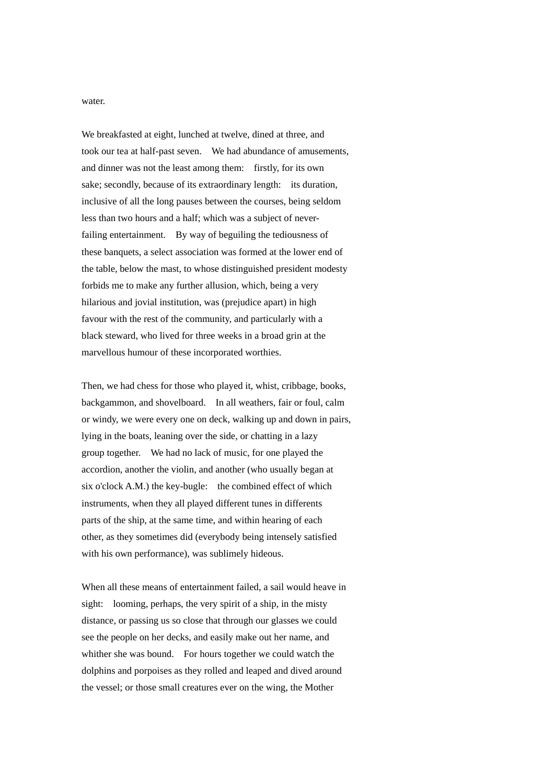water.

We breakfasted at eight, lunched at twelve, dined at three, and took our tea at half-past seven. We had abundance of amusements, and dinner was not the least among them: firstly, for its own sake; secondly, because of its extraordinary length: its duration, inclusive of all the long pauses between the courses, being seldom less than two hours and a half; which was a subject of neverfailing entertainment. By way of beguiling the tediousness of these banquets, a select association was formed at the lower end of the table, below the mast, to whose distinguished president modesty forbids me to make any further allusion, which, being a very hilarious and jovial institution, was (prejudice apart) in high favour with the rest of the community, and particularly with a black steward, who lived for three weeks in a broad grin at the marvellous humour of these incorporated worthies.

Then, we had chess for those who played it, whist, cribbage, books, backgammon, and shovelboard. In all weathers, fair or foul, calm or windy, we were every one on deck, walking up and down in pairs, lying in the boats, leaning over the side, or chatting in a lazy group together. We had no lack of music, for one played the accordion, another the violin, and another (who usually began at six o'clock A.M.) the key-bugle: the combined effect of which instruments, when they all played different tunes in differents parts of the ship, at the same time, and within hearing of each other, as they sometimes did (everybody being intensely satisfied with his own performance), was sublimely hideous.

When all these means of entertainment failed, a sail would heave in sight: looming, perhaps, the very spirit of a ship, in the misty distance, or passing us so close that through our glasses we could see the people on her decks, and easily make out her name, and whither she was bound. For hours together we could watch the dolphins and porpoises as they rolled and leaped and dived around the vessel; or those small creatures ever on the wing, the Mother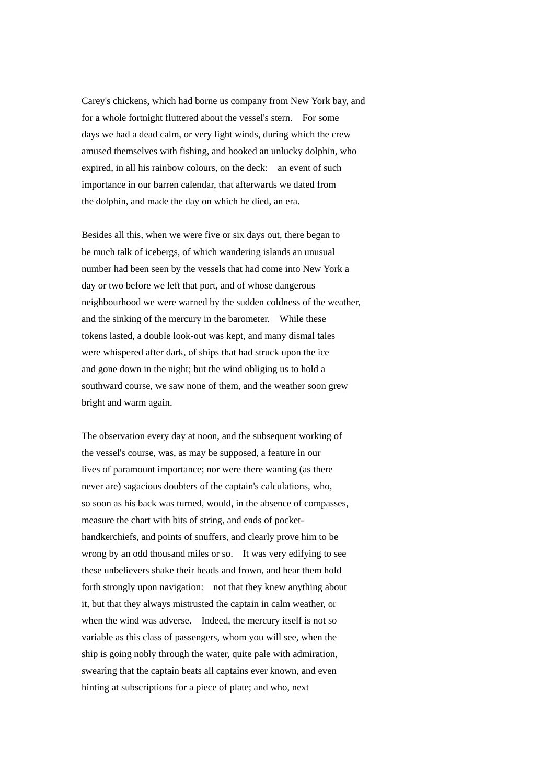Carey's chickens, which had borne us company from New York bay, and for a whole fortnight fluttered about the vessel's stern. For some days we had a dead calm, or very light winds, during which the crew amused themselves with fishing, and hooked an unlucky dolphin, who expired, in all his rainbow colours, on the deck: an event of such importance in our barren calendar, that afterwards we dated from the dolphin, and made the day on which he died, an era.

Besides all this, when we were five or six days out, there began to be much talk of icebergs, of which wandering islands an unusual number had been seen by the vessels that had come into New York a day or two before we left that port, and of whose dangerous neighbourhood we were warned by the sudden coldness of the weather, and the sinking of the mercury in the barometer. While these tokens lasted, a double look-out was kept, and many dismal tales were whispered after dark, of ships that had struck upon the ice and gone down in the night; but the wind obliging us to hold a southward course, we saw none of them, and the weather soon grew bright and warm again.

The observation every day at noon, and the subsequent working of the vessel's course, was, as may be supposed, a feature in our lives of paramount importance; nor were there wanting (as there never are) sagacious doubters of the captain's calculations, who, so soon as his back was turned, would, in the absence of compasses, measure the chart with bits of string, and ends of pockethandkerchiefs, and points of snuffers, and clearly prove him to be wrong by an odd thousand miles or so. It was very edifying to see these unbelievers shake their heads and frown, and hear them hold forth strongly upon navigation: not that they knew anything about it, but that they always mistrusted the captain in calm weather, or when the wind was adverse. Indeed, the mercury itself is not so variable as this class of passengers, whom you will see, when the ship is going nobly through the water, quite pale with admiration, swearing that the captain beats all captains ever known, and even hinting at subscriptions for a piece of plate; and who, next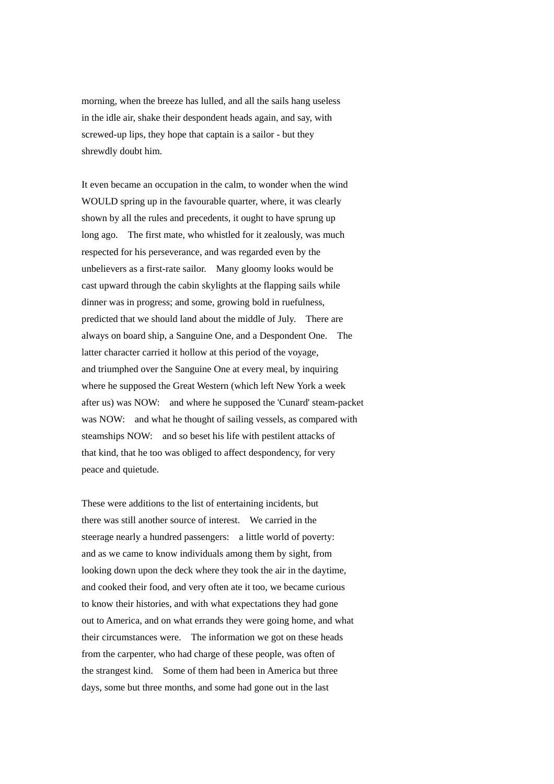morning, when the breeze has lulled, and all the sails hang useless in the idle air, shake their despondent heads again, and say, with screwed-up lips, they hope that captain is a sailor - but they shrewdly doubt him.

It even became an occupation in the calm, to wonder when the wind WOULD spring up in the favourable quarter, where, it was clearly shown by all the rules and precedents, it ought to have sprung up long ago. The first mate, who whistled for it zealously, was much respected for his perseverance, and was regarded even by the unbelievers as a first-rate sailor. Many gloomy looks would be cast upward through the cabin skylights at the flapping sails while dinner was in progress; and some, growing bold in ruefulness, predicted that we should land about the middle of July. There are always on board ship, a Sanguine One, and a Despondent One. The latter character carried it hollow at this period of the voyage, and triumphed over the Sanguine One at every meal, by inquiring where he supposed the Great Western (which left New York a week after us) was NOW: and where he supposed the 'Cunard' steam-packet was NOW: and what he thought of sailing vessels, as compared with steamships NOW: and so beset his life with pestilent attacks of that kind, that he too was obliged to affect despondency, for very peace and quietude.

These were additions to the list of entertaining incidents, but there was still another source of interest. We carried in the steerage nearly a hundred passengers: a little world of poverty: and as we came to know individuals among them by sight, from looking down upon the deck where they took the air in the daytime, and cooked their food, and very often ate it too, we became curious to know their histories, and with what expectations they had gone out to America, and on what errands they were going home, and what their circumstances were. The information we got on these heads from the carpenter, who had charge of these people, was often of the strangest kind. Some of them had been in America but three days, some but three months, and some had gone out in the last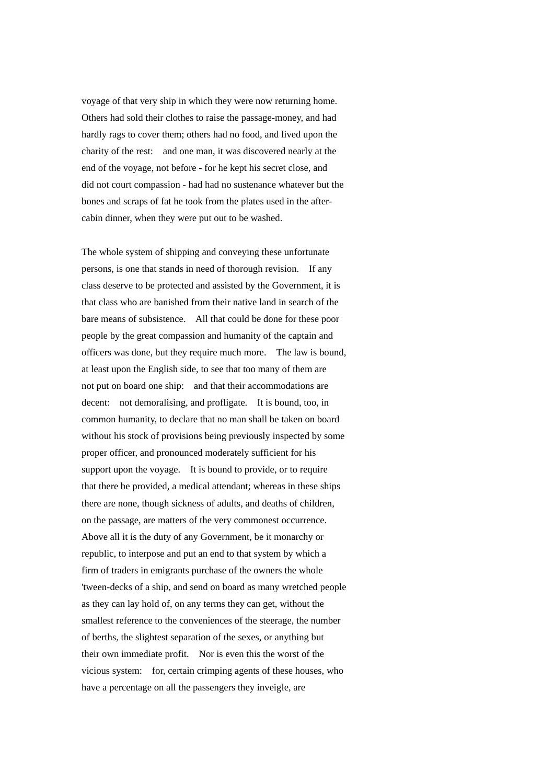voyage of that very ship in which they were now returning home. Others had sold their clothes to raise the passage-money, and had hardly rags to cover them; others had no food, and lived upon the charity of the rest: and one man, it was discovered nearly at the end of the voyage, not before - for he kept his secret close, and did not court compassion - had had no sustenance whatever but the bones and scraps of fat he took from the plates used in the aftercabin dinner, when they were put out to be washed.

The whole system of shipping and conveying these unfortunate persons, is one that stands in need of thorough revision. If any class deserve to be protected and assisted by the Government, it is that class who are banished from their native land in search of the bare means of subsistence. All that could be done for these poor people by the great compassion and humanity of the captain and officers was done, but they require much more. The law is bound, at least upon the English side, to see that too many of them are not put on board one ship: and that their accommodations are decent: not demoralising, and profligate. It is bound, too, in common humanity, to declare that no man shall be taken on board without his stock of provisions being previously inspected by some proper officer, and pronounced moderately sufficient for his support upon the voyage. It is bound to provide, or to require that there be provided, a medical attendant; whereas in these ships there are none, though sickness of adults, and deaths of children, on the passage, are matters of the very commonest occurrence. Above all it is the duty of any Government, be it monarchy or republic, to interpose and put an end to that system by which a firm of traders in emigrants purchase of the owners the whole 'tween-decks of a ship, and send on board as many wretched people as they can lay hold of, on any terms they can get, without the smallest reference to the conveniences of the steerage, the number of berths, the slightest separation of the sexes, or anything but their own immediate profit. Nor is even this the worst of the vicious system: for, certain crimping agents of these houses, who have a percentage on all the passengers they inveigle, are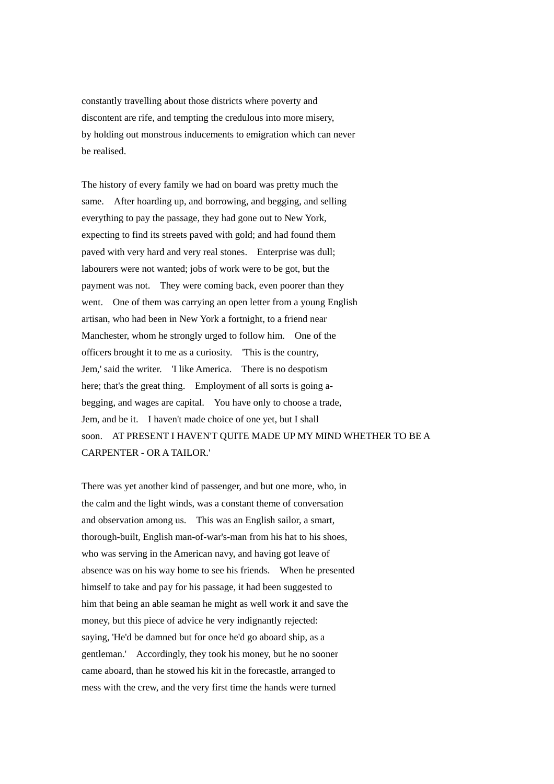constantly travelling about those districts where poverty and discontent are rife, and tempting the credulous into more misery, by holding out monstrous inducements to emigration which can never be realised.

The history of every family we had on board was pretty much the same. After hoarding up, and borrowing, and begging, and selling everything to pay the passage, they had gone out to New York, expecting to find its streets paved with gold; and had found them paved with very hard and very real stones. Enterprise was dull; labourers were not wanted; jobs of work were to be got, but the payment was not. They were coming back, even poorer than they went. One of them was carrying an open letter from a young English artisan, who had been in New York a fortnight, to a friend near Manchester, whom he strongly urged to follow him. One of the officers brought it to me as a curiosity. 'This is the country, Jem,' said the writer. 'I like America. There is no despotism here; that's the great thing. Employment of all sorts is going abegging, and wages are capital. You have only to choose a trade, Jem, and be it. I haven't made choice of one yet, but I shall soon. AT PRESENT I HAVEN'T QUITE MADE UP MY MIND WHETHER TO BE A CARPENTER - OR A TAILOR.'

There was yet another kind of passenger, and but one more, who, in the calm and the light winds, was a constant theme of conversation and observation among us. This was an English sailor, a smart, thorough-built, English man-of-war's-man from his hat to his shoes, who was serving in the American navy, and having got leave of absence was on his way home to see his friends. When he presented himself to take and pay for his passage, it had been suggested to him that being an able seaman he might as well work it and save the money, but this piece of advice he very indignantly rejected: saying, 'He'd be damned but for once he'd go aboard ship, as a gentleman.' Accordingly, they took his money, but he no sooner came aboard, than he stowed his kit in the forecastle, arranged to mess with the crew, and the very first time the hands were turned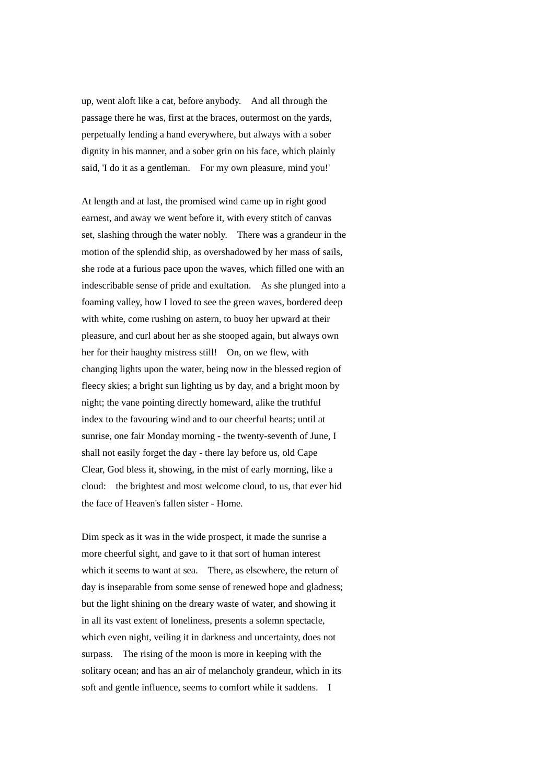up, went aloft like a cat, before anybody. And all through the passage there he was, first at the braces, outermost on the yards, perpetually lending a hand everywhere, but always with a sober dignity in his manner, and a sober grin on his face, which plainly said, 'I do it as a gentleman. For my own pleasure, mind you!'

At length and at last, the promised wind came up in right good earnest, and away we went before it, with every stitch of canvas set, slashing through the water nobly. There was a grandeur in the motion of the splendid ship, as overshadowed by her mass of sails, she rode at a furious pace upon the waves, which filled one with an indescribable sense of pride and exultation. As she plunged into a foaming valley, how I loved to see the green waves, bordered deep with white, come rushing on astern, to buoy her upward at their pleasure, and curl about her as she stooped again, but always own her for their haughty mistress still! On, on we flew, with changing lights upon the water, being now in the blessed region of fleecy skies; a bright sun lighting us by day, and a bright moon by night; the vane pointing directly homeward, alike the truthful index to the favouring wind and to our cheerful hearts; until at sunrise, one fair Monday morning - the twenty-seventh of June, I shall not easily forget the day - there lay before us, old Cape Clear, God bless it, showing, in the mist of early morning, like a cloud: the brightest and most welcome cloud, to us, that ever hid the face of Heaven's fallen sister - Home.

Dim speck as it was in the wide prospect, it made the sunrise a more cheerful sight, and gave to it that sort of human interest which it seems to want at sea. There, as elsewhere, the return of day is inseparable from some sense of renewed hope and gladness; but the light shining on the dreary waste of water, and showing it in all its vast extent of loneliness, presents a solemn spectacle, which even night, veiling it in darkness and uncertainty, does not surpass. The rising of the moon is more in keeping with the solitary ocean; and has an air of melancholy grandeur, which in its soft and gentle influence, seems to comfort while it saddens. I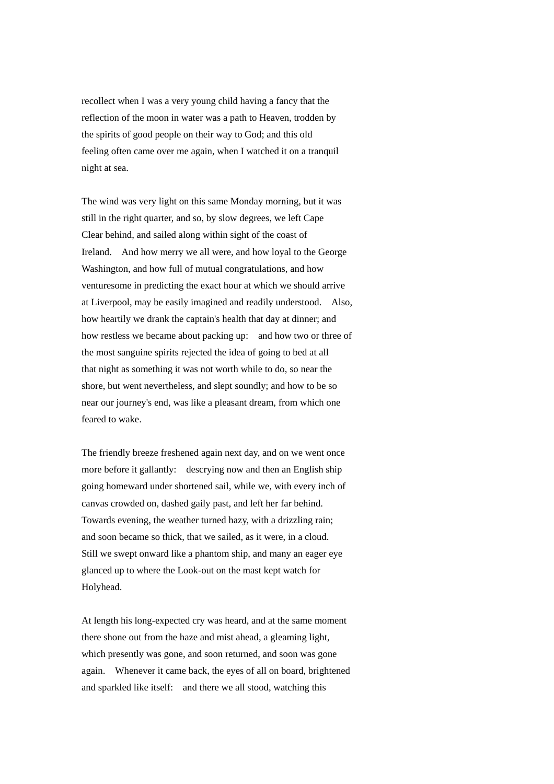recollect when I was a very young child having a fancy that the reflection of the moon in water was a path to Heaven, trodden by the spirits of good people on their way to God; and this old feeling often came over me again, when I watched it on a tranquil night at sea.

The wind was very light on this same Monday morning, but it was still in the right quarter, and so, by slow degrees, we left Cape Clear behind, and sailed along within sight of the coast of Ireland. And how merry we all were, and how loyal to the George Washington, and how full of mutual congratulations, and how venturesome in predicting the exact hour at which we should arrive at Liverpool, may be easily imagined and readily understood. Also, how heartily we drank the captain's health that day at dinner; and how restless we became about packing up: and how two or three of the most sanguine spirits rejected the idea of going to bed at all that night as something it was not worth while to do, so near the shore, but went nevertheless, and slept soundly; and how to be so near our journey's end, was like a pleasant dream, from which one feared to wake.

The friendly breeze freshened again next day, and on we went once more before it gallantly: descrying now and then an English ship going homeward under shortened sail, while we, with every inch of canvas crowded on, dashed gaily past, and left her far behind. Towards evening, the weather turned hazy, with a drizzling rain; and soon became so thick, that we sailed, as it were, in a cloud. Still we swept onward like a phantom ship, and many an eager eye glanced up to where the Look-out on the mast kept watch for Holyhead.

At length his long-expected cry was heard, and at the same moment there shone out from the haze and mist ahead, a gleaming light, which presently was gone, and soon returned, and soon was gone again. Whenever it came back, the eyes of all on board, brightened and sparkled like itself: and there we all stood, watching this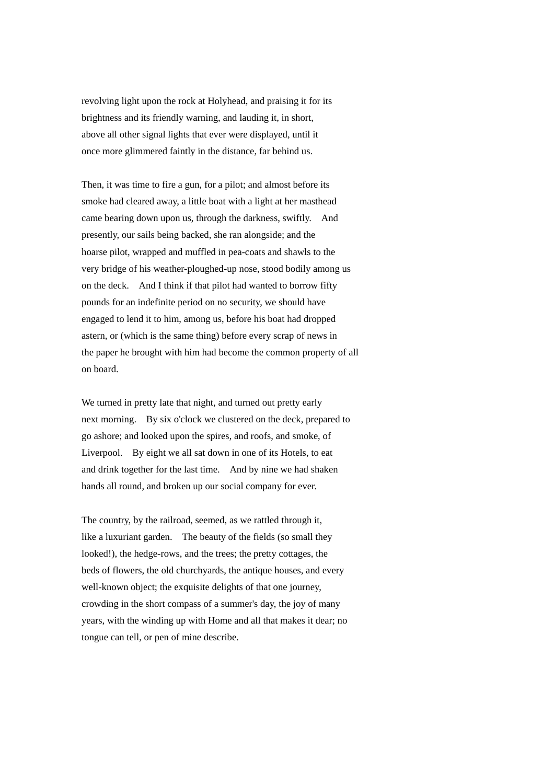revolving light upon the rock at Holyhead, and praising it for its brightness and its friendly warning, and lauding it, in short, above all other signal lights that ever were displayed, until it once more glimmered faintly in the distance, far behind us.

Then, it was time to fire a gun, for a pilot; and almost before its smoke had cleared away, a little boat with a light at her masthead came bearing down upon us, through the darkness, swiftly. And presently, our sails being backed, she ran alongside; and the hoarse pilot, wrapped and muffled in pea-coats and shawls to the very bridge of his weather-ploughed-up nose, stood bodily among us on the deck. And I think if that pilot had wanted to borrow fifty pounds for an indefinite period on no security, we should have engaged to lend it to him, among us, before his boat had dropped astern, or (which is the same thing) before every scrap of news in the paper he brought with him had become the common property of all on board.

We turned in pretty late that night, and turned out pretty early next morning. By six o'clock we clustered on the deck, prepared to go ashore; and looked upon the spires, and roofs, and smoke, of Liverpool. By eight we all sat down in one of its Hotels, to eat and drink together for the last time. And by nine we had shaken hands all round, and broken up our social company for ever.

The country, by the railroad, seemed, as we rattled through it, like a luxuriant garden. The beauty of the fields (so small they looked!), the hedge-rows, and the trees; the pretty cottages, the beds of flowers, the old churchyards, the antique houses, and every well-known object; the exquisite delights of that one journey, crowding in the short compass of a summer's day, the joy of many years, with the winding up with Home and all that makes it dear; no tongue can tell, or pen of mine describe.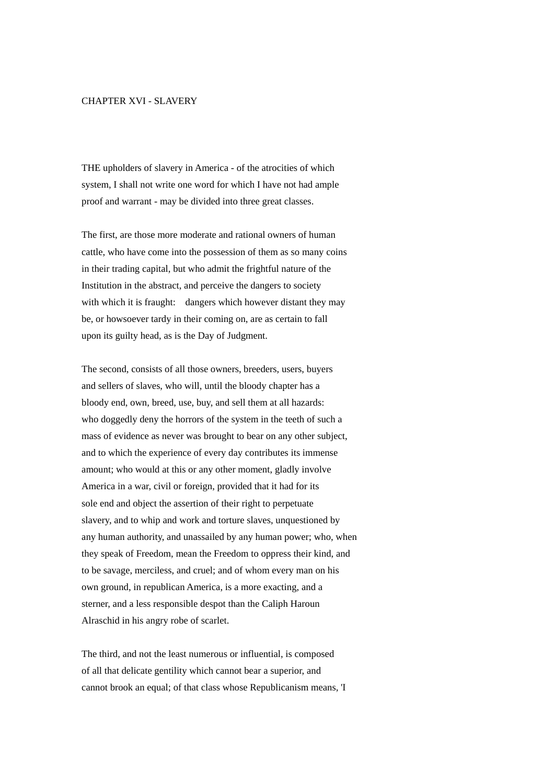# CHAPTER XVI - SLAVERY

THE upholders of slavery in America - of the atrocities of which system, I shall not write one word for which I have not had ample proof and warrant - may be divided into three great classes.

The first, are those more moderate and rational owners of human cattle, who have come into the possession of them as so many coins in their trading capital, but who admit the frightful nature of the Institution in the abstract, and perceive the dangers to society with which it is fraught: dangers which however distant they may be, or howsoever tardy in their coming on, are as certain to fall upon its guilty head, as is the Day of Judgment.

The second, consists of all those owners, breeders, users, buyers and sellers of slaves, who will, until the bloody chapter has a bloody end, own, breed, use, buy, and sell them at all hazards: who doggedly deny the horrors of the system in the teeth of such a mass of evidence as never was brought to bear on any other subject, and to which the experience of every day contributes its immense amount; who would at this or any other moment, gladly involve America in a war, civil or foreign, provided that it had for its sole end and object the assertion of their right to perpetuate slavery, and to whip and work and torture slaves, unquestioned by any human authority, and unassailed by any human power; who, when they speak of Freedom, mean the Freedom to oppress their kind, and to be savage, merciless, and cruel; and of whom every man on his own ground, in republican America, is a more exacting, and a sterner, and a less responsible despot than the Caliph Haroun Alraschid in his angry robe of scarlet.

The third, and not the least numerous or influential, is composed of all that delicate gentility which cannot bear a superior, and cannot brook an equal; of that class whose Republicanism means, 'I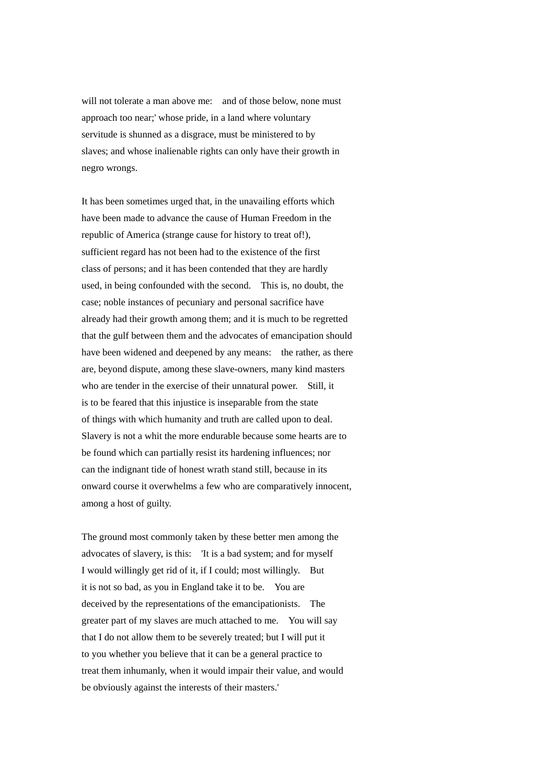will not tolerate a man above me: and of those below, none must approach too near;' whose pride, in a land where voluntary servitude is shunned as a disgrace, must be ministered to by slaves; and whose inalienable rights can only have their growth in negro wrongs.

It has been sometimes urged that, in the unavailing efforts which have been made to advance the cause of Human Freedom in the republic of America (strange cause for history to treat of!), sufficient regard has not been had to the existence of the first class of persons; and it has been contended that they are hardly used, in being confounded with the second. This is, no doubt, the case; noble instances of pecuniary and personal sacrifice have already had their growth among them; and it is much to be regretted that the gulf between them and the advocates of emancipation should have been widened and deepened by any means: the rather, as there are, beyond dispute, among these slave-owners, many kind masters who are tender in the exercise of their unnatural power. Still, it is to be feared that this injustice is inseparable from the state of things with which humanity and truth are called upon to deal. Slavery is not a whit the more endurable because some hearts are to be found which can partially resist its hardening influences; nor can the indignant tide of honest wrath stand still, because in its onward course it overwhelms a few who are comparatively innocent, among a host of guilty.

The ground most commonly taken by these better men among the advocates of slavery, is this: 'It is a bad system; and for myself I would willingly get rid of it, if I could; most willingly. But it is not so bad, as you in England take it to be. You are deceived by the representations of the emancipationists. The greater part of my slaves are much attached to me. You will say that I do not allow them to be severely treated; but I will put it to you whether you believe that it can be a general practice to treat them inhumanly, when it would impair their value, and would be obviously against the interests of their masters.'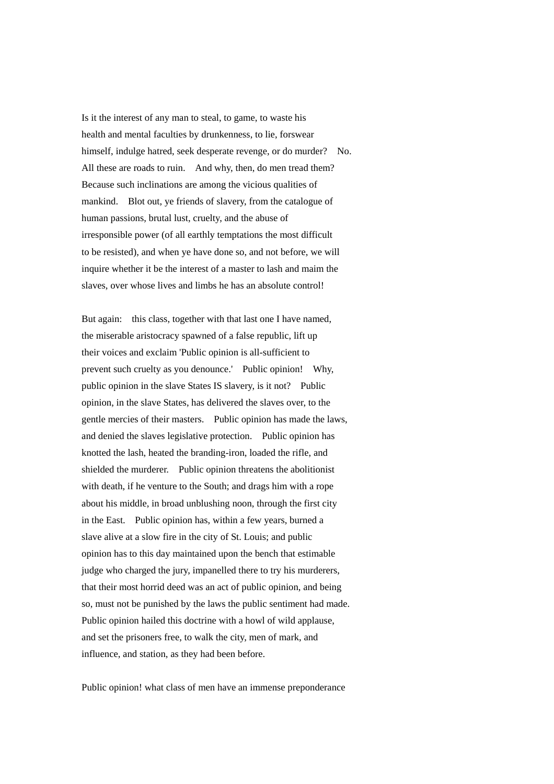Is it the interest of any man to steal, to game, to waste his health and mental faculties by drunkenness, to lie, forswear himself, indulge hatred, seek desperate revenge, or do murder? No. All these are roads to ruin. And why, then, do men tread them? Because such inclinations are among the vicious qualities of mankind. Blot out, ye friends of slavery, from the catalogue of human passions, brutal lust, cruelty, and the abuse of irresponsible power (of all earthly temptations the most difficult to be resisted), and when ye have done so, and not before, we will inquire whether it be the interest of a master to lash and maim the slaves, over whose lives and limbs he has an absolute control!

But again: this class, together with that last one I have named, the miserable aristocracy spawned of a false republic, lift up their voices and exclaim 'Public opinion is all-sufficient to prevent such cruelty as you denounce.' Public opinion! Why, public opinion in the slave States IS slavery, is it not? Public opinion, in the slave States, has delivered the slaves over, to the gentle mercies of their masters. Public opinion has made the laws, and denied the slaves legislative protection. Public opinion has knotted the lash, heated the branding-iron, loaded the rifle, and shielded the murderer. Public opinion threatens the abolitionist with death, if he venture to the South; and drags him with a rope about his middle, in broad unblushing noon, through the first city in the East. Public opinion has, within a few years, burned a slave alive at a slow fire in the city of St. Louis; and public opinion has to this day maintained upon the bench that estimable judge who charged the jury, impanelled there to try his murderers, that their most horrid deed was an act of public opinion, and being so, must not be punished by the laws the public sentiment had made. Public opinion hailed this doctrine with a howl of wild applause, and set the prisoners free, to walk the city, men of mark, and influence, and station, as they had been before.

Public opinion! what class of men have an immense preponderance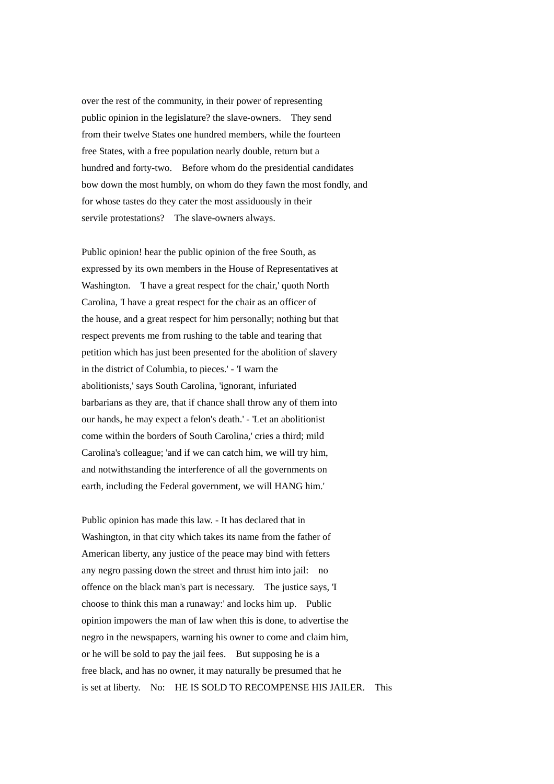over the rest of the community, in their power of representing public opinion in the legislature? the slave-owners. They send from their twelve States one hundred members, while the fourteen free States, with a free population nearly double, return but a hundred and forty-two. Before whom do the presidential candidates bow down the most humbly, on whom do they fawn the most fondly, and for whose tastes do they cater the most assiduously in their servile protestations? The slave-owners always.

Public opinion! hear the public opinion of the free South, as expressed by its own members in the House of Representatives at Washington. 'I have a great respect for the chair,' quoth North Carolina, 'I have a great respect for the chair as an officer of the house, and a great respect for him personally; nothing but that respect prevents me from rushing to the table and tearing that petition which has just been presented for the abolition of slavery in the district of Columbia, to pieces.' - 'I warn the abolitionists,' says South Carolina, 'ignorant, infuriated barbarians as they are, that if chance shall throw any of them into our hands, he may expect a felon's death.' - 'Let an abolitionist come within the borders of South Carolina,' cries a third; mild Carolina's colleague; 'and if we can catch him, we will try him, and notwithstanding the interference of all the governments on earth, including the Federal government, we will HANG him.'

Public opinion has made this law. - It has declared that in Washington, in that city which takes its name from the father of American liberty, any justice of the peace may bind with fetters any negro passing down the street and thrust him into jail: no offence on the black man's part is necessary. The justice says, 'I choose to think this man a runaway:' and locks him up. Public opinion impowers the man of law when this is done, to advertise the negro in the newspapers, warning his owner to come and claim him, or he will be sold to pay the jail fees. But supposing he is a free black, and has no owner, it may naturally be presumed that he is set at liberty. No: HE IS SOLD TO RECOMPENSE HIS JAILER. This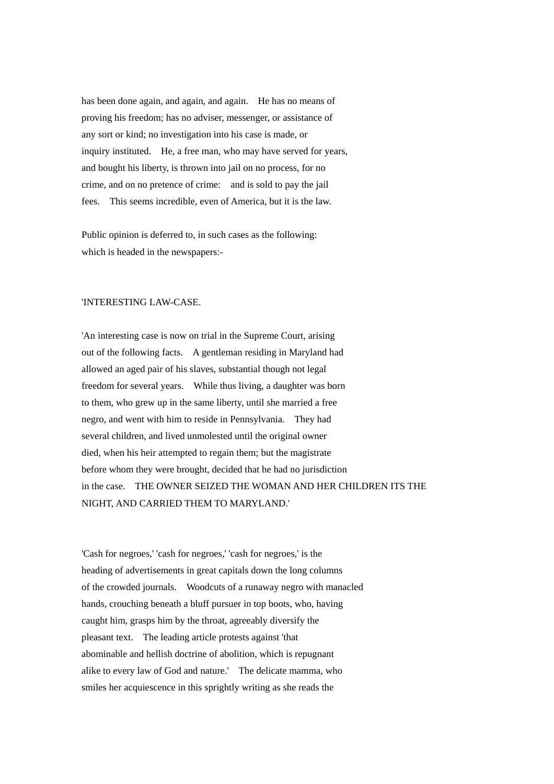has been done again, and again, and again. He has no means of proving his freedom; has no adviser, messenger, or assistance of any sort or kind; no investigation into his case is made, or inquiry instituted. He, a free man, who may have served for years, and bought his liberty, is thrown into jail on no process, for no crime, and on no pretence of crime: and is sold to pay the jail fees. This seems incredible, even of America, but it is the law.

Public opinion is deferred to, in such cases as the following: which is headed in the newspapers:-

# 'INTERESTING LAW-CASE.

'An interesting case is now on trial in the Supreme Court, arising out of the following facts. A gentleman residing in Maryland had allowed an aged pair of his slaves, substantial though not legal freedom for several years. While thus living, a daughter was born to them, who grew up in the same liberty, until she married a free negro, and went with him to reside in Pennsylvania. They had several children, and lived unmolested until the original owner died, when his heir attempted to regain them; but the magistrate before whom they were brought, decided that he had no jurisdiction in the case. THE OWNER SEIZED THE WOMAN AND HER CHILDREN ITS THE NIGHT, AND CARRIED THEM TO MARYLAND.'

'Cash for negroes,' 'cash for negroes,' 'cash for negroes,' is the heading of advertisements in great capitals down the long columns of the crowded journals. Woodcuts of a runaway negro with manacled hands, crouching beneath a bluff pursuer in top boots, who, having caught him, grasps him by the throat, agreeably diversify the pleasant text. The leading article protests against 'that abominable and hellish doctrine of abolition, which is repugnant alike to every law of God and nature.' The delicate mamma, who smiles her acquiescence in this sprightly writing as she reads the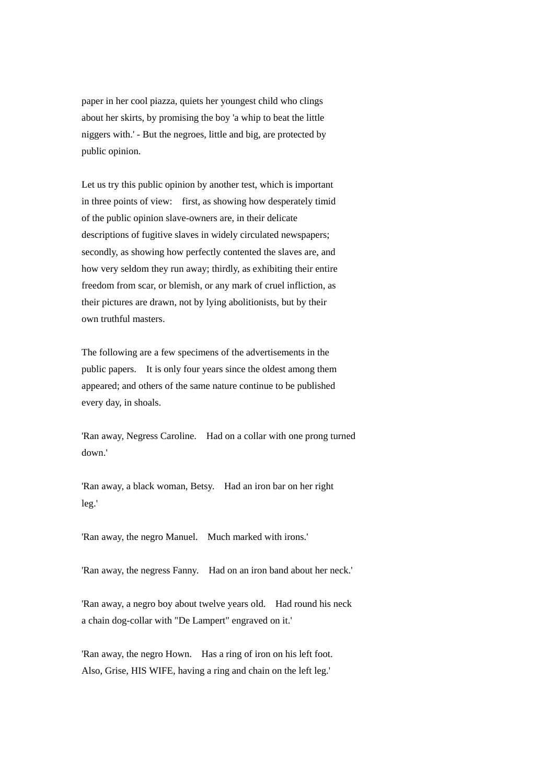paper in her cool piazza, quiets her youngest child who clings about her skirts, by promising the boy 'a whip to beat the little niggers with.' - But the negroes, little and big, are protected by public opinion.

Let us try this public opinion by another test, which is important in three points of view: first, as showing how desperately timid of the public opinion slave-owners are, in their delicate descriptions of fugitive slaves in widely circulated newspapers; secondly, as showing how perfectly contented the slaves are, and how very seldom they run away; thirdly, as exhibiting their entire freedom from scar, or blemish, or any mark of cruel infliction, as their pictures are drawn, not by lying abolitionists, but by their own truthful masters.

The following are a few specimens of the advertisements in the public papers. It is only four years since the oldest among them appeared; and others of the same nature continue to be published every day, in shoals.

'Ran away, Negress Caroline. Had on a collar with one prong turned down.'

'Ran away, a black woman, Betsy. Had an iron bar on her right leg.'

'Ran away, the negro Manuel. Much marked with irons.'

'Ran away, the negress Fanny. Had on an iron band about her neck.'

'Ran away, a negro boy about twelve years old. Had round his neck a chain dog-collar with "De Lampert" engraved on it.'

'Ran away, the negro Hown. Has a ring of iron on his left foot. Also, Grise, HIS WIFE, having a ring and chain on the left leg.'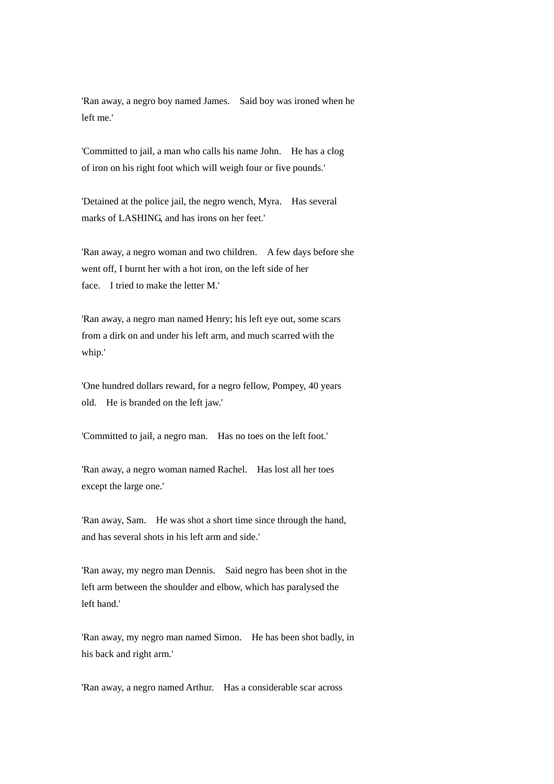'Ran away, a negro boy named James. Said boy was ironed when he left me.'

'Committed to jail, a man who calls his name John. He has a clog of iron on his right foot which will weigh four or five pounds.'

'Detained at the police jail, the negro wench, Myra. Has several marks of LASHING, and has irons on her feet.'

'Ran away, a negro woman and two children. A few days before she went off, I burnt her with a hot iron, on the left side of her face. I tried to make the letter M.'

'Ran away, a negro man named Henry; his left eye out, some scars from a dirk on and under his left arm, and much scarred with the whip.'

'One hundred dollars reward, for a negro fellow, Pompey, 40 years old. He is branded on the left jaw.'

'Committed to jail, a negro man. Has no toes on the left foot.'

'Ran away, a negro woman named Rachel. Has lost all her toes except the large one.'

'Ran away, Sam. He was shot a short time since through the hand, and has several shots in his left arm and side.'

'Ran away, my negro man Dennis. Said negro has been shot in the left arm between the shoulder and elbow, which has paralysed the left hand.'

'Ran away, my negro man named Simon. He has been shot badly, in his back and right arm.'

'Ran away, a negro named Arthur. Has a considerable scar across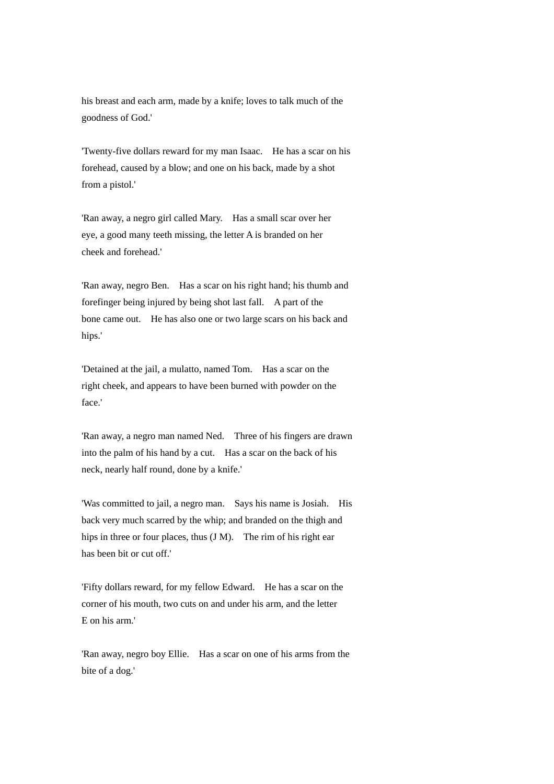his breast and each arm, made by a knife; loves to talk much of the goodness of God.'

'Twenty-five dollars reward for my man Isaac. He has a scar on his forehead, caused by a blow; and one on his back, made by a shot from a pistol.'

'Ran away, a negro girl called Mary. Has a small scar over her eye, a good many teeth missing, the letter A is branded on her cheek and forehead.'

'Ran away, negro Ben. Has a scar on his right hand; his thumb and forefinger being injured by being shot last fall. A part of the bone came out. He has also one or two large scars on his back and hips.'

'Detained at the jail, a mulatto, named Tom. Has a scar on the right cheek, and appears to have been burned with powder on the face.'

'Ran away, a negro man named Ned. Three of his fingers are drawn into the palm of his hand by a cut. Has a scar on the back of his neck, nearly half round, done by a knife.'

'Was committed to jail, a negro man. Says his name is Josiah. His back very much scarred by the whip; and branded on the thigh and hips in three or four places, thus (J M). The rim of his right ear has been bit or cut off.'

'Fifty dollars reward, for my fellow Edward. He has a scar on the corner of his mouth, two cuts on and under his arm, and the letter E on his arm.'

'Ran away, negro boy Ellie. Has a scar on one of his arms from the bite of a dog.'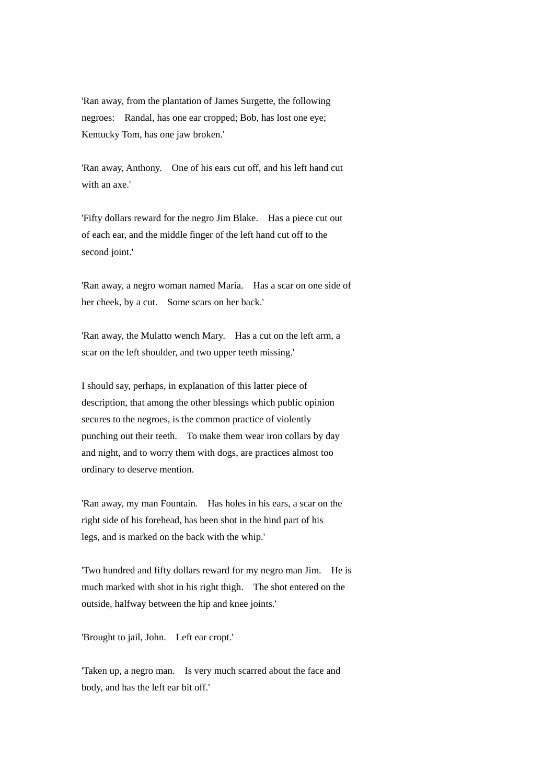'Ran away, from the plantation of James Surgette, the following negroes: Randal, has one ear cropped; Bob, has lost one eye; Kentucky Tom, has one jaw broken.'

'Ran away, Anthony. One of his ears cut off, and his left hand cut with an axe.'

'Fifty dollars reward for the negro Jim Blake. Has a piece cut out of each ear, and the middle finger of the left hand cut off to the second joint.'

'Ran away, a negro woman named Maria. Has a scar on one side of her cheek, by a cut. Some scars on her back.'

'Ran away, the Mulatto wench Mary. Has a cut on the left arm, a scar on the left shoulder, and two upper teeth missing.'

I should say, perhaps, in explanation of this latter piece of description, that among the other blessings which public opinion secures to the negroes, is the common practice of violently punching out their teeth. To make them wear iron collars by day and night, and to worry them with dogs, are practices almost too ordinary to deserve mention.

'Ran away, my man Fountain. Has holes in his ears, a scar on the right side of his forehead, has been shot in the hind part of his legs, and is marked on the back with the whip.'

'Two hundred and fifty dollars reward for my negro man Jim. He is much marked with shot in his right thigh. The shot entered on the outside, halfway between the hip and knee joints.'

'Brought to jail, John. Left ear cropt.'

'Taken up, a negro man. Is very much scarred about the face and body, and has the left ear bit off.'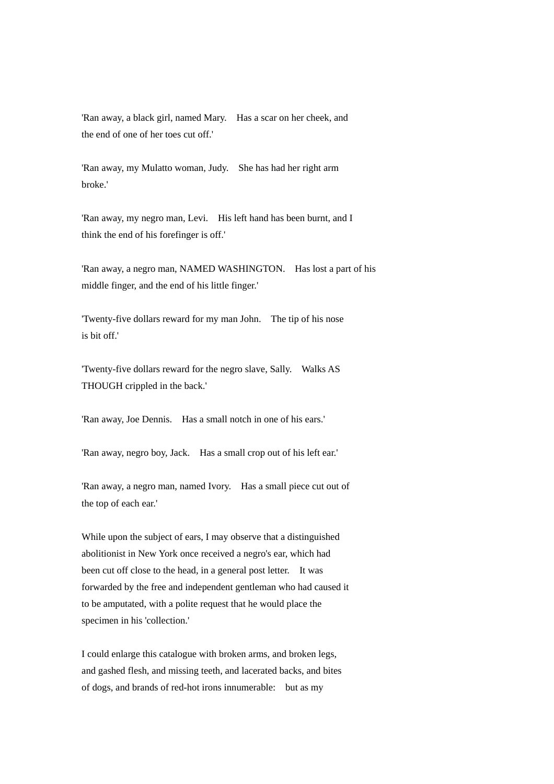'Ran away, a black girl, named Mary. Has a scar on her cheek, and the end of one of her toes cut off.'

'Ran away, my Mulatto woman, Judy. She has had her right arm broke.'

'Ran away, my negro man, Levi. His left hand has been burnt, and I think the end of his forefinger is off.'

'Ran away, a negro man, NAMED WASHINGTON. Has lost a part of his middle finger, and the end of his little finger.'

'Twenty-five dollars reward for my man John. The tip of his nose is hit off.'

'Twenty-five dollars reward for the negro slave, Sally. Walks AS THOUGH crippled in the back.'

'Ran away, Joe Dennis. Has a small notch in one of his ears.'

'Ran away, negro boy, Jack. Has a small crop out of his left ear.'

'Ran away, a negro man, named Ivory. Has a small piece cut out of the top of each ear.'

While upon the subject of ears, I may observe that a distinguished abolitionist in New York once received a negro's ear, which had been cut off close to the head, in a general post letter. It was forwarded by the free and independent gentleman who had caused it to be amputated, with a polite request that he would place the specimen in his 'collection.'

I could enlarge this catalogue with broken arms, and broken legs, and gashed flesh, and missing teeth, and lacerated backs, and bites of dogs, and brands of red-hot irons innumerable: but as my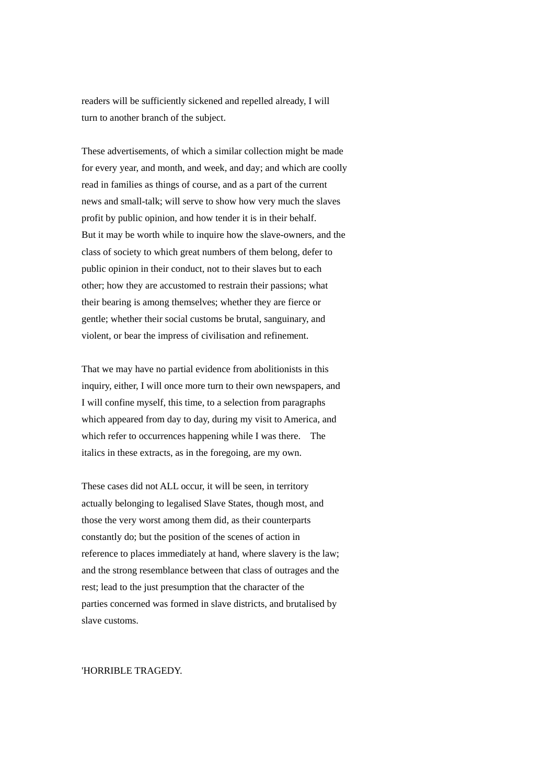readers will be sufficiently sickened and repelled already, I will turn to another branch of the subject.

These advertisements, of which a similar collection might be made for every year, and month, and week, and day; and which are coolly read in families as things of course, and as a part of the current news and small-talk; will serve to show how very much the slaves profit by public opinion, and how tender it is in their behalf. But it may be worth while to inquire how the slave-owners, and the class of society to which great numbers of them belong, defer to public opinion in their conduct, not to their slaves but to each other; how they are accustomed to restrain their passions; what their bearing is among themselves; whether they are fierce or gentle; whether their social customs be brutal, sanguinary, and violent, or bear the impress of civilisation and refinement.

That we may have no partial evidence from abolitionists in this inquiry, either, I will once more turn to their own newspapers, and I will confine myself, this time, to a selection from paragraphs which appeared from day to day, during my visit to America, and which refer to occurrences happening while I was there. The italics in these extracts, as in the foregoing, are my own.

These cases did not ALL occur, it will be seen, in territory actually belonging to legalised Slave States, though most, and those the very worst among them did, as their counterparts constantly do; but the position of the scenes of action in reference to places immediately at hand, where slavery is the law; and the strong resemblance between that class of outrages and the rest; lead to the just presumption that the character of the parties concerned was formed in slave districts, and brutalised by slave customs.

### 'HORRIBLE TRAGEDY.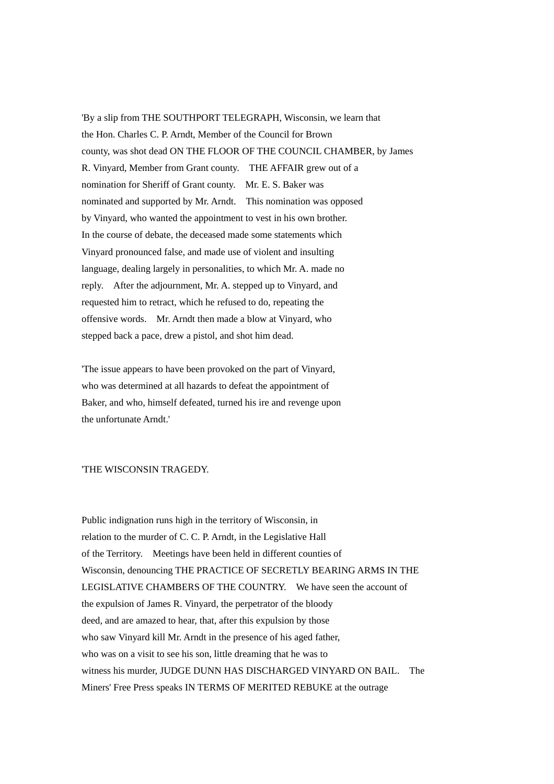'By a slip from THE SOUTHPORT TELEGRAPH, Wisconsin, we learn that the Hon. Charles C. P. Arndt, Member of the Council for Brown county, was shot dead ON THE FLOOR OF THE COUNCIL CHAMBER, by James R. Vinyard, Member from Grant county. THE AFFAIR grew out of a nomination for Sheriff of Grant county. Mr. E. S. Baker was nominated and supported by Mr. Arndt. This nomination was opposed by Vinyard, who wanted the appointment to vest in his own brother. In the course of debate, the deceased made some statements which Vinyard pronounced false, and made use of violent and insulting language, dealing largely in personalities, to which Mr. A. made no reply. After the adjournment, Mr. A. stepped up to Vinyard, and requested him to retract, which he refused to do, repeating the offensive words. Mr. Arndt then made a blow at Vinyard, who stepped back a pace, drew a pistol, and shot him dead.

'The issue appears to have been provoked on the part of Vinyard, who was determined at all hazards to defeat the appointment of Baker, and who, himself defeated, turned his ire and revenge upon the unfortunate Arndt.'

# 'THE WISCONSIN TRAGEDY.

Public indignation runs high in the territory of Wisconsin, in relation to the murder of C. C. P. Arndt, in the Legislative Hall of the Territory. Meetings have been held in different counties of Wisconsin, denouncing THE PRACTICE OF SECRETLY BEARING ARMS IN THE LEGISLATIVE CHAMBERS OF THE COUNTRY. We have seen the account of the expulsion of James R. Vinyard, the perpetrator of the bloody deed, and are amazed to hear, that, after this expulsion by those who saw Vinyard kill Mr. Arndt in the presence of his aged father, who was on a visit to see his son, little dreaming that he was to witness his murder, JUDGE DUNN HAS DISCHARGED VINYARD ON BAIL. The Miners' Free Press speaks IN TERMS OF MERITED REBUKE at the outrage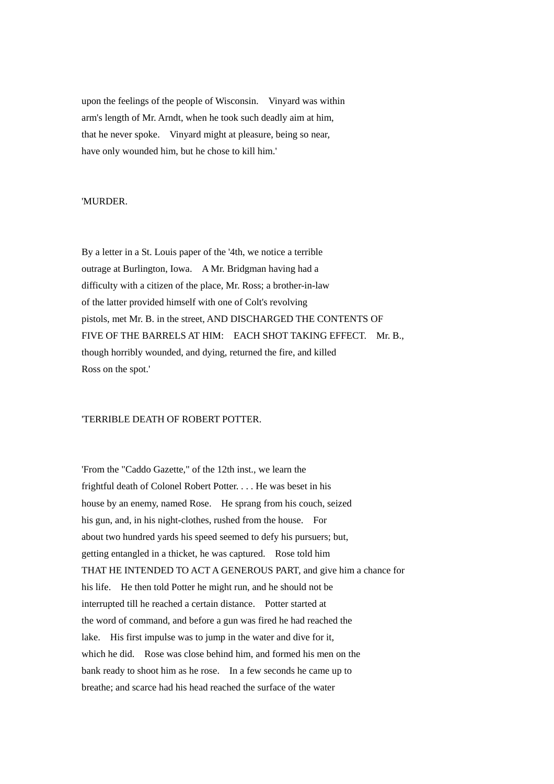upon the feelings of the people of Wisconsin. Vinyard was within arm's length of Mr. Arndt, when he took such deadly aim at him, that he never spoke. Vinyard might at pleasure, being so near, have only wounded him, but he chose to kill him.'

### 'MURDER.

By a letter in a St. Louis paper of the '4th, we notice a terrible outrage at Burlington, Iowa. A Mr. Bridgman having had a difficulty with a citizen of the place, Mr. Ross; a brother-in-law of the latter provided himself with one of Colt's revolving pistols, met Mr. B. in the street, AND DISCHARGED THE CONTENTS OF FIVE OF THE BARRELS AT HIM: EACH SHOT TAKING EFFECT. Mr. B., though horribly wounded, and dying, returned the fire, and killed Ross on the spot.'

### 'TERRIBLE DEATH OF ROBERT POTTER.

'From the "Caddo Gazette," of the 12th inst., we learn the frightful death of Colonel Robert Potter. . . . He was beset in his house by an enemy, named Rose. He sprang from his couch, seized his gun, and, in his night-clothes, rushed from the house. For about two hundred yards his speed seemed to defy his pursuers; but, getting entangled in a thicket, he was captured. Rose told him THAT HE INTENDED TO ACT A GENEROUS PART, and give him a chance for his life. He then told Potter he might run, and he should not be interrupted till he reached a certain distance. Potter started at the word of command, and before a gun was fired he had reached the lake. His first impulse was to jump in the water and dive for it, which he did. Rose was close behind him, and formed his men on the bank ready to shoot him as he rose. In a few seconds he came up to breathe; and scarce had his head reached the surface of the water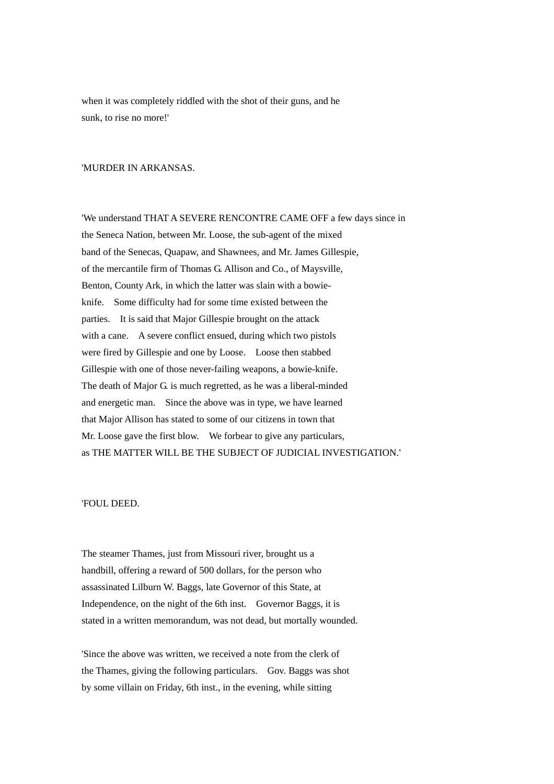when it was completely riddled with the shot of their guns, and he sunk, to rise no more!'

### 'MURDER IN ARKANSAS.

'We understand THAT A SEVERE RENCONTRE CAME OFF a few days since in the Seneca Nation, between Mr. Loose, the sub-agent of the mixed band of the Senecas, Quapaw, and Shawnees, and Mr. James Gillespie, of the mercantile firm of Thomas G. Allison and Co., of Maysville, Benton, County Ark, in which the latter was slain with a bowieknife. Some difficulty had for some time existed between the parties. It is said that Major Gillespie brought on the attack with a cane. A severe conflict ensued, during which two pistols were fired by Gillespie and one by Loose. Loose then stabbed Gillespie with one of those never-failing weapons, a bowie-knife. The death of Major G. is much regretted, as he was a liberal-minded and energetic man. Since the above was in type, we have learned that Major Allison has stated to some of our citizens in town that Mr. Loose gave the first blow. We forbear to give any particulars, as THE MATTER WILL BE THE SUBJECT OF JUDICIAL INVESTIGATION.'

#### 'FOUL DEED.

The steamer Thames, just from Missouri river, brought us a handbill, offering a reward of 500 dollars, for the person who assassinated Lilburn W. Baggs, late Governor of this State, at Independence, on the night of the 6th inst. Governor Baggs, it is stated in a written memorandum, was not dead, but mortally wounded.

'Since the above was written, we received a note from the clerk of the Thames, giving the following particulars. Gov. Baggs was shot by some villain on Friday, 6th inst., in the evening, while sitting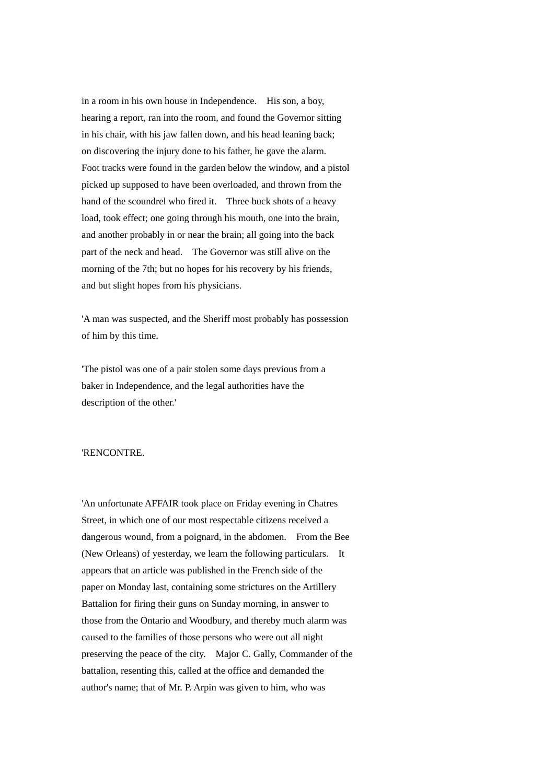in a room in his own house in Independence. His son, a boy, hearing a report, ran into the room, and found the Governor sitting in his chair, with his jaw fallen down, and his head leaning back; on discovering the injury done to his father, he gave the alarm. Foot tracks were found in the garden below the window, and a pistol picked up supposed to have been overloaded, and thrown from the hand of the scoundrel who fired it. Three buck shots of a heavy load, took effect; one going through his mouth, one into the brain, and another probably in or near the brain; all going into the back part of the neck and head. The Governor was still alive on the morning of the 7th; but no hopes for his recovery by his friends, and but slight hopes from his physicians.

'A man was suspected, and the Sheriff most probably has possession of him by this time.

'The pistol was one of a pair stolen some days previous from a baker in Independence, and the legal authorities have the description of the other.'

# 'RENCONTRE.

'An unfortunate AFFAIR took place on Friday evening in Chatres Street, in which one of our most respectable citizens received a dangerous wound, from a poignard, in the abdomen. From the Bee (New Orleans) of yesterday, we learn the following particulars. It appears that an article was published in the French side of the paper on Monday last, containing some strictures on the Artillery Battalion for firing their guns on Sunday morning, in answer to those from the Ontario and Woodbury, and thereby much alarm was caused to the families of those persons who were out all night preserving the peace of the city. Major C. Gally, Commander of the battalion, resenting this, called at the office and demanded the author's name; that of Mr. P. Arpin was given to him, who was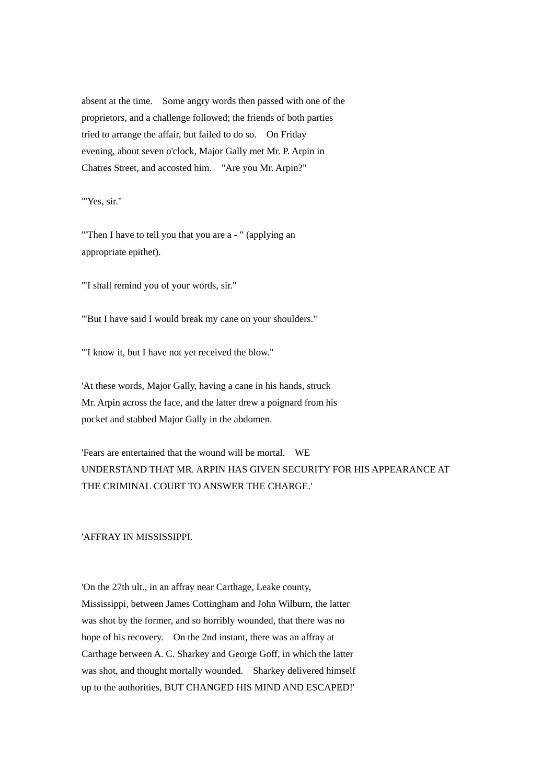absent at the time. Some angry words then passed with one of the proprietors, and a challenge followed; the friends of both parties tried to arrange the affair, but failed to do so. On Friday evening, about seven o'clock, Major Gally met Mr. P. Arpin in Chatres Street, and accosted him. "Are you Mr. Arpin?"

'"Yes, sir."

'"Then I have to tell you that you are a - " (applying an appropriate epithet).

'"I shall remind you of your words, sir."

'"But I have said I would break my cane on your shoulders."

'"I know it, but I have not yet received the blow."

'At these words, Major Gally, having a cane in his hands, struck Mr. Arpin across the face, and the latter drew a poignard from his pocket and stabbed Major Gally in the abdomen.

'Fears are entertained that the wound will be mortal. WE UNDERSTAND THAT MR. ARPIN HAS GIVEN SECURITY FOR HIS APPEARANCE AT THE CRIMINAL COURT TO ANSWER THE CHARGE.'

'AFFRAY IN MISSISSIPPI.

'On the 27th ult., in an affray near Carthage, Leake county, Mississippi, between James Cottingham and John Wilburn, the latter was shot by the former, and so horribly wounded, that there was no hope of his recovery. On the 2nd instant, there was an affray at Carthage between A. C. Sharkey and George Goff, in which the latter was shot, and thought mortally wounded. Sharkey delivered himself up to the authorities, BUT CHANGED HIS MIND AND ESCAPED!'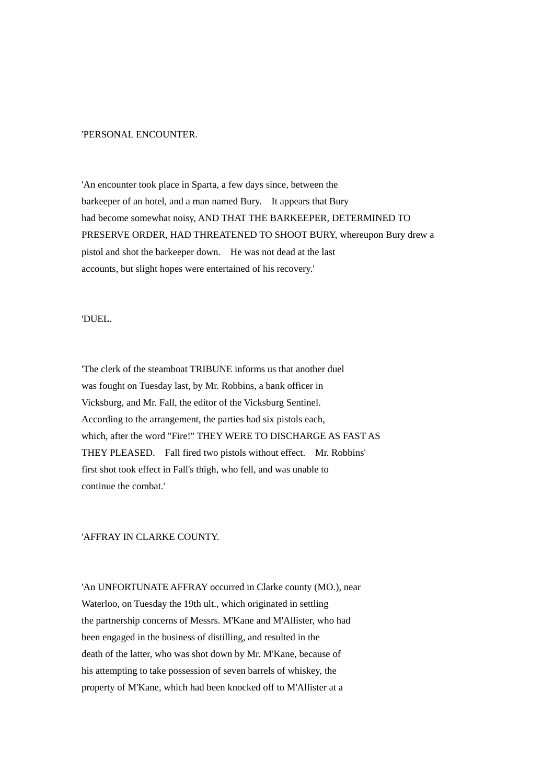### 'PERSONAL ENCOUNTER.

'An encounter took place in Sparta, a few days since, between the barkeeper of an hotel, and a man named Bury. It appears that Bury had become somewhat noisy, AND THAT THE BARKEEPER, DETERMINED TO PRESERVE ORDER, HAD THREATENED TO SHOOT BURY, whereupon Bury drew a pistol and shot the barkeeper down. He was not dead at the last accounts, but slight hopes were entertained of his recovery.'

#### 'DUEL.

'The clerk of the steamboat TRIBUNE informs us that another duel was fought on Tuesday last, by Mr. Robbins, a bank officer in Vicksburg, and Mr. Fall, the editor of the Vicksburg Sentinel. According to the arrangement, the parties had six pistols each, which, after the word "Fire!" THEY WERE TO DISCHARGE AS FAST AS THEY PLEASED. Fall fired two pistols without effect. Mr. Robbins' first shot took effect in Fall's thigh, who fell, and was unable to continue the combat.'

# 'AFFRAY IN CLARKE COUNTY.

'An UNFORTUNATE AFFRAY occurred in Clarke county (MO.), near Waterloo, on Tuesday the 19th ult., which originated in settling the partnership concerns of Messrs. M'Kane and M'Allister, who had been engaged in the business of distilling, and resulted in the death of the latter, who was shot down by Mr. M'Kane, because of his attempting to take possession of seven barrels of whiskey, the property of M'Kane, which had been knocked off to M'Allister at a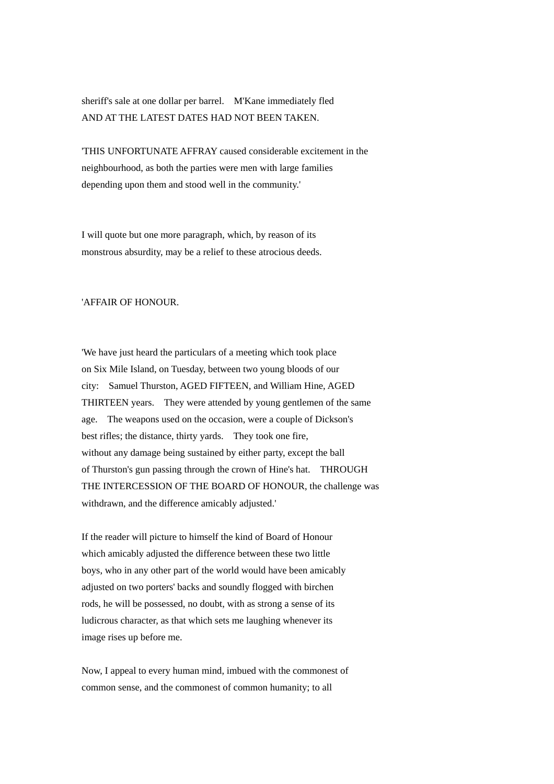sheriff's sale at one dollar per barrel. M'Kane immediately fled AND AT THE LATEST DATES HAD NOT BEEN TAKEN.

'THIS UNFORTUNATE AFFRAY caused considerable excitement in the neighbourhood, as both the parties were men with large families depending upon them and stood well in the community.'

I will quote but one more paragraph, which, by reason of its monstrous absurdity, may be a relief to these atrocious deeds.

## 'AFFAIR OF HONOUR.

'We have just heard the particulars of a meeting which took place on Six Mile Island, on Tuesday, between two young bloods of our city: Samuel Thurston, AGED FIFTEEN, and William Hine, AGED THIRTEEN years. They were attended by young gentlemen of the same age. The weapons used on the occasion, were a couple of Dickson's best rifles; the distance, thirty yards. They took one fire, without any damage being sustained by either party, except the ball of Thurston's gun passing through the crown of Hine's hat. THROUGH THE INTERCESSION OF THE BOARD OF HONOUR, the challenge was withdrawn, and the difference amicably adjusted.'

If the reader will picture to himself the kind of Board of Honour which amicably adjusted the difference between these two little boys, who in any other part of the world would have been amicably adjusted on two porters' backs and soundly flogged with birchen rods, he will be possessed, no doubt, with as strong a sense of its ludicrous character, as that which sets me laughing whenever its image rises up before me.

Now, I appeal to every human mind, imbued with the commonest of common sense, and the commonest of common humanity; to all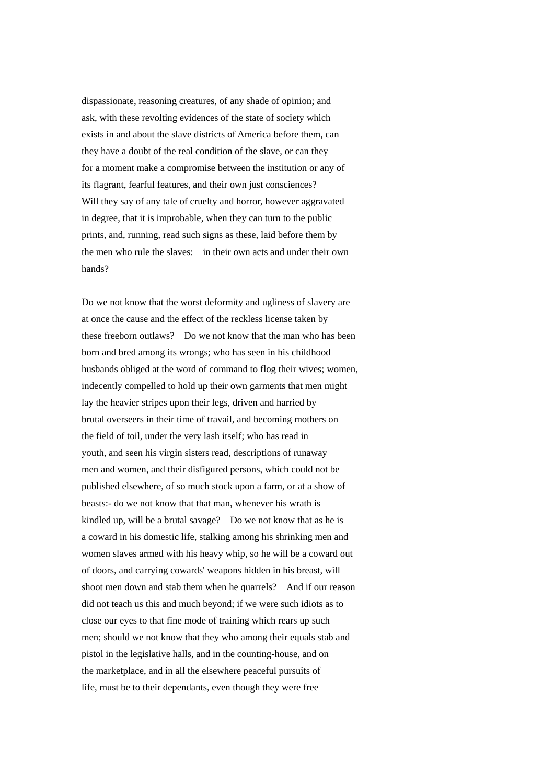dispassionate, reasoning creatures, of any shade of opinion; and ask, with these revolting evidences of the state of society which exists in and about the slave districts of America before them, can they have a doubt of the real condition of the slave, or can they for a moment make a compromise between the institution or any of its flagrant, fearful features, and their own just consciences? Will they say of any tale of cruelty and horror, however aggravated in degree, that it is improbable, when they can turn to the public prints, and, running, read such signs as these, laid before them by the men who rule the slaves: in their own acts and under their own hands?

Do we not know that the worst deformity and ugliness of slavery are at once the cause and the effect of the reckless license taken by these freeborn outlaws? Do we not know that the man who has been born and bred among its wrongs; who has seen in his childhood husbands obliged at the word of command to flog their wives; women, indecently compelled to hold up their own garments that men might lay the heavier stripes upon their legs, driven and harried by brutal overseers in their time of travail, and becoming mothers on the field of toil, under the very lash itself; who has read in youth, and seen his virgin sisters read, descriptions of runaway men and women, and their disfigured persons, which could not be published elsewhere, of so much stock upon a farm, or at a show of beasts:- do we not know that that man, whenever his wrath is kindled up, will be a brutal savage? Do we not know that as he is a coward in his domestic life, stalking among his shrinking men and women slaves armed with his heavy whip, so he will be a coward out of doors, and carrying cowards' weapons hidden in his breast, will shoot men down and stab them when he quarrels? And if our reason did not teach us this and much beyond; if we were such idiots as to close our eyes to that fine mode of training which rears up such men; should we not know that they who among their equals stab and pistol in the legislative halls, and in the counting-house, and on the marketplace, and in all the elsewhere peaceful pursuits of life, must be to their dependants, even though they were free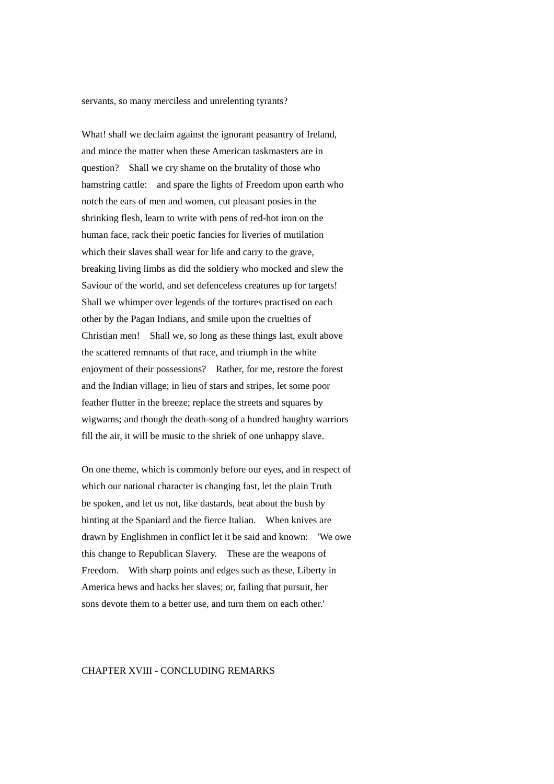servants, so many merciless and unrelenting tyrants?

What! shall we declaim against the ignorant peasantry of Ireland, and mince the matter when these American taskmasters are in question? Shall we cry shame on the brutality of those who hamstring cattle: and spare the lights of Freedom upon earth who notch the ears of men and women, cut pleasant posies in the shrinking flesh, learn to write with pens of red-hot iron on the human face, rack their poetic fancies for liveries of mutilation which their slaves shall wear for life and carry to the grave, breaking living limbs as did the soldiery who mocked and slew the Saviour of the world, and set defenceless creatures up for targets! Shall we whimper over legends of the tortures practised on each other by the Pagan Indians, and smile upon the cruelties of Christian men! Shall we, so long as these things last, exult above the scattered remnants of that race, and triumph in the white enjoyment of their possessions? Rather, for me, restore the forest and the Indian village; in lieu of stars and stripes, let some poor feather flutter in the breeze; replace the streets and squares by wigwams; and though the death-song of a hundred haughty warriors fill the air, it will be music to the shriek of one unhappy slave.

On one theme, which is commonly before our eyes, and in respect of which our national character is changing fast, let the plain Truth be spoken, and let us not, like dastards, beat about the bush by hinting at the Spaniard and the fierce Italian. When knives are drawn by Englishmen in conflict let it be said and known: 'We owe this change to Republican Slavery. These are the weapons of Freedom. With sharp points and edges such as these, Liberty in America hews and hacks her slaves; or, failing that pursuit, her sons devote them to a better use, and turn them on each other.'

### CHAPTER XVIII - CONCLUDING REMARKS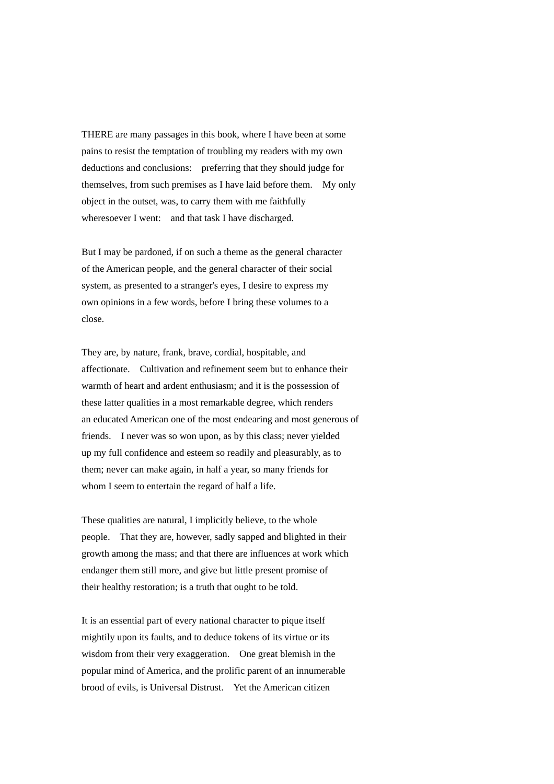THERE are many passages in this book, where I have been at some pains to resist the temptation of troubling my readers with my own deductions and conclusions: preferring that they should judge for themselves, from such premises as I have laid before them. My only object in the outset, was, to carry them with me faithfully wheresoever I went: and that task I have discharged.

But I may be pardoned, if on such a theme as the general character of the American people, and the general character of their social system, as presented to a stranger's eyes, I desire to express my own opinions in a few words, before I bring these volumes to a close.

They are, by nature, frank, brave, cordial, hospitable, and affectionate. Cultivation and refinement seem but to enhance their warmth of heart and ardent enthusiasm; and it is the possession of these latter qualities in a most remarkable degree, which renders an educated American one of the most endearing and most generous of friends. I never was so won upon, as by this class; never yielded up my full confidence and esteem so readily and pleasurably, as to them; never can make again, in half a year, so many friends for whom I seem to entertain the regard of half a life.

These qualities are natural, I implicitly believe, to the whole people. That they are, however, sadly sapped and blighted in their growth among the mass; and that there are influences at work which endanger them still more, and give but little present promise of their healthy restoration; is a truth that ought to be told.

It is an essential part of every national character to pique itself mightily upon its faults, and to deduce tokens of its virtue or its wisdom from their very exaggeration. One great blemish in the popular mind of America, and the prolific parent of an innumerable brood of evils, is Universal Distrust. Yet the American citizen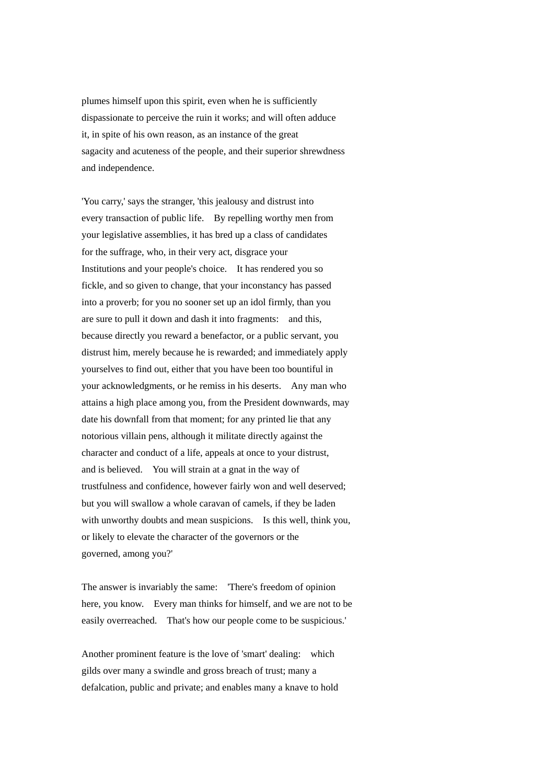plumes himself upon this spirit, even when he is sufficiently dispassionate to perceive the ruin it works; and will often adduce it, in spite of his own reason, as an instance of the great sagacity and acuteness of the people, and their superior shrewdness and independence.

'You carry,' says the stranger, 'this jealousy and distrust into every transaction of public life. By repelling worthy men from your legislative assemblies, it has bred up a class of candidates for the suffrage, who, in their very act, disgrace your Institutions and your people's choice. It has rendered you so fickle, and so given to change, that your inconstancy has passed into a proverb; for you no sooner set up an idol firmly, than you are sure to pull it down and dash it into fragments: and this, because directly you reward a benefactor, or a public servant, you distrust him, merely because he is rewarded; and immediately apply yourselves to find out, either that you have been too bountiful in your acknowledgments, or he remiss in his deserts. Any man who attains a high place among you, from the President downwards, may date his downfall from that moment; for any printed lie that any notorious villain pens, although it militate directly against the character and conduct of a life, appeals at once to your distrust, and is believed. You will strain at a gnat in the way of trustfulness and confidence, however fairly won and well deserved; but you will swallow a whole caravan of camels, if they be laden with unworthy doubts and mean suspicions. Is this well, think you, or likely to elevate the character of the governors or the governed, among you?'

The answer is invariably the same: 'There's freedom of opinion here, you know. Every man thinks for himself, and we are not to be easily overreached. That's how our people come to be suspicious.'

Another prominent feature is the love of 'smart' dealing: which gilds over many a swindle and gross breach of trust; many a defalcation, public and private; and enables many a knave to hold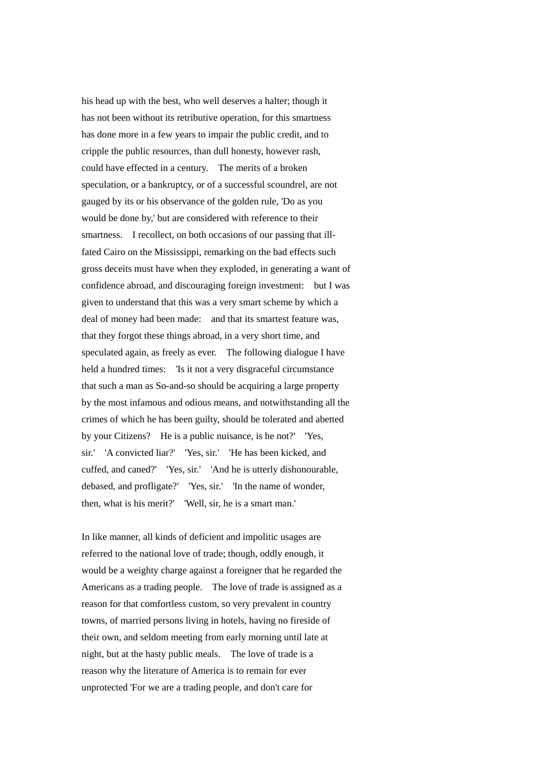his head up with the best, who well deserves a halter; though it has not been without its retributive operation, for this smartness has done more in a few years to impair the public credit, and to cripple the public resources, than dull honesty, however rash, could have effected in a century. The merits of a broken speculation, or a bankruptcy, or of a successful scoundrel, are not gauged by its or his observance of the golden rule, 'Do as you would be done by,' but are considered with reference to their smartness. I recollect, on both occasions of our passing that illfated Cairo on the Mississippi, remarking on the bad effects such gross deceits must have when they exploded, in generating a want of confidence abroad, and discouraging foreign investment: but I was given to understand that this was a very smart scheme by which a deal of money had been made: and that its smartest feature was, that they forgot these things abroad, in a very short time, and speculated again, as freely as ever. The following dialogue I have held a hundred times: 'Is it not a very disgraceful circumstance that such a man as So-and-so should be acquiring a large property by the most infamous and odious means, and notwithstanding all the crimes of which he has been guilty, should be tolerated and abetted by your Citizens? He is a public nuisance, is he not?' 'Yes, sir.' 'A convicted liar?' 'Yes, sir.' 'He has been kicked, and cuffed, and caned?' 'Yes, sir.' 'And he is utterly dishonourable, debased, and profligate?' 'Yes, sir.' 'In the name of wonder, then, what is his merit?' 'Well, sir, he is a smart man.'

In like manner, all kinds of deficient and impolitic usages are referred to the national love of trade; though, oddly enough, it would be a weighty charge against a foreigner that he regarded the Americans as a trading people. The love of trade is assigned as a reason for that comfortless custom, so very prevalent in country towns, of married persons living in hotels, having no fireside of their own, and seldom meeting from early morning until late at night, but at the hasty public meals. The love of trade is a reason why the literature of America is to remain for ever unprotected 'For we are a trading people, and don't care for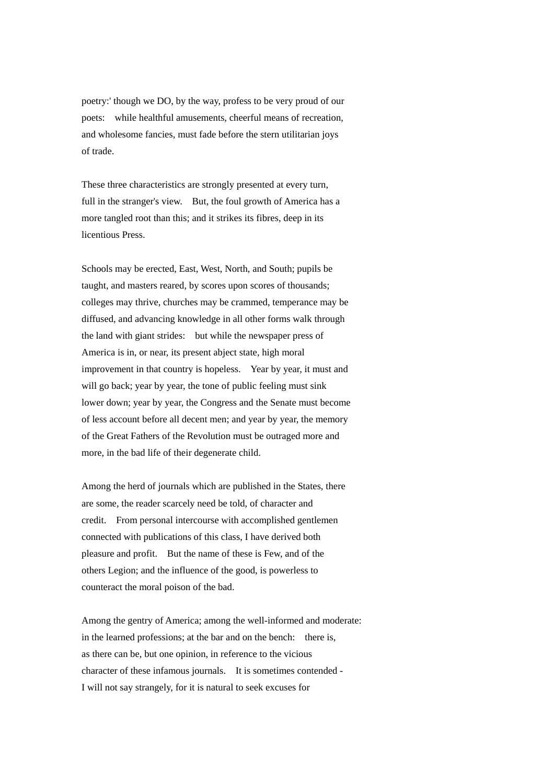poetry:' though we DO, by the way, profess to be very proud of our poets: while healthful amusements, cheerful means of recreation, and wholesome fancies, must fade before the stern utilitarian joys of trade.

These three characteristics are strongly presented at every turn, full in the stranger's view. But, the foul growth of America has a more tangled root than this; and it strikes its fibres, deep in its licentious Press.

Schools may be erected, East, West, North, and South; pupils be taught, and masters reared, by scores upon scores of thousands; colleges may thrive, churches may be crammed, temperance may be diffused, and advancing knowledge in all other forms walk through the land with giant strides: but while the newspaper press of America is in, or near, its present abject state, high moral improvement in that country is hopeless. Year by year, it must and will go back; year by year, the tone of public feeling must sink lower down; year by year, the Congress and the Senate must become of less account before all decent men; and year by year, the memory of the Great Fathers of the Revolution must be outraged more and more, in the bad life of their degenerate child.

Among the herd of journals which are published in the States, there are some, the reader scarcely need be told, of character and credit. From personal intercourse with accomplished gentlemen connected with publications of this class, I have derived both pleasure and profit. But the name of these is Few, and of the others Legion; and the influence of the good, is powerless to counteract the moral poison of the bad.

Among the gentry of America; among the well-informed and moderate: in the learned professions; at the bar and on the bench: there is, as there can be, but one opinion, in reference to the vicious character of these infamous journals. It is sometimes contended - I will not say strangely, for it is natural to seek excuses for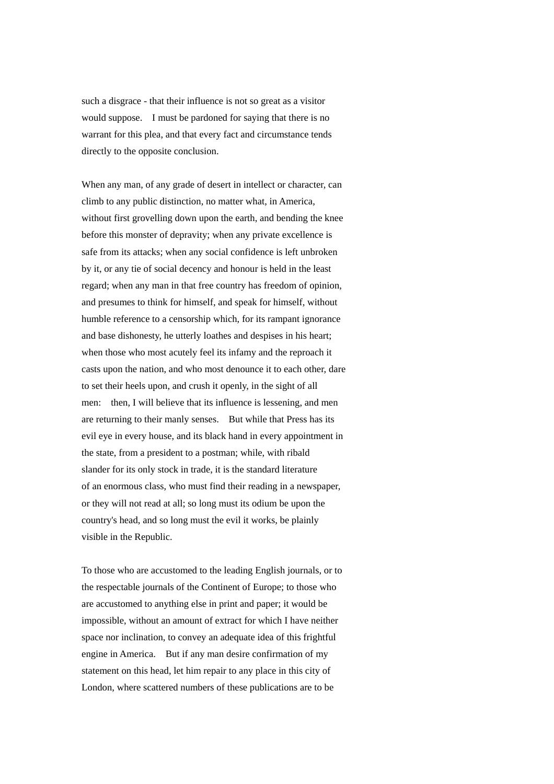such a disgrace - that their influence is not so great as a visitor would suppose. I must be pardoned for saying that there is no warrant for this plea, and that every fact and circumstance tends directly to the opposite conclusion.

When any man, of any grade of desert in intellect or character, can climb to any public distinction, no matter what, in America, without first grovelling down upon the earth, and bending the knee before this monster of depravity; when any private excellence is safe from its attacks; when any social confidence is left unbroken by it, or any tie of social decency and honour is held in the least regard; when any man in that free country has freedom of opinion, and presumes to think for himself, and speak for himself, without humble reference to a censorship which, for its rampant ignorance and base dishonesty, he utterly loathes and despises in his heart; when those who most acutely feel its infamy and the reproach it casts upon the nation, and who most denounce it to each other, dare to set their heels upon, and crush it openly, in the sight of all men: then, I will believe that its influence is lessening, and men are returning to their manly senses. But while that Press has its evil eve in every house, and its black hand in every appointment in the state, from a president to a postman; while, with ribald slander for its only stock in trade, it is the standard literature of an enormous class, who must find their reading in a newspaper, or they will not read at all; so long must its odium be upon the country's head, and so long must the evil it works, be plainly visible in the Republic.

To those who are accustomed to the leading English journals, or to the respectable journals of the Continent of Europe; to those who are accustomed to anything else in print and paper; it would be impossible, without an amount of extract for which I have neither space nor inclination, to convey an adequate idea of this frightful engine in America. But if any man desire confirmation of my statement on this head, let him repair to any place in this city of London, where scattered numbers of these publications are to be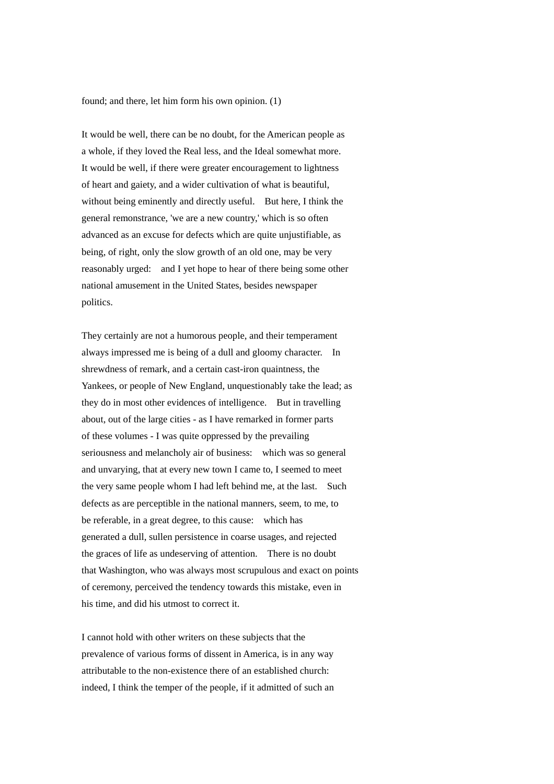found; and there, let him form his own opinion. (1)

It would be well, there can be no doubt, for the American people as a whole, if they loved the Real less, and the Ideal somewhat more. It would be well, if there were greater encouragement to lightness of heart and gaiety, and a wider cultivation of what is beautiful, without being eminently and directly useful. But here, I think the general remonstrance, 'we are a new country,' which is so often advanced as an excuse for defects which are quite unjustifiable, as being, of right, only the slow growth of an old one, may be very reasonably urged: and I yet hope to hear of there being some other national amusement in the United States, besides newspaper politics.

They certainly are not a humorous people, and their temperament always impressed me is being of a dull and gloomy character. In shrewdness of remark, and a certain cast-iron quaintness, the Yankees, or people of New England, unquestionably take the lead; as they do in most other evidences of intelligence. But in travelling about, out of the large cities - as I have remarked in former parts of these volumes - I was quite oppressed by the prevailing seriousness and melancholy air of business: which was so general and unvarying, that at every new town I came to, I seemed to meet the very same people whom I had left behind me, at the last. Such defects as are perceptible in the national manners, seem, to me, to be referable, in a great degree, to this cause: which has generated a dull, sullen persistence in coarse usages, and rejected the graces of life as undeserving of attention. There is no doubt that Washington, who was always most scrupulous and exact on points of ceremony, perceived the tendency towards this mistake, even in his time, and did his utmost to correct it.

I cannot hold with other writers on these subjects that the prevalence of various forms of dissent in America, is in any way attributable to the non-existence there of an established church: indeed, I think the temper of the people, if it admitted of such an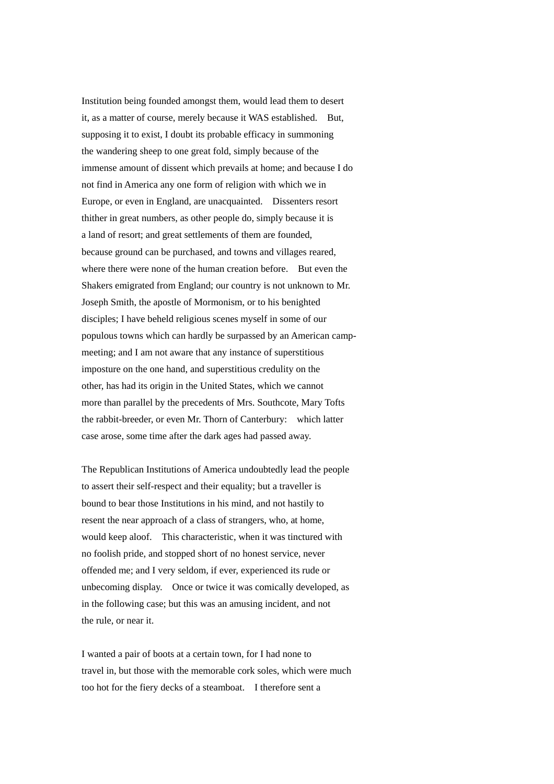Institution being founded amongst them, would lead them to desert it, as a matter of course, merely because it WAS established. But, supposing it to exist, I doubt its probable efficacy in summoning the wandering sheep to one great fold, simply because of the immense amount of dissent which prevails at home; and because I do not find in America any one form of religion with which we in Europe, or even in England, are unacquainted. Dissenters resort thither in great numbers, as other people do, simply because it is a land of resort; and great settlements of them are founded, because ground can be purchased, and towns and villages reared, where there were none of the human creation before. But even the Shakers emigrated from England; our country is not unknown to Mr. Joseph Smith, the apostle of Mormonism, or to his benighted disciples; I have beheld religious scenes myself in some of our populous towns which can hardly be surpassed by an American campmeeting; and I am not aware that any instance of superstitious imposture on the one hand, and superstitious credulity on the other, has had its origin in the United States, which we cannot more than parallel by the precedents of Mrs. Southcote, Mary Tofts the rabbit-breeder, or even Mr. Thorn of Canterbury: which latter case arose, some time after the dark ages had passed away.

The Republican Institutions of America undoubtedly lead the people to assert their self-respect and their equality; but a traveller is bound to bear those Institutions in his mind, and not hastily to resent the near approach of a class of strangers, who, at home, would keep aloof. This characteristic, when it was tinctured with no foolish pride, and stopped short of no honest service, never offended me; and I very seldom, if ever, experienced its rude or unbecoming display. Once or twice it was comically developed, as in the following case; but this was an amusing incident, and not the rule, or near it.

I wanted a pair of boots at a certain town, for I had none to travel in, but those with the memorable cork soles, which were much too hot for the fiery decks of a steamboat. I therefore sent a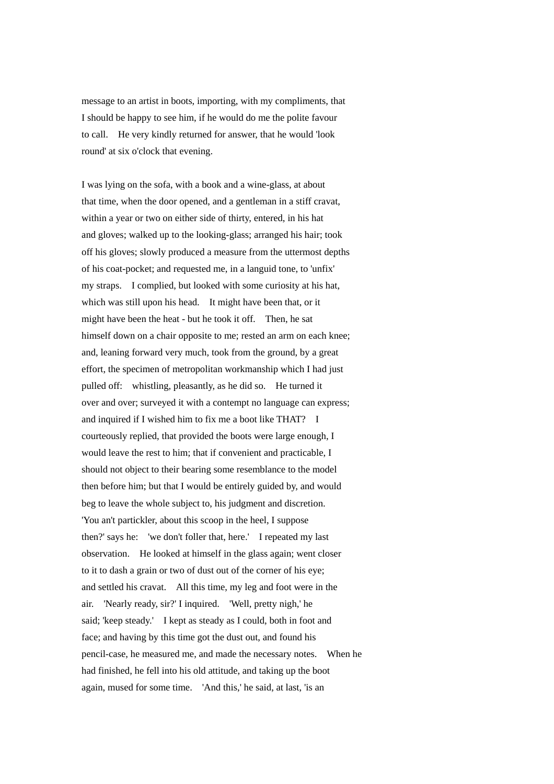message to an artist in boots, importing, with my compliments, that I should be happy to see him, if he would do me the polite favour to call. He very kindly returned for answer, that he would 'look round' at six o'clock that evening.

I was lying on the sofa, with a book and a wine-glass, at about that time, when the door opened, and a gentleman in a stiff cravat, within a year or two on either side of thirty, entered, in his hat and gloves; walked up to the looking-glass; arranged his hair; took off his gloves; slowly produced a measure from the uttermost depths of his coat-pocket; and requested me, in a languid tone, to 'unfix' my straps. I complied, but looked with some curiosity at his hat, which was still upon his head. It might have been that, or it might have been the heat - but he took it off. Then, he sat himself down on a chair opposite to me; rested an arm on each knee; and, leaning forward very much, took from the ground, by a great effort, the specimen of metropolitan workmanship which I had just pulled off: whistling, pleasantly, as he did so. He turned it over and over; surveyed it with a contempt no language can express; and inquired if I wished him to fix me a boot like THAT? I courteously replied, that provided the boots were large enough, I would leave the rest to him; that if convenient and practicable, I should not object to their bearing some resemblance to the model then before him; but that I would be entirely guided by, and would beg to leave the whole subject to, his judgment and discretion. 'You an't partickler, about this scoop in the heel, I suppose then?' says he: 'we don't foller that, here.' I repeated my last observation. He looked at himself in the glass again; went closer to it to dash a grain or two of dust out of the corner of his eye; and settled his cravat. All this time, my leg and foot were in the air. 'Nearly ready, sir?' I inquired. 'Well, pretty nigh,' he said; 'keep steady.' I kept as steady as I could, both in foot and face; and having by this time got the dust out, and found his pencil-case, he measured me, and made the necessary notes. When he had finished, he fell into his old attitude, and taking up the boot again, mused for some time. 'And this,' he said, at last, 'is an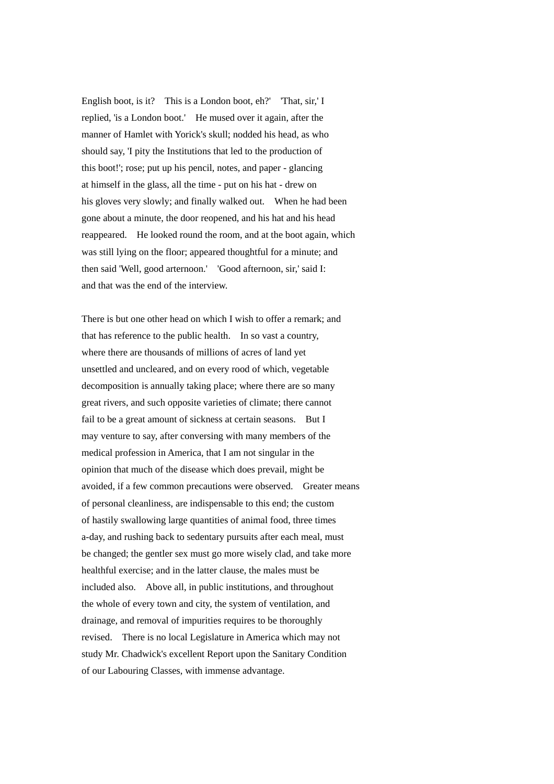English boot, is it? This is a London boot, eh?' 'That, sir,' I replied, 'is a London boot.' He mused over it again, after the manner of Hamlet with Yorick's skull; nodded his head, as who should say, 'I pity the Institutions that led to the production of this boot!'; rose; put up his pencil, notes, and paper - glancing at himself in the glass, all the time - put on his hat - drew on his gloves very slowly; and finally walked out. When he had been gone about a minute, the door reopened, and his hat and his head reappeared. He looked round the room, and at the boot again, which was still lying on the floor; appeared thoughtful for a minute; and then said 'Well, good arternoon.' 'Good afternoon, sir,' said I: and that was the end of the interview.

There is but one other head on which I wish to offer a remark; and that has reference to the public health. In so vast a country, where there are thousands of millions of acres of land yet unsettled and uncleared, and on every rood of which, vegetable decomposition is annually taking place; where there are so many great rivers, and such opposite varieties of climate; there cannot fail to be a great amount of sickness at certain seasons. But I may venture to say, after conversing with many members of the medical profession in America, that I am not singular in the opinion that much of the disease which does prevail, might be avoided, if a few common precautions were observed. Greater means of personal cleanliness, are indispensable to this end; the custom of hastily swallowing large quantities of animal food, three times a-day, and rushing back to sedentary pursuits after each meal, must be changed; the gentler sex must go more wisely clad, and take more healthful exercise; and in the latter clause, the males must be included also. Above all, in public institutions, and throughout the whole of every town and city, the system of ventilation, and drainage, and removal of impurities requires to be thoroughly revised. There is no local Legislature in America which may not study Mr. Chadwick's excellent Report upon the Sanitary Condition of our Labouring Classes, with immense advantage.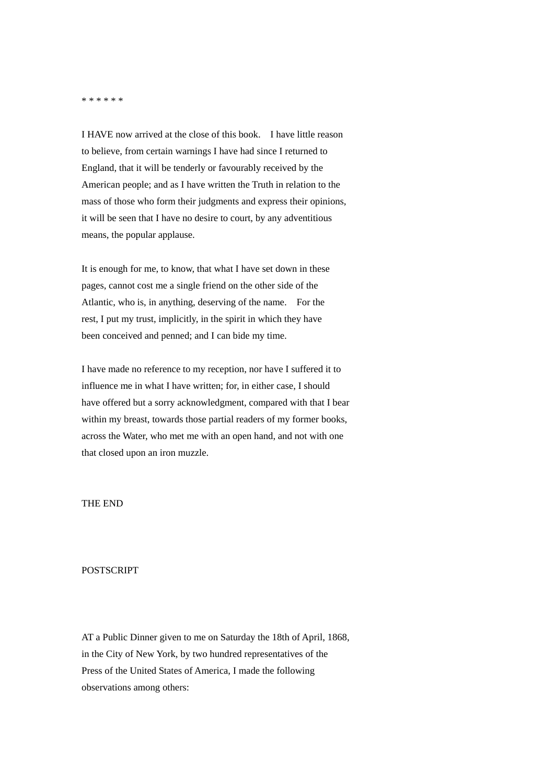## \* \* \* \* \* \*

I HAVE now arrived at the close of this book. I have little reason to believe, from certain warnings I have had since I returned to England, that it will be tenderly or favourably received by the American people; and as I have written the Truth in relation to the mass of those who form their judgments and express their opinions, it will be seen that I have no desire to court, by any adventitious means, the popular applause.

It is enough for me, to know, that what I have set down in these pages, cannot cost me a single friend on the other side of the Atlantic, who is, in anything, deserving of the name. For the rest, I put my trust, implicitly, in the spirit in which they have been conceived and penned; and I can bide my time.

I have made no reference to my reception, nor have I suffered it to influence me in what I have written; for, in either case, I should have offered but a sorry acknowledgment, compared with that I bear within my breast, towards those partial readers of my former books, across the Water, who met me with an open hand, and not with one that closed upon an iron muzzle.

## THE END

## POSTSCRIPT

AT a Public Dinner given to me on Saturday the 18th of April, 1868, in the City of New York, by two hundred representatives of the Press of the United States of America, I made the following observations among others: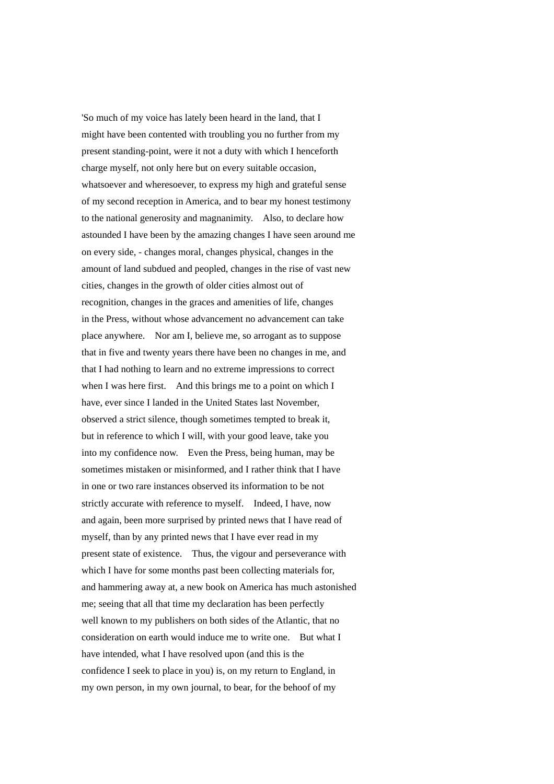'So much of my voice has lately been heard in the land, that I might have been contented with troubling you no further from my present standing-point, were it not a duty with which I henceforth charge myself, not only here but on every suitable occasion, whatsoever and wheresoever, to express my high and grateful sense of my second reception in America, and to bear my honest testimony to the national generosity and magnanimity. Also, to declare how astounded I have been by the amazing changes I have seen around me on every side, - changes moral, changes physical, changes in the amount of land subdued and peopled, changes in the rise of vast new cities, changes in the growth of older cities almost out of recognition, changes in the graces and amenities of life, changes in the Press, without whose advancement no advancement can take place anywhere. Nor am I, believe me, so arrogant as to suppose that in five and twenty years there have been no changes in me, and that I had nothing to learn and no extreme impressions to correct when I was here first. And this brings me to a point on which I have, ever since I landed in the United States last November, observed a strict silence, though sometimes tempted to break it, but in reference to which I will, with your good leave, take you into my confidence now. Even the Press, being human, may be sometimes mistaken or misinformed, and I rather think that I have in one or two rare instances observed its information to be not strictly accurate with reference to myself. Indeed, I have, now and again, been more surprised by printed news that I have read of myself, than by any printed news that I have ever read in my present state of existence. Thus, the vigour and perseverance with which I have for some months past been collecting materials for, and hammering away at, a new book on America has much astonished me; seeing that all that time my declaration has been perfectly well known to my publishers on both sides of the Atlantic, that no consideration on earth would induce me to write one. But what I have intended, what I have resolved upon (and this is the confidence I seek to place in you) is, on my return to England, in my own person, in my own journal, to bear, for the behoof of my